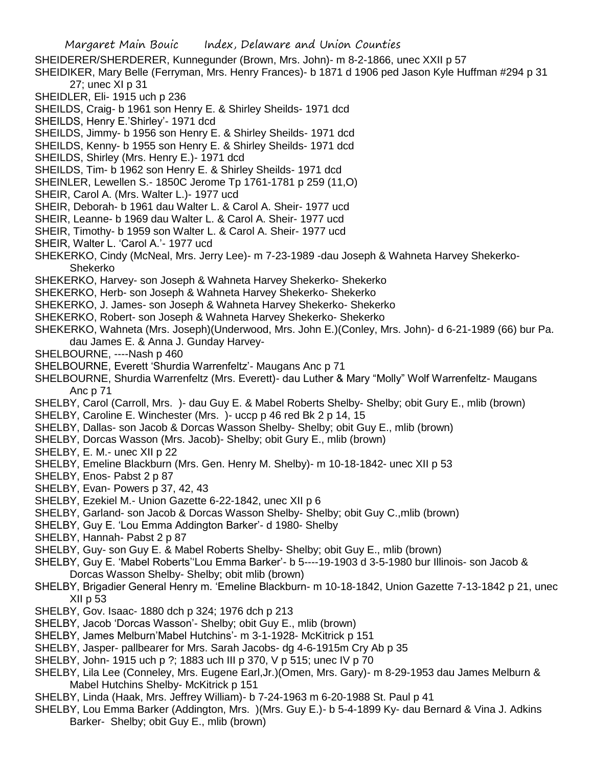Margaret Main Bouic Index, Delaware and Union Counties SHEIDERER/SHERDERER, Kunnegunder (Brown, Mrs. John)- m 8-2-1866, unec XXII p 57 SHEIDIKER, Mary Belle (Ferryman, Mrs. Henry Frances)- b 1871 d 1906 ped Jason Kyle Huffman #294 p 31 27; unec XI p 31 SHEIDLER, Eli- 1915 uch p 236 SHEILDS, Craig- b 1961 son Henry E. & Shirley Sheilds- 1971 dcd SHEILDS, Henry E.'Shirley'- 1971 dcd SHEILDS, Jimmy- b 1956 son Henry E. & Shirley Sheilds- 1971 dcd SHEILDS, Kenny- b 1955 son Henry E. & Shirley Sheilds- 1971 dcd SHEILDS, Shirley (Mrs. Henry E.)- 1971 dcd SHEILDS, Tim- b 1962 son Henry E. & Shirley Sheilds- 1971 dcd SHEINLER, Lewellen S.- 1850C Jerome Tp 1761-1781 p 259 (11,O) SHEIR, Carol A. (Mrs. Walter L.)- 1977 ucd SHEIR, Deborah- b 1961 dau Walter L. & Carol A. Sheir- 1977 ucd SHEIR, Leanne- b 1969 dau Walter L. & Carol A. Sheir- 1977 ucd SHEIR, Timothy- b 1959 son Walter L. & Carol A. Sheir- 1977 ucd SHEIR, Walter L. 'Carol A.'- 1977 ucd SHEKERKO, Cindy (McNeal, Mrs. Jerry Lee)- m 7-23-1989 -dau Joseph & Wahneta Harvey Shekerko-Shekerko SHEKERKO, Harvey- son Joseph & Wahneta Harvey Shekerko- Shekerko SHEKERKO, Herb- son Joseph & Wahneta Harvey Shekerko- Shekerko SHEKERKO, J. James- son Joseph & Wahneta Harvey Shekerko- Shekerko SHEKERKO, Robert- son Joseph & Wahneta Harvey Shekerko- Shekerko SHEKERKO, Wahneta (Mrs. Joseph)(Underwood, Mrs. John E.)(Conley, Mrs. John)- d 6-21-1989 (66) bur Pa. dau James E. & Anna J. Gunday Harvey-SHELBOURNE, ----Nash p 460 SHELBOURNE, Everett 'Shurdia Warrenfeltz'- Maugans Anc p 71 SHELBOURNE, Shurdia Warrenfeltz (Mrs. Everett)- dau Luther & Mary "Molly" Wolf Warrenfeltz- Maugans Anc p 71 SHELBY, Carol (Carroll, Mrs. )- dau Guy E. & Mabel Roberts Shelby- Shelby; obit Gury E., mlib (brown) SHELBY, Caroline E. Winchester (Mrs. )- uccp p 46 red Bk 2 p 14, 15 SHELBY, Dallas- son Jacob & Dorcas Wasson Shelby- Shelby; obit Guy E., mlib (brown) SHELBY, Dorcas Wasson (Mrs. Jacob)- Shelby; obit Gury E., mlib (brown) SHELBY, E. M.- unec XII p 22 SHELBY, Emeline Blackburn (Mrs. Gen. Henry M. Shelby)- m 10-18-1842- unec XII p 53 SHELBY, Enos- Pabst 2 p 87 SHELBY, Evan- Powers p 37, 42, 43 SHELBY, Ezekiel M.- Union Gazette 6-22-1842, unec XII p 6 SHELBY, Garland- son Jacob & Dorcas Wasson Shelby- Shelby; obit Guy C.,mlib (brown) SHELBY, Guy E. 'Lou Emma Addington Barker'- d 1980- Shelby SHELBY, Hannah- Pabst 2 p 87 SHELBY, Guy- son Guy E. & Mabel Roberts Shelby- Shelby; obit Guy E., mlib (brown) SHELBY, Guy E. 'Mabel Roberts''Lou Emma Barker'- b 5----19-1903 d 3-5-1980 bur Illinois- son Jacob & Dorcas Wasson Shelby- Shelby; obit mlib (brown) SHELBY, Brigadier General Henry m. 'Emeline Blackburn- m 10-18-1842, Union Gazette 7-13-1842 p 21, unec XII p 53 SHELBY, Gov. Isaac- 1880 dch p 324; 1976 dch p 213 SHELBY, Jacob 'Dorcas Wasson'- Shelby; obit Guy E., mlib (brown) SHELBY, James Melburn'Mabel Hutchins'- m 3-1-1928- McKitrick p 151 SHELBY, Jasper- pallbearer for Mrs. Sarah Jacobs- dg 4-6-1915m Cry Ab p 35 SHELBY, John- 1915 uch p ?; 1883 uch III p 370, V p 515; unec IV p 70

- SHELBY, Lila Lee (Conneley, Mrs. Eugene Earl,Jr.)(Omen, Mrs. Gary)- m 8-29-1953 dau James Melburn & Mabel Hutchins Shelby- McKitrick p 151
- SHELBY, Linda (Haak, Mrs. Jeffrey William)- b 7-24-1963 m 6-20-1988 St. Paul p 41
- SHELBY, Lou Emma Barker (Addington, Mrs. )(Mrs. Guy E.)- b 5-4-1899 Ky- dau Bernard & Vina J. Adkins Barker- Shelby; obit Guy E., mlib (brown)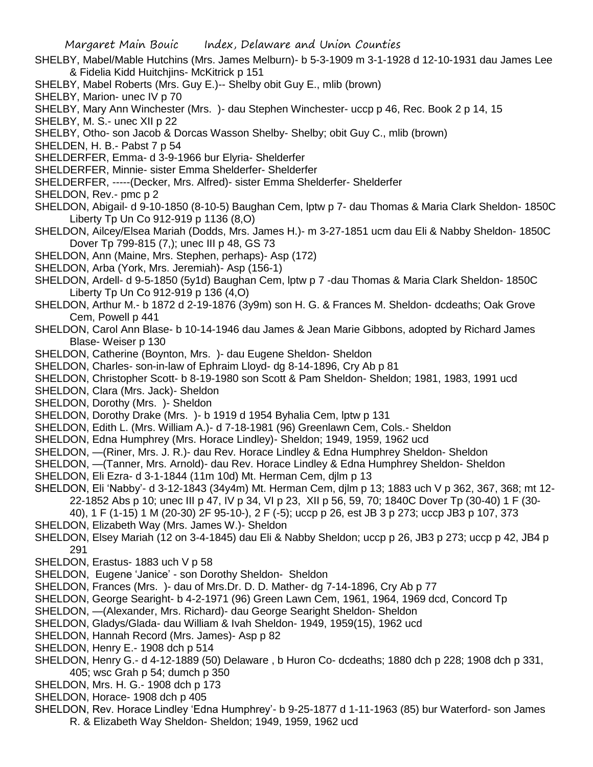- SHELBY, Mabel/Mable Hutchins (Mrs. James Melburn)- b 5-3-1909 m 3-1-1928 d 12-10-1931 dau James Lee & Fidelia Kidd Huitchjins- McKitrick p 151
- SHELBY, Mabel Roberts (Mrs. Guy E.)-- Shelby obit Guy E., mlib (brown)
- SHELBY, Marion- unec IV p 70
- SHELBY, Mary Ann Winchester (Mrs. )- dau Stephen Winchester- uccp p 46, Rec. Book 2 p 14, 15
- SHELBY, M. S.- unec XII p 22
- SHELBY, Otho- son Jacob & Dorcas Wasson Shelby- Shelby; obit Guy C., mlib (brown)
- SHELDEN, H. B.- Pabst 7 p 54
- SHELDERFER, Emma- d 3-9-1966 bur Elyria- Shelderfer
- SHELDERFER, Minnie- sister Emma Shelderfer- Shelderfer
- SHELDERFER, -----(Decker, Mrs. Alfred)- sister Emma Shelderfer- Shelderfer
- SHELDON, Rev.- pmc p 2
- SHELDON, Abigail- d 9-10-1850 (8-10-5) Baughan Cem, lptw p 7- dau Thomas & Maria Clark Sheldon- 1850C Liberty Tp Un Co 912-919 p 1136 (8,O)
- SHELDON, Ailcey/Elsea Mariah (Dodds, Mrs. James H.)- m 3-27-1851 ucm dau Eli & Nabby Sheldon- 1850C Dover Tp 799-815 (7,); unec III p 48, GS 73
- SHELDON, Ann (Maine, Mrs. Stephen, perhaps)- Asp (172)
- SHELDON, Arba (York, Mrs. Jeremiah)- Asp (156-1)
- SHELDON, Ardell- d 9-5-1850 (5y1d) Baughan Cem, lptw p 7 -dau Thomas & Maria Clark Sheldon- 1850C Liberty Tp Un Co 912-919 p 136 (4,O)
- SHELDON, Arthur M.- b 1872 d 2-19-1876 (3y9m) son H. G. & Frances M. Sheldon- dcdeaths; Oak Grove Cem, Powell p 441
- SHELDON, Carol Ann Blase- b 10-14-1946 dau James & Jean Marie Gibbons, adopted by Richard James Blase- Weiser p 130
- SHELDON, Catherine (Boynton, Mrs. )- dau Eugene Sheldon- Sheldon
- SHELDON, Charles- son-in-law of Ephraim Lloyd- dg 8-14-1896, Cry Ab p 81
- SHELDON, Christopher Scott- b 8-19-1980 son Scott & Pam Sheldon- Sheldon; 1981, 1983, 1991 ucd
- SHELDON, Clara (Mrs. Jack)- Sheldon
- SHELDON, Dorothy (Mrs. )- Sheldon
- SHELDON, Dorothy Drake (Mrs. )- b 1919 d 1954 Byhalia Cem, lptw p 131
- SHELDON, Edith L. (Mrs. William A.)- d 7-18-1981 (96) Greenlawn Cem, Cols.- Sheldon
- SHELDON, Edna Humphrey (Mrs. Horace Lindley)- Sheldon; 1949, 1959, 1962 ucd
- SHELDON, —(Riner, Mrs. J. R.)- dau Rev. Horace Lindley & Edna Humphrey Sheldon- Sheldon
- SHELDON, —(Tanner, Mrs. Arnold)- dau Rev. Horace Lindley & Edna Humphrey Sheldon- Sheldon
- SHELDON, Eli Ezra- d 3-1-1844 (11m 10d) Mt. Herman Cem, djlm p 13
- SHELDON, Eli 'Nabby'- d 3-12-1843 (34y4m) Mt. Herman Cem, djlm p 13; 1883 uch V p 362, 367, 368; mt 12- 22-1852 Abs p 10; unec III p 47, IV p 34, VI p 23, XII p 56, 59, 70; 1840C Dover Tp (30-40) 1 F (30-
	- 40), 1 F (1-15) 1 M (20-30) 2F 95-10-), 2 F (-5); uccp p 26, est JB 3 p 273; uccp JB3 p 107, 373
- SHELDON, Elizabeth Way (Mrs. James W.)- Sheldon
- SHELDON, Elsey Mariah (12 on 3-4-1845) dau Eli & Nabby Sheldon; uccp p 26, JB3 p 273; uccp p 42, JB4 p 291
- SHELDON, Erastus- 1883 uch V p 58
- SHELDON, Eugene 'Janice' son Dorothy Sheldon- Sheldon
- SHELDON, Frances (Mrs. )- dau of Mrs.Dr. D. D. Mather- dg 7-14-1896, Cry Ab p 77
- SHELDON, George Searight- b 4-2-1971 (96) Green Lawn Cem, 1961, 1964, 1969 dcd, Concord Tp
- SHELDON, —(Alexander, Mrs. Richard)- dau George Searight Sheldon- Sheldon
- SHELDON, Gladys/Glada- dau William & Ivah Sheldon- 1949, 1959(15), 1962 ucd
- SHELDON, Hannah Record (Mrs. James)- Asp p 82
- SHELDON, Henry E.- 1908 dch p 514
- SHELDON, Henry G.- d 4-12-1889 (50) Delaware , b Huron Co- dcdeaths; 1880 dch p 228; 1908 dch p 331, 405; wsc Grah p 54; dumch p 350
- SHELDON, Mrs. H. G.- 1908 dch p 173
- SHELDON, Horace- 1908 dch p 405
- SHELDON, Rev. Horace Lindley 'Edna Humphrey'- b 9-25-1877 d 1-11-1963 (85) bur Waterford- son James R. & Elizabeth Way Sheldon- Sheldon; 1949, 1959, 1962 ucd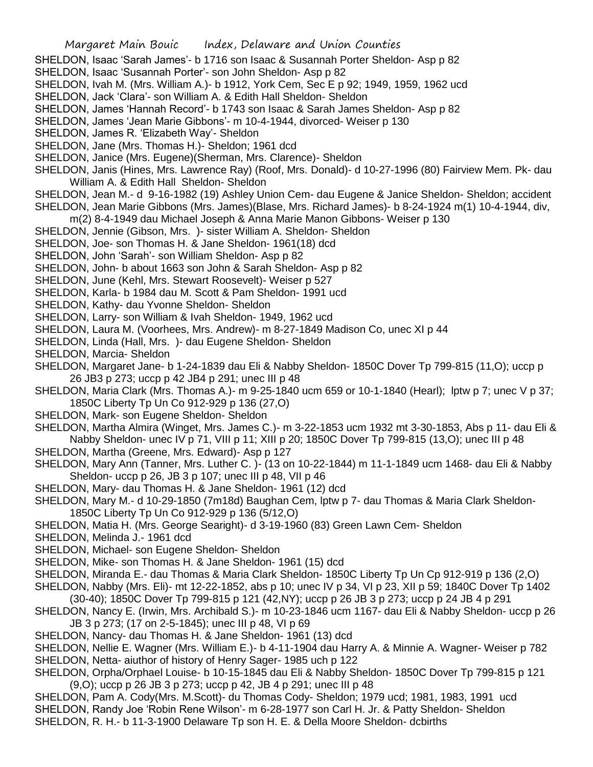- SHELDON, Isaac 'Sarah James'- b 1716 son Isaac & Susannah Porter Sheldon- Asp p 82
- SHELDON, Isaac 'Susannah Porter'- son John Sheldon- Asp p 82
- SHELDON, Ivah M. (Mrs. William A.)- b 1912, York Cem, Sec E p 92; 1949, 1959, 1962 ucd
- SHELDON, Jack 'Clara'- son William A. & Edith Hall Sheldon- Sheldon
- SHELDON, James 'Hannah Record'- b 1743 son Isaac & Sarah James Sheldon- Asp p 82
- SHELDON, James 'Jean Marie Gibbons'- m 10-4-1944, divorced- Weiser p 130
- SHELDON, James R. 'Elizabeth Way'- Sheldon
- SHELDON, Jane (Mrs. Thomas H.)- Sheldon; 1961 dcd
- SHELDON, Janice (Mrs. Eugene)(Sherman, Mrs. Clarence)- Sheldon
- SHELDON, Janis (Hines, Mrs. Lawrence Ray) (Roof, Mrs. Donald)- d 10-27-1996 (80) Fairview Mem. Pk- dau William A. & Edith Hall Sheldon- Sheldon
- SHELDON, Jean M.- d 9-16-1982 (19) Ashley Union Cem- dau Eugene & Janice Sheldon- Sheldon; accident SHELDON, Jean Marie Gibbons (Mrs. James)(Blase, Mrs. Richard James)- b 8-24-1924 m(1) 10-4-1944, div,
- m(2) 8-4-1949 dau Michael Joseph & Anna Marie Manon Gibbons- Weiser p 130
- SHELDON, Jennie (Gibson, Mrs. )- sister William A. Sheldon- Sheldon
- SHELDON, Joe- son Thomas H. & Jane Sheldon- 1961(18) dcd
- SHELDON, John 'Sarah'- son William Sheldon- Asp p 82
- SHELDON, John- b about 1663 son John & Sarah Sheldon- Asp p 82
- SHELDON, June (Kehl, Mrs. Stewart Roosevelt)- Weiser p 527
- SHELDON, Karla- b 1984 dau M. Scott & Pam Sheldon- 1991 ucd
- SHELDON, Kathy- dau Yvonne Sheldon- Sheldon
- SHELDON, Larry- son William & Ivah Sheldon- 1949, 1962 ucd
- SHELDON, Laura M. (Voorhees, Mrs. Andrew)- m 8-27-1849 Madison Co, unec XI p 44
- SHELDON, Linda (Hall, Mrs. )- dau Eugene Sheldon- Sheldon
- SHELDON, Marcia- Sheldon
- SHELDON, Margaret Jane- b 1-24-1839 dau Eli & Nabby Sheldon- 1850C Dover Tp 799-815 (11,O); uccp p 26 JB3 p 273; uccp p 42 JB4 p 291; unec III p 48
- SHELDON, Maria Clark (Mrs. Thomas A.)- m 9-25-1840 ucm 659 or 10-1-1840 (Hearl); lptw p 7; unec V p 37; 1850C Liberty Tp Un Co 912-929 p 136 (27,O)
- SHELDON, Mark- son Eugene Sheldon- Sheldon
- SHELDON, Martha Almira (Winget, Mrs. James C.)- m 3-22-1853 ucm 1932 mt 3-30-1853, Abs p 11- dau Eli & Nabby Sheldon- unec IV p 71, VIII p 11; XIII p 20; 1850C Dover Tp 799-815 (13,O); unec III p 48
- SHELDON, Martha (Greene, Mrs. Edward)- Asp p 127
- SHELDON, Mary Ann (Tanner, Mrs. Luther C. )- (13 on 10-22-1844) m 11-1-1849 ucm 1468- dau Eli & Nabby Sheldon- uccp p 26, JB 3 p 107; unec III p 48, VII p 46
- SHELDON, Mary- dau Thomas H. & Jane Sheldon- 1961 (12) dcd
- SHELDON, Mary M.- d 10-29-1850 (7m18d) Baughan Cem, lptw p 7- dau Thomas & Maria Clark Sheldon-1850C Liberty Tp Un Co 912-929 p 136 (5/12,O)
- SHELDON, Matia H. (Mrs. George Searight)- d 3-19-1960 (83) Green Lawn Cem- Sheldon
- SHELDON, Melinda J.- 1961 dcd
- SHELDON, Michael- son Eugene Sheldon- Sheldon
- SHELDON, Mike- son Thomas H. & Jane Sheldon- 1961 (15) dcd
- SHELDON, Miranda E.- dau Thomas & Maria Clark Sheldon- 1850C Liberty Tp Un Cp 912-919 p 136 (2,O)
- SHELDON, Nabby (Mrs. Eli)- mt 12-22-1852, abs p 10; unec IV p 34, VI p 23, XII p 59; 1840C Dover Tp 1402
- (30-40); 1850C Dover Tp 799-815 p 121 (42,NY); uccp p 26 JB 3 p 273; uccp p 24 JB 4 p 291
- SHELDON, Nancy E. (Irwin, Mrs. Archibald S.)- m 10-23-1846 ucm 1167- dau Eli & Nabby Sheldon- uccp p 26 JB 3 p 273; (17 on 2-5-1845); unec III p 48, VI p 69
- SHELDON, Nancy- dau Thomas H. & Jane Sheldon- 1961 (13) dcd
- SHELDON, Nellie E. Wagner (Mrs. William E.)- b 4-11-1904 dau Harry A. & Minnie A. Wagner- Weiser p 782 SHELDON, Netta- aiuthor of history of Henry Sager- 1985 uch p 122
- SHELDON, Orpha/Orphael Louise- b 10-15-1845 dau Eli & Nabby Sheldon- 1850C Dover Tp 799-815 p 121 (9,O); uccp p 26 JB 3 p 273; uccp p 42, JB 4 p 291; unec III p 48
- SHELDON, Pam A. Cody(Mrs. M.Scott)- du Thomas Cody- Sheldon; 1979 ucd; 1981, 1983, 1991 ucd SHELDON, Randy Joe 'Robin Rene Wilson'- m 6-28-1977 son Carl H. Jr. & Patty Sheldon- Sheldon SHELDON, R. H.- b 11-3-1900 Delaware Tp son H. E. & Della Moore Sheldon- dcbirths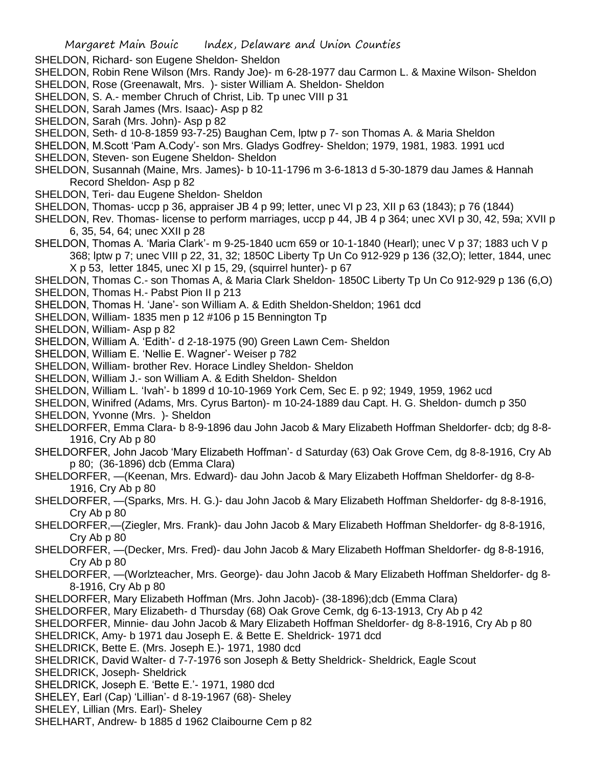- SHELDON, Richard- son Eugene Sheldon- Sheldon
- SHELDON, Robin Rene Wilson (Mrs. Randy Joe)- m 6-28-1977 dau Carmon L. & Maxine Wilson- Sheldon SHELDON, Rose (Greenawalt, Mrs. )- sister William A. Sheldon- Sheldon
- SHELDON, S. A.- member Chruch of Christ, Lib. Tp unec VIII p 31
- SHELDON, Sarah James (Mrs. Isaac)- Asp p 82
- SHELDON, Sarah (Mrs. John)- Asp p 82
- SHELDON, Seth- d 10-8-1859 93-7-25) Baughan Cem, lptw p 7- son Thomas A. & Maria Sheldon
- SHELDON, M.Scott 'Pam A.Cody'- son Mrs. Gladys Godfrey- Sheldon; 1979, 1981, 1983. 1991 ucd
- SHELDON, Steven- son Eugene Sheldon- Sheldon
- SHELDON, Susannah (Maine, Mrs. James)- b 10-11-1796 m 3-6-1813 d 5-30-1879 dau James & Hannah Record Sheldon- Asp p 82
- SHELDON, Teri- dau Eugene Sheldon- Sheldon
- SHELDON, Thomas- uccp p 36, appraiser JB 4 p 99; letter, unec VI p 23, XII p 63 (1843); p 76 (1844)
- SHELDON, Rev. Thomas- license to perform marriages, uccp p 44, JB 4 p 364; unec XVI p 30, 42, 59a; XVII p 6, 35, 54, 64; unec XXII p 28
- SHELDON, Thomas A. 'Maria Clark'- m 9-25-1840 ucm 659 or 10-1-1840 (Hearl); unec V p 37; 1883 uch V p 368; lptw p 7; unec VIII p 22, 31, 32; 1850C Liberty Tp Un Co 912-929 p 136 (32,O); letter, 1844, unec X p 53, letter 1845, unec XI p 15, 29, (squirrel hunter)- p 67
- SHELDON, Thomas C.- son Thomas A, & Maria Clark Sheldon- 1850C Liberty Tp Un Co 912-929 p 136 (6,O)
- SHELDON, Thomas H.- Pabst Pion II p 213
- SHELDON, Thomas H. 'Jane'- son William A. & Edith Sheldon-Sheldon; 1961 dcd
- SHELDON, William- 1835 men p 12 #106 p 15 Bennington Tp
- SHELDON, William- Asp p 82
- SHELDON, William A. 'Edith'- d 2-18-1975 (90) Green Lawn Cem- Sheldon
- SHELDON, William E. 'Nellie E. Wagner'- Weiser p 782
- SHELDON, William- brother Rev. Horace Lindley Sheldon- Sheldon
- SHELDON, William J.- son William A. & Edith Sheldon- Sheldon
- SHELDON, William L. 'Ivah'- b 1899 d 10-10-1969 York Cem, Sec E. p 92; 1949, 1959, 1962 ucd
- SHELDON, Winifred (Adams, Mrs. Cyrus Barton)- m 10-24-1889 dau Capt. H. G. Sheldon- dumch p 350 SHELDON, Yvonne (Mrs. )- Sheldon
- SHELDORFER, Emma Clara- b 8-9-1896 dau John Jacob & Mary Elizabeth Hoffman Sheldorfer- dcb; dg 8-8- 1916, Cry Ab p 80
- SHELDORFER, John Jacob 'Mary Elizabeth Hoffman'- d Saturday (63) Oak Grove Cem, dg 8-8-1916, Cry Ab p 80; (36-1896) dcb (Emma Clara)
- SHELDORFER, —(Keenan, Mrs. Edward)- dau John Jacob & Mary Elizabeth Hoffman Sheldorfer- dg 8-8- 1916, Cry Ab p 80
- SHELDORFER, —(Sparks, Mrs. H. G.)- dau John Jacob & Mary Elizabeth Hoffman Sheldorfer- dg 8-8-1916, Cry Ab p 80
- SHELDORFER,—(Ziegler, Mrs. Frank)- dau John Jacob & Mary Elizabeth Hoffman Sheldorfer- dg 8-8-1916, Cry Ab p 80
- SHELDORFER, —(Decker, Mrs. Fred)- dau John Jacob & Mary Elizabeth Hoffman Sheldorfer- dg 8-8-1916, Cry Ab p 80
- SHELDORFER, —(Worlzteacher, Mrs. George)- dau John Jacob & Mary Elizabeth Hoffman Sheldorfer- dg 8- 8-1916, Cry Ab p 80
- SHELDORFER, Mary Elizabeth Hoffman (Mrs. John Jacob)- (38-1896);dcb (Emma Clara)
- SHELDORFER, Mary Elizabeth- d Thursday (68) Oak Grove Cemk, dg 6-13-1913, Cry Ab p 42
- SHELDORFER, Minnie- dau John Jacob & Mary Elizabeth Hoffman Sheldorfer- dg 8-8-1916, Cry Ab p 80
- SHELDRICK, Amy- b 1971 dau Joseph E. & Bette E. Sheldrick- 1971 dcd
- SHELDRICK, Bette E. (Mrs. Joseph E.)- 1971, 1980 dcd
- SHELDRICK, David Walter- d 7-7-1976 son Joseph & Betty Sheldrick- Sheldrick, Eagle Scout SHELDRICK, Joseph- Sheldrick
- 
- SHELDRICK, Joseph E. 'Bette E.'- 1971, 1980 dcd SHELEY, Earl (Cap) 'Lillian'- d 8-19-1967 (68)- Sheley
- 
- SHELEY, Lillian (Mrs. Earl)- Sheley
- SHELHART, Andrew- b 1885 d 1962 Claibourne Cem p 82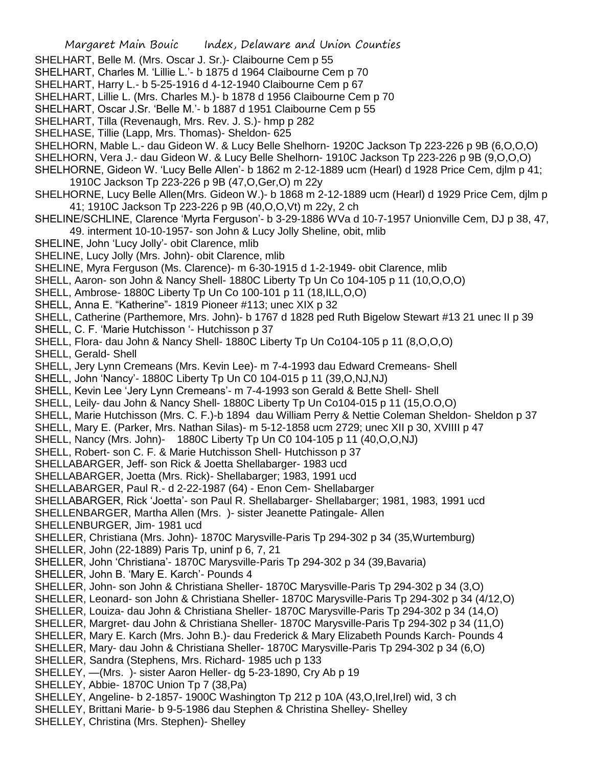- SHELHART, Belle M. (Mrs. Oscar J. Sr.)- Claibourne Cem p 55
- SHELHART, Charles M. 'Lillie L.'- b 1875 d 1964 Claibourne Cem p 70
- SHELHART, Harry L.- b 5-25-1916 d 4-12-1940 Claibourne Cem p 67
- SHELHART, Lillie L. (Mrs. Charles M.)- b 1878 d 1956 Claibourne Cem p 70
- SHELHART, Oscar J.Sr. 'Belle M.'- b 1887 d 1951 Claibourne Cem p 55
- SHELHART, Tilla (Revenaugh, Mrs. Rev. J. S.)- hmp p 282
- SHELHASE, Tillie (Lapp, Mrs. Thomas)- Sheldon- 625
- SHELHORN, Mable L.- dau Gideon W. & Lucy Belle Shelhorn- 1920C Jackson Tp 223-226 p 9B (6,O,O,O)
- SHELHORN, Vera J.- dau Gideon W. & Lucy Belle Shelhorn- 1910C Jackson Tp 223-226 p 9B (9,O,O,O)
- SHELHORNE, Gideon W. 'Lucy Belle Allen'- b 1862 m 2-12-1889 ucm (Hearl) d 1928 Price Cem, djlm p 41; 1910C Jackson Tp 223-226 p 9B (47,O,Ger,O) m 22y
- SHELHORNE, Lucy Belle Allen(Mrs. Gideon W.)- b 1868 m 2-12-1889 ucm (Hearl) d 1929 Price Cem, djlm p 41; 1910C Jackson Tp 223-226 p 9B (40,O,O,Vt) m 22y, 2 ch
- SHELINE/SCHLINE, Clarence 'Myrta Ferguson'- b 3-29-1886 WVa d 10-7-1957 Unionville Cem, DJ p 38, 47, 49. interment 10-10-1957- son John & Lucy Jolly Sheline, obit, mlib
- SHELINE, John 'Lucy Jolly'- obit Clarence, mlib
- SHELINE, Lucy Jolly (Mrs. John)- obit Clarence, mlib
- SHELINE, Myra Ferguson (Ms. Clarence)- m 6-30-1915 d 1-2-1949- obit Clarence, mlib
- SHELL, Aaron- son John & Nancy Shell- 1880C Liberty Tp Un Co 104-105 p 11 (10,O,O,O)
- SHELL, Ambrose- 1880C Liberty Tp Un Co 100-101 p 11 (18,ILL,O,O)
- SHELL, Anna E. "Katherine"- 1819 Pioneer #113; unec XIX p 32
- SHELL, Catherine (Parthemore, Mrs. John)- b 1767 d 1828 ped Ruth Bigelow Stewart #13 21 unec II p 39
- SHELL, C. F. 'Marie Hutchisson '- Hutchisson p 37
- SHELL, Flora- dau John & Nancy Shell- 1880C Liberty Tp Un Co104-105 p 11 (8,O,O,O)
- SHELL, Gerald- Shell
- SHELL, Jery Lynn Cremeans (Mrs. Kevin Lee)- m 7-4-1993 dau Edward Cremeans- Shell
- SHELL, John 'Nancy'- 1880C Liberty Tp Un C0 104-015 p 11 (39,O,NJ,NJ)
- SHELL, Kevin Lee 'Jery Lynn Cremeans'- m 7-4-1993 son Gerald & Bette Shell- Shell
- SHELL, Leily- dau John & Nancy Shell- 1880C Liberty Tp Un Co104-015 p 11 (15,O.O,O)
- SHELL, Marie Hutchisson (Mrs. C. F.)-b 1894 dau William Perry & Nettie Coleman Sheldon- Sheldon p 37
- SHELL, Mary E. (Parker, Mrs. Nathan Silas)- m 5-12-1858 ucm 2729; unec XII p 30, XVIIII p 47
- SHELL, Nancy (Mrs. John)- 1880C Liberty Tp Un C0 104-105 p 11 (40,O,O,NJ)
- SHELL, Robert- son C. F. & Marie Hutchisson Shell- Hutchisson p 37
- SHELLABARGER, Jeff- son Rick & Joetta Shellabarger- 1983 ucd
- SHELLABARGER, Joetta (Mrs. Rick)- Shellabarger; 1983, 1991 ucd
- SHELLABARGER, Paul R.- d 2-22-1987 (64) Enon Cem- Shellabarger
- SHELLABARGER, Rick 'Joetta'- son Paul R. Shellabarger- Shellabarger; 1981, 1983, 1991 ucd
- SHELLENBARGER, Martha Allen (Mrs. )- sister Jeanette Patingale- Allen
- SHELLENBURGER, Jim- 1981 ucd
- SHELLER, Christiana (Mrs. John)- 1870C Marysville-Paris Tp 294-302 p 34 (35,Wurtemburg)
- SHELLER, John (22-1889) Paris Tp, uninf p 6, 7, 21
- SHELLER, John 'Christiana'- 1870C Marysville-Paris Tp 294-302 p 34 (39,Bavaria)
- SHELLER, John B. 'Mary E. Karch'- Pounds 4
- SHELLER, John- son John & Christiana Sheller- 1870C Marysville-Paris Tp 294-302 p 34 (3,O)
- SHELLER, Leonard- son John & Christiana Sheller- 1870C Marysville-Paris Tp 294-302 p 34 (4/12,O)
- SHELLER, Louiza- dau John & Christiana Sheller- 1870C Marysville-Paris Tp 294-302 p 34 (14,O)
- SHELLER, Margret- dau John & Christiana Sheller- 1870C Marysville-Paris Tp 294-302 p 34 (11,O)
- SHELLER, Mary E. Karch (Mrs. John B.)- dau Frederick & Mary Elizabeth Pounds Karch- Pounds 4
- SHELLER, Mary- dau John & Christiana Sheller- 1870C Marysville-Paris Tp 294-302 p 34 (6,O)
- SHELLER, Sandra (Stephens, Mrs. Richard- 1985 uch p 133
- SHELLEY, —(Mrs. )- sister Aaron Heller- dg 5-23-1890, Cry Ab p 19
- SHELLEY, Abbie- 1870C Union Tp 7 (38,Pa)
- SHELLEY, Angeline- b 2-1857- 1900C Washington Tp 212 p 10A (43,O,Irel,Irel) wid, 3 ch
- SHELLEY, Brittani Marie- b 9-5-1986 dau Stephen & Christina Shelley- Shelley
- SHELLEY, Christina (Mrs. Stephen)- Shelley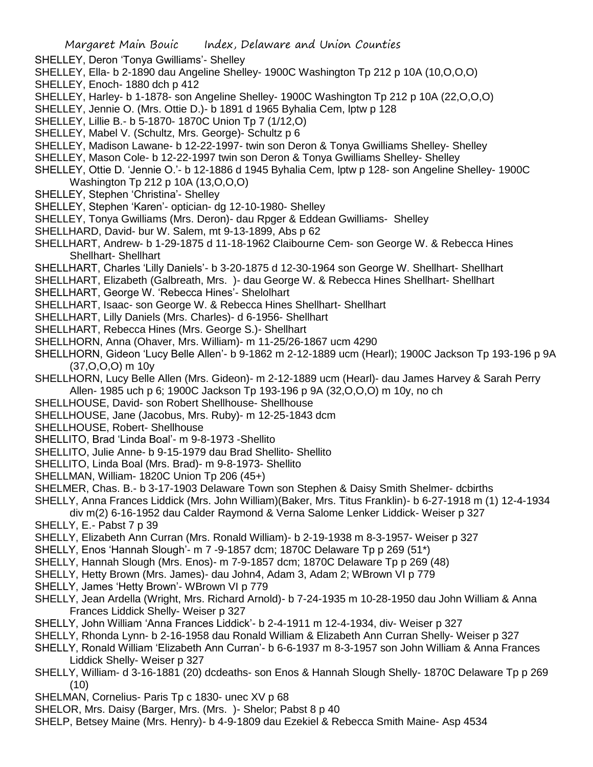- SHELLEY, Deron 'Tonya Gwilliams'- Shelley
- SHELLEY, Ella- b 2-1890 dau Angeline Shelley- 1900C Washington Tp 212 p 10A (10,O,O,O)
- SHELLEY, Enoch- 1880 dch p 412
- SHELLEY, Harley- b 1-1878- son Angeline Shelley- 1900C Washington Tp 212 p 10A (22,O,O,O)
- SHELLEY, Jennie O. (Mrs. Ottie D.)- b 1891 d 1965 Byhalia Cem, lptw p 128
- SHELLEY, Lillie B.- b 5-1870- 1870C Union Tp 7 (1/12,O)
- SHELLEY, Mabel V. (Schultz, Mrs. George)- Schultz p 6
- SHELLEY, Madison Lawane- b 12-22-1997- twin son Deron & Tonya Gwilliams Shelley- Shelley
- SHELLEY, Mason Cole- b 12-22-1997 twin son Deron & Tonya Gwilliams Shelley- Shelley
- SHELLEY, Ottie D. 'Jennie O.'- b 12-1886 d 1945 Byhalia Cem, lptw p 128- son Angeline Shelley- 1900C Washington Tp 212 p 10A (13,O,O,O)
- SHELLEY, Stephen 'Christina'- Shelley
- SHELLEY, Stephen 'Karen'- optician- dg 12-10-1980- Shelley
- SHELLEY, Tonya Gwilliams (Mrs. Deron)- dau Rpger & Eddean Gwilliams- Shelley
- SHELLHARD, David- bur W. Salem, mt 9-13-1899, Abs p 62
- SHELLHART, Andrew- b 1-29-1875 d 11-18-1962 Claibourne Cem- son George W. & Rebecca Hines Shellhart- Shellhart
- SHELLHART, Charles 'Lilly Daniels'- b 3-20-1875 d 12-30-1964 son George W. Shellhart- Shellhart
- SHELLHART, Elizabeth (Galbreath, Mrs. )- dau George W. & Rebecca Hines Shellhart- Shellhart
- SHELLHART, George W. 'Rebecca Hines'- Shelolhart
- SHELLHART, Isaac- son George W. & Rebecca Hines Shellhart- Shellhart
- SHELLHART, Lilly Daniels (Mrs. Charles)- d 6-1956- Shellhart
- SHELLHART, Rebecca Hines (Mrs. George S.)- Shellhart
- SHELLHORN, Anna (Ohaver, Mrs. William)- m 11-25/26-1867 ucm 4290
- SHELLHORN, Gideon 'Lucy Belle Allen'- b 9-1862 m 2-12-1889 ucm (Hearl); 1900C Jackson Tp 193-196 p 9A (37,O,O,O) m 10y
- SHELLHORN, Lucy Belle Allen (Mrs. Gideon)- m 2-12-1889 ucm (Hearl)- dau James Harvey & Sarah Perry Allen- 1985 uch p 6; 1900C Jackson Tp 193-196 p 9A (32,O,O,O) m 10y, no ch
- SHELLHOUSE, David- son Robert Shellhouse- Shellhouse
- SHELLHOUSE, Jane (Jacobus, Mrs. Ruby)- m 12-25-1843 dcm
- SHELLHOUSE, Robert- Shellhouse
- SHELLITO, Brad 'Linda Boal'- m 9-8-1973 -Shellito
- SHELLITO, Julie Anne- b 9-15-1979 dau Brad Shellito- Shellito
- SHELLITO, Linda Boal (Mrs. Brad)- m 9-8-1973- Shellito
- SHELLMAN, William- 1820C Union Tp 206 (45+)
- SHELMER, Chas. B.- b 3-17-1903 Delaware Town son Stephen & Daisy Smith Shelmer- dcbirths
- SHELLY, Anna Frances Liddick (Mrs. John William)(Baker, Mrs. Titus Franklin)- b 6-27-1918 m (1) 12-4-1934
- div m(2) 6-16-1952 dau Calder Raymond & Verna Salome Lenker Liddick- Weiser p 327
- SHELLY, E.- Pabst 7 p 39
- SHELLY, Elizabeth Ann Curran (Mrs. Ronald William)- b 2-19-1938 m 8-3-1957- Weiser p 327
- SHELLY, Enos 'Hannah Slough'- m 7 -9-1857 dcm; 1870C Delaware Tp p 269 (51\*)
- SHELLY, Hannah Slough (Mrs. Enos)- m 7-9-1857 dcm; 1870C Delaware Tp p 269 (48)
- SHELLY, Hetty Brown (Mrs. James)- dau John4, Adam 3, Adam 2; WBrown VI p 779
- SHELLY, James 'Hetty Brown'- WBrown VI p 779
- SHELLY, Jean Ardella (Wright, Mrs. Richard Arnold)- b 7-24-1935 m 10-28-1950 dau John William & Anna Frances Liddick Shelly- Weiser p 327
- SHELLY, John William 'Anna Frances Liddick'- b 2-4-1911 m 12-4-1934, div- Weiser p 327
- SHELLY, Rhonda Lynn- b 2-16-1958 dau Ronald William & Elizabeth Ann Curran Shelly- Weiser p 327
- SHELLY, Ronald William 'Elizabeth Ann Curran'- b 6-6-1937 m 8-3-1957 son John William & Anna Frances Liddick Shelly- Weiser p 327
- SHELLY, William- d 3-16-1881 (20) dcdeaths- son Enos & Hannah Slough Shelly- 1870C Delaware Tp p 269 (10)
- SHELMAN, Cornelius- Paris Tp c 1830- unec XV p 68
- SHELOR, Mrs. Daisy (Barger, Mrs. (Mrs. )- Shelor; Pabst 8 p 40
- SHELP, Betsey Maine (Mrs. Henry)- b 4-9-1809 dau Ezekiel & Rebecca Smith Maine- Asp 4534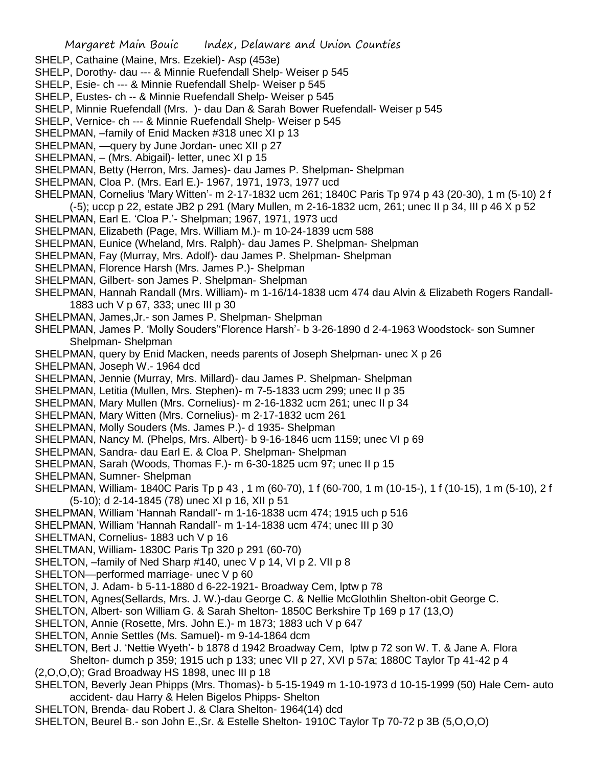- SHELP, Cathaine (Maine, Mrs. Ezekiel)- Asp (453e)
- SHELP, Dorothy- dau --- & Minnie Ruefendall Shelp- Weiser p 545
- SHELP, Esie- ch --- & Minnie Ruefendall Shelp- Weiser p 545
- SHELP, Eustes- ch -- & Minnie Ruefendall Shelp- Weiser p 545
- SHELP, Minnie Ruefendall (Mrs. )- dau Dan & Sarah Bower Ruefendall- Weiser p 545
- SHELP, Vernice- ch --- & Minnie Ruefendall Shelp- Weiser p 545
- SHELPMAN, –family of Enid Macken #318 unec XI p 13
- SHELPMAN, —query by June Jordan- unec XII p 27
- SHELPMAN, (Mrs. Abigail)- letter, unec XI p 15
- SHELPMAN, Betty (Herron, Mrs. James)- dau James P. Shelpman- Shelpman
- SHELPMAN, Cloa P. (Mrs. Earl E.)- 1967, 1971, 1973, 1977 ucd
- SHELPMAN, Cornelius 'Mary Witten'- m 2-17-1832 ucm 261; 1840C Paris Tp 974 p 43 (20-30), 1 m (5-10) 2 f (-5); uccp p 22, estate JB2 p 291 (Mary Mullen, m 2-16-1832 ucm, 261; unec II p 34, III p 46 X p 52
- SHELPMAN, Earl E. 'Cloa P.'- Shelpman; 1967, 1971, 1973 ucd
- SHELPMAN, Elizabeth (Page, Mrs. William M.)- m 10-24-1839 ucm 588
- SHELPMAN, Eunice (Wheland, Mrs. Ralph)- dau James P. Shelpman- Shelpman
- SHELPMAN, Fay (Murray, Mrs. Adolf)- dau James P. Shelpman- Shelpman
- SHELPMAN, Florence Harsh (Mrs. James P.)- Shelpman
- SHELPMAN, Gilbert- son James P. Shelpman- Shelpman
- SHELPMAN, Hannah Randall (Mrs. William)- m 1-16/14-1838 ucm 474 dau Alvin & Elizabeth Rogers Randall-1883 uch V p 67, 333; unec III p 30
- SHELPMAN, James,Jr.- son James P. Shelpman- Shelpman
- SHELPMAN, James P. 'Molly Souders''Florence Harsh'- b 3-26-1890 d 2-4-1963 Woodstock- son Sumner Shelpman- Shelpman
- SHELPMAN, query by Enid Macken, needs parents of Joseph Shelpman- unec X p 26
- SHELPMAN, Joseph W.- 1964 dcd
- SHELPMAN, Jennie (Murray, Mrs. Millard)- dau James P. Shelpman- Shelpman
- SHELPMAN, Letitia (Mullen, Mrs. Stephen)- m 7-5-1833 ucm 299; unec II p 35
- SHELPMAN, Mary Mullen (Mrs. Cornelius)- m 2-16-1832 ucm 261; unec II p 34
- SHELPMAN, Mary Witten (Mrs. Cornelius)- m 2-17-1832 ucm 261
- SHELPMAN, Molly Souders (Ms. James P.)- d 1935- Shelpman
- SHELPMAN, Nancy M. (Phelps, Mrs. Albert)- b 9-16-1846 ucm 1159; unec VI p 69
- SHELPMAN, Sandra- dau Earl E. & Cloa P. Shelpman- Shelpman
- SHELPMAN, Sarah (Woods, Thomas F.)- m 6-30-1825 ucm 97; unec II p 15
- SHELPMAN, Sumner- Shelpman
- SHELPMAN, William- 1840C Paris Tp p 43 , 1 m (60-70), 1 f (60-700, 1 m (10-15-), 1 f (10-15), 1 m (5-10), 2 f (5-10); d 2-14-1845 (78) unec XI p 16, XII p 51
- SHELPMAN, William 'Hannah Randall'- m 1-16-1838 ucm 474; 1915 uch p 516
- SHELPMAN, William 'Hannah Randall'- m 1-14-1838 ucm 474; unec III p 30
- SHELTMAN, Cornelius- 1883 uch V p 16
- SHELTMAN, William- 1830C Paris Tp 320 p 291 (60-70)
- SHELTON, –family of Ned Sharp #140, unec V p 14, VI p 2. VII p 8
- SHELTON—performed marriage- unec V p 60
- SHELTON, J. Adam- b 5-11-1880 d 6-22-1921- Broadway Cem, lptw p 78
- SHELTON, Agnes(Sellards, Mrs. J. W.)-dau George C. & Nellie McGlothlin Shelton-obit George C.
- SHELTON, Albert- son William G. & Sarah Shelton- 1850C Berkshire Tp 169 p 17 (13,O)
- SHELTON, Annie (Rosette, Mrs. John E.)- m 1873; 1883 uch V p 647
- SHELTON, Annie Settles (Ms. Samuel)- m 9-14-1864 dcm
- SHELTON, Bert J. 'Nettie Wyeth'- b 1878 d 1942 Broadway Cem, lptw p 72 son W. T. & Jane A. Flora Shelton- dumch p 359; 1915 uch p 133; unec VII p 27, XVI p 57a; 1880C Taylor Tp 41-42 p 4
- (2,O,O,O); Grad Broadway HS 1898, unec III p 18
- SHELTON, Beverly Jean Phipps (Mrs. Thomas)- b 5-15-1949 m 1-10-1973 d 10-15-1999 (50) Hale Cem- auto accident- dau Harry & Helen Bigelos Phipps- Shelton
- SHELTON, Brenda- dau Robert J. & Clara Shelton- 1964(14) dcd
- SHELTON, Beurel B.- son John E.,Sr. & Estelle Shelton- 1910C Taylor Tp 70-72 p 3B (5,O,O,O)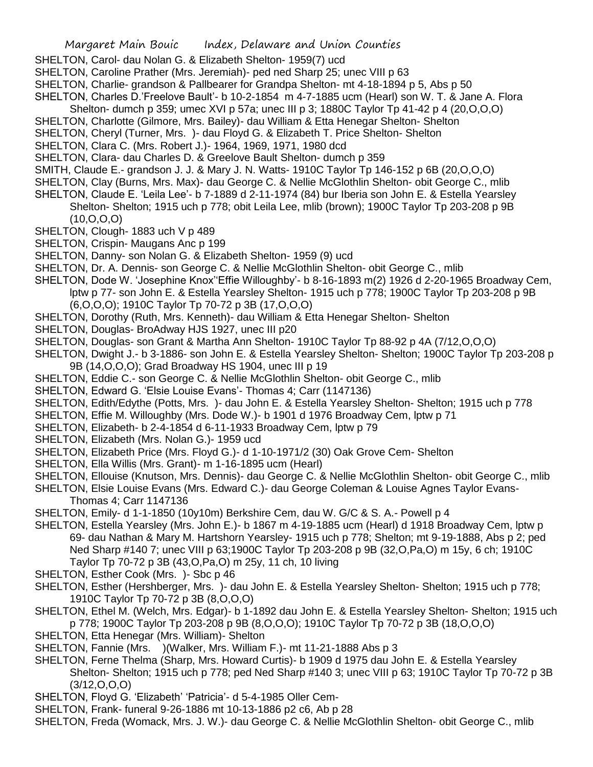- SHELTON, Carol- dau Nolan G. & Elizabeth Shelton- 1959(7) ucd
- SHELTON, Caroline Prather (Mrs. Jeremiah)- ped ned Sharp 25; unec VIII p 63
- SHELTON, Charlie- grandson & Pallbearer for Grandpa Shelton- mt 4-18-1894 p 5, Abs p 50
- SHELTON, Charles D.'Freelove Bault'- b 10-2-1854 m 4-7-1885 ucm (Hearl) son W. T. & Jane A. Flora
- Shelton- dumch p 359; umec XVI p 57a; unec III p 3; 1880C Taylor Tp 41-42 p 4 (20,O,O,O)
- SHELTON, Charlotte (Gilmore, Mrs. Bailey)- dau William & Etta Henegar Shelton- Shelton
- SHELTON, Cheryl (Turner, Mrs. )- dau Floyd G. & Elizabeth T. Price Shelton- Shelton
- SHELTON, Clara C. (Mrs. Robert J.)- 1964, 1969, 1971, 1980 dcd
- SHELTON, Clara- dau Charles D. & Greelove Bault Shelton- dumch p 359
- SMITH, Claude E.- grandson J. J. & Mary J. N. Watts- 1910C Taylor Tp 146-152 p 6B (20,O,O,O)
- SHELTON, Clay (Burns, Mrs. Max)- dau George C. & Nellie McGlothlin Shelton- obit George C., mlib
- SHELTON, Claude E. 'Leila Lee'- b 7-1889 d 2-11-1974 (84) bur Iberia son John E. & Estella Yearsley Shelton- Shelton; 1915 uch p 778; obit Leila Lee, mlib (brown); 1900C Taylor Tp 203-208 p 9B (10,O,O,O)
- SHELTON, Clough- 1883 uch V p 489
- SHELTON, Crispin- Maugans Anc p 199
- SHELTON, Danny- son Nolan G. & Elizabeth Shelton- 1959 (9) ucd
- SHELTON, Dr. A. Dennis- son George C. & Nellie McGlothlin Shelton- obit George C., mlib
- SHELTON, Dode W. 'Josephine Knox''Effie Willoughby'- b 8-16-1893 m(2) 1926 d 2-20-1965 Broadway Cem, lptw p 77- son John E. & Estella Yearsley Shelton- 1915 uch p 778; 1900C Taylor Tp 203-208 p 9B (6,O,O,O); 1910C Taylor Tp 70-72 p 3B (17,O,O,O)
- SHELTON, Dorothy (Ruth, Mrs. Kenneth)- dau William & Etta Henegar Shelton- Shelton
- SHELTON, Douglas- BroAdway HJS 1927, unec III p20
- SHELTON, Douglas- son Grant & Martha Ann Shelton- 1910C Taylor Tp 88-92 p 4A (7/12,O,O,O)
- SHELTON, Dwight J.- b 3-1886- son John E. & Estella Yearsley Shelton- Shelton; 1900C Taylor Tp 203-208 p 9B (14,O,O,O); Grad Broadway HS 1904, unec III p 19
- SHELTON, Eddie C.- son George C. & Nellie McGlothlin Shelton- obit George C., mlib
- SHELTON, Edward G. 'Elsie Louise Evans'- Thomas 4; Carr (1147136)
- SHELTON, Edith/Edythe (Potts, Mrs. )- dau John E. & Estella Yearsley Shelton- Shelton; 1915 uch p 778
- SHELTON, Effie M. Willoughby (Mrs. Dode W.)- b 1901 d 1976 Broadway Cem, lptw p 71
- SHELTON, Elizabeth- b 2-4-1854 d 6-11-1933 Broadway Cem, lptw p 79
- SHELTON, Elizabeth (Mrs. Nolan G.)- 1959 ucd
- SHELTON, Elizabeth Price (Mrs. Floyd G.)- d 1-10-1971/2 (30) Oak Grove Cem- Shelton
- SHELTON, Ella Willis (Mrs. Grant)- m 1-16-1895 ucm (Hearl)
- SHELTON, Ellouise (Knutson, Mrs. Dennis)- dau George C. & Nellie McGlothlin Shelton- obit George C., mlib
- SHELTON, Elsie Louise Evans (Mrs. Edward C.)- dau George Coleman & Louise Agnes Taylor Evans-
	- Thomas 4; Carr 1147136
- SHELTON, Emily- d 1-1-1850 (10y10m) Berkshire Cem, dau W. G/C & S. A.- Powell p 4
- SHELTON, Estella Yearsley (Mrs. John E.)- b 1867 m 4-19-1885 ucm (Hearl) d 1918 Broadway Cem, lptw p 69- dau Nathan & Mary M. Hartshorn Yearsley- 1915 uch p 778; Shelton; mt 9-19-1888, Abs p 2; ped Ned Sharp #140 7; unec VIII p 63;1900C Taylor Tp 203-208 p 9B (32,O,Pa,O) m 15y, 6 ch; 1910C Taylor Tp 70-72 p 3B (43,O,Pa,O) m 25y, 11 ch, 10 living
- SHELTON, Esther Cook (Mrs. )- Sbc p 46
- SHELTON, Esther (Hershberger, Mrs. )- dau John E. & Estella Yearsley Shelton- Shelton; 1915 uch p 778; 1910C Taylor Tp 70-72 p 3B (8,O,O,O)
- SHELTON, Ethel M. (Welch, Mrs. Edgar)- b 1-1892 dau John E. & Estella Yearsley Shelton- Shelton; 1915 uch p 778; 1900C Taylor Tp 203-208 p 9B (8,O,O,O); 1910C Taylor Tp 70-72 p 3B (18,O,O,O)
- SHELTON, Etta Henegar (Mrs. William)- Shelton
- SHELTON, Fannie (Mrs. )(Walker, Mrs. William F.)- mt 11-21-1888 Abs p 3
- SHELTON, Ferne Thelma (Sharp, Mrs. Howard Curtis)- b 1909 d 1975 dau John E. & Estella Yearsley Shelton- Shelton; 1915 uch p 778; ped Ned Sharp #140 3; unec VIII p 63; 1910C Taylor Tp 70-72 p 3B  $(3/12, 0, 0, 0)$
- SHELTON, Floyd G. 'Elizabeth' 'Patricia'- d 5-4-1985 Oller Cem-
- SHELTON, Frank- funeral 9-26-1886 mt 10-13-1886 p2 c6, Ab p 28
- SHELTON, Freda (Womack, Mrs. J. W.)- dau George C. & Nellie McGlothlin Shelton- obit George C., mlib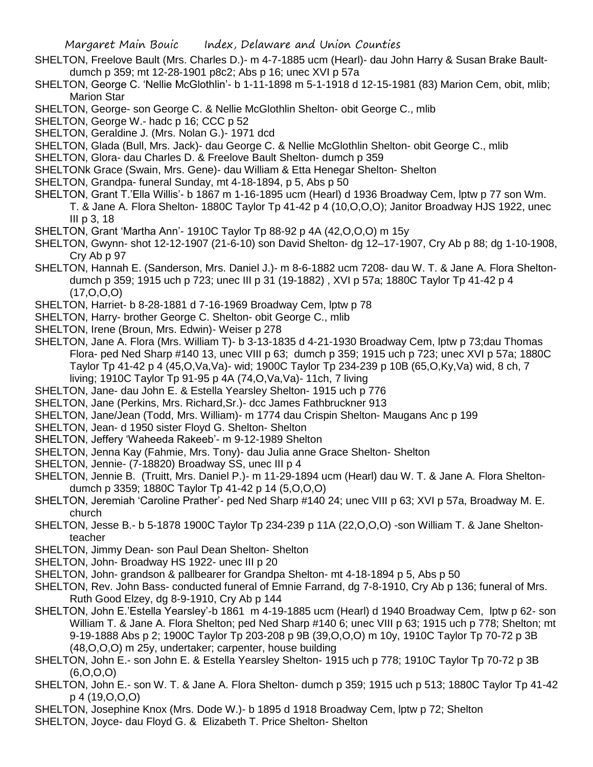- SHELTON, Freelove Bault (Mrs. Charles D.)- m 4-7-1885 ucm (Hearl)- dau John Harry & Susan Brake Baultdumch p 359; mt 12-28-1901 p8c2; Abs p 16; unec XVI p 57a
- SHELTON, George C. 'Nellie McGlothlin'- b 1-11-1898 m 5-1-1918 d 12-15-1981 (83) Marion Cem, obit, mlib; Marion Star
- SHELTON, George- son George C. & Nellie McGlothlin Shelton- obit George C., mlib
- SHELTON, George W.- hadc p 16; CCC p 52
- SHELTON, Geraldine J. (Mrs. Nolan G.)- 1971 dcd
- SHELTON, Glada (Bull, Mrs. Jack)- dau George C. & Nellie McGlothlin Shelton- obit George C., mlib
- SHELTON, Glora- dau Charles D. & Freelove Bault Shelton- dumch p 359
- SHELTONk Grace (Swain, Mrs. Gene)- dau William & Etta Henegar Shelton- Shelton
- SHELTON, Grandpa- funeral Sunday, mt 4-18-1894, p 5, Abs p 50
- SHELTON, Grant T.'Ella Willis'- b 1867 m 1-16-1895 ucm (Hearl) d 1936 Broadway Cem, lptw p 77 son Wm. T. & Jane A. Flora Shelton- 1880C Taylor Tp 41-42 p 4 (10,O,O,O); Janitor Broadway HJS 1922, unec III p 3, 18
- SHELTON, Grant 'Martha Ann'- 1910C Taylor Tp 88-92 p 4A (42,O,O,O) m 15y
- SHELTON, Gwynn- shot 12-12-1907 (21-6-10) son David Shelton- dg 12–17-1907, Cry Ab p 88; dg 1-10-1908, Cry Ab p 97
- SHELTON, Hannah E. (Sanderson, Mrs. Daniel J.)- m 8-6-1882 ucm 7208- dau W. T. & Jane A. Flora Sheltondumch p 359; 1915 uch p 723; unec III p 31 (19-1882) , XVI p 57a; 1880C Taylor Tp 41-42 p 4 (17,O,O,O)
- SHELTON, Harriet- b 8-28-1881 d 7-16-1969 Broadway Cem, lptw p 78
- SHELTON, Harry- brother George C. Shelton- obit George C., mlib
- SHELTON, Irene (Broun, Mrs. Edwin)- Weiser p 278
- SHELTON, Jane A. Flora (Mrs. William T)- b 3-13-1835 d 4-21-1930 Broadway Cem, lptw p 73;dau Thomas Flora- ped Ned Sharp #140 13, unec VIII p 63; dumch p 359; 1915 uch p 723; unec XVI p 57a; 1880C Taylor Tp 41-42 p 4 (45,O,Va,Va)- wid; 1900C Taylor Tp 234-239 p 10B (65,O,Ky,Va) wid, 8 ch, 7 living; 1910C Taylor Tp 91-95 p 4A (74,O,Va,Va)- 11ch, 7 living
- SHELTON, Jane- dau John E. & Estella Yearsley Shelton- 1915 uch p 776
- SHELTON, Jane (Perkins, Mrs. Richard,Sr.)- dcc James Fathbruckner 913
- SHELTON, Jane/Jean (Todd, Mrs. William)- m 1774 dau Crispin Shelton- Maugans Anc p 199
- SHELTON, Jean- d 1950 sister Floyd G. Shelton- Shelton
- SHELTON, Jeffery 'Waheeda Rakeeb'- m 9-12-1989 Shelton
- SHELTON, Jenna Kay (Fahmie, Mrs. Tony)- dau Julia anne Grace Shelton- Shelton
- SHELTON, Jennie- (7-18820) Broadway SS, unec III p 4
- SHELTON, Jennie B. (Truitt, Mrs. Daniel P.)- m 11-29-1894 ucm (Hearl) dau W. T. & Jane A. Flora Sheltondumch p 3359; 1880C Taylor Tp 41-42 p 14 (5,O,O,O)
- SHELTON, Jeremiah 'Caroline Prather'- ped Ned Sharp #140 24; unec VIII p 63; XVI p 57a, Broadway M. E. church
- SHELTON, Jesse B.- b 5-1878 1900C Taylor Tp 234-239 p 11A (22,O,O,O) -son William T. & Jane Sheltonteacher
- SHELTON, Jimmy Dean- son Paul Dean Shelton- Shelton
- SHELTON, John- Broadway HS 1922- unec III p 20
- SHELTON, John- grandson & pallbearer for Grandpa Shelton- mt 4-18-1894 p 5, Abs p 50
- SHELTON, Rev. John Bass- conducted funeral of Emnie Farrand, dg 7-8-1910, Cry Ab p 136; funeral of Mrs. Ruth Good Elzey, dg 8-9-1910, Cry Ab p 144
- SHELTON, John E.'Estella Yearsley'-b 1861 m 4-19-1885 ucm (Hearl) d 1940 Broadway Cem, lptw p 62- son William T. & Jane A. Flora Shelton; ped Ned Sharp #140 6; unec VIII p 63; 1915 uch p 778; Shelton; mt 9-19-1888 Abs p 2; 1900C Taylor Tp 203-208 p 9B (39,O,O,O) m 10y, 1910C Taylor Tp 70-72 p 3B (48,O,O,O) m 25y, undertaker; carpenter, house building
- SHELTON, John E.- son John E. & Estella Yearsley Shelton- 1915 uch p 778; 1910C Taylor Tp 70-72 p 3B  $(6, 0, 0, 0)$
- SHELTON, John E.- son W. T. & Jane A. Flora Shelton- dumch p 359; 1915 uch p 513; 1880C Taylor Tp 41-42 p 4 (19,O,O,O)
- SHELTON, Josephine Knox (Mrs. Dode W.)- b 1895 d 1918 Broadway Cem, lptw p 72; Shelton
- SHELTON, Joyce- dau Floyd G. & Elizabeth T. Price Shelton- Shelton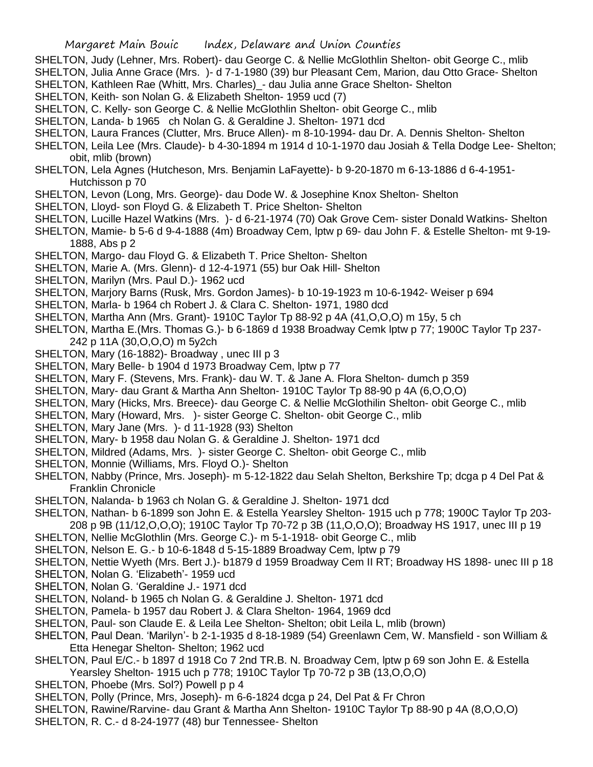- SHELTON, Judy (Lehner, Mrs. Robert)- dau George C. & Nellie McGlothlin Shelton- obit George C., mlib
- SHELTON, Julia Anne Grace (Mrs. )- d 7-1-1980 (39) bur Pleasant Cem, Marion, dau Otto Grace- Shelton SHELTON, Kathleen Rae (Whitt, Mrs. Charles)\_- dau Julia anne Grace Shelton- Shelton
- SHELTON, Keith- son Nolan G. & Elizabeth Shelton- 1959 ucd (7)
- SHELTON, C. Kelly- son George C. & Nellie McGlothlin Shelton- obit George C., mlib
- SHELTON, Landa- b 1965 ch Nolan G. & Geraldine J. Shelton- 1971 dcd
- SHELTON, Laura Frances (Clutter, Mrs. Bruce Allen)- m 8-10-1994- dau Dr. A. Dennis Shelton- Shelton
- SHELTON, Leila Lee (Mrs. Claude)- b 4-30-1894 m 1914 d 10-1-1970 dau Josiah & Tella Dodge Lee- Shelton; obit, mlib (brown)
- SHELTON, Lela Agnes (Hutcheson, Mrs. Benjamin LaFayette)- b 9-20-1870 m 6-13-1886 d 6-4-1951- Hutchisson p 70
- SHELTON, Levon (Long, Mrs. George)- dau Dode W. & Josephine Knox Shelton- Shelton
- SHELTON, Lloyd- son Floyd G. & Elizabeth T. Price Shelton- Shelton
- SHELTON, Lucille Hazel Watkins (Mrs. )- d 6-21-1974 (70) Oak Grove Cem- sister Donald Watkins- Shelton
- SHELTON, Mamie- b 5-6 d 9-4-1888 (4m) Broadway Cem, lptw p 69- dau John F. & Estelle Shelton- mt 9-19- 1888, Abs p 2
- SHELTON, Margo- dau Floyd G. & Elizabeth T. Price Shelton- Shelton
- SHELTON, Marie A. (Mrs. Glenn)- d 12-4-1971 (55) bur Oak Hill- Shelton
- SHELTON, Marilyn (Mrs. Paul D.)- 1962 ucd
- SHELTON, Marjory Barns (Rusk, Mrs. Gordon James)- b 10-19-1923 m 10-6-1942- Weiser p 694
- SHELTON, Marla- b 1964 ch Robert J. & Clara C. Shelton- 1971, 1980 dcd
- SHELTON, Martha Ann (Mrs. Grant)- 1910C Taylor Tp 88-92 p 4A (41,O,O,O) m 15y, 5 ch
- SHELTON, Martha E.(Mrs. Thomas G.)- b 6-1869 d 1938 Broadway Cemk lptw p 77; 1900C Taylor Tp 237- 242 p 11A (30,O,O,O) m 5y2ch
- SHELTON, Mary (16-1882)- Broadway , unec III p 3
- SHELTON, Mary Belle- b 1904 d 1973 Broadway Cem, lptw p 77
- SHELTON, Mary F. (Stevens, Mrs. Frank)- dau W. T. & Jane A. Flora Shelton- dumch p 359
- SHELTON, Mary- dau Grant & Martha Ann Shelton- 1910C Taylor Tp 88-90 p 4A (6,O,O,O)
- SHELTON, Mary (Hicks, Mrs. Breece)- dau George C. & Nellie McGlothilin Shelton- obit George C., mlib
- SHELTON, Mary (Howard, Mrs. )- sister George C. Shelton- obit George C., mlib
- SHELTON, Mary Jane (Mrs. )- d 11-1928 (93) Shelton
- SHELTON, Mary- b 1958 dau Nolan G. & Geraldine J. Shelton- 1971 dcd
- SHELTON, Mildred (Adams, Mrs. )- sister George C. Shelton- obit George C., mlib
- SHELTON, Monnie (Williams, Mrs. Floyd O.)- Shelton
- SHELTON, Nabby (Prince, Mrs. Joseph)- m 5-12-1822 dau Selah Shelton, Berkshire Tp; dcga p 4 Del Pat & Franklin Chronicle
- SHELTON, Nalanda- b 1963 ch Nolan G. & Geraldine J. Shelton- 1971 dcd
- SHELTON, Nathan- b 6-1899 son John E. & Estella Yearsley Shelton- 1915 uch p 778; 1900C Taylor Tp 203- 208 p 9B (11/12,O,O,O); 1910C Taylor Tp 70-72 p 3B (11,O,O,O); Broadway HS 1917, unec III p 19
- SHELTON, Nellie McGlothlin (Mrs. George C.)- m 5-1-1918- obit George C., mlib
- SHELTON, Nelson E. G.- b 10-6-1848 d 5-15-1889 Broadway Cem, lptw p 79
- SHELTON, Nettie Wyeth (Mrs. Bert J.)- b1879 d 1959 Broadway Cem II RT; Broadway HS 1898- unec III p 18
- SHELTON, Nolan G. 'Elizabeth'- 1959 ucd
- SHELTON, Nolan G. 'Geraldine J.- 1971 dcd
- SHELTON, Noland- b 1965 ch Nolan G. & Geraldine J. Shelton- 1971 dcd
- SHELTON, Pamela- b 1957 dau Robert J. & Clara Shelton- 1964, 1969 dcd
- SHELTON, Paul- son Claude E. & Leila Lee Shelton- Shelton; obit Leila L, mlib (brown)
- SHELTON, Paul Dean. 'Marilyn'- b 2-1-1935 d 8-18-1989 (54) Greenlawn Cem, W. Mansfield son William & Etta Henegar Shelton- Shelton; 1962 ucd
- SHELTON, Paul E/C.- b 1897 d 1918 Co 7 2nd TR.B. N. Broadway Cem, lptw p 69 son John E. & Estella Yearsley Shelton- 1915 uch p 778; 1910C Taylor Tp 70-72 p 3B (13,O,O,O)
- SHELTON, Phoebe (Mrs. Sol?) Powell p p 4
- SHELTON, Polly (Prince, Mrs, Joseph)- m 6-6-1824 dcga p 24, Del Pat & Fr Chron
- SHELTON, Rawine/Rarvine- dau Grant & Martha Ann Shelton- 1910C Taylor Tp 88-90 p 4A (8,O,O,O)
- SHELTON, R. C.- d 8-24-1977 (48) bur Tennessee- Shelton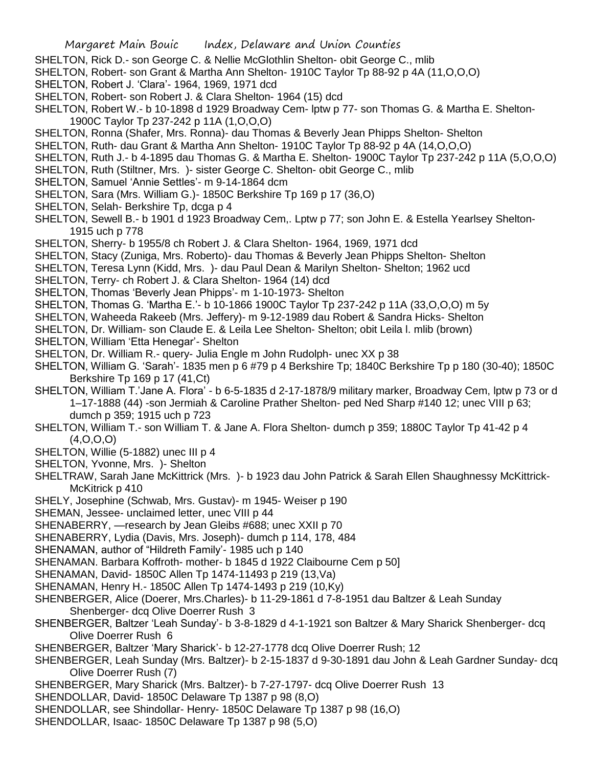- SHELTON, Rick D.- son George C. & Nellie McGlothlin Shelton- obit George C., mlib
- SHELTON, Robert- son Grant & Martha Ann Shelton- 1910C Taylor Tp 88-92 p 4A (11,O,O,O)
- SHELTON, Robert J. 'Clara'- 1964, 1969, 1971 dcd
- SHELTON, Robert- son Robert J. & Clara Shelton- 1964 (15) dcd
- SHELTON, Robert W.- b 10-1898 d 1929 Broadway Cem- lptw p 77- son Thomas G. & Martha E. Shelton-1900C Taylor Tp 237-242 p 11A (1,O,O,O)
- SHELTON, Ronna (Shafer, Mrs. Ronna)- dau Thomas & Beverly Jean Phipps Shelton- Shelton
- SHELTON, Ruth- dau Grant & Martha Ann Shelton- 1910C Taylor Tp 88-92 p 4A (14,O,O,O)
- SHELTON, Ruth J.- b 4-1895 dau Thomas G. & Martha E. Shelton- 1900C Taylor Tp 237-242 p 11A (5,O,O,O)
- SHELTON, Ruth (Stiltner, Mrs. )- sister George C. Shelton- obit George C., mlib
- SHELTON, Samuel 'Annie Settles'- m 9-14-1864 dcm
- SHELTON, Sara (Mrs. William G.)- 1850C Berkshire Tp 169 p 17 (36,O)
- SHELTON, Selah- Berkshire Tp, dcga p 4
- SHELTON, Sewell B.- b 1901 d 1923 Broadway Cem,. Lptw p 77; son John E. & Estella Yearlsey Shelton-1915 uch p 778
- SHELTON, Sherry- b 1955/8 ch Robert J. & Clara Shelton- 1964, 1969, 1971 dcd
- SHELTON, Stacy (Zuniga, Mrs. Roberto)- dau Thomas & Beverly Jean Phipps Shelton- Shelton
- SHELTON, Teresa Lynn (Kidd, Mrs. )- dau Paul Dean & Marilyn Shelton- Shelton; 1962 ucd
- SHELTON, Terry- ch Robert J. & Clara Shelton- 1964 (14) dcd
- SHELTON, Thomas 'Beverly Jean Phipps'- m 1-10-1973- Shelton
- SHELTON, Thomas G. 'Martha E.'- b 10-1866 1900C Taylor Tp 237-242 p 11A (33,O,O,O) m 5y
- SHELTON, Waheeda Rakeeb (Mrs. Jeffery)- m 9-12-1989 dau Robert & Sandra Hicks- Shelton
- SHELTON, Dr. William- son Claude E. & Leila Lee Shelton- Shelton; obit Leila l. mlib (brown)
- SHELTON, William 'Etta Henegar'- Shelton
- SHELTON, Dr. William R.- query- Julia Engle m John Rudolph- unec XX p 38
- SHELTON, William G. 'Sarah'- 1835 men p 6 #79 p 4 Berkshire Tp; 1840C Berkshire Tp p 180 (30-40); 1850C Berkshire Tp 169 p 17 (41,Ct)
- SHELTON, William T.'Jane A. Flora' b 6-5-1835 d 2-17-1878/9 military marker, Broadway Cem, lptw p 73 or d 1–17-1888 (44) -son Jermiah & Caroline Prather Shelton- ped Ned Sharp #140 12; unec VIII p 63; dumch p 359; 1915 uch p 723
- SHELTON, William T.- son William T. & Jane A. Flora Shelton- dumch p 359; 1880C Taylor Tp 41-42 p 4  $(4.0.0.0)$
- SHELTON, Willie (5-1882) unec III p 4
- SHELTON, Yvonne, Mrs. )- Shelton
- SHELTRAW, Sarah Jane McKittrick (Mrs. )- b 1923 dau John Patrick & Sarah Ellen Shaughnessy McKittrick-McKitrick p 410
- SHELY, Josephine (Schwab, Mrs. Gustav)- m 1945- Weiser p 190
- SHEMAN, Jessee- unclaimed letter, unec VIII p 44
- SHENABERRY, —research by Jean Gleibs #688; unec XXII p 70
- SHENABERRY, Lydia (Davis, Mrs. Joseph)- dumch p 114, 178, 484
- SHENAMAN, author of "Hildreth Family'- 1985 uch p 140
- SHENAMAN. Barbara Koffroth- mother- b 1845 d 1922 Claibourne Cem p 50]
- SHENAMAN, David- 1850C Allen Tp 1474-11493 p 219 (13,Va)
- SHENAMAN, Henry H.- 1850C Allen Tp 1474-1493 p 219 (10,Ky)
- SHENBERGER, Alice (Doerer, Mrs.Charles)- b 11-29-1861 d 7-8-1951 dau Baltzer & Leah Sunday Shenberger- dcq Olive Doerrer Rush 3
- SHENBERGER, Baltzer 'Leah Sunday'- b 3-8-1829 d 4-1-1921 son Baltzer & Mary Sharick Shenberger- dcq Olive Doerrer Rush 6
- SHENBERGER, Baltzer 'Mary Sharick'- b 12-27-1778 dcq Olive Doerrer Rush; 12
- SHENBERGER, Leah Sunday (Mrs. Baltzer)- b 2-15-1837 d 9-30-1891 dau John & Leah Gardner Sunday- dcq Olive Doerrer Rush (7)
- SHENBERGER, Mary Sharick (Mrs. Baltzer)- b 7-27-1797- dcq Olive Doerrer Rush 13
- SHENDOLLAR, David- 1850C Delaware Tp 1387 p 98 (8,O)
- SHENDOLLAR, see Shindollar- Henry- 1850C Delaware Tp 1387 p 98 (16,O)
- SHENDOLLAR, Isaac- 1850C Delaware Tp 1387 p 98 (5,O)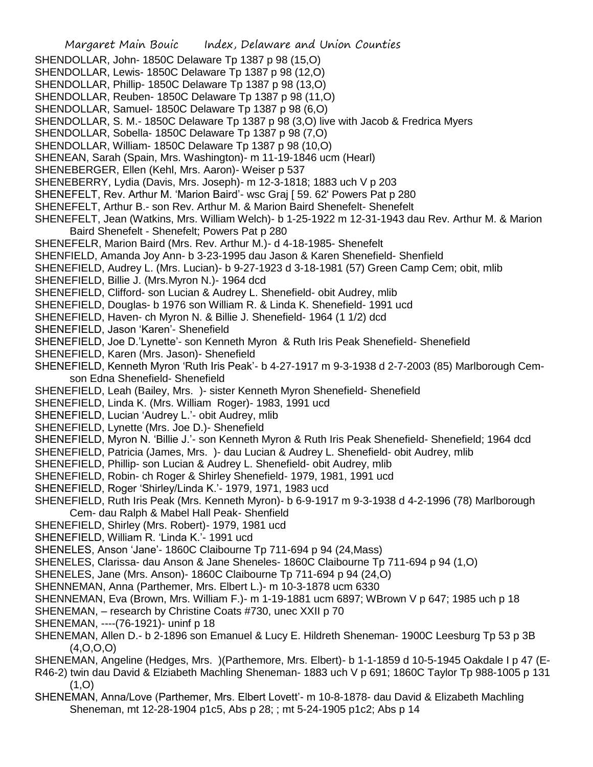- Margaret Main Bouic Index, Delaware and Union Counties
- SHENDOLLAR, John- 1850C Delaware Tp 1387 p 98 (15,O)
- SHENDOLLAR, Lewis- 1850C Delaware Tp 1387 p 98 (12,O)
- SHENDOLLAR, Phillip- 1850C Delaware Tp 1387 p 98 (13,O)
- SHENDOLLAR, Reuben- 1850C Delaware Tp 1387 p 98 (11,O)
- SHENDOLLAR, Samuel- 1850C Delaware Tp 1387 p 98 (6,O)
- SHENDOLLAR, S. M.- 1850C Delaware Tp 1387 p 98 (3,O) live with Jacob & Fredrica Myers
- SHENDOLLAR, Sobella- 1850C Delaware Tp 1387 p 98 (7,O)
- SHENDOLLAR, William- 1850C Delaware Tp 1387 p 98 (10,O)
- SHENEAN, Sarah (Spain, Mrs. Washington)- m 11-19-1846 ucm (Hearl)
- SHENEBERGER, Ellen (Kehl, Mrs. Aaron)- Weiser p 537
- SHENEBERRY, Lydia (Davis, Mrs. Joseph)- m 12-3-1818; 1883 uch V p 203
- SHENEFELT, Rev. Arthur M. 'Marion Baird'- wsc Graj [ 59. 62' Powers Pat p 280
- SHENEFELT, Arthur B.- son Rev. Arthur M. & Marion Baird Shenefelt- Shenefelt
- SHENEFELT, Jean (Watkins, Mrs. William Welch)- b 1-25-1922 m 12-31-1943 dau Rev. Arthur M. & Marion Baird Shenefelt - Shenefelt; Powers Pat p 280
- SHENEFELR, Marion Baird (Mrs. Rev. Arthur M.)- d 4-18-1985- Shenefelt
- SHENFIELD, Amanda Joy Ann- b 3-23-1995 dau Jason & Karen Shenefield- Shenfield
- SHENEFIELD, Audrey L. (Mrs. Lucian)- b 9-27-1923 d 3-18-1981 (57) Green Camp Cem; obit, mlib
- SHENEFIELD, Billie J. (Mrs.Myron N.)- 1964 dcd
- SHENEFIELD, Clifford- son Lucian & Audrey L. Shenefield- obit Audrey, mlib
- SHENEFIELD, Douglas- b 1976 son William R. & Linda K. Shenefield- 1991 ucd
- SHENEFIELD, Haven- ch Myron N. & Billie J. Shenefield- 1964 (1 1/2) dcd
- SHENEFIELD, Jason 'Karen'- Shenefield
- SHENEFIELD, Joe D.'Lynette'- son Kenneth Myron & Ruth Iris Peak Shenefield- Shenefield
- SHENEFIELD, Karen (Mrs. Jason)- Shenefield
- SHENEFIELD, Kenneth Myron 'Ruth Iris Peak'- b 4-27-1917 m 9-3-1938 d 2-7-2003 (85) Marlborough Cemson Edna Shenefield- Shenefield
- SHENEFIELD, Leah (Bailey, Mrs. )- sister Kenneth Myron Shenefield- Shenefield
- SHENEFIELD, Linda K. (Mrs. William Roger)- 1983, 1991 ucd
- SHENEFIELD, Lucian 'Audrey L.'- obit Audrey, mlib
- SHENEFIELD, Lynette (Mrs. Joe D.)- Shenefield
- SHENEFIELD, Myron N. 'Billie J.'- son Kenneth Myron & Ruth Iris Peak Shenefield- Shenefield; 1964 dcd
- SHENEFIELD, Patricia (James, Mrs. )- dau Lucian & Audrey L. Shenefield- obit Audrey, mlib
- SHENEFIELD, Phillip- son Lucian & Audrey L. Shenefield- obit Audrey, mlib
- SHENEFIELD, Robin- ch Roger & Shirley Shenefield- 1979, 1981, 1991 ucd
- SHENEFIELD, Roger 'Shirley/Linda K.'- 1979, 1971, 1983 ucd
- SHENEFIELD, Ruth Iris Peak (Mrs. Kenneth Myron)- b 6-9-1917 m 9-3-1938 d 4-2-1996 (78) Marlborough Cem- dau Ralph & Mabel Hall Peak- Shenfield
- SHENEFIELD, Shirley (Mrs. Robert)- 1979, 1981 ucd
- SHENEFIELD, William R. 'Linda K.'- 1991 ucd
- SHENELES, Anson 'Jane'- 1860C Claibourne Tp 711-694 p 94 (24,Mass)
- SHENELES, Clarissa- dau Anson & Jane Sheneles- 1860C Claibourne Tp 711-694 p 94 (1,O)
- SHENELES, Jane (Mrs. Anson)- 1860C Claibourne Tp 711-694 p 94 (24,O)
- SHENNEMAN, Anna (Parthemer, Mrs. Elbert L.)- m 10-3-1878 ucm 6330
- SHENNEMAN, Eva (Brown, Mrs. William F.)- m 1-19-1881 ucm 6897; WBrown V p 647; 1985 uch p 18
- SHENEMAN, research by Christine Coats #730, unec XXII p 70
- SHENEMAN, ----(76-1921)- uninf p 18
- SHENEMAN, Allen D.- b 2-1896 son Emanuel & Lucy E. Hildreth Sheneman- 1900C Leesburg Tp 53 p 3B (4,O,O,O)
- SHENEMAN, Angeline (Hedges, Mrs. )(Parthemore, Mrs. Elbert)- b 1-1-1859 d 10-5-1945 Oakdale I p 47 (E-
- R46-2) twin dau David & Elziabeth Machling Sheneman- 1883 uch V p 691; 1860C Taylor Tp 988-1005 p 131  $(1,0)$
- SHENEMAN, Anna/Love (Parthemer, Mrs. Elbert Lovett'- m 10-8-1878- dau David & Elizabeth Machling Sheneman, mt 12-28-1904 p1c5, Abs p 28; ; mt 5-24-1905 p1c2; Abs p 14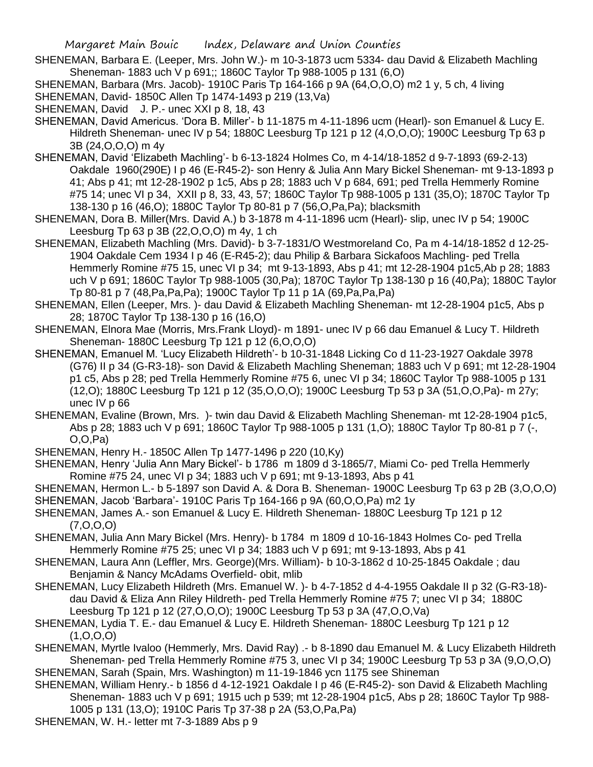- SHENEMAN, Barbara E. (Leeper, Mrs. John W.)- m 10-3-1873 ucm 5334- dau David & Elizabeth Machling Sheneman- 1883 uch V p 691;; 1860C Taylor Tp 988-1005 p 131 (6,O)
- SHENEMAN, Barbara (Mrs. Jacob)- 1910C Paris Tp 164-166 p 9A (64,O,O,O) m2 1 y, 5 ch, 4 living
- SHENEMAN, David- 1850C Allen Tp 1474-1493 p 219 (13,Va)
- SHENEMAN, David J. P.- unec XXI p 8, 18, 43
- SHENEMAN, David Americus. 'Dora B. Miller'- b 11-1875 m 4-11-1896 ucm (Hearl)- son Emanuel & Lucy E. Hildreth Sheneman- unec IV p 54; 1880C Leesburg Tp 121 p 12 (4, O, O, O); 1900C Leesburg Tp 63 p 3B (24,O,O,O) m 4y
- SHENEMAN, David 'Elizabeth Machling'- b 6-13-1824 Holmes Co, m 4-14/18-1852 d 9-7-1893 (69-2-13) Oakdale 1960(290E) I p 46 (E-R45-2)- son Henry & Julia Ann Mary Bickel Sheneman- mt 9-13-1893 p 41; Abs p 41; mt 12-28-1902 p 1c5, Abs p 28; 1883 uch V p 684, 691; ped Trella Hemmerly Romine #75 14; unec VI p 34, XXII p 8, 33, 43, 57; 1860C Taylor Tp 988-1005 p 131 (35,O); 1870C Taylor Tp 138-130 p 16 (46,O); 1880C Taylor Tp 80-81 p 7 (56,O,Pa,Pa); blacksmith
- SHENEMAN, Dora B. Miller(Mrs. David A.) b 3-1878 m 4-11-1896 ucm (Hearl)- slip, unec IV p 54; 1900C Leesburg Tp 63 p 3B (22,O,O,O) m 4y, 1 ch
- SHENEMAN, Elizabeth Machling (Mrs. David)- b 3-7-1831/O Westmoreland Co, Pa m 4-14/18-1852 d 12-25- 1904 Oakdale Cem 1934 I p 46 (E-R45-2); dau Philip & Barbara Sickafoos Machling- ped Trella Hemmerly Romine #75 15, unec VI p 34; mt 9-13-1893, Abs p 41; mt 12-28-1904 p1c5,Ab p 28; 1883 uch V p 691; 1860C Taylor Tp 988-1005 (30,Pa); 1870C Taylor Tp 138-130 p 16 (40,Pa); 1880C Taylor Tp 80-81 p 7 (48,Pa,Pa,Pa); 1900C Taylor Tp 11 p 1A (69,Pa,Pa,Pa)
- SHENEMAN, Ellen (Leeper, Mrs. )- dau David & Elizabeth Machling Sheneman- mt 12-28-1904 p1c5, Abs p 28; 1870C Taylor Tp 138-130 p 16 (16,O)
- SHENEMAN, Elnora Mae (Morris, Mrs.Frank Lloyd)- m 1891- unec IV p 66 dau Emanuel & Lucy T. Hildreth Sheneman- 1880C Leesburg Tp 121 p 12 (6,O,O,O)
- SHENEMAN, Emanuel M. 'Lucy Elizabeth Hildreth'- b 10-31-1848 Licking Co d 11-23-1927 Oakdale 3978 (G76) II p 34 (G-R3-18)- son David & Elizabeth Machling Sheneman; 1883 uch V p 691; mt 12-28-1904 p1 c5, Abs p 28; ped Trella Hemmerly Romine #75 6, unec VI p 34; 1860C Taylor Tp 988-1005 p 131 (12,O); 1880C Leesburg Tp 121 p 12 (35,O,O,O); 1900C Leesburg Tp 53 p 3A (51,O,O,Pa)- m 27y; unec IV p 66
- SHENEMAN, Evaline (Brown, Mrs. )- twin dau David & Elizabeth Machling Sheneman- mt 12-28-1904 p1c5, Abs p 28; 1883 uch V p 691; 1860C Taylor Tp 988-1005 p 131 (1,O); 1880C Taylor Tp 80-81 p 7 (-, O,O,Pa)
- SHENEMAN, Henry H.- 1850C Allen Tp 1477-1496 p 220 (10,Ky)
- SHENEMAN, Henry 'Julia Ann Mary Bickel'- b 1786 m 1809 d 3-1865/7, Miami Co- ped Trella Hemmerly Romine #75 24, unec VI p 34; 1883 uch V p 691; mt 9-13-1893, Abs p 41
- SHENEMAN, Hermon L.- b 5-1897 son David A. & Dora B. Sheneman- 1900C Leesburg Tp 63 p 2B (3,O,O,O) SHENEMAN, Jacob 'Barbara'- 1910C Paris Tp 164-166 p 9A (60,O,O,Pa) m2 1y
- SHENEMAN, James A.- son Emanuel & Lucy E. Hildreth Sheneman- 1880C Leesburg Tp 121 p 12  $(7, 0, 0, 0)$
- SHENEMAN, Julia Ann Mary Bickel (Mrs. Henry)- b 1784 m 1809 d 10-16-1843 Holmes Co- ped Trella Hemmerly Romine #75 25; unec VI p 34; 1883 uch V p 691; mt 9-13-1893, Abs p 41
- SHENEMAN, Laura Ann (Leffler, Mrs. George)(Mrs. William)- b 10-3-1862 d 10-25-1845 Oakdale ; dau Benjamin & Nancy McAdams Overfield- obit, mlib
- SHENEMAN, Lucy Elizabeth Hildreth (Mrs. Emanuel W. )- b 4-7-1852 d 4-4-1955 Oakdale II p 32 (G-R3-18) dau David & Eliza Ann Riley Hildreth- ped Trella Hemmerly Romine #75 7; unec VI p 34; 1880C Leesburg Tp 121 p 12 (27,O,O,O); 1900C Leesburg Tp 53 p 3A (47,O,O,Va)
- SHENEMAN, Lydia T. E.- dau Emanuel & Lucy E. Hildreth Sheneman- 1880C Leesburg Tp 121 p 12  $(1, 0, 0, 0)$
- SHENEMAN, Myrtle Ivaloo (Hemmerly, Mrs. David Ray) .- b 8-1890 dau Emanuel M. & Lucy Elizabeth Hildreth Sheneman- ped Trella Hemmerly Romine #75 3, unec VI p 34; 1900C Leesburg Tp 53 p 3A (9,O,O,O) SHENEMAN, Sarah (Spain, Mrs. Washington) m 11-19-1846 ycn 1175 see Shineman
- SHENEMAN, William Henry.- b 1856 d 4-12-1921 Oakdale I p 46 (E-R45-2)- son David & Elizabeth Machling Sheneman- 1883 uch V p 691; 1915 uch p 539; mt 12-28-1904 p1c5, Abs p 28; 1860C Taylor Tp 988- 1005 p 131 (13,O); 1910C Paris Tp 37-38 p 2A (53,O,Pa,Pa)
- SHENEMAN, W. H.- letter mt 7-3-1889 Abs p 9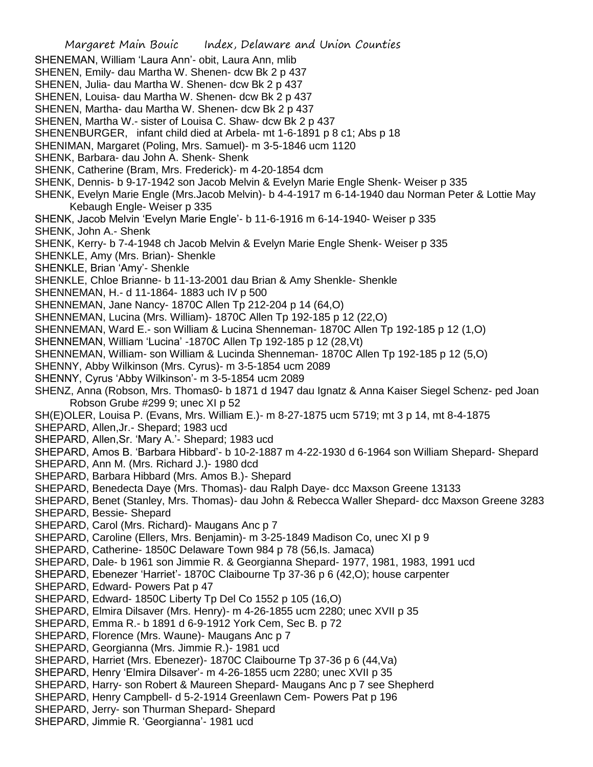Margaret Main Bouic Index, Delaware and Union Counties SHENEMAN, William 'Laura Ann'- obit, Laura Ann, mlib SHENEN, Emily- dau Martha W. Shenen- dcw Bk 2 p 437 SHENEN, Julia- dau Martha W. Shenen- dcw Bk 2 p 437 SHENEN, Louisa- dau Martha W. Shenen- dcw Bk 2 p 437 SHENEN, Martha- dau Martha W. Shenen- dcw Bk 2 p 437 SHENEN, Martha W.- sister of Louisa C. Shaw- dcw Bk 2 p 437 SHENENBURGER, infant child died at Arbela- mt 1-6-1891 p 8 c1; Abs p 18 SHENIMAN, Margaret (Poling, Mrs. Samuel)- m 3-5-1846 ucm 1120 SHENK, Barbara- dau John A. Shenk- Shenk SHENK, Catherine (Bram, Mrs. Frederick)- m 4-20-1854 dcm SHENK, Dennis- b 9-17-1942 son Jacob Melvin & Evelyn Marie Engle Shenk- Weiser p 335 SHENK, Evelyn Marie Engle (Mrs.Jacob Melvin)- b 4-4-1917 m 6-14-1940 dau Norman Peter & Lottie May Kebaugh Engle- Weiser p 335 SHENK, Jacob Melvin 'Evelyn Marie Engle'- b 11-6-1916 m 6-14-1940- Weiser p 335 SHENK, John A.- Shenk SHENK, Kerry- b 7-4-1948 ch Jacob Melvin & Evelyn Marie Engle Shenk- Weiser p 335 SHENKLE, Amy (Mrs. Brian)- Shenkle SHENKLE, Brian 'Amy'- Shenkle SHENKLE, Chloe Brianne- b 11-13-2001 dau Brian & Amy Shenkle- Shenkle SHENNEMAN, H.- d 11-1864- 1883 uch IV p 500 SHENNEMAN, Jane Nancy- 1870C Allen Tp 212-204 p 14 (64,O) SHENNEMAN, Lucina (Mrs. William)- 1870C Allen Tp 192-185 p 12 (22,O) SHENNEMAN, Ward E.- son William & Lucina Shenneman- 1870C Allen Tp 192-185 p 12 (1,O) SHENNEMAN, William 'Lucina' -1870C Allen Tp 192-185 p 12 (28,Vt) SHENNEMAN, William- son William & Lucinda Shenneman- 1870C Allen Tp 192-185 p 12 (5,O) SHENNY, Abby Wilkinson (Mrs. Cyrus)- m 3-5-1854 ucm 2089 SHENNY, Cyrus 'Abby Wilkinson'- m 3-5-1854 ucm 2089 SHENZ, Anna (Robson, Mrs. Thomas0- b 1871 d 1947 dau Ignatz & Anna Kaiser Siegel Schenz- ped Joan Robson Grube #299 9; unec XI p 52 SH(E)OLER, Louisa P. (Evans, Mrs. William E.)- m 8-27-1875 ucm 5719; mt 3 p 14, mt 8-4-1875 SHEPARD, Allen,Jr.- Shepard; 1983 ucd SHEPARD, Allen,Sr. 'Mary A.'- Shepard; 1983 ucd SHEPARD, Amos B. 'Barbara Hibbard'- b 10-2-1887 m 4-22-1930 d 6-1964 son William Shepard- Shepard SHEPARD, Ann M. (Mrs. Richard J.)- 1980 dcd SHEPARD, Barbara Hibbard (Mrs. Amos B.)- Shepard SHEPARD, Benedecta Daye (Mrs. Thomas)- dau Ralph Daye- dcc Maxson Greene 13133 SHEPARD, Benet (Stanley, Mrs. Thomas)- dau John & Rebecca Waller Shepard- dcc Maxson Greene 3283 SHEPARD, Bessie- Shepard SHEPARD, Carol (Mrs. Richard)- Maugans Anc p 7 SHEPARD, Caroline (Ellers, Mrs. Benjamin)- m 3-25-1849 Madison Co, unec XI p 9 SHEPARD, Catherine- 1850C Delaware Town 984 p 78 (56,Is. Jamaca) SHEPARD, Dale- b 1961 son Jimmie R. & Georgianna Shepard- 1977, 1981, 1983, 1991 ucd SHEPARD, Ebenezer 'Harriet'- 1870C Claibourne Tp 37-36 p 6 (42,O); house carpenter SHEPARD, Edward- Powers Pat p 47 SHEPARD, Edward- 1850C Liberty Tp Del Co 1552 p 105 (16,O) SHEPARD, Elmira Dilsaver (Mrs. Henry)- m 4-26-1855 ucm 2280; unec XVII p 35 SHEPARD, Emma R.- b 1891 d 6-9-1912 York Cem, Sec B. p 72 SHEPARD, Florence (Mrs. Waune)- Maugans Anc p 7 SHEPARD, Georgianna (Mrs. Jimmie R.)- 1981 ucd SHEPARD, Harriet (Mrs. Ebenezer)- 1870C Claibourne Tp 37-36 p 6 (44,Va) SHEPARD, Henry 'Elmira Dilsaver'- m 4-26-1855 ucm 2280; unec XVII p 35 SHEPARD, Harry- son Robert & Maureen Shepard- Maugans Anc p 7 see Shepherd SHEPARD, Henry Campbell- d 5-2-1914 Greenlawn Cem- Powers Pat p 196 SHEPARD, Jerry- son Thurman Shepard- Shepard SHEPARD, Jimmie R. 'Georgianna'- 1981 ucd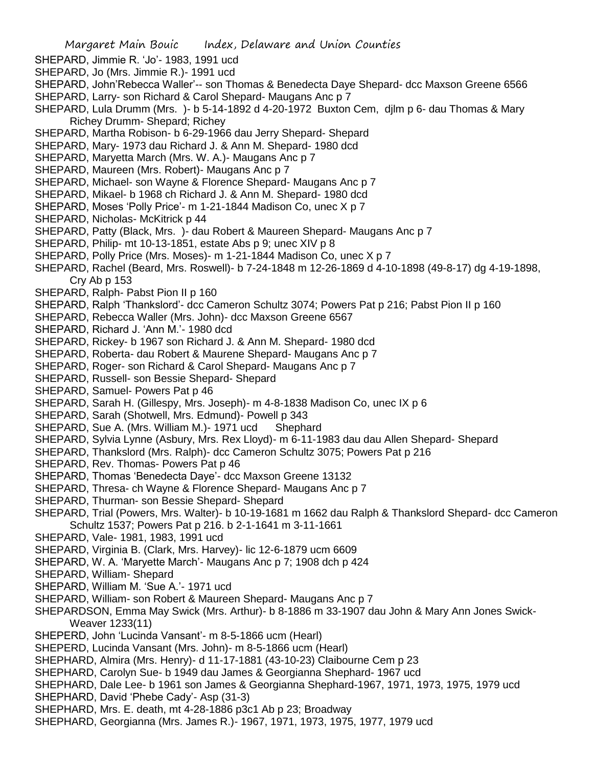- SHEPARD, Jimmie R. 'Jo'- 1983, 1991 ucd
- SHEPARD, Jo (Mrs. Jimmie R.)- 1991 ucd
- SHEPARD, John'Rebecca Waller'-- son Thomas & Benedecta Daye Shepard- dcc Maxson Greene 6566
- SHEPARD, Larry- son Richard & Carol Shepard- Maugans Anc p 7
- SHEPARD, Lula Drumm (Mrs. )- b 5-14-1892 d 4-20-1972 Buxton Cem, djlm p 6- dau Thomas & Mary Richey Drumm- Shepard; Richey
- SHEPARD, Martha Robison- b 6-29-1966 dau Jerry Shepard- Shepard
- SHEPARD, Mary- 1973 dau Richard J. & Ann M. Shepard- 1980 dcd
- SHEPARD, Maryetta March (Mrs. W. A.)- Maugans Anc p 7
- SHEPARD, Maureen (Mrs. Robert)- Maugans Anc p 7
- SHEPARD, Michael- son Wayne & Florence Shepard- Maugans Anc p 7
- SHEPARD, Mikael- b 1968 ch Richard J. & Ann M. Shepard- 1980 dcd
- SHEPARD, Moses 'Polly Price'- m 1-21-1844 Madison Co, unec X p 7
- SHEPARD, Nicholas- McKitrick p 44
- SHEPARD, Patty (Black, Mrs. )- dau Robert & Maureen Shepard- Maugans Anc p 7
- SHEPARD, Philip- mt 10-13-1851, estate Abs p 9; unec XIV p 8
- SHEPARD, Polly Price (Mrs. Moses)- m 1-21-1844 Madison Co, unec X p 7
- SHEPARD, Rachel (Beard, Mrs. Roswell)- b 7-24-1848 m 12-26-1869 d 4-10-1898 (49-8-17) dg 4-19-1898, Cry Ab p 153
- SHEPARD, Ralph- Pabst Pion II p 160
- SHEPARD, Ralph 'Thankslord'- dcc Cameron Schultz 3074; Powers Pat p 216; Pabst Pion II p 160
- SHEPARD, Rebecca Waller (Mrs. John)- dcc Maxson Greene 6567
- SHEPARD, Richard J. 'Ann M.'- 1980 dcd
- SHEPARD, Rickey- b 1967 son Richard J. & Ann M. Shepard- 1980 dcd
- SHEPARD, Roberta- dau Robert & Maurene Shepard- Maugans Anc p 7
- SHEPARD, Roger- son Richard & Carol Shepard- Maugans Anc p 7
- SHEPARD, Russell- son Bessie Shepard- Shepard
- SHEPARD, Samuel- Powers Pat p 46
- SHEPARD, Sarah H. (Gillespy, Mrs. Joseph)- m 4-8-1838 Madison Co, unec IX p 6
- SHEPARD, Sarah (Shotwell, Mrs. Edmund)- Powell p 343
- SHEPARD, Sue A. (Mrs. William M.)- 1971 ucd Shephard
- SHEPARD, Sylvia Lynne (Asbury, Mrs. Rex Lloyd)- m 6-11-1983 dau dau Allen Shepard- Shepard
- SHEPARD, Thankslord (Mrs. Ralph)- dcc Cameron Schultz 3075; Powers Pat p 216
- SHEPARD, Rev. Thomas- Powers Pat p 46
- SHEPARD, Thomas 'Benedecta Daye'- dcc Maxson Greene 13132
- SHEPARD, Thresa- ch Wayne & Florence Shepard- Maugans Anc p 7
- SHEPARD, Thurman- son Bessie Shepard- Shepard
- SHEPARD, Trial (Powers, Mrs. Walter)- b 10-19-1681 m 1662 dau Ralph & Thankslord Shepard- dcc Cameron Schultz 1537; Powers Pat p 216. b 2-1-1641 m 3-11-1661
- SHEPARD, Vale- 1981, 1983, 1991 ucd
- SHEPARD, Virginia B. (Clark, Mrs. Harvey)- lic 12-6-1879 ucm 6609
- SHEPARD, W. A. 'Maryette March'- Maugans Anc p 7; 1908 dch p 424
- SHEPARD, William- Shepard
- SHEPARD, William M. 'Sue A.'- 1971 ucd
- SHEPARD, William- son Robert & Maureen Shepard- Maugans Anc p 7
- SHEPARDSON, Emma May Swick (Mrs. Arthur)- b 8-1886 m 33-1907 dau John & Mary Ann Jones Swick-Weaver 1233(11)
- SHEPERD, John 'Lucinda Vansant'- m 8-5-1866 ucm (Hearl)
- SHEPERD, Lucinda Vansant (Mrs. John)- m 8-5-1866 ucm (Hearl)
- SHEPHARD, Almira (Mrs. Henry)- d 11-17-1881 (43-10-23) Claibourne Cem p 23
- SHEPHARD, Carolyn Sue- b 1949 dau James & Georgianna Shephard- 1967 ucd
- SHEPHARD, Dale Lee- b 1961 son James & Georgianna Shephard-1967, 1971, 1973, 1975, 1979 ucd
- SHEPHARD, David 'Phebe Cady'- Asp (31-3)
- SHEPHARD, Mrs. E. death, mt 4-28-1886 p3c1 Ab p 23; Broadway
- SHEPHARD, Georgianna (Mrs. James R.)- 1967, 1971, 1973, 1975, 1977, 1979 ucd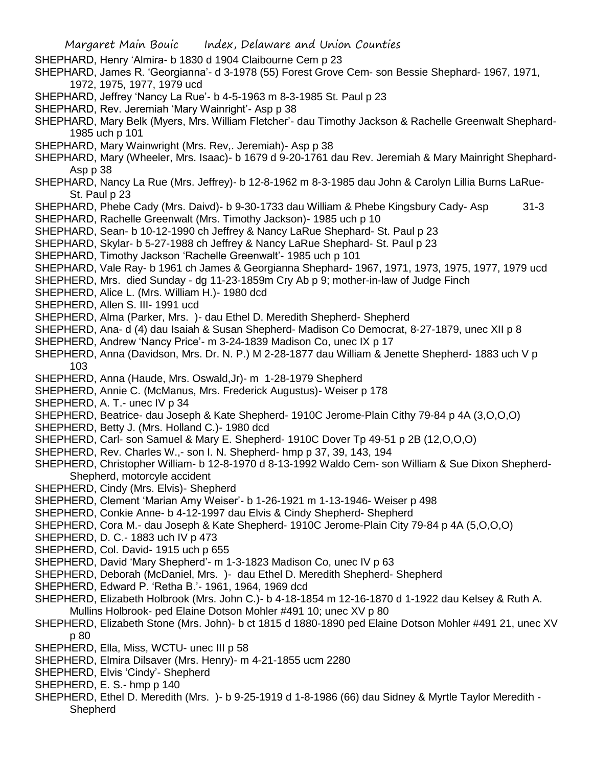- Margaret Main Bouic Index, Delaware and Union Counties SHEPHARD, Henry 'Almira- b 1830 d 1904 Claibourne Cem p 23 SHEPHARD, James R. 'Georgianna'- d 3-1978 (55) Forest Grove Cem- son Bessie Shephard- 1967, 1971, 1972, 1975, 1977, 1979 ucd SHEPHARD, Jeffrey 'Nancy La Rue'- b 4-5-1963 m 8-3-1985 St. Paul p 23 SHEPHARD, Rev. Jeremiah 'Mary Wainright'- Asp p 38 SHEPHARD, Mary Belk (Myers, Mrs. William Fletcher'- dau Timothy Jackson & Rachelle Greenwalt Shephard-1985 uch p 101 SHEPHARD, Mary Wainwright (Mrs. Rev,. Jeremiah)- Asp p 38 SHEPHARD, Mary (Wheeler, Mrs. Isaac)- b 1679 d 9-20-1761 dau Rev. Jeremiah & Mary Mainright Shephard-Asp p 38 SHEPHARD, Nancy La Rue (Mrs. Jeffrey)- b 12-8-1962 m 8-3-1985 dau John & Carolyn Lillia Burns LaRue-St. Paul p 23 SHEPHARD, Phebe Cady (Mrs. Daivd)- b 9-30-1733 dau William & Phebe Kingsbury Cady- Asp 31-3 SHEPHARD, Rachelle Greenwalt (Mrs. Timothy Jackson)- 1985 uch p 10 SHEPHARD, Sean- b 10-12-1990 ch Jeffrey & Nancy LaRue Shephard- St. Paul p 23 SHEPHARD, Skylar- b 5-27-1988 ch Jeffrey & Nancy LaRue Shephard- St. Paul p 23 SHEPHARD, Timothy Jackson 'Rachelle Greenwalt'- 1985 uch p 101 SHEPHARD, Vale Ray- b 1961 ch James & Georgianna Shephard- 1967, 1971, 1973, 1975, 1977, 1979 ucd SHEPHERD, Mrs. died Sunday - dg 11-23-1859m Cry Ab p 9; mother-in-law of Judge Finch SHEPHERD, Alice L. (Mrs. William H.)- 1980 dcd SHEPHERD, Allen S. III- 1991 ucd SHEPHERD, Alma (Parker, Mrs. )- dau Ethel D. Meredith Shepherd- Shepherd SHEPHERD, Ana- d (4) dau Isaiah & Susan Shepherd- Madison Co Democrat, 8-27-1879, unec XII p 8 SHEPHERD, Andrew 'Nancy Price'- m 3-24-1839 Madison Co, unec IX p 17 SHEPHERD, Anna (Davidson, Mrs. Dr. N. P.) M 2-28-1877 dau William & Jenette Shepherd- 1883 uch V p 103 SHEPHERD, Anna (Haude, Mrs. Oswald,Jr)- m 1-28-1979 Shepherd SHEPHERD, Annie C. (McManus, Mrs. Frederick Augustus)- Weiser p 178 SHEPHERD, A. T.- unec IV p 34 SHEPHERD, Beatrice- dau Joseph & Kate Shepherd- 1910C Jerome-Plain Cithy 79-84 p 4A (3,O,O,O) SHEPHERD, Betty J. (Mrs. Holland C.)- 1980 dcd SHEPHERD, Carl- son Samuel & Mary E. Shepherd- 1910C Dover Tp 49-51 p 2B (12,O,O,O) SHEPHERD, Rev. Charles W.,- son I. N. Shepherd- hmp p 37, 39, 143, 194 SHEPHERD, Christopher William- b 12-8-1970 d 8-13-1992 Waldo Cem- son William & Sue Dixon Shepherd-Shepherd, motorcyle accident SHEPHERD, Cindy (Mrs. Elvis)- Shepherd SHEPHERD, Clement 'Marian Amy Weiser'- b 1-26-1921 m 1-13-1946- Weiser p 498 SHEPHERD, Conkie Anne- b 4-12-1997 dau Elvis & Cindy Shepherd- Shepherd SHEPHERD, Cora M.- dau Joseph & Kate Shepherd- 1910C Jerome-Plain City 79-84 p 4A (5,O,O,O) SHEPHERD, D. C.- 1883 uch IV p 473 SHEPHERD, Col. David- 1915 uch p 655 SHEPHERD, David 'Mary Shepherd'- m 1-3-1823 Madison Co, unec IV p 63 SHEPHERD, Deborah (McDaniel, Mrs. )- dau Ethel D. Meredith Shepherd- Shepherd SHEPHERD, Edward P. 'Retha B.'- 1961, 1964, 1969 dcd SHEPHERD, Elizabeth Holbrook (Mrs. John C.)- b 4-18-1854 m 12-16-1870 d 1-1922 dau Kelsey & Ruth A. Mullins Holbrook- ped Elaine Dotson Mohler #491 10; unec XV p 80 SHEPHERD, Elizabeth Stone (Mrs. John)- b ct 1815 d 1880-1890 ped Elaine Dotson Mohler #491 21, unec XV p 80 SHEPHERD, Ella, Miss, WCTU- unec III p 58 SHEPHERD, Elmira Dilsaver (Mrs. Henry)- m 4-21-1855 ucm 2280 SHEPHERD, Elvis 'Cindy'- Shepherd
	- SHEPHERD, E. S.- hmp p 140
	- SHEPHERD, Ethel D. Meredith (Mrs. )- b 9-25-1919 d 1-8-1986 (66) dau Sidney & Myrtle Taylor Meredith **Shepherd**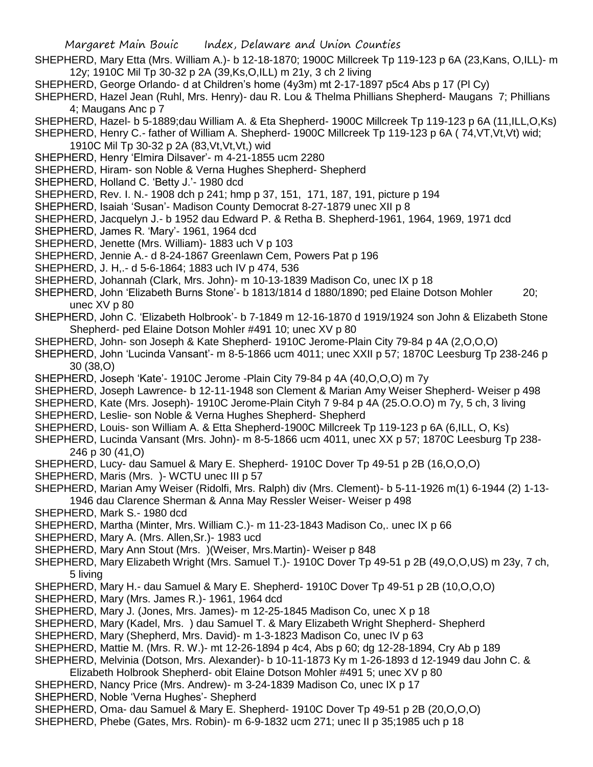- SHEPHERD, Mary Etta (Mrs. William A.)- b 12-18-1870; 1900C Millcreek Tp 119-123 p 6A (23,Kans, O,ILL)- m 12y; 1910C Mil Tp 30-32 p 2A (39,Ks,O,ILL) m 21y, 3 ch 2 living
- SHEPHERD, George Orlando- d at Children's home (4y3m) mt 2-17-1897 p5c4 Abs p 17 (Pl Cy)
- SHEPHERD, Hazel Jean (Ruhl, Mrs. Henry)- dau R. Lou & Thelma Phillians Shepherd- Maugans 7; Phillians 4; Maugans Anc p 7
- SHEPHERD, Hazel- b 5-1889;dau William A. & Eta Shepherd- 1900C Millcreek Tp 119-123 p 6A (11,ILL,O,Ks)
- SHEPHERD, Henry C.- father of William A. Shepherd- 1900C Millcreek Tp 119-123 p 6A ( 74,VT,Vt,Vt) wid;
- 1910C Mil Tp 30-32 p 2A (83,Vt,Vt,Vt,) wid
- SHEPHERD, Henry 'Elmira Dilsaver'- m 4-21-1855 ucm 2280
- SHEPHERD, Hiram- son Noble & Verna Hughes Shepherd- Shepherd
- SHEPHERD, Holland C. 'Betty J.'- 1980 dcd
- SHEPHERD, Rev. I. N.- 1908 dch p 241; hmp p 37, 151, 171, 187, 191, picture p 194
- SHEPHERD, Isaiah 'Susan'- Madison County Democrat 8-27-1879 unec XII p 8
- SHEPHERD, Jacquelyn J.- b 1952 dau Edward P. & Retha B. Shepherd-1961, 1964, 1969, 1971 dcd
- SHEPHERD, James R. 'Mary'- 1961, 1964 dcd
- SHEPHERD, Jenette (Mrs. William)- 1883 uch V p 103
- SHEPHERD, Jennie A.- d 8-24-1867 Greenlawn Cem, Powers Pat p 196
- SHEPHERD, J. H,.- d 5-6-1864; 1883 uch IV p 474, 536
- SHEPHERD, Johannah (Clark, Mrs. John)- m 10-13-1839 Madison Co, unec IX p 18
- SHEPHERD, John 'Elizabeth Burns Stone'- b 1813/1814 d 1880/1890; ped Elaine Dotson Mohler 20; unec XV p 80
- SHEPHERD, John C. 'Elizabeth Holbrook'- b 7-1849 m 12-16-1870 d 1919/1924 son John & Elizabeth Stone Shepherd- ped Elaine Dotson Mohler #491 10; unec XV p 80
- SHEPHERD, John- son Joseph & Kate Shepherd- 1910C Jerome-Plain City 79-84 p 4A (2,O,O,O)
- SHEPHERD, John 'Lucinda Vansant'- m 8-5-1866 ucm 4011; unec XXII p 57; 1870C Leesburg Tp 238-246 p 30 (38,O)
- SHEPHERD, Joseph 'Kate'- 1910C Jerome -Plain City 79-84 p 4A (40,O,O,O) m 7y
- SHEPHERD, Joseph Lawrence- b 12-11-1948 son Clement & Marian Amy Weiser Shepherd- Weiser p 498
- SHEPHERD, Kate (Mrs. Joseph)- 1910C Jerome-Plain Cityh 7 9-84 p 4A (25.O.O.O) m 7y, 5 ch, 3 living
- SHEPHERD, Leslie- son Noble & Verna Hughes Shepherd- Shepherd
- SHEPHERD, Louis- son William A. & Etta Shepherd-1900C Millcreek Tp 119-123 p 6A (6,ILL, O, Ks)
- SHEPHERD, Lucinda Vansant (Mrs. John)- m 8-5-1866 ucm 4011, unec XX p 57; 1870C Leesburg Tp 238- 246 p 30 (41,O)
- SHEPHERD, Lucy- dau Samuel & Mary E. Shepherd- 1910C Dover Tp 49-51 p 2B (16,O,O,O)
- SHEPHERD, Maris (Mrs. )- WCTU unec III p 57
- SHEPHERD, Marian Amy Weiser (Ridolfi, Mrs. Ralph) div (Mrs. Clement)- b 5-11-1926 m(1) 6-1944 (2) 1-13- 1946 dau Clarence Sherman & Anna May Ressler Weiser- Weiser p 498
- SHEPHERD, Mark S.- 1980 dcd
- SHEPHERD, Martha (Minter, Mrs. William C.)- m 11-23-1843 Madison Co,. unec IX p 66
- SHEPHERD, Mary A. (Mrs. Allen,Sr.)- 1983 ucd
- SHEPHERD, Mary Ann Stout (Mrs. )(Weiser, Mrs.Martin)- Weiser p 848
- SHEPHERD, Mary Elizabeth Wright (Mrs. Samuel T.)- 1910C Dover Tp 49-51 p 2B (49,O,O,US) m 23y, 7 ch, 5 living
- SHEPHERD, Mary H.- dau Samuel & Mary E. Shepherd- 1910C Dover Tp 49-51 p 2B (10,O,O,O)
- SHEPHERD, Mary (Mrs. James R.)- 1961, 1964 dcd
- SHEPHERD, Mary J. (Jones, Mrs. James)- m 12-25-1845 Madison Co, unec X p 18
- SHEPHERD, Mary (Kadel, Mrs. ) dau Samuel T. & Mary Elizabeth Wright Shepherd- Shepherd
- SHEPHERD, Mary (Shepherd, Mrs. David)- m 1-3-1823 Madison Co, unec IV p 63
- SHEPHERD, Mattie M. (Mrs. R. W.)- mt 12-26-1894 p 4c4, Abs p 60; dg 12-28-1894, Cry Ab p 189
- SHEPHERD, Melvinia (Dotson, Mrs. Alexander)- b 10-11-1873 Ky m 1-26-1893 d 12-1949 dau John C. &
- Elizabeth Holbrook Shepherd- obit Elaine Dotson Mohler #491 5; unec XV p 80
- SHEPHERD, Nancy Price (Mrs. Andrew)- m 3-24-1839 Madison Co, unec IX p 17
- SHEPHERD, Noble 'Verna Hughes'- Shepherd
- SHEPHERD, Oma- dau Samuel & Mary E. Shepherd- 1910C Dover Tp 49-51 p 2B (20,O,O,O)
- SHEPHERD, Phebe (Gates, Mrs. Robin)- m 6-9-1832 ucm 271; unec II p 35;1985 uch p 18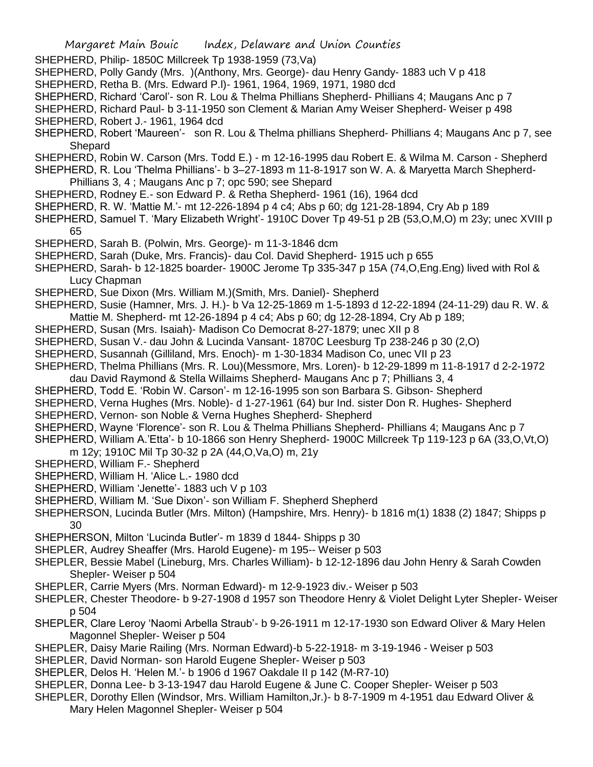| Margaret Main Bouic | Index, Delaware and Union Counties |  |  |
|---------------------|------------------------------------|--|--|
|---------------------|------------------------------------|--|--|

SHEPHERD, Philip- 1850C Millcreek Tp 1938-1959 (73,Va)

- SHEPHERD, Polly Gandy (Mrs. )(Anthony, Mrs. George)- dau Henry Gandy- 1883 uch V p 418
- SHEPHERD, Retha B. (Mrs. Edward P.l)- 1961, 1964, 1969, 1971, 1980 dcd
- SHEPHERD, Richard 'Carol'- son R. Lou & Thelma Phillians Shepherd- Phillians 4; Maugans Anc p 7
- SHEPHERD, Richard Paul- b 3-11-1950 son Clement & Marian Amy Weiser Shepherd- Weiser p 498
- SHEPHERD, Robert J.- 1961, 1964 dcd
- SHEPHERD, Robert 'Maureen'- son R. Lou & Thelma phillians Shepherd- Phillians 4; Maugans Anc p 7, see **Shepard**
- SHEPHERD, Robin W. Carson (Mrs. Todd E.) m 12-16-1995 dau Robert E. & Wilma M. Carson Shepherd
- SHEPHERD, R. Lou 'Thelma Phillians'- b 3–27-1893 m 11-8-1917 son W. A. & Maryetta March Shepherd-
- Phillians 3, 4 ; Maugans Anc p 7; opc 590; see Shepard
- SHEPHERD, Rodney E.- son Edward P. & Retha Shepherd- 1961 (16), 1964 dcd
- SHEPHERD, R. W. 'Mattie M.'- mt 12-226-1894 p 4 c4; Abs p 60; dg 121-28-1894, Cry Ab p 189
- SHEPHERD, Samuel T. 'Mary Elizabeth Wright'- 1910C Dover Tp 49-51 p 2B (53,O,M,O) m 23y; unec XVIII p 65
- SHEPHERD, Sarah B. (Polwin, Mrs. George)- m 11-3-1846 dcm
- SHEPHERD, Sarah (Duke, Mrs. Francis)- dau Col. David Shepherd- 1915 uch p 655
- SHEPHERD, Sarah- b 12-1825 boarder- 1900C Jerome Tp 335-347 p 15A (74,O,Eng.Eng) lived with Rol & Lucy Chapman
- SHEPHERD, Sue Dixon (Mrs. William M.)(Smith, Mrs. Daniel)- Shepherd
- SHEPHERD, Susie (Hamner, Mrs. J. H.)- b Va 12-25-1869 m 1-5-1893 d 12-22-1894 (24-11-29) dau R. W. & Mattie M. Shepherd- mt 12-26-1894 p 4 c4; Abs p 60; dg 12-28-1894, Cry Ab p 189;
- SHEPHERD, Susan (Mrs. Isaiah)- Madison Co Democrat 8-27-1879; unec XII p 8
- SHEPHERD, Susan V.- dau John & Lucinda Vansant- 1870C Leesburg Tp 238-246 p 30 (2,O)
- SHEPHERD, Susannah (Gilliland, Mrs. Enoch)- m 1-30-1834 Madison Co, unec VII p 23
- SHEPHERD, Thelma Phillians (Mrs. R. Lou)(Messmore, Mrs. Loren)- b 12-29-1899 m 11-8-1917 d 2-2-1972 dau David Raymond & Stella Willaims Shepherd- Maugans Anc p 7; Phillians 3, 4
- SHEPHERD, Todd E. 'Robin W. Carson'- m 12-16-1995 son son Barbara S. Gibson- Shepherd
- 
- SHEPHERD, Verna Hughes (Mrs. Noble)- d 1-27-1961 (64) bur Ind. sister Don R. Hughes- Shepherd SHEPHERD, Vernon- son Noble & Verna Hughes Shepherd- Shepherd
- SHEPHERD, Wayne 'Florence'- son R. Lou & Thelma Phillians Shepherd- Phillians 4; Maugans Anc p 7
- SHEPHERD, William A.'Etta'- b 10-1866 son Henry Shepherd- 1900C Millcreek Tp 119-123 p 6A (33,O,Vt,O)
- m 12y; 1910C Mil Tp 30-32 p 2A (44,O,Va,O) m, 21y
- SHEPHERD, William F.- Shepherd
- SHEPHERD, William H. 'Alice L.- 1980 dcd
- SHEPHERD, William 'Jenette'- 1883 uch V p 103
- SHEPHERD, William M. 'Sue Dixon'- son William F. Shepherd Shepherd
- SHEPHERSON, Lucinda Butler (Mrs. Milton) (Hampshire, Mrs. Henry)- b 1816 m(1) 1838 (2) 1847; Shipps p 30
- SHEPHERSON, Milton 'Lucinda Butler'- m 1839 d 1844- Shipps p 30
- SHEPLER, Audrey Sheaffer (Mrs. Harold Eugene)- m 195-- Weiser p 503
- SHEPLER, Bessie Mabel (Lineburg, Mrs. Charles William)- b 12-12-1896 dau John Henry & Sarah Cowden Shepler- Weiser p 504
- SHEPLER, Carrie Myers (Mrs. Norman Edward)- m 12-9-1923 div.- Weiser p 503
- SHEPLER, Chester Theodore- b 9-27-1908 d 1957 son Theodore Henry & Violet Delight Lyter Shepler- Weiser p 504
- SHEPLER, Clare Leroy 'Naomi Arbella Straub'- b 9-26-1911 m 12-17-1930 son Edward Oliver & Mary Helen Magonnel Shepler- Weiser p 504
- SHEPLER, Daisy Marie Railing (Mrs. Norman Edward)-b 5-22-1918- m 3-19-1946 Weiser p 503
- SHEPLER, David Norman- son Harold Eugene Shepler- Weiser p 503
- SHEPLER, Delos H. 'Helen M.'- b 1906 d 1967 Oakdale II p 142 (M-R7-10)
- SHEPLER, Donna Lee- b 3-13-1947 dau Harold Eugene & June C. Cooper Shepler- Weiser p 503
- SHEPLER, Dorothy Ellen (Windsor, Mrs. William Hamilton,Jr.)- b 8-7-1909 m 4-1951 dau Edward Oliver &
	- Mary Helen Magonnel Shepler- Weiser p 504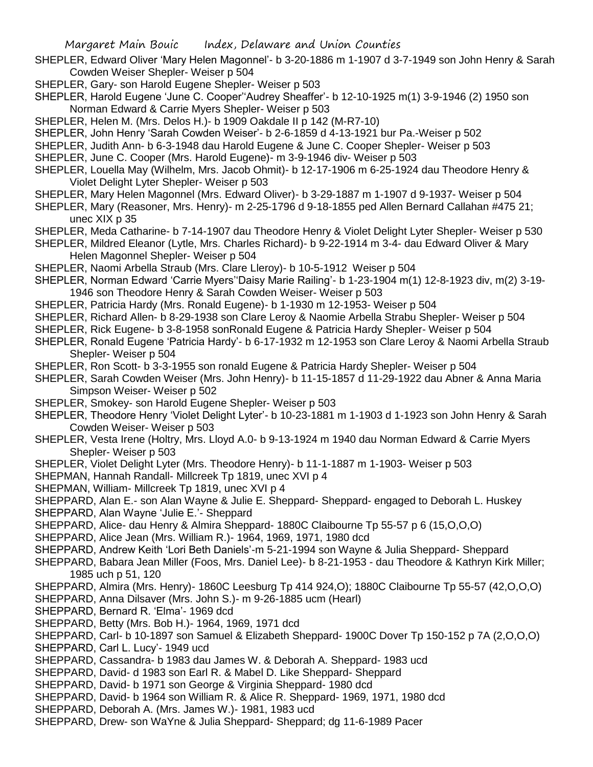- SHEPLER, Edward Oliver 'Mary Helen Magonnel'- b 3-20-1886 m 1-1907 d 3-7-1949 son John Henry & Sarah Cowden Weiser Shepler- Weiser p 504
- SHEPLER, Gary- son Harold Eugene Shepler- Weiser p 503
- SHEPLER, Harold Eugene 'June C. Cooper''Audrey Sheaffer'- b 12-10-1925 m(1) 3-9-1946 (2) 1950 son Norman Edward & Carrie Myers Shepler- Weiser p 503
- SHEPLER, Helen M. (Mrs. Delos H.)- b 1909 Oakdale II p 142 (M-R7-10)
- SHEPLER, John Henry 'Sarah Cowden Weiser'- b 2-6-1859 d 4-13-1921 bur Pa.-Weiser p 502
- SHEPLER, Judith Ann- b 6-3-1948 dau Harold Eugene & June C. Cooper Shepler- Weiser p 503
- SHEPLER, June C. Cooper (Mrs. Harold Eugene)- m 3-9-1946 div- Weiser p 503
- SHEPLER, Louella May (Wilhelm, Mrs. Jacob Ohmit)- b 12-17-1906 m 6-25-1924 dau Theodore Henry & Violet Delight Lyter Shepler- Weiser p 503
- SHEPLER, Mary Helen Magonnel (Mrs. Edward Oliver)- b 3-29-1887 m 1-1907 d 9-1937- Weiser p 504
- SHEPLER, Mary (Reasoner, Mrs. Henry)- m 2-25-1796 d 9-18-1855 ped Allen Bernard Callahan #475 21; unec XIX p 35
- SHEPLER, Meda Catharine- b 7-14-1907 dau Theodore Henry & Violet Delight Lyter Shepler- Weiser p 530
- SHEPLER, Mildred Eleanor (Lytle, Mrs. Charles Richard)- b 9-22-1914 m 3-4- dau Edward Oliver & Mary Helen Magonnel Shepler- Weiser p 504
- SHEPLER, Naomi Arbella Straub (Mrs. Clare Lleroy)- b 10-5-1912 Weiser p 504
- SHEPLER, Norman Edward 'Carrie Myers''Daisy Marie Railing'- b 1-23-1904 m(1) 12-8-1923 div, m(2) 3-19- 1946 son Theodore Henry & Sarah Cowden Weiser- Weiser p 503
- SHEPLER, Patricia Hardy (Mrs. Ronald Eugene)- b 1-1930 m 12-1953- Weiser p 504
- SHEPLER, Richard Allen- b 8-29-1938 son Clare Leroy & Naomie Arbella Strabu Shepler- Weiser p 504
- SHEPLER, Rick Eugene- b 3-8-1958 sonRonald Eugene & Patricia Hardy Shepler- Weiser p 504
- SHEPLER, Ronald Eugene 'Patricia Hardy'- b 6-17-1932 m 12-1953 son Clare Leroy & Naomi Arbella Straub Shepler- Weiser p 504
- SHEPLER, Ron Scott- b 3-3-1955 son ronald Eugene & Patricia Hardy Shepler- Weiser p 504
- SHEPLER, Sarah Cowden Weiser (Mrs. John Henry)- b 11-15-1857 d 11-29-1922 dau Abner & Anna Maria Simpson Weiser- Weiser p 502
- SHEPLER, Smokey- son Harold Eugene Shepler- Weiser p 503
- SHEPLER, Theodore Henry 'Violet Delight Lyter'- b 10-23-1881 m 1-1903 d 1-1923 son John Henry & Sarah Cowden Weiser- Weiser p 503
- SHEPLER, Vesta Irene (Holtry, Mrs. Lloyd A.0- b 9-13-1924 m 1940 dau Norman Edward & Carrie Myers Shepler- Weiser p 503
- SHEPLER, Violet Delight Lyter (Mrs. Theodore Henry)- b 11-1-1887 m 1-1903- Weiser p 503
- SHEPMAN, Hannah Randall- Millcreek Tp 1819, unec XVI p 4
- SHEPMAN, William- Millcreek Tp 1819, unec XVI p 4
- SHEPPARD, Alan E.- son Alan Wayne & Julie E. Sheppard- Sheppard- engaged to Deborah L. Huskey
- SHEPPARD, Alan Wayne 'Julie E.'- Sheppard
- SHEPPARD, Alice- dau Henry & Almira Sheppard- 1880C Claibourne Tp 55-57 p 6 (15,O,O,O)
- SHEPPARD, Alice Jean (Mrs. William R.)- 1964, 1969, 1971, 1980 dcd
- SHEPPARD, Andrew Keith 'Lori Beth Daniels'-m 5-21-1994 son Wayne & Julia Sheppard- Sheppard
- SHEPPARD, Babara Jean Miller (Foos, Mrs. Daniel Lee)- b 8-21-1953 dau Theodore & Kathryn Kirk Miller; 1985 uch p 51, 120
- SHEPPARD, Almira (Mrs. Henry)- 1860C Leesburg Tp 414 924,O); 1880C Claibourne Tp 55-57 (42,O,O,O)
- SHEPPARD, Anna Dilsaver (Mrs. John S.)- m 9-26-1885 ucm (Hearl)
- SHEPPARD, Bernard R. 'Elma'- 1969 dcd
- SHEPPARD, Betty (Mrs. Bob H.)- 1964, 1969, 1971 dcd
- SHEPPARD, Carl- b 10-1897 son Samuel & Elizabeth Sheppard- 1900C Dover Tp 150-152 p 7A (2,O,O,O)
- SHEPPARD, Carl L. Lucy'- 1949 ucd
- SHEPPARD, Cassandra- b 1983 dau James W. & Deborah A. Sheppard- 1983 ucd
- SHEPPARD, David- d 1983 son Earl R. & Mabel D. Like Sheppard- Sheppard
- SHEPPARD, David- b 1971 son George & Virginia Sheppard- 1980 dcd
- SHEPPARD, David- b 1964 son William R. & Alice R. Sheppard- 1969, 1971, 1980 dcd
- SHEPPARD, Deborah A. (Mrs. James W.)- 1981, 1983 ucd
- SHEPPARD, Drew- son WaYne & Julia Sheppard- Sheppard; dg 11-6-1989 Pacer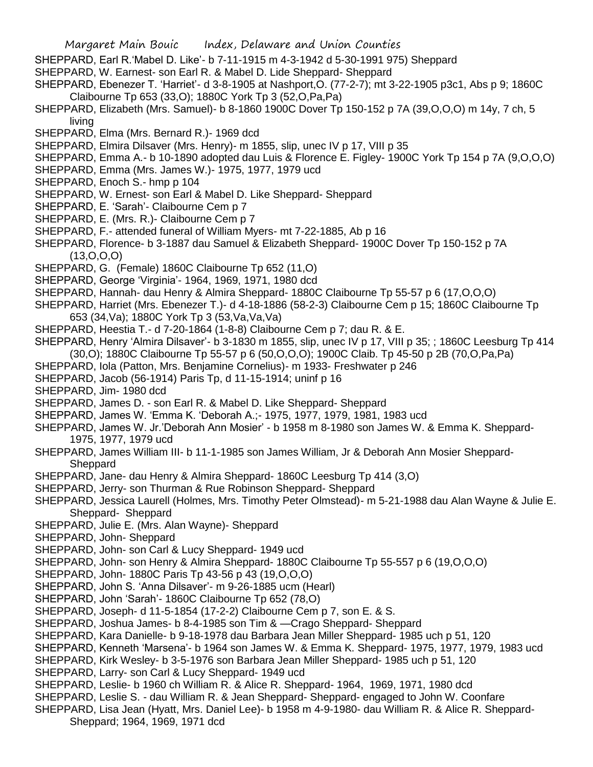- SHEPPARD, Earl R.'Mabel D. Like'- b 7-11-1915 m 4-3-1942 d 5-30-1991 975) Sheppard
- SHEPPARD, W. Earnest- son Earl R. & Mabel D. Lide Sheppard- Sheppard
- SHEPPARD, Ebenezer T. 'Harriet'- d 3-8-1905 at Nashport,O. (77-2-7); mt 3-22-1905 p3c1, Abs p 9; 1860C Claibourne Tp 653 (33,O); 1880C York Tp 3 (52,O,Pa,Pa)
- SHEPPARD, Elizabeth (Mrs. Samuel)- b 8-1860 1900C Dover Tp 150-152 p 7A (39,O,O,O) m 14y, 7 ch, 5 living
- SHEPPARD, Elma (Mrs. Bernard R.)- 1969 dcd
- SHEPPARD, Elmira Dilsaver (Mrs. Henry)- m 1855, slip, unec IV p 17, VIII p 35
- SHEPPARD, Emma A.- b 10-1890 adopted dau Luis & Florence E. Figley- 1900C York Tp 154 p 7A (9,O,O,O)
- SHEPPARD, Emma (Mrs. James W.)- 1975, 1977, 1979 ucd
- SHEPPARD, Enoch S.- hmp p 104
- SHEPPARD, W. Ernest- son Earl & Mabel D. Like Sheppard- Sheppard
- SHEPPARD, E. 'Sarah'- Claibourne Cem p 7
- SHEPPARD, E. (Mrs. R.)- Claibourne Cem p 7
- SHEPPARD, F.- attended funeral of William Myers- mt 7-22-1885, Ab p 16
- SHEPPARD, Florence- b 3-1887 dau Samuel & Elizabeth Sheppard- 1900C Dover Tp 150-152 p 7A (13,O,O,O)
- SHEPPARD, G. (Female) 1860C Claibourne Tp 652 (11.0)
- SHEPPARD, George 'Virginia'- 1964, 1969, 1971, 1980 dcd
- SHEPPARD, Hannah- dau Henry & Almira Sheppard- 1880C Claibourne Tp 55-57 p 6 (17,O,O,O)
- SHEPPARD, Harriet (Mrs. Ebenezer T.)- d 4-18-1886 (58-2-3) Claibourne Cem p 15; 1860C Claibourne Tp 653 (34,Va); 1880C York Tp 3 (53,Va,Va,Va)
- SHEPPARD, Heestia T.- d 7-20-1864 (1-8-8) Claibourne Cem p 7; dau R. & E.
- SHEPPARD, Henry 'Almira Dilsaver'- b 3-1830 m 1855, slip, unec IV p 17, VIII p 35; ; 1860C Leesburg Tp 414 (30,O); 1880C Claibourne Tp 55-57 p 6 (50,O,O,O); 1900C Claib. Tp 45-50 p 2B (70,O,Pa,Pa)
- SHEPPARD, Iola (Patton, Mrs. Benjamine Cornelius)- m 1933- Freshwater p 246
- SHEPPARD, Jacob (56-1914) Paris Tp, d 11-15-1914; uninf p 16
- SHEPPARD, Jim- 1980 dcd
- SHEPPARD, James D. son Earl R. & Mabel D. Like Sheppard- Sheppard
- SHEPPARD, James W. 'Emma K. 'Deborah A.;- 1975, 1977, 1979, 1981, 1983 ucd
- SHEPPARD, James W. Jr.'Deborah Ann Mosier' b 1958 m 8-1980 son James W. & Emma K. Sheppard-1975, 1977, 1979 ucd
- SHEPPARD, James William III- b 11-1-1985 son James William, Jr & Deborah Ann Mosier Sheppard-**Sheppard**
- SHEPPARD, Jane- dau Henry & Almira Sheppard- 1860C Leesburg Tp 414 (3,O)
- SHEPPARD, Jerry- son Thurman & Rue Robinson Sheppard- Sheppard
- SHEPPARD, Jessica Laurell (Holmes, Mrs. Timothy Peter Olmstead)- m 5-21-1988 dau Alan Wayne & Julie E. Sheppard- Sheppard
- SHEPPARD, Julie E. (Mrs. Alan Wayne)- Sheppard
- SHEPPARD, John- Sheppard
- SHEPPARD, John- son Carl & Lucy Sheppard- 1949 ucd
- SHEPPARD, John- son Henry & Almira Sheppard- 1880C Claibourne Tp 55-557 p 6 (19,O,O,O)
- SHEPPARD, John- 1880C Paris Tp 43-56 p 43 (19,O,O,O)
- SHEPPARD, John S. 'Anna Dilsaver'- m 9-26-1885 ucm (Hearl)
- SHEPPARD, John 'Sarah'- 1860C Claibourne Tp 652 (78,O)
- SHEPPARD, Joseph- d 11-5-1854 (17-2-2) Claibourne Cem p 7, son E. & S.
- SHEPPARD, Joshua James- b 8-4-1985 son Tim & —Crago Sheppard- Sheppard
- SHEPPARD, Kara Danielle- b 9-18-1978 dau Barbara Jean Miller Sheppard- 1985 uch p 51, 120
- SHEPPARD, Kenneth 'Marsena'- b 1964 son James W. & Emma K. Sheppard- 1975, 1977, 1979, 1983 ucd
- SHEPPARD, Kirk Wesley- b 3-5-1976 son Barbara Jean Miller Sheppard- 1985 uch p 51, 120
- SHEPPARD, Larry- son Carl & Lucy Sheppard- 1949 ucd
- SHEPPARD, Leslie- b 1960 ch William R. & Alice R. Sheppard- 1964, 1969, 1971, 1980 dcd
- SHEPPARD, Leslie S. dau William R. & Jean Sheppard- Sheppard- engaged to John W. Coonfare
- SHEPPARD, Lisa Jean (Hyatt, Mrs. Daniel Lee)- b 1958 m 4-9-1980- dau William R. & Alice R. Sheppard-Sheppard; 1964, 1969, 1971 dcd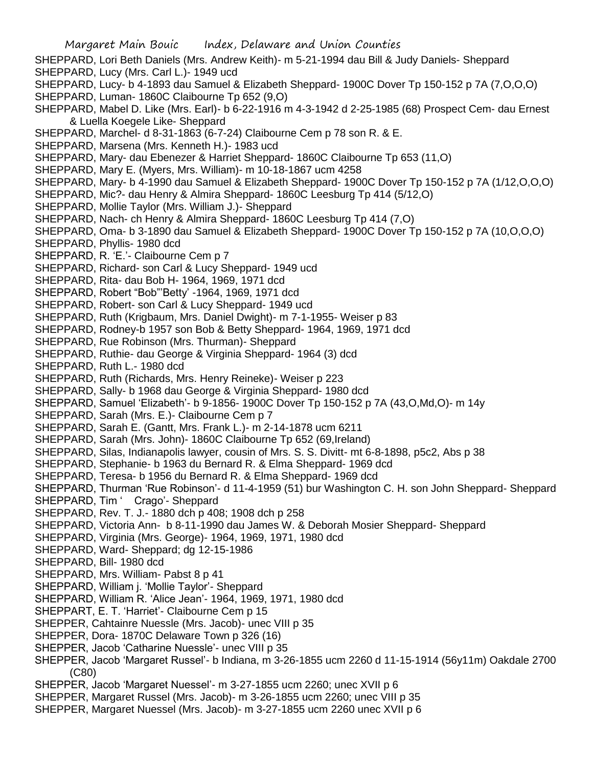Margaret Main Bouic Index, Delaware and Union Counties SHEPPARD, Lori Beth Daniels (Mrs. Andrew Keith)- m 5-21-1994 dau Bill & Judy Daniels- Sheppard SHEPPARD, Lucy (Mrs. Carl L.)- 1949 ucd SHEPPARD, Lucy- b 4-1893 dau Samuel & Elizabeth Sheppard- 1900C Dover Tp 150-152 p 7A (7,O,O,O) SHEPPARD, Luman- 1860C Claibourne Tp 652 (9,O) SHEPPARD, Mabel D. Like (Mrs. Earl)- b 6-22-1916 m 4-3-1942 d 2-25-1985 (68) Prospect Cem- dau Ernest & Luella Koegele Like- Sheppard SHEPPARD, Marchel- d 8-31-1863 (6-7-24) Claibourne Cem p 78 son R. & E. SHEPPARD, Marsena (Mrs. Kenneth H.)- 1983 ucd SHEPPARD, Mary- dau Ebenezer & Harriet Sheppard- 1860C Claibourne Tp 653 (11,O) SHEPPARD, Mary E. (Myers, Mrs. William)- m 10-18-1867 ucm 4258 SHEPPARD, Mary- b 4-1990 dau Samuel & Elizabeth Sheppard- 1900C Dover Tp 150-152 p 7A (1/12,O,O,O) SHEPPARD, Mic?- dau Henry & Almira Sheppard- 1860C Leesburg Tp 414 (5/12,O) SHEPPARD, Mollie Taylor (Mrs. William J.)- Sheppard SHEPPARD, Nach- ch Henry & Almira Sheppard- 1860C Leesburg Tp 414 (7,O) SHEPPARD, Oma- b 3-1890 dau Samuel & Elizabeth Sheppard- 1900C Dover Tp 150-152 p 7A (10,O,O,O) SHEPPARD, Phyllis- 1980 dcd SHEPPARD, R. 'E.'- Claibourne Cem p 7 SHEPPARD, Richard- son Carl & Lucy Sheppard- 1949 ucd SHEPPARD, Rita- dau Bob H- 1964, 1969, 1971 dcd SHEPPARD, Robert "Bob"'Betty' -1964, 1969, 1971 dcd SHEPPARD, Robert- son Carl & Lucy Sheppard- 1949 ucd SHEPPARD, Ruth (Krigbaum, Mrs. Daniel Dwight)- m 7-1-1955- Weiser p 83 SHEPPARD, Rodney-b 1957 son Bob & Betty Sheppard- 1964, 1969, 1971 dcd SHEPPARD, Rue Robinson (Mrs. Thurman)- Sheppard SHEPPARD, Ruthie- dau George & Virginia Sheppard- 1964 (3) dcd SHEPPARD, Ruth L.- 1980 dcd SHEPPARD, Ruth (Richards, Mrs. Henry Reineke)- Weiser p 223 SHEPPARD, Sally- b 1968 dau George & Virginia Sheppard- 1980 dcd SHEPPARD, Samuel 'Elizabeth'- b 9-1856- 1900C Dover Tp 150-152 p 7A (43,O,Md,O)- m 14y SHEPPARD, Sarah (Mrs. E.)- Claibourne Cem p 7 SHEPPARD, Sarah E. (Gantt, Mrs. Frank L.)- m 2-14-1878 ucm 6211 SHEPPARD, Sarah (Mrs. John)- 1860C Claibourne Tp 652 (69,Ireland) SHEPPARD, Silas, Indianapolis lawyer, cousin of Mrs. S. S. Divitt- mt 6-8-1898, p5c2, Abs p 38 SHEPPARD, Stephanie- b 1963 du Bernard R. & Elma Sheppard- 1969 dcd SHEPPARD, Teresa- b 1956 du Bernard R. & Elma Sheppard- 1969 dcd SHEPPARD, Thurman 'Rue Robinson'- d 11-4-1959 (51) bur Washington C. H. son John Sheppard- Sheppard SHEPPARD, Tim ' Crago'- Sheppard SHEPPARD, Rev. T. J.- 1880 dch p 408; 1908 dch p 258 SHEPPARD, Victoria Ann- b 8-11-1990 dau James W. & Deborah Mosier Sheppard- Sheppard SHEPPARD, Virginia (Mrs. George)- 1964, 1969, 1971, 1980 dcd SHEPPARD, Ward- Sheppard; dg 12-15-1986 SHEPPARD, Bill- 1980 dcd SHEPPARD, Mrs. William- Pabst 8 p 41 SHEPPARD, William j. 'Mollie Taylor'- Sheppard SHEPPARD, William R. 'Alice Jean'- 1964, 1969, 1971, 1980 dcd SHEPPART, E. T. 'Harriet'- Claibourne Cem p 15 SHEPPER, Cahtainre Nuessle (Mrs. Jacob)- unec VIII p 35 SHEPPER, Dora- 1870C Delaware Town p 326 (16) SHEPPER, Jacob 'Catharine Nuessle'- unec VIII p 35 SHEPPER, Jacob 'Margaret Russel'- b Indiana, m 3-26-1855 ucm 2260 d 11-15-1914 (56y11m) Oakdale 2700 (C80) SHEPPER, Jacob 'Margaret Nuessel'- m 3-27-1855 ucm 2260; unec XVII p 6 SHEPPER, Margaret Russel (Mrs. Jacob)- m 3-26-1855 ucm 2260; unec VIII p 35 SHEPPER, Margaret Nuessel (Mrs. Jacob)- m 3-27-1855 ucm 2260 unec XVII p 6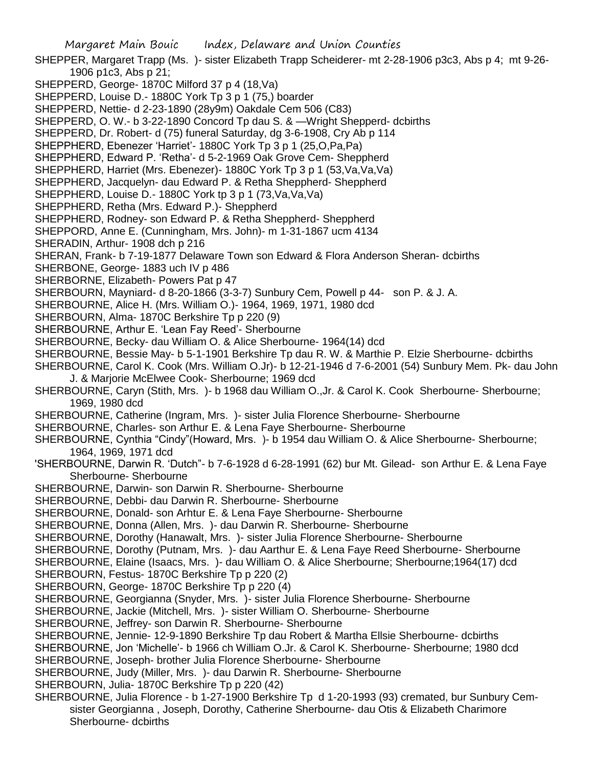Margaret Main Bouic Index, Delaware and Union Counties SHEPPER, Margaret Trapp (Ms. )- sister Elizabeth Trapp Scheiderer- mt 2-28-1906 p3c3, Abs p 4; mt 9-26- 1906 p1c3, Abs p 21; SHEPPERD, George- 1870C Milford 37 p 4 (18,Va) SHEPPERD, Louise D.- 1880C York Tp 3 p 1 (75,) boarder SHEPPERD, Nettie- d 2-23-1890 (28y9m) Oakdale Cem 506 (C83) SHEPPERD, O. W.- b 3-22-1890 Concord Tp dau S. & —Wright Shepperd- dcbirths SHEPPERD, Dr. Robert- d (75) funeral Saturday, dg 3-6-1908, Cry Ab p 114 SHEPPHERD, Ebenezer 'Harriet'- 1880C York Tp 3 p 1 (25,O,Pa,Pa) SHEPPHERD, Edward P. 'Retha'- d 5-2-1969 Oak Grove Cem- Sheppherd SHEPPHERD, Harriet (Mrs. Ebenezer)- 1880C York Tp 3 p 1 (53,Va,Va,Va) SHEPPHERD, Jacquelyn- dau Edward P. & Retha Sheppherd- Sheppherd SHEPPHERD, Louise D.- 1880C York tp 3 p 1 (73,Va,Va,Va) SHEPPHERD, Retha (Mrs. Edward P.)- Sheppherd SHEPPHERD, Rodney- son Edward P. & Retha Sheppherd- Sheppherd SHEPPORD, Anne E. (Cunningham, Mrs. John)- m 1-31-1867 ucm 4134 SHERADIN, Arthur- 1908 dch p 216 SHERAN, Frank- b 7-19-1877 Delaware Town son Edward & Flora Anderson Sheran- dcbirths SHERBONE, George- 1883 uch IV p 486 SHERBORNE, Elizabeth- Powers Pat p 47 SHERBOURN, Mayniard- d 8-20-1866 (3-3-7) Sunbury Cem, Powell p 44- son P. & J. A. SHERBOURNE, Alice H. (Mrs. William O.)- 1964, 1969, 1971, 1980 dcd SHERBOURN, Alma- 1870C Berkshire Tp p 220 (9) SHERBOURNE, Arthur E. 'Lean Fay Reed'- Sherbourne SHERBOURNE, Becky- dau William O. & Alice Sherbourne- 1964(14) dcd SHERBOURNE, Bessie May- b 5-1-1901 Berkshire Tp dau R. W. & Marthie P. Elzie Sherbourne- dcbirths SHERBOURNE, Carol K. Cook (Mrs. William O.Jr)- b 12-21-1946 d 7-6-2001 (54) Sunbury Mem. Pk- dau John J. & Marjorie McElwee Cook- Sherbourne; 1969 dcd SHERBOURNE, Caryn (Stith, Mrs. )- b 1968 dau William O.,Jr. & Carol K. Cook Sherbourne- Sherbourne; 1969, 1980 dcd SHERBOURNE, Catherine (Ingram, Mrs. )- sister Julia Florence Sherbourne- Sherbourne SHERBOURNE, Charles- son Arthur E. & Lena Faye Sherbourne- Sherbourne SHERBOURNE, Cynthia "Cindy"(Howard, Mrs. )- b 1954 dau William O. & Alice Sherbourne- Sherbourne; 1964, 1969, 1971 dcd 'SHERBOURNE, Darwin R. 'Dutch"- b 7-6-1928 d 6-28-1991 (62) bur Mt. Gilead- son Arthur E. & Lena Faye Sherbourne- Sherbourne SHERBOURNE, Darwin- son Darwin R. Sherbourne- Sherbourne SHERBOURNE, Debbi- dau Darwin R. Sherbourne- Sherbourne SHERBOURNE, Donald- son Arhtur E. & Lena Faye Sherbourne- Sherbourne SHERBOURNE, Donna (Allen, Mrs. )- dau Darwin R. Sherbourne- Sherbourne SHERBOURNE, Dorothy (Hanawalt, Mrs. )- sister Julia Florence Sherbourne- Sherbourne SHERBOURNE, Dorothy (Putnam, Mrs. )- dau Aarthur E. & Lena Faye Reed Sherbourne- Sherbourne SHERBOURNE, Elaine (Isaacs, Mrs. )- dau William O. & Alice Sherbourne; Sherbourne;1964(17) dcd SHERBOURN, Festus- 1870C Berkshire Tp p 220 (2) SHERBOURN, George- 1870C Berkshire Tp p 220 (4) SHERBOURNE, Georgianna (Snyder, Mrs. )- sister Julia Florence Sherbourne- Sherbourne SHERBOURNE, Jackie (Mitchell, Mrs. )- sister William O. Sherbourne- Sherbourne SHERBOURNE, Jeffrey- son Darwin R. Sherbourne- Sherbourne SHERBOURNE, Jennie- 12-9-1890 Berkshire Tp dau Robert & Martha Ellsie Sherbourne- dcbirths SHERBOURNE, Jon 'Michelle'- b 1966 ch William O.Jr. & Carol K. Sherbourne- Sherbourne; 1980 dcd SHERBOURNE, Joseph- brother Julia Florence Sherbourne- Sherbourne SHERBOURNE, Judy (Miller, Mrs. )- dau Darwin R. Sherbourne- Sherbourne SHERBOURN, Julia- 1870C Berkshire Tp p 220 (42) SHERBOURNE, Julia Florence - b 1-27-1900 Berkshire Tp d 1-20-1993 (93) cremated, bur Sunbury Cemsister Georgianna , Joseph, Dorothy, Catherine Sherbourne- dau Otis & Elizabeth Charimore Sherbourne- dcbirths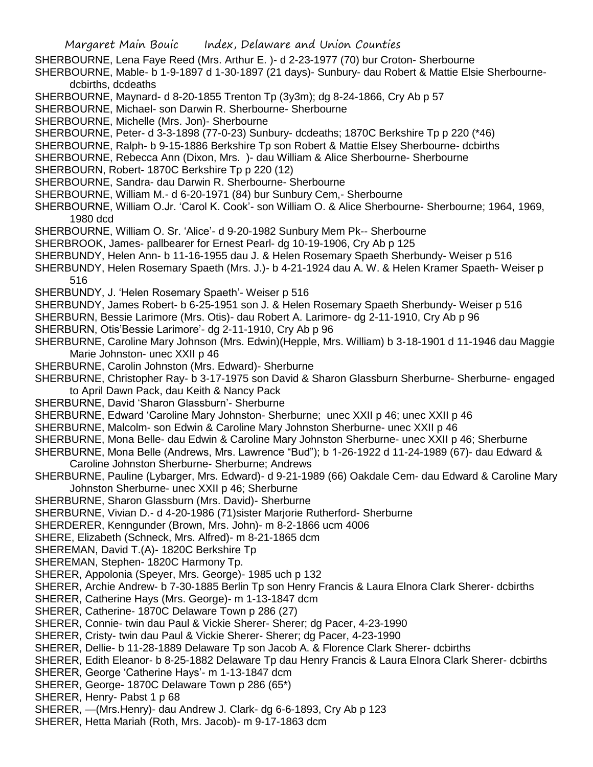- SHERBOURNE, Lena Faye Reed (Mrs. Arthur E. )- d 2-23-1977 (70) bur Croton- Sherbourne
- SHERBOURNE, Mable- b 1-9-1897 d 1-30-1897 (21 days)- Sunbury- dau Robert & Mattie Elsie Sherbournedcbirths, dcdeaths
- SHERBOURNE, Maynard- d 8-20-1855 Trenton Tp (3y3m); dg 8-24-1866, Cry Ab p 57
- SHERBOURNE, Michael- son Darwin R. Sherbourne- Sherbourne
- SHERBOURNE, Michelle (Mrs. Jon)- Sherbourne
- SHERBOURNE, Peter- d 3-3-1898 (77-0-23) Sunbury- dcdeaths; 1870C Berkshire Tp p 220 (\*46)
- SHERBOURNE, Ralph- b 9-15-1886 Berkshire Tp son Robert & Mattie Elsey Sherbourne- dcbirths
- SHERBOURNE, Rebecca Ann (Dixon, Mrs. )- dau William & Alice Sherbourne- Sherbourne
- SHERBOURN, Robert- 1870C Berkshire Tp p 220 (12)
- SHERBOURNE, Sandra- dau Darwin R. Sherbourne- Sherbourne
- SHERBOURNE, William M.- d 6-20-1971 (84) bur Sunbury Cem,- Sherbourne
- SHERBOURNE, William O.Jr. 'Carol K. Cook'- son William O. & Alice Sherbourne- Sherbourne; 1964, 1969, 1980 dcd
- SHERBOURNE, William O. Sr. 'Alice'- d 9-20-1982 Sunbury Mem Pk-- Sherbourne
- SHERBROOK, James- pallbearer for Ernest Pearl- dg 10-19-1906, Cry Ab p 125
- SHERBUNDY, Helen Ann- b 11-16-1955 dau J. & Helen Rosemary Spaeth Sherbundy- Weiser p 516
- SHERBUNDY, Helen Rosemary Spaeth (Mrs. J.)- b 4-21-1924 dau A. W. & Helen Kramer Spaeth- Weiser p 516
- SHERBUNDY, J. 'Helen Rosemary Spaeth'- Weiser p 516
- SHERBUNDY, James Robert- b 6-25-1951 son J. & Helen Rosemary Spaeth Sherbundy- Weiser p 516
- SHERBURN, Bessie Larimore (Mrs. Otis)- dau Robert A. Larimore- dg 2-11-1910, Cry Ab p 96
- SHERBURN, Otis'Bessie Larimore'- dg 2-11-1910, Cry Ab p 96
- SHERBURNE, Caroline Mary Johnson (Mrs. Edwin)(Hepple, Mrs. William) b 3-18-1901 d 11-1946 dau Maggie Marie Johnston- unec XXII p 46
- SHERBURNE, Carolin Johnston (Mrs. Edward)- Sherburne
- SHERBURNE, Christopher Ray- b 3-17-1975 son David & Sharon Glassburn Sherburne- Sherburne- engaged to April Dawn Pack, dau Keith & Nancy Pack
- SHERBURNE, David 'Sharon Glassburn'- Sherburne
- SHERBURNE, Edward 'Caroline Mary Johnston- Sherburne; unec XXII p 46; unec XXII p 46
- SHERBURNE, Malcolm- son Edwin & Caroline Mary Johnston Sherburne- unec XXII p 46
- SHERBURNE, Mona Belle- dau Edwin & Caroline Mary Johnston Sherburne- unec XXII p 46; Sherburne
- SHERBURNE, Mona Belle (Andrews, Mrs. Lawrence "Bud"); b 1-26-1922 d 11-24-1989 (67)- dau Edward & Caroline Johnston Sherburne- Sherburne; Andrews
- SHERBURNE, Pauline (Lybarger, Mrs. Edward)- d 9-21-1989 (66) Oakdale Cem- dau Edward & Caroline Mary Johnston Sherburne- unec XXII p 46; Sherburne
- SHERBURNE, Sharon Glassburn (Mrs. David)- Sherburne
- SHERBURNE, Vivian D.- d 4-20-1986 (71)sister Marjorie Rutherford- Sherburne
- SHERDERER, Kenngunder (Brown, Mrs. John)- m 8-2-1866 ucm 4006
- SHERE, Elizabeth (Schneck, Mrs. Alfred)- m 8-21-1865 dcm
- SHEREMAN, David T.(A)- 1820C Berkshire Tp
- SHEREMAN, Stephen- 1820C Harmony Tp.
- SHERER, Appolonia (Speyer, Mrs. George)- 1985 uch p 132
- SHERER, Archie Andrew- b 7-30-1885 Berlin Tp son Henry Francis & Laura Elnora Clark Sherer- dcbirths
- SHERER, Catherine Hays (Mrs. George)- m 1-13-1847 dcm
- SHERER, Catherine- 1870C Delaware Town p 286 (27)
- SHERER, Connie- twin dau Paul & Vickie Sherer- Sherer; dg Pacer, 4-23-1990
- SHERER, Cristy- twin dau Paul & Vickie Sherer- Sherer; dg Pacer, 4-23-1990
- SHERER, Dellie- b 11-28-1889 Delaware Tp son Jacob A. & Florence Clark Sherer- dcbirths
- SHERER, Edith Eleanor- b 8-25-1882 Delaware Tp dau Henry Francis & Laura Elnora Clark Sherer- dcbirths
- SHERER, George 'Catherine Hays'- m 1-13-1847 dcm
- SHERER, George- 1870C Delaware Town p 286 (65\*)
- SHERER, Henry- Pabst 1 p 68
- SHERER, —(Mrs.Henry)- dau Andrew J. Clark- dg 6-6-1893, Cry Ab p 123
- SHERER, Hetta Mariah (Roth, Mrs. Jacob)- m 9-17-1863 dcm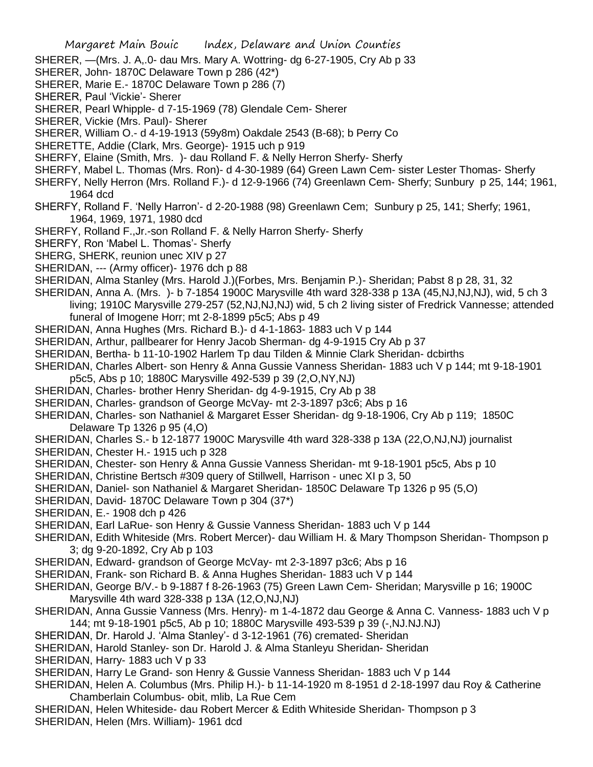SHERER, —(Mrs. J. A,.0- dau Mrs. Mary A. Wottring- dg 6-27-1905, Cry Ab p 33

- SHERER, John- 1870C Delaware Town p 286 (42\*)
- SHERER, Marie E.- 1870C Delaware Town p 286 (7)
- SHERER, Paul 'Vickie'- Sherer
- SHERER, Pearl Whipple- d 7-15-1969 (78) Glendale Cem- Sherer
- SHERER, Vickie (Mrs. Paul)- Sherer
- SHERER, William O.- d 4-19-1913 (59y8m) Oakdale 2543 (B-68); b Perry Co
- SHERETTE, Addie (Clark, Mrs. George)- 1915 uch p 919
- SHERFY, Elaine (Smith, Mrs. )- dau Rolland F. & Nelly Herron Sherfy- Sherfy
- SHERFY, Mabel L. Thomas (Mrs. Ron)- d 4-30-1989 (64) Green Lawn Cem- sister Lester Thomas- Sherfy
- SHERFY, Nelly Herron (Mrs. Rolland F.)- d 12-9-1966 (74) Greenlawn Cem- Sherfy; Sunbury p 25, 144; 1961, 1964 dcd
- SHERFY, Rolland F. 'Nelly Harron'- d 2-20-1988 (98) Greenlawn Cem; Sunbury p 25, 141; Sherfy; 1961, 1964, 1969, 1971, 1980 dcd
- SHERFY, Rolland F.,Jr.-son Rolland F. & Nelly Harron Sherfy- Sherfy
- SHERFY, Ron 'Mabel L. Thomas'- Sherfy
- SHERG, SHERK, reunion unec XIV p 27
- SHERIDAN, --- (Army officer)- 1976 dch p 88
- SHERIDAN, Alma Stanley (Mrs. Harold J.)(Forbes, Mrs. Benjamin P.)- Sheridan; Pabst 8 p 28, 31, 32
- SHERIDAN, Anna A. (Mrs. )- b 7-1854 1900C Marysville 4th ward 328-338 p 13A (45,NJ,NJ,NJ), wid, 5 ch 3 living; 1910C Marysville 279-257 (52,NJ,NJ,NJ) wid, 5 ch 2 living sister of Fredrick Vannesse; attended funeral of Imogene Horr; mt 2-8-1899 p5c5; Abs p 49
- SHERIDAN, Anna Hughes (Mrs. Richard B.)- d 4-1-1863- 1883 uch V p 144
- SHERIDAN, Arthur, pallbearer for Henry Jacob Sherman- dg 4-9-1915 Cry Ab p 37
- SHERIDAN, Bertha- b 11-10-1902 Harlem Tp dau Tilden & Minnie Clark Sheridan- dcbirths
- SHERIDAN, Charles Albert- son Henry & Anna Gussie Vanness Sheridan- 1883 uch V p 144; mt 9-18-1901
- p5c5, Abs p 10; 1880C Marysville 492-539 p 39 (2,O,NY,NJ)
- SHERIDAN, Charles- brother Henry Sheridan- dg 4-9-1915, Cry Ab p 38
- SHERIDAN, Charles- grandson of George McVay- mt 2-3-1897 p3c6; Abs p 16
- SHERIDAN, Charles- son Nathaniel & Margaret Esser Sheridan- dg 9-18-1906, Cry Ab p 119; 1850C Delaware Tp 1326 p 95 (4,O)
- SHERIDAN, Charles S.- b 12-1877 1900C Marysville 4th ward 328-338 p 13A (22,O,NJ,NJ) journalist
- SHERIDAN, Chester H.- 1915 uch p 328
- SHERIDAN, Chester- son Henry & Anna Gussie Vanness Sheridan- mt 9-18-1901 p5c5, Abs p 10
- SHERIDAN, Christine Bertsch #309 query of Stillwell, Harrison unec XI p 3, 50
- SHERIDAN, Daniel- son Nathaniel & Margaret Sheridan- 1850C Delaware Tp 1326 p 95 (5,O)
- SHERIDAN, David- 1870C Delaware Town p 304 (37\*)
- SHERIDAN, E.- 1908 dch p 426
- SHERIDAN, Earl LaRue- son Henry & Gussie Vanness Sheridan- 1883 uch V p 144
- SHERIDAN, Edith Whiteside (Mrs. Robert Mercer)- dau William H. & Mary Thompson Sheridan- Thompson p 3; dg 9-20-1892, Cry Ab p 103
- SHERIDAN, Edward- grandson of George McVay- mt 2-3-1897 p3c6; Abs p 16
- SHERIDAN, Frank- son Richard B. & Anna Hughes Sheridan- 1883 uch V p 144
- SHERIDAN, George B/V.- b 9-1887 f 8-26-1963 (75) Green Lawn Cem- Sheridan; Marysville p 16; 1900C Marysville 4th ward 328-338 p 13A (12,O,NJ,NJ)
- SHERIDAN, Anna Gussie Vanness (Mrs. Henry)- m 1-4-1872 dau George & Anna C. Vanness- 1883 uch V p 144; mt 9-18-1901 p5c5, Ab p 10; 1880C Marysville 493-539 p 39 (-,NJ.NJ.NJ)
- SHERIDAN, Dr. Harold J. 'Alma Stanley'- d 3-12-1961 (76) cremated- Sheridan
- SHERIDAN, Harold Stanley- son Dr. Harold J. & Alma Stanleyu Sheridan- Sheridan
- SHERIDAN, Harry- 1883 uch V p 33
- SHERIDAN, Harry Le Grand- son Henry & Gussie Vanness Sheridan- 1883 uch V p 144
- SHERIDAN, Helen A. Columbus (Mrs. Philip H.)- b 11-14-1920 m 8-1951 d 2-18-1997 dau Roy & Catherine Chamberlain Columbus- obit, mlib, La Rue Cem
- SHERIDAN, Helen Whiteside- dau Robert Mercer & Edith Whiteside Sheridan- Thompson p 3 SHERIDAN, Helen (Mrs. William)- 1961 dcd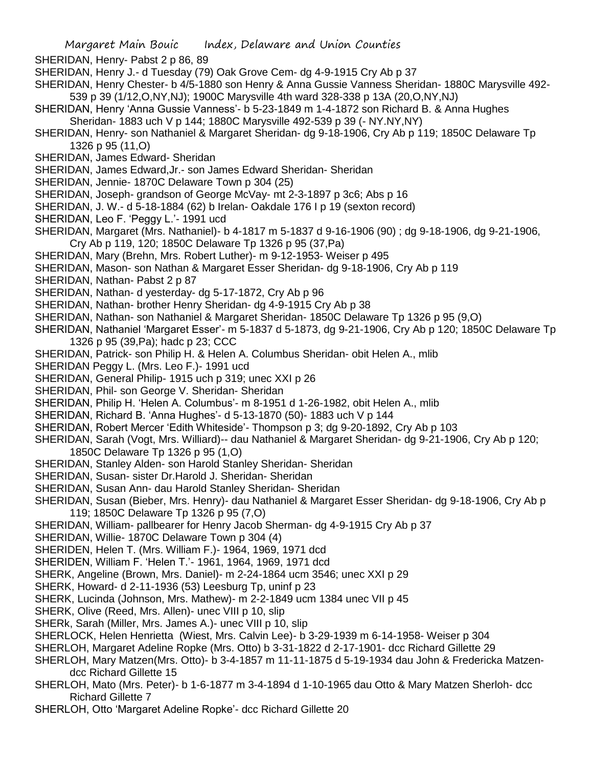SHERIDAN, Henry- Pabst 2 p 86, 89

- SHERIDAN, Henry J.- d Tuesday (79) Oak Grove Cem- dg 4-9-1915 Cry Ab p 37
- SHERIDAN, Henry Chester- b 4/5-1880 son Henry & Anna Gussie Vanness Sheridan- 1880C Marysville 492- 539 p 39 (1/12,O,NY,NJ); 1900C Marysville 4th ward 328-338 p 13A (20,O,NY,NJ)
- SHERIDAN, Henry 'Anna Gussie Vanness'- b 5-23-1849 m 1-4-1872 son Richard B. & Anna Hughes Sheridan- 1883 uch V p 144; 1880C Marysville 492-539 p 39 (- NY.NY,NY)
- SHERIDAN, Henry- son Nathaniel & Margaret Sheridan- dg 9-18-1906, Cry Ab p 119; 1850C Delaware Tp 1326 p 95 (11,O)
- SHERIDAN, James Edward- Sheridan
- SHERIDAN, James Edward,Jr.- son James Edward Sheridan- Sheridan
- SHERIDAN, Jennie- 1870C Delaware Town p 304 (25)
- SHERIDAN, Joseph- grandson of George McVay- mt 2-3-1897 p 3c6; Abs p 16
- SHERIDAN, J. W.- d 5-18-1884 (62) b Irelan- Oakdale 176 I p 19 (sexton record)
- SHERIDAN, Leo F. 'Peggy L.'- 1991 ucd
- SHERIDAN, Margaret (Mrs. Nathaniel)- b 4-1817 m 5-1837 d 9-16-1906 (90) ; dg 9-18-1906, dg 9-21-1906, Cry Ab p 119, 120; 1850C Delaware Tp 1326 p 95 (37,Pa)
- SHERIDAN, Mary (Brehn, Mrs. Robert Luther)- m 9-12-1953- Weiser p 495
- SHERIDAN, Mason- son Nathan & Margaret Esser Sheridan- dg 9-18-1906, Cry Ab p 119
- SHERIDAN, Nathan- Pabst 2 p 87
- SHERIDAN, Nathan- d yesterday- dg 5-17-1872, Cry Ab p 96
- SHERIDAN, Nathan- brother Henry Sheridan- dg 4-9-1915 Cry Ab p 38
- SHERIDAN, Nathan- son Nathaniel & Margaret Sheridan- 1850C Delaware Tp 1326 p 95 (9,O)
- SHERIDAN, Nathaniel 'Margaret Esser'- m 5-1837 d 5-1873, dg 9-21-1906, Cry Ab p 120; 1850C Delaware Tp 1326 p 95 (39,Pa); hadc p 23; CCC
- SHERIDAN, Patrick- son Philip H. & Helen A. Columbus Sheridan- obit Helen A., mlib
- SHERIDAN Peggy L. (Mrs. Leo F.)- 1991 ucd
- SHERIDAN, General Philip- 1915 uch p 319; unec XXI p 26
- SHERIDAN, Phil- son George V. Sheridan- Sheridan
- SHERIDAN, Philip H. 'Helen A. Columbus'- m 8-1951 d 1-26-1982, obit Helen A., mlib
- SHERIDAN, Richard B. 'Anna Hughes'- d 5-13-1870 (50)- 1883 uch V p 144
- SHERIDAN, Robert Mercer 'Edith Whiteside'- Thompson p 3; dg 9-20-1892, Cry Ab p 103
- SHERIDAN, Sarah (Vogt, Mrs. Williard)-- dau Nathaniel & Margaret Sheridan- dg 9-21-1906, Cry Ab p 120; 1850C Delaware Tp 1326 p 95 (1,O)
- SHERIDAN, Stanley Alden- son Harold Stanley Sheridan- Sheridan
- SHERIDAN, Susan- sister Dr.Harold J. Sheridan- Sheridan
- SHERIDAN, Susan Ann- dau Harold Stanley Sheridan- Sheridan
- SHERIDAN, Susan (Bieber, Mrs. Henry)- dau Nathaniel & Margaret Esser Sheridan- dg 9-18-1906, Cry Ab p 119; 1850C Delaware Tp 1326 p 95 (7,O)
- SHERIDAN, William- pallbearer for Henry Jacob Sherman- dg 4-9-1915 Cry Ab p 37
- SHERIDAN, Willie- 1870C Delaware Town p 304 (4)
- SHERIDEN, Helen T. (Mrs. William F.)- 1964, 1969, 1971 dcd
- SHERIDEN, William F. 'Helen T.'- 1961, 1964, 1969, 1971 dcd
- SHERK, Angeline (Brown, Mrs. Daniel)- m 2-24-1864 ucm 3546; unec XXI p 29
- SHERK, Howard- d 2-11-1936 (53) Leesburg Tp, uninf p 23
- SHERK, Lucinda (Johnson, Mrs. Mathew)- m 2-2-1849 ucm 1384 unec VII p 45
- SHERK, Olive (Reed, Mrs. Allen)- unec VIII p 10, slip
- SHERk, Sarah (Miller, Mrs. James A.)- unec VIII p 10, slip
- SHERLOCK, Helen Henrietta (Wiest, Mrs. Calvin Lee)- b 3-29-1939 m 6-14-1958- Weiser p 304
- SHERLOH, Margaret Adeline Ropke (Mrs. Otto) b 3-31-1822 d 2-17-1901- dcc Richard Gillette 29
- SHERLOH, Mary Matzen(Mrs. Otto)- b 3-4-1857 m 11-11-1875 d 5-19-1934 dau John & Fredericka Matzendcc Richard Gillette 15
- SHERLOH, Mato (Mrs. Peter)- b 1-6-1877 m 3-4-1894 d 1-10-1965 dau Otto & Mary Matzen Sherloh- dcc Richard Gillette 7
- SHERLOH, Otto 'Margaret Adeline Ropke'- dcc Richard Gillette 20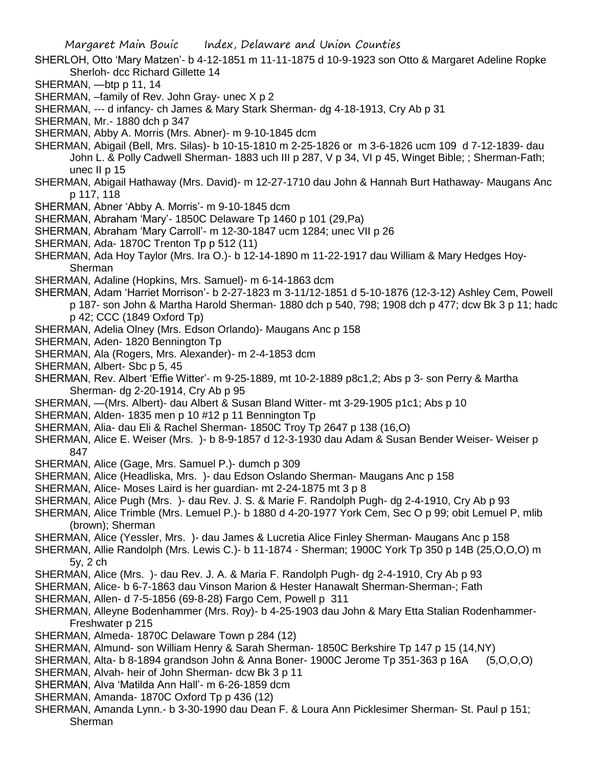- SHERLOH, Otto 'Mary Matzen'- b 4-12-1851 m 11-11-1875 d 10-9-1923 son Otto & Margaret Adeline Ropke Sherloh- dcc Richard Gillette 14
- SHERMAN, —btp p 11, 14
- SHERMAN, –family of Rev. John Gray- unec X p 2
- SHERMAN, --- d infancy- ch James & Mary Stark Sherman- dg 4-18-1913, Cry Ab p 31
- SHERMAN, Mr.- 1880 dch p 347
- SHERMAN, Abby A. Morris (Mrs. Abner)- m 9-10-1845 dcm
- SHERMAN, Abigail (Bell, Mrs. Silas)- b 10-15-1810 m 2-25-1826 or m 3-6-1826 ucm 109 d 7-12-1839- dau John L. & Polly Cadwell Sherman- 1883 uch III p 287, V p 34, VI p 45, Winget Bible; ; Sherman-Fath; unec II p 15
- SHERMAN, Abigail Hathaway (Mrs. David)- m 12-27-1710 dau John & Hannah Burt Hathaway- Maugans Anc p 117, 118
- SHERMAN, Abner 'Abby A. Morris'- m 9-10-1845 dcm
- SHERMAN, Abraham 'Mary'- 1850C Delaware Tp 1460 p 101 (29,Pa)
- SHERMAN, Abraham 'Mary Carroll'- m 12-30-1847 ucm 1284; unec VII p 26
- SHERMAN, Ada- 1870C Trenton Tp p 512 (11)
- SHERMAN, Ada Hoy Taylor (Mrs. Ira O.)- b 12-14-1890 m 11-22-1917 dau William & Mary Hedges Hoy-Sherman
- SHERMAN, Adaline (Hopkins, Mrs. Samuel)- m 6-14-1863 dcm
- SHERMAN, Adam 'Harriet Morrison'- b 2-27-1823 m 3-11/12-1851 d 5-10-1876 (12-3-12) Ashley Cem, Powell p 187- son John & Martha Harold Sherman- 1880 dch p 540, 798; 1908 dch p 477; dcw Bk 3 p 11; hadc p 42; CCC (1849 Oxford Tp)
- SHERMAN, Adelia Olney (Mrs. Edson Orlando)- Maugans Anc p 158
- SHERMAN, Aden- 1820 Bennington Tp
- SHERMAN, Ala (Rogers, Mrs. Alexander)- m 2-4-1853 dcm
- SHERMAN, Albert- Sbc p 5, 45
- SHERMAN, Rev. Albert 'Effie Witter'- m 9-25-1889, mt 10-2-1889 p8c1,2; Abs p 3- son Perry & Martha Sherman- dg 2-20-1914, Cry Ab p 95
- SHERMAN, —(Mrs. Albert)- dau Albert & Susan Bland Witter- mt 3-29-1905 p1c1; Abs p 10
- SHERMAN, Alden- 1835 men p 10 #12 p 11 Bennington Tp
- SHERMAN, Alia- dau Eli & Rachel Sherman- 1850C Troy Tp 2647 p 138 (16,O)
- SHERMAN, Alice E. Weiser (Mrs. )- b 8-9-1857 d 12-3-1930 dau Adam & Susan Bender Weiser- Weiser p 847
- SHERMAN, Alice (Gage, Mrs. Samuel P.)- dumch p 309
- SHERMAN, Alice (Headliska, Mrs. )- dau Edson Oslando Sherman- Maugans Anc p 158
- SHERMAN, Alice- Moses Laird is her guardian- mt 2-24-1875 mt 3 p 8
- SHERMAN, Alice Pugh (Mrs. )- dau Rev. J. S. & Marie F. Randolph Pugh- dg 2-4-1910, Cry Ab p 93
- SHERMAN, Alice Trimble (Mrs. Lemuel P.)- b 1880 d 4-20-1977 York Cem, Sec O p 99; obit Lemuel P, mlib (brown); Sherman
- SHERMAN, Alice (Yessler, Mrs. )- dau James & Lucretia Alice Finley Sherman- Maugans Anc p 158
- SHERMAN, Allie Randolph (Mrs. Lewis C.)- b 11-1874 Sherman; 1900C York Tp 350 p 14B (25,O,O,O) m 5y, 2 ch
- SHERMAN, Alice (Mrs. )- dau Rev. J. A. & Maria F. Randolph Pugh- dg 2-4-1910, Cry Ab p 93
- SHERMAN, Alice- b 6-7-1863 dau Vinson Marion & Hester Hanawalt Sherman-Sherman-; Fath
- SHERMAN, Allen- d 7-5-1856 (69-8-28) Fargo Cem, Powell p 311
- SHERMAN, Alleyne Bodenhammer (Mrs. Roy)- b 4-25-1903 dau John & Mary Etta Stalian Rodenhammer-Freshwater p 215
- SHERMAN, Almeda- 1870C Delaware Town p 284 (12)
- SHERMAN, Almund- son William Henry & Sarah Sherman- 1850C Berkshire Tp 147 p 15 (14,NY)
- SHERMAN, Alta- b 8-1894 grandson John & Anna Boner- 1900C Jerome Tp 351-363 p 16A (5,O,O,O)
- SHERMAN, Alvah- heir of John Sherman- dcw Bk 3 p 11
- SHERMAN, Alva 'Matilda Ann Hall'- m 6-26-1859 dcm
- SHERMAN, Amanda- 1870C Oxford Tp p 436 (12)
- SHERMAN, Amanda Lynn.- b 3-30-1990 dau Dean F. & Loura Ann Picklesimer Sherman- St. Paul p 151; Sherman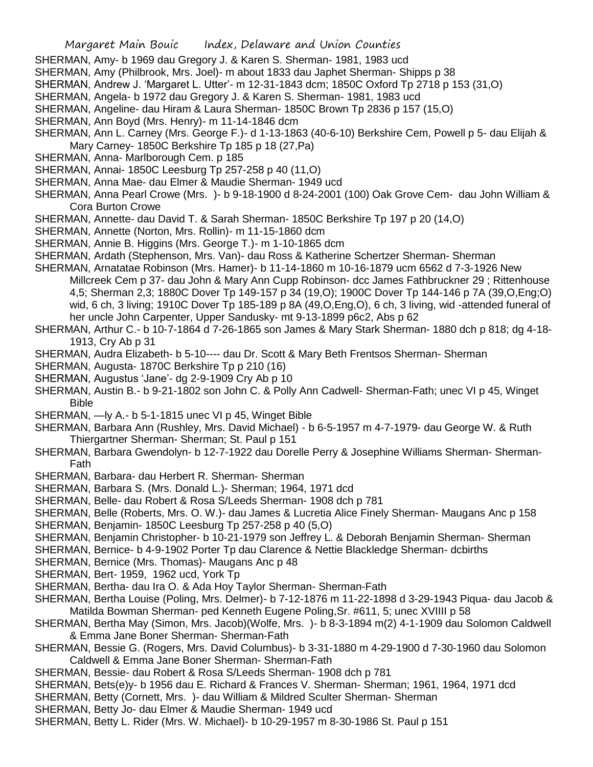- SHERMAN, Amy- b 1969 dau Gregory J. & Karen S. Sherman- 1981, 1983 ucd
- SHERMAN, Amy (Philbrook, Mrs. Joel)- m about 1833 dau Japhet Sherman- Shipps p 38
- SHERMAN, Andrew J. 'Margaret L. Utter'- m 12-31-1843 dcm; 1850C Oxford Tp 2718 p 153 (31,O)
- SHERMAN, Angela- b 1972 dau Gregory J. & Karen S. Sherman- 1981, 1983 ucd
- SHERMAN, Angeline- dau Hiram & Laura Sherman- 1850C Brown Tp 2836 p 157 (15,O)
- SHERMAN, Ann Boyd (Mrs. Henry)- m 11-14-1846 dcm
- SHERMAN, Ann L. Carney (Mrs. George F.)- d 1-13-1863 (40-6-10) Berkshire Cem, Powell p 5- dau Elijah & Mary Carney- 1850C Berkshire Tp 185 p 18 (27,Pa)
- SHERMAN, Anna- Marlborough Cem. p 185
- SHERMAN, Annai- 1850C Leesburg Tp 257-258 p 40 (11,O)
- SHERMAN, Anna Mae- dau Elmer & Maudie Sherman- 1949 ucd
- SHERMAN, Anna Pearl Crowe (Mrs. )- b 9-18-1900 d 8-24-2001 (100) Oak Grove Cem- dau John William & Cora Burton Crowe
- SHERMAN, Annette- dau David T. & Sarah Sherman- 1850C Berkshire Tp 197 p 20 (14,O)
- SHERMAN, Annette (Norton, Mrs. Rollin)- m 11-15-1860 dcm
- SHERMAN, Annie B. Higgins (Mrs. George T.)- m 1-10-1865 dcm
- SHERMAN, Ardath (Stephenson, Mrs. Van)- dau Ross & Katherine Schertzer Sherman- Sherman
- SHERMAN, Arnatatae Robinson (Mrs. Hamer)- b 11-14-1860 m 10-16-1879 ucm 6562 d 7-3-1926 New Millcreek Cem p 37- dau John & Mary Ann Cupp Robinson- dcc James Fathbruckner 29 ; Rittenhouse 4,5; Sherman 2,3; 1880C Dover Tp 149-157 p 34 (19,O); 1900C Dover Tp 144-146 p 7A (39,O,Eng;O) wid, 6 ch, 3 living; 1910C Dover Tp 185-189 p 8A (49, O, Eng, O), 6 ch, 3 living, wid -attended funeral of her uncle John Carpenter, Upper Sandusky- mt 9-13-1899 p6c2, Abs p 62
- SHERMAN, Arthur C.- b 10-7-1864 d 7-26-1865 son James & Mary Stark Sherman- 1880 dch p 818; dg 4-18- 1913, Cry Ab p 31
- SHERMAN, Audra Elizabeth- b 5-10---- dau Dr. Scott & Mary Beth Frentsos Sherman- Sherman
- SHERMAN, Augusta- 1870C Berkshire Tp p 210 (16)
- SHERMAN, Augustus 'Jane'- dg 2-9-1909 Cry Ab p 10
- SHERMAN, Austin B.- b 9-21-1802 son John C. & Polly Ann Cadwell- Sherman-Fath; unec VI p 45, Winget Bible
- SHERMAN, —ly A.- b 5-1-1815 unec VI p 45, Winget Bible
- SHERMAN, Barbara Ann (Rushley, Mrs. David Michael) b 6-5-1957 m 4-7-1979- dau George W. & Ruth Thiergartner Sherman- Sherman; St. Paul p 151
- SHERMAN, Barbara Gwendolyn- b 12-7-1922 dau Dorelle Perry & Josephine Williams Sherman- Sherman-Fath
- SHERMAN, Barbara- dau Herbert R. Sherman- Sherman
- SHERMAN, Barbara S. (Mrs. Donald L.)- Sherman; 1964, 1971 dcd
- SHERMAN, Belle- dau Robert & Rosa S/Leeds Sherman- 1908 dch p 781
- SHERMAN, Belle (Roberts, Mrs. O. W.)- dau James & Lucretia Alice Finely Sherman- Maugans Anc p 158
- SHERMAN, Benjamin- 1850C Leesburg Tp 257-258 p 40 (5,O)
- SHERMAN, Benjamin Christopher- b 10-21-1979 son Jeffrey L. & Deborah Benjamin Sherman- Sherman
- SHERMAN, Bernice- b 4-9-1902 Porter Tp dau Clarence & Nettie Blackledge Sherman- dcbirths
- SHERMAN, Bernice (Mrs. Thomas)- Maugans Anc p 48
- SHERMAN, Bert- 1959, 1962 ucd, York Tp
- SHERMAN, Bertha- dau Ira O. & Ada Hoy Taylor Sherman- Sherman-Fath
- SHERMAN, Bertha Louise (Poling, Mrs. Delmer)- b 7-12-1876 m 11-22-1898 d 3-29-1943 Piqua- dau Jacob & Matilda Bowman Sherman- ped Kenneth Eugene Poling,Sr. #611, 5; unec XVIIII p 58
- SHERMAN, Bertha May (Simon, Mrs. Jacob)(Wolfe, Mrs. )- b 8-3-1894 m(2) 4-1-1909 dau Solomon Caldwell & Emma Jane Boner Sherman- Sherman-Fath
- SHERMAN, Bessie G. (Rogers, Mrs. David Columbus)- b 3-31-1880 m 4-29-1900 d 7-30-1960 dau Solomon Caldwell & Emma Jane Boner Sherman- Sherman-Fath
- SHERMAN, Bessie- dau Robert & Rosa S/Leeds Sherman- 1908 dch p 781
- SHERMAN, Bets(e)y- b 1956 dau E. Richard & Frances V. Sherman- Sherman; 1961, 1964, 1971 dcd
- SHERMAN, Betty (Cornett, Mrs. )- dau William & Mildred Sculter Sherman- Sherman
- SHERMAN, Betty Jo- dau Elmer & Maudie Sherman- 1949 ucd
- SHERMAN, Betty L. Rider (Mrs. W. Michael)- b 10-29-1957 m 8-30-1986 St. Paul p 151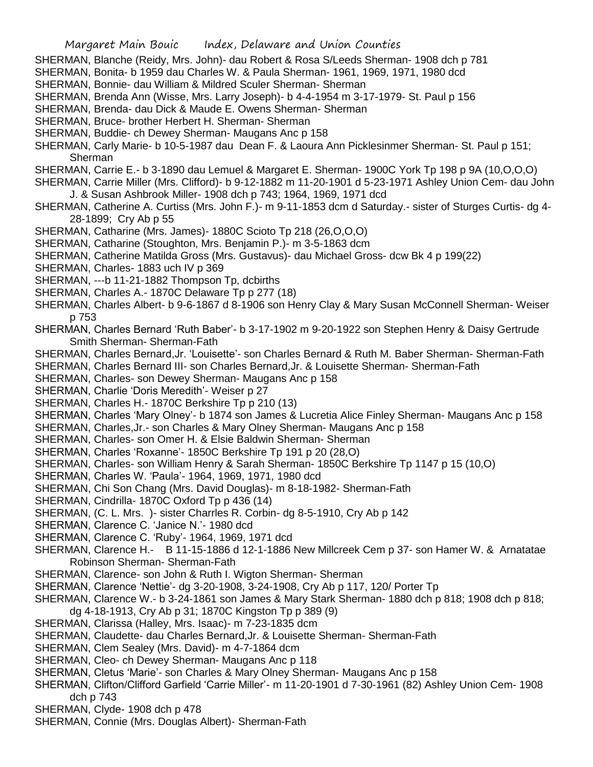SHERMAN, Blanche (Reidy, Mrs. John)- dau Robert & Rosa S/Leeds Sherman- 1908 dch p 781

- SHERMAN, Bonita- b 1959 dau Charles W. & Paula Sherman- 1961, 1969, 1971, 1980 dcd
- SHERMAN, Bonnie- dau William & Mildred Sculer Sherman- Sherman
- SHERMAN, Brenda Ann (Wisse, Mrs. Larry Joseph)- b 4-4-1954 m 3-17-1979- St. Paul p 156
- SHERMAN, Brenda- dau Dick & Maude E. Owens Sherman- Sherman
- SHERMAN, Bruce- brother Herbert H. Sherman- Sherman
- SHERMAN, Buddie- ch Dewey Sherman- Maugans Anc p 158

SHERMAN, Carly Marie- b 10-5-1987 dau Dean F. & Laoura Ann Picklesinmer Sherman- St. Paul p 151; Sherman

- SHERMAN, Carrie E.- b 3-1890 dau Lemuel & Margaret E. Sherman- 1900C York Tp 198 p 9A (10,O,O,O)
- SHERMAN, Carrie Miller (Mrs. Clifford)- b 9-12-1882 m 11-20-1901 d 5-23-1971 Ashley Union Cem- dau John J. & Susan Ashbrook Miller- 1908 dch p 743; 1964, 1969, 1971 dcd
- SHERMAN, Catherine A. Curtiss (Mrs. John F.)- m 9-11-1853 dcm d Saturday.- sister of Sturges Curtis- dg 4- 28-1899; Cry Ab p 55
- SHERMAN, Catharine (Mrs. James)- 1880C Scioto Tp 218 (26,O,O,O)
- SHERMAN, Catharine (Stoughton, Mrs. Benjamin P.)- m 3-5-1863 dcm
- SHERMAN, Catherine Matilda Gross (Mrs. Gustavus)- dau Michael Gross- dcw Bk 4 p 199(22)
- SHERMAN, Charles- 1883 uch IV p 369
- SHERMAN, ---b 11-21-1882 Thompson Tp, dcbirths
- SHERMAN, Charles A.- 1870C Delaware Tp p 277 (18)
- SHERMAN, Charles Albert- b 9-6-1867 d 8-1906 son Henry Clay & Mary Susan McConnell Sherman- Weiser p 753
- SHERMAN, Charles Bernard 'Ruth Baber'- b 3-17-1902 m 9-20-1922 son Stephen Henry & Daisy Gertrude Smith Sherman- Sherman-Fath
- SHERMAN, Charles Bernard,Jr. 'Louisette'- son Charles Bernard & Ruth M. Baber Sherman- Sherman-Fath
- SHERMAN, Charles Bernard III- son Charles Bernard,Jr. & Louisette Sherman- Sherman-Fath
- SHERMAN, Charles- son Dewey Sherman- Maugans Anc p 158
- SHERMAN, Charlie 'Doris Meredith'- Weiser p 27
- SHERMAN, Charles H.- 1870C Berkshire Tp p 210 (13)
- SHERMAN, Charles 'Mary Olney'- b 1874 son James & Lucretia Alice Finley Sherman- Maugans Anc p 158
- SHERMAN, Charles,Jr.- son Charles & Mary Olney Sherman- Maugans Anc p 158
- SHERMAN, Charles- son Omer H. & Elsie Baldwin Sherman- Sherman
- SHERMAN, Charles 'Roxanne'- 1850C Berkshire Tp 191 p 20 (28,O)
- SHERMAN, Charles- son William Henry & Sarah Sherman- 1850C Berkshire Tp 1147 p 15 (10,O)
- SHERMAN, Charles W. 'Paula'- 1964, 1969, 1971, 1980 dcd
- SHERMAN, Chi Son Chang (Mrs. David Douglas)- m 8-18-1982- Sherman-Fath
- SHERMAN, Cindrilla- 1870C Oxford Tp p 436 (14)
- SHERMAN, (C. L. Mrs. )- sister Charrles R. Corbin- dg 8-5-1910, Cry Ab p 142
- SHERMAN, Clarence C. 'Janice N.'- 1980 dcd
- SHERMAN, Clarence C. 'Ruby'- 1964, 1969, 1971 dcd
- SHERMAN, Clarence H.- B 11-15-1886 d 12-1-1886 New Millcreek Cem p 37- son Hamer W. & Arnatatae Robinson Sherman- Sherman-Fath
- SHERMAN, Clarence- son John & Ruth I. Wigton Sherman- Sherman
- SHERMAN, Clarence 'Nettie'- dg 3-20-1908, 3-24-1908, Cry Ab p 117, 120/ Porter Tp
- SHERMAN, Clarence W.- b 3-24-1861 son James & Mary Stark Sherman- 1880 dch p 818; 1908 dch p 818; dg 4-18-1913, Cry Ab p 31; 1870C Kingston Tp p 389 (9)
- SHERMAN, Clarissa (Halley, Mrs. Isaac)- m 7-23-1835 dcm
- SHERMAN, Claudette- dau Charles Bernard,Jr. & Louisette Sherman- Sherman-Fath
- SHERMAN, Clem Sealey (Mrs. David)- m 4-7-1864 dcm
- SHERMAN, Cleo- ch Dewey Sherman- Maugans Anc p 118
- SHERMAN, Cletus 'Marie'- son Charles & Mary Olney Sherman- Maugans Anc p 158
- SHERMAN, Clifton/Clifford Garfield 'Carrie Miller'- m 11-20-1901 d 7-30-1961 (82) Ashley Union Cem- 1908 dch p 743
- SHERMAN, Clyde- 1908 dch p 478
- SHERMAN, Connie (Mrs. Douglas Albert)- Sherman-Fath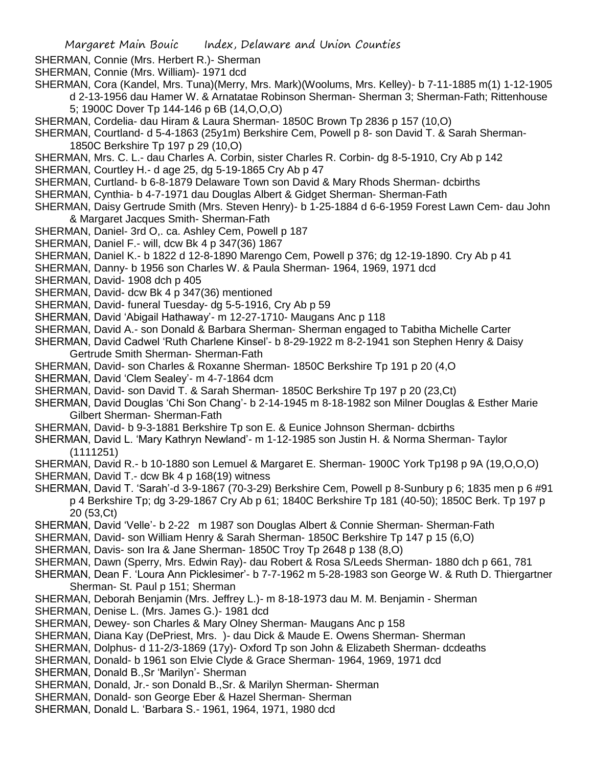SHERMAN, Connie (Mrs. Herbert R.)- Sherman

- SHERMAN, Connie (Mrs. William)- 1971 dcd
- SHERMAN, Cora (Kandel, Mrs. Tuna)(Merry, Mrs. Mark)(Woolums, Mrs. Kelley)- b 7-11-1885 m(1) 1-12-1905 d 2-13-1956 dau Hamer W. & Arnatatae Robinson Sherman- Sherman 3; Sherman-Fath; Rittenhouse 5; 1900C Dover Tp 144-146 p 6B (14,O,O,O)
- SHERMAN, Cordelia- dau Hiram & Laura Sherman- 1850C Brown Tp 2836 p 157 (10,O)
- SHERMAN, Courtland- d 5-4-1863 (25y1m) Berkshire Cem, Powell p 8- son David T. & Sarah Sherman-1850C Berkshire Tp 197 p 29 (10,O)
- SHERMAN, Mrs. C. L.- dau Charles A. Corbin, sister Charles R. Corbin- dg 8-5-1910, Cry Ab p 142
- SHERMAN, Courtley H.- d age 25, dg 5-19-1865 Cry Ab p 47
- SHERMAN, Curtland- b 6-8-1879 Delaware Town son David & Mary Rhods Sherman- dcbirths
- SHERMAN, Cynthia- b 4-7-1971 dau Douglas Albert & Gidget Sherman- Sherman-Fath
- SHERMAN, Daisy Gertrude Smith (Mrs. Steven Henry)- b 1-25-1884 d 6-6-1959 Forest Lawn Cem- dau John & Margaret Jacques Smith- Sherman-Fath
- SHERMAN, Daniel- 3rd O,. ca. Ashley Cem, Powell p 187
- SHERMAN, Daniel F.- will, dcw Bk 4 p 347(36) 1867
- SHERMAN, Daniel K.- b 1822 d 12-8-1890 Marengo Cem, Powell p 376; dg 12-19-1890. Cry Ab p 41
- SHERMAN, Danny- b 1956 son Charles W. & Paula Sherman- 1964, 1969, 1971 dcd
- SHERMAN, David- 1908 dch p 405
- SHERMAN, David- dcw Bk 4 p 347(36) mentioned
- SHERMAN, David- funeral Tuesday- dg 5-5-1916, Cry Ab p 59
- SHERMAN, David 'Abigail Hathaway'- m 12-27-1710- Maugans Anc p 118
- SHERMAN, David A.- son Donald & Barbara Sherman- Sherman engaged to Tabitha Michelle Carter
- SHERMAN, David Cadwel 'Ruth Charlene Kinsel'- b 8-29-1922 m 8-2-1941 son Stephen Henry & Daisy Gertrude Smith Sherman- Sherman-Fath
- SHERMAN, David- son Charles & Roxanne Sherman- 1850C Berkshire Tp 191 p 20 (4,O
- SHERMAN, David 'Clem Sealey'- m 4-7-1864 dcm
- SHERMAN, David- son David T. & Sarah Sherman- 1850C Berkshire Tp 197 p 20 (23,Ct)
- SHERMAN, David Douglas 'Chi Son Chang'- b 2-14-1945 m 8-18-1982 son Milner Douglas & Esther Marie Gilbert Sherman- Sherman-Fath
- SHERMAN, David- b 9-3-1881 Berkshire Tp son E. & Eunice Johnson Sherman- dcbirths
- SHERMAN, David L. 'Mary Kathryn Newland'- m 1-12-1985 son Justin H. & Norma Sherman- Taylor (1111251)
- SHERMAN, David R.- b 10-1880 son Lemuel & Margaret E. Sherman- 1900C York Tp198 p 9A (19,O,O,O)
- SHERMAN, David T.- dcw Bk 4 p 168(19) witness
- SHERMAN, David T. 'Sarah'-d 3-9-1867 (70-3-29) Berkshire Cem, Powell p 8-Sunbury p 6; 1835 men p 6 #91 p 4 Berkshire Tp; dg 3-29-1867 Cry Ab p 61; 1840C Berkshire Tp 181 (40-50); 1850C Berk. Tp 197 p 20 (53,Ct)
- SHERMAN, David 'Velle'- b 2-22 m 1987 son Douglas Albert & Connie Sherman- Sherman-Fath
- SHERMAN, David- son William Henry & Sarah Sherman- 1850C Berkshire Tp 147 p 15 (6,O)
- SHERMAN, Davis- son Ira & Jane Sherman- 1850C Troy Tp 2648 p 138 (8,O)
- SHERMAN, Dawn (Sperry, Mrs. Edwin Ray)- dau Robert & Rosa S/Leeds Sherman- 1880 dch p 661, 781
- SHERMAN, Dean F. 'Loura Ann Picklesimer'- b 7-7-1962 m 5-28-1983 son George W. & Ruth D. Thiergartner Sherman- St. Paul p 151; Sherman
- SHERMAN, Deborah Benjamin (Mrs. Jeffrey L.)- m 8-18-1973 dau M. M. Benjamin Sherman
- SHERMAN, Denise L. (Mrs. James G.)- 1981 dcd
- SHERMAN, Dewey- son Charles & Mary Olney Sherman- Maugans Anc p 158
- SHERMAN, Diana Kay (DePriest, Mrs. )- dau Dick & Maude E. Owens Sherman- Sherman
- SHERMAN, Dolphus- d 11-2/3-1869 (17y)- Oxford Tp son John & Elizabeth Sherman- dcdeaths
- SHERMAN, Donald- b 1961 son Elvie Clyde & Grace Sherman- 1964, 1969, 1971 dcd
- SHERMAN, Donald B.,Sr 'Marilyn'- Sherman
- SHERMAN, Donald, Jr.- son Donald B.,Sr. & Marilyn Sherman- Sherman
- SHERMAN, Donald- son George Eber & Hazel Sherman- Sherman
- SHERMAN, Donald L. 'Barbara S.- 1961, 1964, 1971, 1980 dcd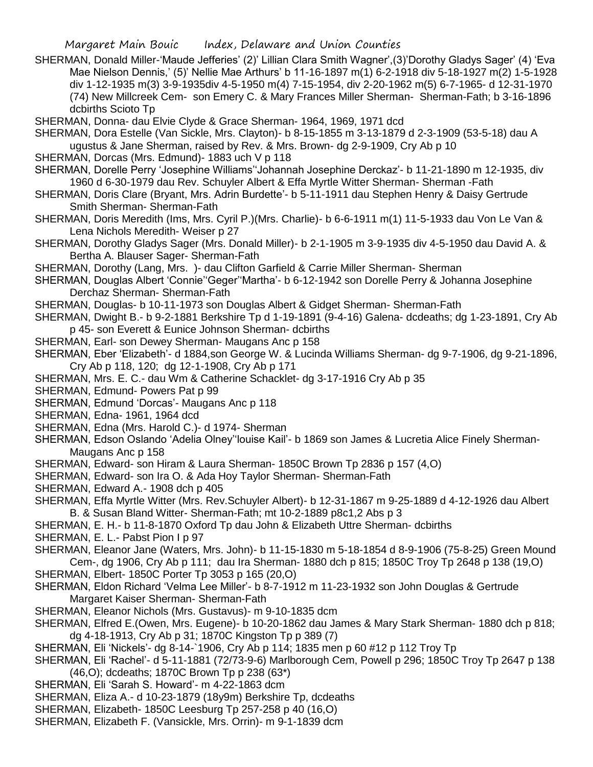SHERMAN, Donald Miller-'Maude Jefferies' (2)' Lillian Clara Smith Wagner',(3)'Dorothy Gladys Sager' (4) 'Eva Mae Nielson Dennis,' (5)' Nellie Mae Arthurs' b 11-16-1897 m(1) 6-2-1918 div 5-18-1927 m(2) 1-5-1928 div 1-12-1935 m(3) 3-9-1935div 4-5-1950 m(4) 7-15-1954, div 2-20-1962 m(5) 6-7-1965- d 12-31-1970 (74) New Millcreek Cem- son Emery C. & Mary Frances Miller Sherman- Sherman-Fath; b 3-16-1896 dcbirths Scioto Tp

SHERMAN, Donna- dau Elvie Clyde & Grace Sherman- 1964, 1969, 1971 dcd

- SHERMAN, Dora Estelle (Van Sickle, Mrs. Clayton)- b 8-15-1855 m 3-13-1879 d 2-3-1909 (53-5-18) dau A ugustus & Jane Sherman, raised by Rev. & Mrs. Brown- dg 2-9-1909, Cry Ab p 10
- SHERMAN, Dorcas (Mrs. Edmund)- 1883 uch V p 118
- SHERMAN, Dorelle Perry 'Josephine Williams''Johannah Josephine Derckaz'- b 11-21-1890 m 12-1935, div 1960 d 6-30-1979 dau Rev. Schuyler Albert & Effa Myrtle Witter Sherman- Sherman -Fath
- SHERMAN, Doris Clare (Bryant, Mrs. Adrin Burdette'- b 5-11-1911 dau Stephen Henry & Daisy Gertrude Smith Sherman- Sherman-Fath
- SHERMAN, Doris Meredith (Ims, Mrs. Cyril P.)(Mrs. Charlie)- b 6-6-1911 m(1) 11-5-1933 dau Von Le Van & Lena Nichols Meredith- Weiser p 27
- SHERMAN, Dorothy Gladys Sager (Mrs. Donald Miller)- b 2-1-1905 m 3-9-1935 div 4-5-1950 dau David A. & Bertha A. Blauser Sager- Sherman-Fath

SHERMAN, Dorothy (Lang, Mrs. )- dau Clifton Garfield & Carrie Miller Sherman- Sherman

- SHERMAN, Douglas Albert 'Connie''Geger''Martha'- b 6-12-1942 son Dorelle Perry & Johanna Josephine Derchaz Sherman- Sherman-Fath
- SHERMAN, Douglas- b 10-11-1973 son Douglas Albert & Gidget Sherman- Sherman-Fath
- SHERMAN, Dwight B.- b 9-2-1881 Berkshire Tp d 1-19-1891 (9-4-16) Galena- dcdeaths; dg 1-23-1891, Cry Ab p 45- son Everett & Eunice Johnson Sherman- dcbirths
- SHERMAN, Earl- son Dewey Sherman- Maugans Anc p 158
- SHERMAN, Eber 'Elizabeth'- d 1884,son George W. & Lucinda Williams Sherman- dg 9-7-1906, dg 9-21-1896, Cry Ab p 118, 120; dg 12-1-1908, Cry Ab p 171
- SHERMAN, Mrs. E. C.- dau Wm & Catherine Schacklet- dg 3-17-1916 Cry Ab p 35
- SHERMAN, Edmund- Powers Pat p 99
- SHERMAN, Edmund 'Dorcas'- Maugans Anc p 118
- SHERMAN, Edna- 1961, 1964 dcd
- SHERMAN, Edna (Mrs. Harold C.)- d 1974- Sherman
- SHERMAN, Edson Oslando 'Adelia Olney''louise Kail'- b 1869 son James & Lucretia Alice Finely Sherman-Maugans Anc p 158
- SHERMAN, Edward- son Hiram & Laura Sherman- 1850C Brown Tp 2836 p 157 (4,O)
- SHERMAN, Edward- son Ira O. & Ada Hoy Taylor Sherman- Sherman-Fath
- SHERMAN, Edward A.- 1908 dch p 405
- SHERMAN, Effa Myrtle Witter (Mrs. Rev.Schuyler Albert)- b 12-31-1867 m 9-25-1889 d 4-12-1926 dau Albert B. & Susan Bland Witter- Sherman-Fath; mt 10-2-1889 p8c1,2 Abs p 3
- SHERMAN, E. H.- b 11-8-1870 Oxford Tp dau John & Elizabeth Uttre Sherman- dcbirths
- SHERMAN, E. L.- Pabst Pion I p 97
- SHERMAN, Eleanor Jane (Waters, Mrs. John)- b 11-15-1830 m 5-18-1854 d 8-9-1906 (75-8-25) Green Mound Cem-, dg 1906, Cry Ab p 111; dau Ira Sherman- 1880 dch p 815; 1850C Troy Tp 2648 p 138 (19,O)
- SHERMAN, Elbert- 1850C Porter Tp 3053 p 165 (20,O)
- SHERMAN, Eldon Richard 'Velma Lee Miller'- b 8-7-1912 m 11-23-1932 son John Douglas & Gertrude Margaret Kaiser Sherman- Sherman-Fath
- SHERMAN, Eleanor Nichols (Mrs. Gustavus)- m 9-10-1835 dcm
- SHERMAN, Elfred E.(Owen, Mrs. Eugene)- b 10-20-1862 dau James & Mary Stark Sherman- 1880 dch p 818; dg 4-18-1913, Cry Ab p 31; 1870C Kingston Tp p 389 (7)
- SHERMAN, Eli 'Nickels'- dg 8-14-`1906, Cry Ab p 114; 1835 men p 60 #12 p 112 Troy Tp
- SHERMAN, Eli 'Rachel'- d 5-11-1881 (72/73-9-6) Marlborough Cem, Powell p 296; 1850C Troy Tp 2647 p 138 (46,O); dcdeaths; 1870C Brown Tp p 238 (63\*)
- SHERMAN, Eli 'Sarah S. Howard'- m 4-22-1863 dcm
- SHERMAN, Eliza A.- d 10-23-1879 (18y9m) Berkshire Tp, dcdeaths
- SHERMAN, Elizabeth- 1850C Leesburg Tp 257-258 p 40 (16,O)
- SHERMAN, Elizabeth F. (Vansickle, Mrs. Orrin)- m 9-1-1839 dcm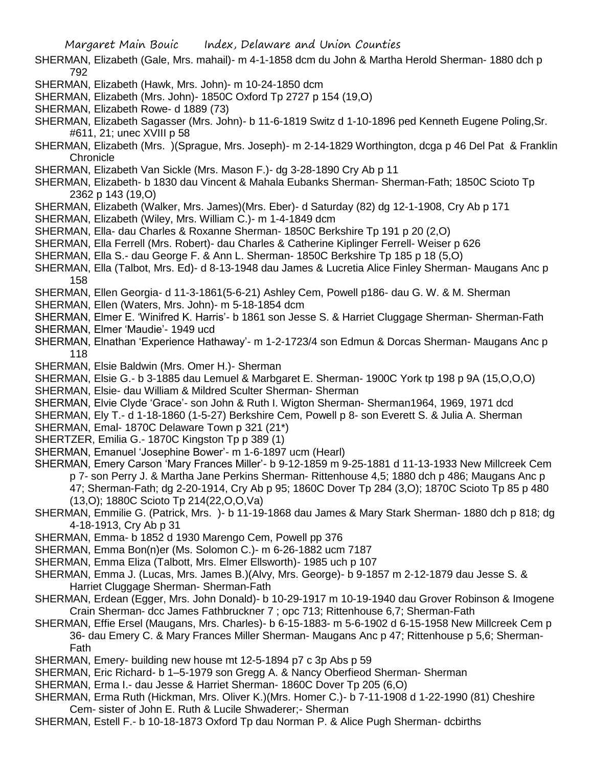- SHERMAN, Elizabeth (Gale, Mrs. mahail)- m 4-1-1858 dcm du John & Martha Herold Sherman- 1880 dch p 792
- SHERMAN, Elizabeth (Hawk, Mrs. John)- m 10-24-1850 dcm
- SHERMAN, Elizabeth (Mrs. John)- 1850C Oxford Tp 2727 p 154 (19,O)
- SHERMAN, Elizabeth Rowe- d 1889 (73)
- SHERMAN, Elizabeth Sagasser (Mrs. John)- b 11-6-1819 Switz d 1-10-1896 ped Kenneth Eugene Poling,Sr. #611, 21; unec XVIII p 58
- SHERMAN, Elizabeth (Mrs. )(Sprague, Mrs. Joseph)- m 2-14-1829 Worthington, dcga p 46 Del Pat & Franklin **Chronicle**
- SHERMAN, Elizabeth Van Sickle (Mrs. Mason F.)- dg 3-28-1890 Cry Ab p 11
- SHERMAN, Elizabeth- b 1830 dau Vincent & Mahala Eubanks Sherman- Sherman-Fath; 1850C Scioto Tp 2362 p 143 (19,O)
- SHERMAN, Elizabeth (Walker, Mrs. James)(Mrs. Eber)- d Saturday (82) dg 12-1-1908, Cry Ab p 171
- SHERMAN, Elizabeth (Wiley, Mrs. William C.)- m 1-4-1849 dcm
- SHERMAN, Ella- dau Charles & Roxanne Sherman- 1850C Berkshire Tp 191 p 20 (2,O)
- SHERMAN, Ella Ferrell (Mrs. Robert)- dau Charles & Catherine Kiplinger Ferrell- Weiser p 626
- SHERMAN, Ella S.- dau George F. & Ann L. Sherman- 1850C Berkshire Tp 185 p 18 (5,O)
- SHERMAN, Ella (Talbot, Mrs. Ed)- d 8-13-1948 dau James & Lucretia Alice Finley Sherman- Maugans Anc p 158
- SHERMAN, Ellen Georgia- d 11-3-1861(5-6-21) Ashley Cem, Powell p186- dau G. W. & M. Sherman
- SHERMAN, Ellen (Waters, Mrs. John)- m 5-18-1854 dcm
- SHERMAN, Elmer E. 'Winifred K. Harris'- b 1861 son Jesse S. & Harriet Cluggage Sherman- Sherman-Fath
- SHERMAN, Elmer 'Maudie'- 1949 ucd
- SHERMAN, Elnathan 'Experience Hathaway'- m 1-2-1723/4 son Edmun & Dorcas Sherman- Maugans Anc p 118
- SHERMAN, Elsie Baldwin (Mrs. Omer H.)- Sherman
- SHERMAN, Elsie G.- b 3-1885 dau Lemuel & Marbgaret E. Sherman- 1900C York tp 198 p 9A (15,O,O,O)
- SHERMAN, Elsie- dau William & Mildred Sculter Sherman- Sherman
- SHERMAN, Elvie Clyde 'Grace'- son John & Ruth I. Wigton Sherman- Sherman1964, 1969, 1971 dcd
- SHERMAN, Ely T.- d 1-18-1860 (1-5-27) Berkshire Cem, Powell p 8- son Everett S. & Julia A. Sherman
- SHERMAN, Emal- 1870C Delaware Town p 321 (21\*)
- SHERTZER, Emilia G.- 1870C Kingston Tp p 389 (1)
- SHERMAN, Emanuel 'Josephine Bower'- m 1-6-1897 ucm (Hearl)
- SHERMAN, Emery Carson 'Mary Frances Miller'- b 9-12-1859 m 9-25-1881 d 11-13-1933 New Millcreek Cem
	- p 7- son Perry J. & Martha Jane Perkins Sherman- Rittenhouse 4,5; 1880 dch p 486; Maugans Anc p 47; Sherman-Fath; dg 2-20-1914, Cry Ab p 95; 1860C Dover Tp 284 (3,O); 1870C Scioto Tp 85 p 480
	- (13,O); 1880C Scioto Tp 214(22,O,O,Va)
- SHERMAN, Emmilie G. (Patrick, Mrs. )- b 11-19-1868 dau James & Mary Stark Sherman- 1880 dch p 818; dg 4-18-1913, Cry Ab p 31
- SHERMAN, Emma- b 1852 d 1930 Marengo Cem, Powell pp 376
- SHERMAN, Emma Bon(n)er (Ms. Solomon C.)- m 6-26-1882 ucm 7187
- SHERMAN, Emma Eliza (Talbott, Mrs. Elmer Ellsworth)- 1985 uch p 107
- SHERMAN, Emma J. (Lucas, Mrs. James B.)(Alvy, Mrs. George)- b 9-1857 m 2-12-1879 dau Jesse S. & Harriet Cluggage Sherman- Sherman-Fath
- SHERMAN, Erdean (Egger, Mrs. John Donald)- b 10-29-1917 m 10-19-1940 dau Grover Robinson & Imogene Crain Sherman- dcc James Fathbruckner 7 ; opc 713; Rittenhouse 6,7; Sherman-Fath
- SHERMAN, Effie Ersel (Maugans, Mrs. Charles)- b 6-15-1883- m 5-6-1902 d 6-15-1958 New Millcreek Cem p 36- dau Emery C. & Mary Frances Miller Sherman- Maugans Anc p 47; Rittenhouse p 5,6; Sherman-Fath
- SHERMAN, Emery- building new house mt 12-5-1894 p7 c 3p Abs p 59
- SHERMAN, Eric Richard- b 1–5-1979 son Gregg A. & Nancy Oberfieod Sherman- Sherman
- SHERMAN, Erma I.- dau Jesse & Harriet Sherman- 1860C Dover Tp 205 (6,O)
- SHERMAN, Erma Ruth (Hickman, Mrs. Oliver K.)(Mrs. Homer C.)- b 7-11-1908 d 1-22-1990 (81) Cheshire Cem- sister of John E. Ruth & Lucile Shwaderer;- Sherman
- SHERMAN, Estell F.- b 10-18-1873 Oxford Tp dau Norman P. & Alice Pugh Sherman- dcbirths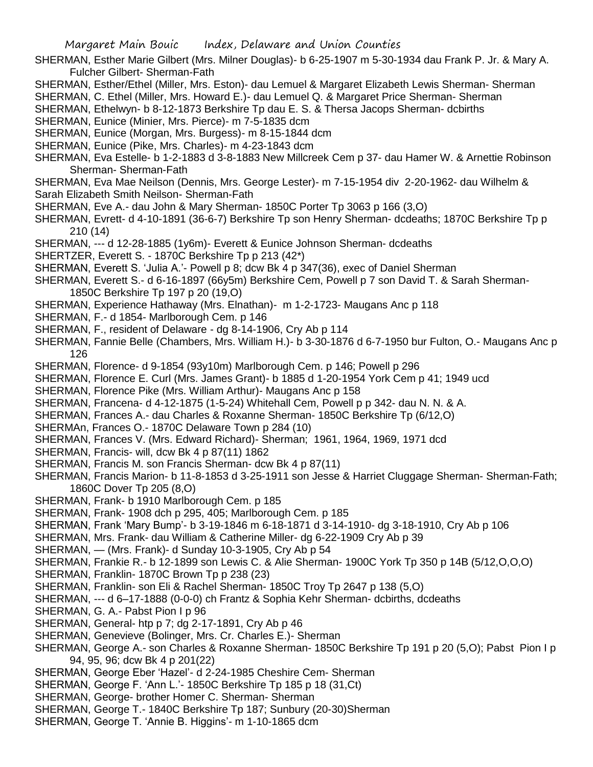- SHERMAN, Esther Marie Gilbert (Mrs. Milner Douglas)- b 6-25-1907 m 5-30-1934 dau Frank P. Jr. & Mary A. Fulcher Gilbert- Sherman-Fath
- SHERMAN, Esther/Ethel (Miller, Mrs. Eston)- dau Lemuel & Margaret Elizabeth Lewis Sherman- Sherman
- SHERMAN, C. Ethel (Miller, Mrs. Howard E.)- dau Lemuel Q. & Margaret Price Sherman- Sherman
- SHERMAN, Ethelwyn- b 8-12-1873 Berkshire Tp dau E. S. & Thersa Jacops Sherman- dcbirths
- SHERMAN, Eunice (Minier, Mrs. Pierce)- m 7-5-1835 dcm
- SHERMAN, Eunice (Morgan, Mrs. Burgess)- m 8-15-1844 dcm
- SHERMAN, Eunice (Pike, Mrs. Charles)- m 4-23-1843 dcm
- SHERMAN, Eva Estelle- b 1-2-1883 d 3-8-1883 New Millcreek Cem p 37- dau Hamer W. & Arnettie Robinson Sherman- Sherman-Fath
- SHERMAN, Eva Mae Neilson (Dennis, Mrs. George Lester)- m 7-15-1954 div 2-20-1962- dau Wilhelm & Sarah Elizabeth Smith Neilson- Sherman-Fath
- SHERMAN, Eve A.- dau John & Mary Sherman- 1850C Porter Tp 3063 p 166 (3,O)
- SHERMAN, Evrett- d 4-10-1891 (36-6-7) Berkshire Tp son Henry Sherman- dcdeaths; 1870C Berkshire Tp p 210 (14)
- SHERMAN, --- d 12-28-1885 (1y6m)- Everett & Eunice Johnson Sherman- dcdeaths
- SHERTZER, Everett S. 1870C Berkshire Tp p 213 (42\*)
- SHERMAN, Everett S. 'Julia A.'- Powell p 8; dcw Bk 4 p 347(36), exec of Daniel Sherman
- SHERMAN, Everett S.- d 6-16-1897 (66y5m) Berkshire Cem, Powell p 7 son David T. & Sarah Sherman-1850C Berkshire Tp 197 p 20 (19,O)
- SHERMAN, Experience Hathaway (Mrs. Elnathan)- m 1-2-1723- Maugans Anc p 118
- SHERMAN, F.- d 1854- Marlborough Cem. p 146
- SHERMAN, F., resident of Delaware dg 8-14-1906, Cry Ab p 114
- SHERMAN, Fannie Belle (Chambers, Mrs. William H.)- b 3-30-1876 d 6-7-1950 bur Fulton, O.- Maugans Anc p 126
- SHERMAN, Florence- d 9-1854 (93y10m) Marlborough Cem. p 146; Powell p 296
- SHERMAN, Florence E. Curl (Mrs. James Grant)- b 1885 d 1-20-1954 York Cem p 41; 1949 ucd
- SHERMAN, Florence Pike (Mrs. William Arthur)- Maugans Anc p 158
- SHERMAN, Francena- d 4-12-1875 (1-5-24) Whitehall Cem, Powell p p 342- dau N. N. & A.
- SHERMAN, Frances A.- dau Charles & Roxanne Sherman- 1850C Berkshire Tp (6/12,O)
- SHERMAn, Frances O.- 1870C Delaware Town p 284 (10)
- SHERMAN, Frances V. (Mrs. Edward Richard)- Sherman; 1961, 1964, 1969, 1971 dcd
- SHERMAN, Francis- will, dcw Bk 4 p 87(11) 1862
- SHERMAN, Francis M. son Francis Sherman- dcw Bk 4 p 87(11)
- SHERMAN, Francis Marion- b 11-8-1853 d 3-25-1911 son Jesse & Harriet Cluggage Sherman- Sherman-Fath; 1860C Dover Tp 205 (8,O)
- SHERMAN, Frank- b 1910 Marlborough Cem. p 185
- SHERMAN, Frank- 1908 dch p 295, 405; Marlborough Cem. p 185
- SHERMAN, Frank 'Mary Bump'- b 3-19-1846 m 6-18-1871 d 3-14-1910- dg 3-18-1910, Cry Ab p 106
- SHERMAN, Mrs. Frank- dau William & Catherine Miller- dg 6-22-1909 Cry Ab p 39
- SHERMAN, (Mrs. Frank)- d Sunday 10-3-1905, Cry Ab p 54
- SHERMAN, Frankie R.- b 12-1899 son Lewis C. & Alie Sherman- 1900C York Tp 350 p 14B (5/12,O,O,O)
- SHERMAN, Franklin- 1870C Brown Tp p 238 (23)
- SHERMAN, Franklin- son Eli & Rachel Sherman- 1850C Troy Tp 2647 p 138 (5,O)
- SHERMAN, --- d 6–17-1888 (0-0-0) ch Frantz & Sophia Kehr Sherman- dcbirths, dcdeaths
- SHERMAN, G. A.- Pabst Pion I p 96
- SHERMAN, General- htp p 7; dg 2-17-1891, Cry Ab p 46
- SHERMAN, Genevieve (Bolinger, Mrs. Cr. Charles E.)- Sherman
- SHERMAN, George A.- son Charles & Roxanne Sherman- 1850C Berkshire Tp 191 p 20 (5,O); Pabst Pion I p 94, 95, 96; dcw Bk 4 p 201(22)
- SHERMAN, George Eber 'Hazel'- d 2-24-1985 Cheshire Cem- Sherman
- SHERMAN, George F. 'Ann L.'- 1850C Berkshire Tp 185 p 18 (31,Ct)
- SHERMAN, George- brother Homer C. Sherman- Sherman
- SHERMAN, George T.- 1840C Berkshire Tp 187; Sunbury (20-30)Sherman
- SHERMAN, George T. 'Annie B. Higgins'- m 1-10-1865 dcm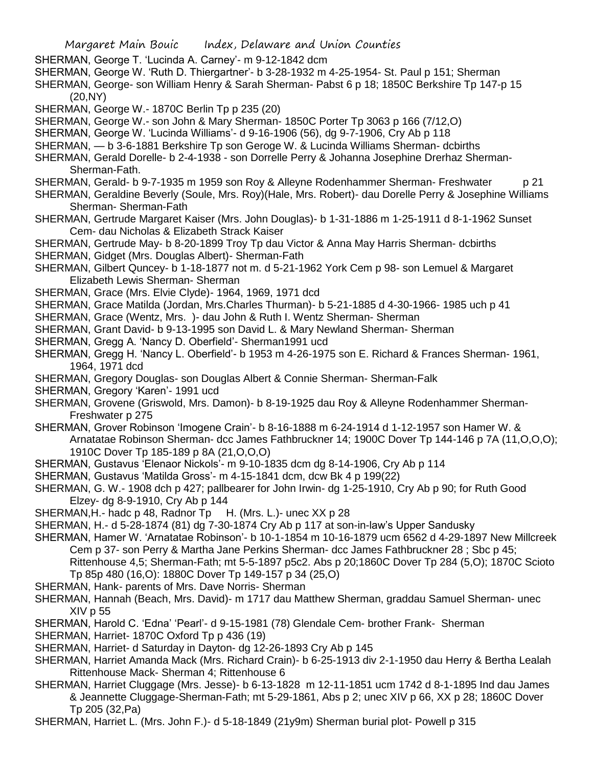- SHERMAN, George T. 'Lucinda A. Carney'- m 9-12-1842 dcm
- SHERMAN, George W. 'Ruth D. Thiergartner'- b 3-28-1932 m 4-25-1954- St. Paul p 151; Sherman
- SHERMAN, George- son William Henry & Sarah Sherman- Pabst 6 p 18; 1850C Berkshire Tp 147-p 15 (20,NY)
- SHERMAN, George W.-1870C Berlin Tp p 235 (20)
- SHERMAN, George W.- son John & Mary Sherman- 1850C Porter Tp 3063 p 166 (7/12,O)
- SHERMAN, George W. 'Lucinda Williams'- d 9-16-1906 (56), dg 9-7-1906, Cry Ab p 118
- SHERMAN, b 3-6-1881 Berkshire Tp son Geroge W. & Lucinda Williams Sherman- dcbirths
- SHERMAN, Gerald Dorelle- b 2-4-1938 son Dorrelle Perry & Johanna Josephine Drerhaz Sherman-Sherman-Fath.
- SHERMAN, Gerald- b 9-7-1935 m 1959 son Roy & Alleyne Rodenhammer Sherman- Freshwater p 21
- SHERMAN, Geraldine Beverly (Soule, Mrs. Roy)(Hale, Mrs. Robert)- dau Dorelle Perry & Josephine Williams Sherman- Sherman-Fath
- SHERMAN, Gertrude Margaret Kaiser (Mrs. John Douglas)- b 1-31-1886 m 1-25-1911 d 8-1-1962 Sunset Cem- dau Nicholas & Elizabeth Strack Kaiser
- SHERMAN, Gertrude May- b 8-20-1899 Troy Tp dau Victor & Anna May Harris Sherman- dcbirths SHERMAN, Gidget (Mrs. Douglas Albert)- Sherman-Fath
- SHERMAN, Gilbert Quncey- b 1-18-1877 not m. d 5-21-1962 York Cem p 98- son Lemuel & Margaret Elizabeth Lewis Sherman- Sherman
- SHERMAN, Grace (Mrs. Elvie Clyde)- 1964, 1969, 1971 dcd
- SHERMAN, Grace Matilda (Jordan, Mrs.Charles Thurman)- b 5-21-1885 d 4-30-1966- 1985 uch p 41
- SHERMAN, Grace (Wentz, Mrs. )- dau John & Ruth I. Wentz Sherman- Sherman
- SHERMAN, Grant David- b 9-13-1995 son David L. & Mary Newland Sherman- Sherman
- SHERMAN, Gregg A. 'Nancy D. Oberfield'- Sherman1991 ucd
- SHERMAN, Gregg H. 'Nancy L. Oberfield'- b 1953 m 4-26-1975 son E. Richard & Frances Sherman- 1961, 1964, 1971 dcd
- SHERMAN, Gregory Douglas- son Douglas Albert & Connie Sherman- Sherman-Falk
- SHERMAN, Gregory 'Karen'- 1991 ucd
- SHERMAN, Grovene (Griswold, Mrs. Damon)- b 8-19-1925 dau Roy & Alleyne Rodenhammer Sherman-Freshwater p 275
- SHERMAN, Grover Robinson 'Imogene Crain'- b 8-16-1888 m 6-24-1914 d 1-12-1957 son Hamer W. & Arnatatae Robinson Sherman- dcc James Fathbruckner 14; 1900C Dover Tp 144-146 p 7A (11,O,O,O); 1910C Dover Tp 185-189 p 8A (21,O,O,O)
- SHERMAN, Gustavus 'Elenaor Nickols'- m 9-10-1835 dcm dg 8-14-1906, Cry Ab p 114
- SHERMAN, Gustavus 'Matilda Gross'- m 4-15-1841 dcm, dcw Bk 4 p 199(22)
- SHERMAN, G. W.- 1908 dch p 427; pallbearer for John Irwin- dg 1-25-1910, Cry Ab p 90; for Ruth Good Elzey- dg 8-9-1910, Cry Ab p 144
- SHERMAN, H.- hadc p 48, Radnor Tp H. (Mrs. L.)- unec XX p 28
- SHERMAN, H.- d 5-28-1874 (81) dg 7-30-1874 Cry Ab p 117 at son-in-law's Upper Sandusky
- SHERMAN, Hamer W. 'Arnatatae Robinson'- b 10-1-1854 m 10-16-1879 ucm 6562 d 4-29-1897 New Millcreek Cem p 37- son Perry & Martha Jane Perkins Sherman- dcc James Fathbruckner 28 ; Sbc p 45; Rittenhouse 4,5; Sherman-Fath; mt 5-5-1897 p5c2. Abs p 20;1860C Dover Tp 284 (5,O); 1870C Scioto Tp 85p 480 (16,O): 1880C Dover Tp 149-157 p 34 (25,O)
- SHERMAN, Hank- parents of Mrs. Dave Norris- Sherman
- SHERMAN, Hannah (Beach, Mrs. David)- m 1717 dau Matthew Sherman, graddau Samuel Sherman- unec XIV p 55
- SHERMAN, Harold C. 'Edna' 'Pearl'- d 9-15-1981 (78) Glendale Cem- brother Frank- Sherman
- SHERMAN, Harriet- 1870C Oxford Tp p 436 (19)
- SHERMAN, Harriet- d Saturday in Dayton- dg 12-26-1893 Cry Ab p 145
- SHERMAN, Harriet Amanda Mack (Mrs. Richard Crain)- b 6-25-1913 div 2-1-1950 dau Herry & Bertha Lealah Rittenhouse Mack- Sherman 4; Rittenhouse 6
- SHERMAN, Harriet Cluggage (Mrs. Jesse)- b 6-13-1828 m 12-11-1851 ucm 1742 d 8-1-1895 Ind dau James & Jeannette Cluggage-Sherman-Fath; mt 5-29-1861, Abs p 2; unec XIV p 66, XX p 28; 1860C Dover Tp 205 (32,Pa)
- SHERMAN, Harriet L. (Mrs. John F.)- d 5-18-1849 (21y9m) Sherman burial plot- Powell p 315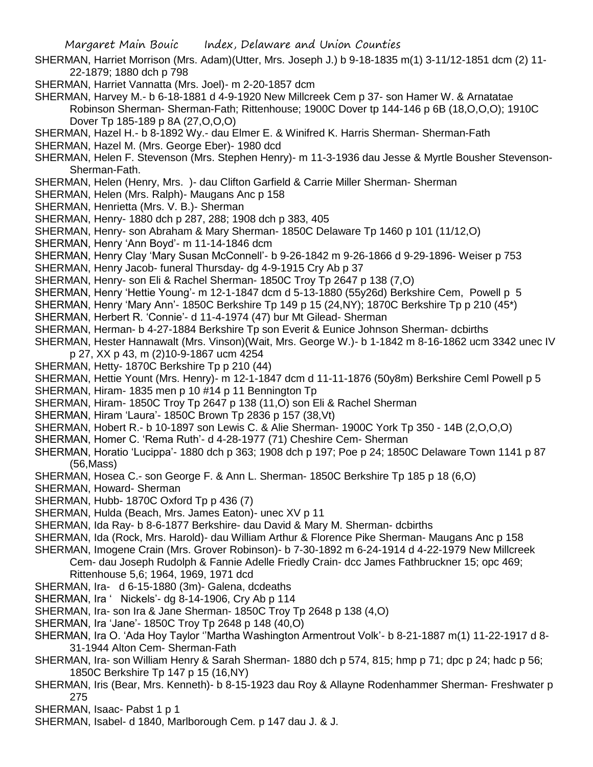- SHERMAN, Harriet Morrison (Mrs. Adam)(Utter, Mrs. Joseph J.) b 9-18-1835 m(1) 3-11/12-1851 dcm (2) 11- 22-1879; 1880 dch p 798
- SHERMAN, Harriet Vannatta (Mrs. Joel)- m 2-20-1857 dcm
- SHERMAN, Harvey M.- b 6-18-1881 d 4-9-1920 New Millcreek Cem p 37- son Hamer W. & Arnatatae Robinson Sherman- Sherman-Fath; Rittenhouse; 1900C Dover tp 144-146 p 6B (18,O,O,O); 1910C Dover Tp 185-189 p 8A (27,O,O,O)
- SHERMAN, Hazel H.- b 8-1892 Wy.- dau Elmer E. & Winifred K. Harris Sherman- Sherman-Fath
- SHERMAN, Hazel M. (Mrs. George Eber)- 1980 dcd
- SHERMAN, Helen F. Stevenson (Mrs. Stephen Henry)- m 11-3-1936 dau Jesse & Myrtle Bousher Stevenson-Sherman-Fath.
- SHERMAN, Helen (Henry, Mrs. )- dau Clifton Garfield & Carrie Miller Sherman- Sherman
- SHERMAN, Helen (Mrs. Ralph)- Maugans Anc p 158
- SHERMAN, Henrietta (Mrs. V. B.)- Sherman
- SHERMAN, Henry- 1880 dch p 287, 288; 1908 dch p 383, 405
- SHERMAN, Henry- son Abraham & Mary Sherman- 1850C Delaware Tp 1460 p 101 (11/12,O)
- SHERMAN, Henry 'Ann Boyd'- m 11-14-1846 dcm
- SHERMAN, Henry Clay 'Mary Susan McConnell'- b 9-26-1842 m 9-26-1866 d 9-29-1896- Weiser p 753
- SHERMAN, Henry Jacob- funeral Thursday- dg 4-9-1915 Cry Ab p 37
- SHERMAN, Henry- son Eli & Rachel Sherman- 1850C Troy Tp 2647 p 138 (7,O)
- SHERMAN, Henry 'Hettie Young'- m 12-1-1847 dcm d 5-13-1880 (55y26d) Berkshire Cem, Powell p 5
- SHERMAN, Henry 'Mary Ann'- 1850C Berkshire Tp 149 p 15 (24,NY); 1870C Berkshire Tp p 210 (45\*)
- SHERMAN, Herbert R. 'Connie'- d 11-4-1974 (47) bur Mt Gilead- Sherman
- SHERMAN, Herman- b 4-27-1884 Berkshire Tp son Everit & Eunice Johnson Sherman- dcbirths
- SHERMAN, Hester Hannawalt (Mrs. Vinson)(Wait, Mrs. George W.)- b 1-1842 m 8-16-1862 ucm 3342 unec IV p 27, XX p 43, m (2)10-9-1867 ucm 4254
- SHERMAN, Hetty- 1870C Berkshire Tp p 210 (44)
- SHERMAN, Hettie Yount (Mrs. Henry)- m 12-1-1847 dcm d 11-11-1876 (50y8m) Berkshire Ceml Powell p 5
- SHERMAN, Hiram- 1835 men p 10 #14 p 11 Bennington Tp
- SHERMAN, Hiram- 1850C Troy Tp 2647 p 138 (11,O) son Eli & Rachel Sherman
- SHERMAN, Hiram 'Laura'- 1850C Brown Tp 2836 p 157 (38,Vt)
- SHERMAN, Hobert R.- b 10-1897 son Lewis C. & Alie Sherman- 1900C York Tp 350 14B (2,O,O,O)
- SHERMAN, Homer C. 'Rema Ruth'- d 4-28-1977 (71) Cheshire Cem- Sherman
- SHERMAN, Horatio 'Lucippa'- 1880 dch p 363; 1908 dch p 197; Poe p 24; 1850C Delaware Town 1141 p 87 (56,Mass)
- SHERMAN, Hosea C.- son George F. & Ann L. Sherman- 1850C Berkshire Tp 185 p 18 (6,O)
- SHERMAN, Howard- Sherman
- SHERMAN, Hubb- 1870C Oxford Tp p 436 (7)
- SHERMAN, Hulda (Beach, Mrs. James Eaton)- unec XV p 11
- SHERMAN, Ida Ray- b 8-6-1877 Berkshire- dau David & Mary M. Sherman- dcbirths
- SHERMAN, Ida (Rock, Mrs. Harold)- dau William Arthur & Florence Pike Sherman- Maugans Anc p 158
- SHERMAN, Imogene Crain (Mrs. Grover Robinson)- b 7-30-1892 m 6-24-1914 d 4-22-1979 New Millcreek Cem- dau Joseph Rudolph & Fannie Adelle Friedly Crain- dcc James Fathbruckner 15; opc 469;
	- Rittenhouse 5,6; 1964, 1969, 1971 dcd
- SHERMAN, Ira- d 6-15-1880 (3m)- Galena, dcdeaths
- SHERMAN, Ira ' Nickels'- dg 8-14-1906, Cry Ab p 114
- SHERMAN, Ira- son Ira & Jane Sherman- 1850C Troy Tp 2648 p 138 (4,O)
- SHERMAN, Ira 'Jane'- 1850C Troy Tp 2648 p 148 (40,O)
- SHERMAN, Ira O. 'Ada Hoy Taylor ''Martha Washington Armentrout Volk'- b 8-21-1887 m(1) 11-22-1917 d 8- 31-1944 Alton Cem- Sherman-Fath
- SHERMAN, Ira- son William Henry & Sarah Sherman- 1880 dch p 574, 815; hmp p 71; dpc p 24; hadc p 56; 1850C Berkshire Tp 147 p 15 (16,NY)
- SHERMAN, Iris (Bear, Mrs. Kenneth)- b 8-15-1923 dau Roy & Allayne Rodenhammer Sherman- Freshwater p 275
- SHERMAN, Isaac- Pabst 1 p 1
- SHERMAN, Isabel- d 1840, Marlborough Cem. p 147 dau J. & J.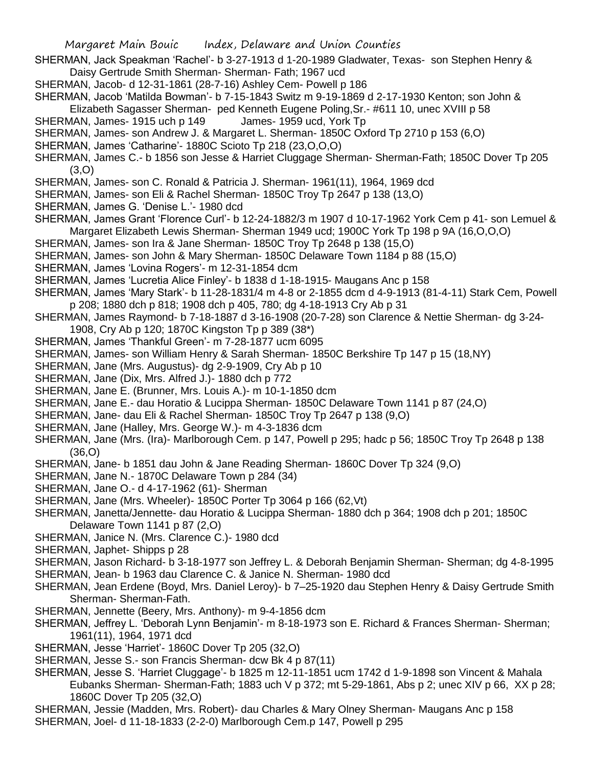- Margaret Main Bouic Index, Delaware and Union Counties SHERMAN, Jack Speakman 'Rachel'- b 3-27-1913 d 1-20-1989 Gladwater, Texas- son Stephen Henry & Daisy Gertrude Smith Sherman- Sherman- Fath; 1967 ucd SHERMAN, Jacob- d 12-31-1861 (28-7-16) Ashley Cem- Powell p 186 SHERMAN, Jacob 'Matilda Bowman'- b 7-15-1843 Switz m 9-19-1869 d 2-17-1930 Kenton; son John & Elizabeth Sagasser Sherman- ped Kenneth Eugene Poling,Sr.- #611 10, unec XVIII p 58 SHERMAN, James- 1915 uch p 149 James- 1959 ucd, York Tp SHERMAN, James- son Andrew J. & Margaret L. Sherman- 1850C Oxford Tp 2710 p 153 (6,O) SHERMAN, James 'Catharine'- 1880C Scioto Tp 218 (23,O,O,O) SHERMAN, James C.- b 1856 son Jesse & Harriet Cluggage Sherman- Sherman-Fath; 1850C Dover Tp 205  $(3,0)$ SHERMAN, James- son C. Ronald & Patricia J. Sherman- 1961(11), 1964, 1969 dcd SHERMAN, James- son Eli & Rachel Sherman- 1850C Troy Tp 2647 p 138 (13,O) SHERMAN, James G. 'Denise L.'- 1980 dcd SHERMAN, James Grant 'Florence Curl'- b 12-24-1882/3 m 1907 d 10-17-1962 York Cem p 41- son Lemuel & Margaret Elizabeth Lewis Sherman- Sherman 1949 ucd; 1900C York Tp 198 p 9A (16,O,O,O) SHERMAN, James- son Ira & Jane Sherman- 1850C Troy Tp 2648 p 138 (15,O) SHERMAN, James- son John & Mary Sherman- 1850C Delaware Town 1184 p 88 (15,O) SHERMAN, James 'Lovina Rogers'- m 12-31-1854 dcm SHERMAN, James 'Lucretia Alice Finley'- b 1838 d 1-18-1915- Maugans Anc p 158 SHERMAN, James 'Mary Stark'- b 11-28-1831/4 m 4-8 or 2-1855 dcm d 4-9-1913 (81-4-11) Stark Cem, Powell p 208; 1880 dch p 818; 1908 dch p 405, 780; dg 4-18-1913 Cry Ab p 31 SHERMAN, James Raymond- b 7-18-1887 d 3-16-1908 (20-7-28) son Clarence & Nettie Sherman- dg 3-24- 1908, Cry Ab p 120; 1870C Kingston Tp p 389 (38\*) SHERMAN, James 'Thankful Green'- m 7-28-1877 ucm 6095 SHERMAN, James- son William Henry & Sarah Sherman- 1850C Berkshire Tp 147 p 15 (18,NY) SHERMAN, Jane (Mrs. Augustus)- dg 2-9-1909, Cry Ab p 10 SHERMAN, Jane (Dix, Mrs. Alfred J.)- 1880 dch p 772 SHERMAN, Jane E. (Brunner, Mrs. Louis A.)- m 10-1-1850 dcm SHERMAN, Jane E.- dau Horatio & Lucippa Sherman- 1850C Delaware Town 1141 p 87 (24,O) SHERMAN, Jane- dau Eli & Rachel Sherman- 1850C Troy Tp 2647 p 138 (9,O) SHERMAN, Jane (Halley, Mrs. George W.)- m 4-3-1836 dcm SHERMAN, Jane (Mrs. (Ira)- Marlborough Cem. p 147, Powell p 295; hadc p 56; 1850C Troy Tp 2648 p 138 (36,O) SHERMAN, Jane- b 1851 dau John & Jane Reading Sherman- 1860C Dover Tp 324 (9,O) SHERMAN, Jane N.- 1870C Delaware Town p 284 (34) SHERMAN, Jane O.- d 4-17-1962 (61)- Sherman SHERMAN, Jane (Mrs. Wheeler)- 1850C Porter Tp 3064 p 166 (62,Vt) SHERMAN, Janetta/Jennette- dau Horatio & Lucippa Sherman- 1880 dch p 364; 1908 dch p 201; 1850C Delaware Town 1141 p 87 (2,O) SHERMAN, Janice N. (Mrs. Clarence C.)- 1980 dcd SHERMAN, Japhet- Shipps p 28 SHERMAN, Jason Richard- b 3-18-1977 son Jeffrey L. & Deborah Benjamin Sherman- Sherman; dg 4-8-1995 SHERMAN, Jean- b 1963 dau Clarence C. & Janice N. Sherman- 1980 dcd SHERMAN, Jean Erdene (Boyd, Mrs. Daniel Leroy)- b 7–25-1920 dau Stephen Henry & Daisy Gertrude Smith Sherman- Sherman-Fath. SHERMAN, Jennette (Beery, Mrs. Anthony)- m 9-4-1856 dcm SHERMAN, Jeffrey L. 'Deborah Lynn Benjamin'- m 8-18-1973 son E. Richard & Frances Sherman- Sherman; 1961(11), 1964, 1971 dcd
- SHERMAN, Jesse 'Harriet'- 1860C Dover Tp 205 (32,O)
- SHERMAN, Jesse S.- son Francis Sherman- dcw Bk 4 p 87(11)
- SHERMAN, Jesse S. 'Harriet Cluggage'- b 1825 m 12-11-1851 ucm 1742 d 1-9-1898 son Vincent & Mahala Eubanks Sherman- Sherman-Fath; 1883 uch V p 372; mt 5-29-1861, Abs p 2; unec XIV p 66, XX p 28; 1860C Dover Tp 205 (32,O)
- SHERMAN, Jessie (Madden, Mrs. Robert)- dau Charles & Mary Olney Sherman- Maugans Anc p 158 SHERMAN, Joel- d 11-18-1833 (2-2-0) Marlborough Cem.p 147, Powell p 295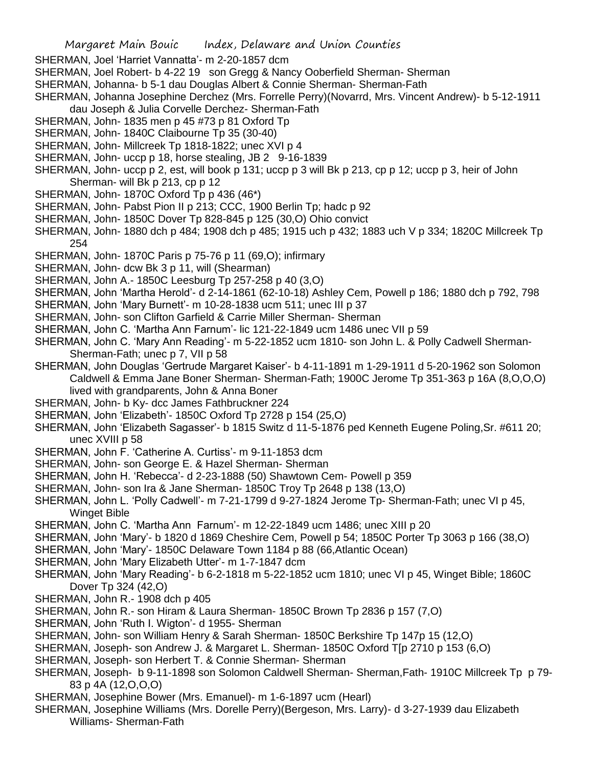SHERMAN, Joel 'Harriet Vannatta'- m 2-20-1857 dcm

- SHERMAN, Joel Robert- b 4-22 19 son Gregg & Nancy Ooberfield Sherman- Sherman
- SHERMAN, Johanna- b 5-1 dau Douglas Albert & Connie Sherman- Sherman-Fath
- SHERMAN, Johanna Josephine Derchez (Mrs. Forrelle Perry)(Novarrd, Mrs. Vincent Andrew)- b 5-12-1911 dau Joseph & Julia Corvelle Derchez- Sherman-Fath
- SHERMAN, John- 1835 men p 45 #73 p 81 Oxford Tp
- SHERMAN, John- 1840C Claibourne Tp 35 (30-40)
- SHERMAN, John- Millcreek Tp 1818-1822; unec XVI p 4
- SHERMAN, John- uccp p 18, horse stealing, JB 2 9-16-1839
- SHERMAN, John- uccp p 2, est, will book p 131; uccp p 3 will Bk p 213, cp p 12; uccp p 3, heir of John Sherman- will Bk p 213, cp p 12
- SHERMAN, John- 1870C Oxford Tp p 436 (46\*)
- SHERMAN, John- Pabst Pion II p 213; CCC, 1900 Berlin Tp; hadc p 92
- SHERMAN, John- 1850C Dover Tp 828-845 p 125 (30,O) Ohio convict
- SHERMAN, John- 1880 dch p 484; 1908 dch p 485; 1915 uch p 432; 1883 uch V p 334; 1820C Millcreek Tp 254
- SHERMAN, John- 1870C Paris p 75-76 p 11 (69,O); infirmary
- SHERMAN, John- dcw Bk 3 p 11, will (Shearman)
- SHERMAN, John A.- 1850C Leesburg Tp 257-258 p 40 (3,O)
- SHERMAN, John 'Martha Herold'- d 2-14-1861 (62-10-18) Ashley Cem, Powell p 186; 1880 dch p 792, 798
- SHERMAN, John 'Mary Burnett'- m 10-28-1838 ucm 511; unec III p 37
- SHERMAN, John- son Clifton Garfield & Carrie Miller Sherman- Sherman
- SHERMAN, John C. 'Martha Ann Farnum'- lic 121-22-1849 ucm 1486 unec VII p 59
- SHERMAN, John C. 'Mary Ann Reading'- m 5-22-1852 ucm 1810- son John L. & Polly Cadwell Sherman-Sherman-Fath; unec p 7, VII p 58
- SHERMAN, John Douglas 'Gertrude Margaret Kaiser'- b 4-11-1891 m 1-29-1911 d 5-20-1962 son Solomon Caldwell & Emma Jane Boner Sherman- Sherman-Fath; 1900C Jerome Tp 351-363 p 16A (8,O,O,O) lived with grandparents, John & Anna Boner
- SHERMAN, John- b Ky- dcc James Fathbruckner 224
- SHERMAN, John 'Elizabeth'- 1850C Oxford Tp 2728 p 154 (25,O)
- SHERMAN, John 'Elizabeth Sagasser'- b 1815 Switz d 11-5-1876 ped Kenneth Eugene Poling,Sr. #611 20; unec XVIII p 58
- SHERMAN, John F. 'Catherine A. Curtiss'- m 9-11-1853 dcm
- SHERMAN, John- son George E. & Hazel Sherman- Sherman
- SHERMAN, John H. 'Rebecca'- d 2-23-1888 (50) Shawtown Cem- Powell p 359
- SHERMAN, John- son Ira & Jane Sherman- 1850C Troy Tp 2648 p 138 (13,O)
- SHERMAN, John L. 'Polly Cadwell'- m 7-21-1799 d 9-27-1824 Jerome Tp- Sherman-Fath; unec VI p 45, Winget Bible
- SHERMAN, John C. 'Martha Ann Farnum'- m 12-22-1849 ucm 1486; unec XIII p 20
- SHERMAN, John 'Mary'- b 1820 d 1869 Cheshire Cem, Powell p 54; 1850C Porter Tp 3063 p 166 (38,O)
- SHERMAN, John 'Mary'- 1850C Delaware Town 1184 p 88 (66,Atlantic Ocean)
- SHERMAN, John 'Mary Elizabeth Utter'- m 1-7-1847 dcm
- SHERMAN, John 'Mary Reading'- b 6-2-1818 m 5-22-1852 ucm 1810; unec VI p 45, Winget Bible; 1860C Dover Tp 324 (42,O)
- SHERMAN, John R.- 1908 dch p 405
- SHERMAN, John R.- son Hiram & Laura Sherman- 1850C Brown Tp 2836 p 157 (7,O)
- SHERMAN, John 'Ruth I. Wigton'- d 1955- Sherman
- SHERMAN, John- son William Henry & Sarah Sherman- 1850C Berkshire Tp 147p 15 (12,O)
- SHERMAN, Joseph- son Andrew J. & Margaret L. Sherman- 1850C Oxford T[p 2710 p 153 (6,O)
- SHERMAN, Joseph- son Herbert T. & Connie Sherman- Sherman
- SHERMAN, Joseph- b 9-11-1898 son Solomon Caldwell Sherman- Sherman,Fath- 1910C Millcreek Tp p 79- 83 p 4A (12,O,O,O)
- SHERMAN, Josephine Bower (Mrs. Emanuel)- m 1-6-1897 ucm (Hearl)
- SHERMAN, Josephine Williams (Mrs. Dorelle Perry)(Bergeson, Mrs. Larry)- d 3-27-1939 dau Elizabeth Williams- Sherman-Fath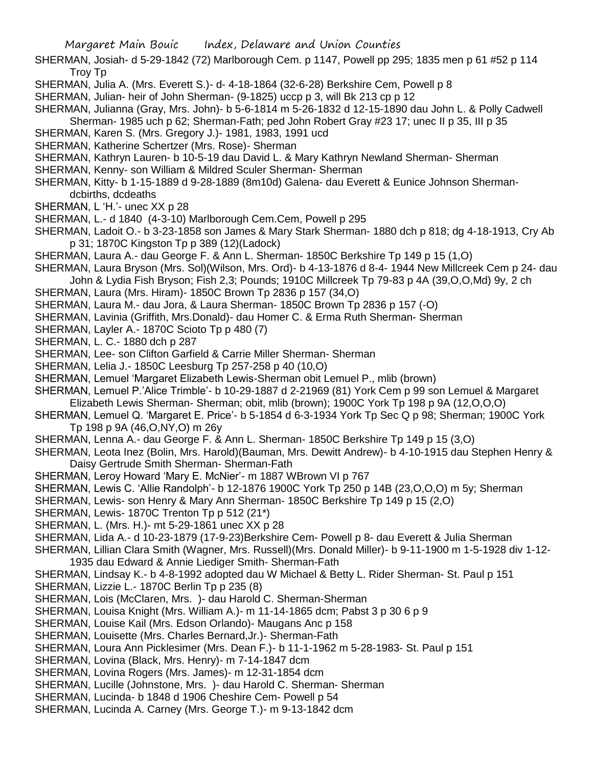- SHERMAN, Josiah- d 5-29-1842 (72) Marlborough Cem. p 1147, Powell pp 295; 1835 men p 61 #52 p 114 Troy Tp
- SHERMAN, Julia A. (Mrs. Everett S.)- d- 4-18-1864 (32-6-28) Berkshire Cem, Powell p 8
- SHERMAN, Julian- heir of John Sherman- (9-1825) uccp p 3, will Bk 213 cp p 12
- SHERMAN, Julianna (Gray, Mrs. John)- b 5-6-1814 m 5-26-1832 d 12-15-1890 dau John L. & Polly Cadwell Sherman- 1985 uch p 62; Sherman-Fath; ped John Robert Gray #23 17; unec II p 35, III p 35
- SHERMAN, Karen S. (Mrs. Gregory J.)- 1981, 1983, 1991 ucd
- SHERMAN, Katherine Schertzer (Mrs. Rose)- Sherman
- SHERMAN, Kathryn Lauren- b 10-5-19 dau David L. & Mary Kathryn Newland Sherman- Sherman
- SHERMAN, Kenny- son William & Mildred Sculer Sherman- Sherman
- SHERMAN, Kitty- b 1-15-1889 d 9-28-1889 (8m10d) Galena- dau Everett & Eunice Johnson Shermandcbirths, dcdeaths
- SHERMAN, L 'H.'- unec XX p 28
- SHERMAN, L.- d 1840 (4-3-10) Marlborough Cem.Cem, Powell p 295
- SHERMAN, Ladoit O.- b 3-23-1858 son James & Mary Stark Sherman- 1880 dch p 818; dg 4-18-1913, Cry Ab p 31; 1870C Kingston Tp p 389 (12)(Ladock)
- SHERMAN, Laura A.- dau George F. & Ann L. Sherman- 1850C Berkshire Tp 149 p 15 (1,O)
- SHERMAN, Laura Bryson (Mrs. Sol)(Wilson, Mrs. Ord)- b 4-13-1876 d 8-4- 1944 New Millcreek Cem p 24- dau
- John & Lydia Fish Bryson; Fish 2,3; Pounds; 1910C Millcreek Tp 79-83 p 4A (39,O,O,Md) 9y, 2 ch
- SHERMAN, Laura (Mrs. Hiram)- 1850C Brown Tp 2836 p 157 (34,O)
- SHERMAN, Laura M.- dau Jora, & Laura Sherman- 1850C Brown Tp 2836 p 157 (-O)
- SHERMAN, Lavinia (Griffith, Mrs.Donald)- dau Homer C. & Erma Ruth Sherman- Sherman
- SHERMAN, Layler A.- 1870C Scioto Tp p 480 (7)
- SHERMAN, L. C.- 1880 dch p 287
- SHERMAN, Lee- son Clifton Garfield & Carrie Miller Sherman- Sherman
- SHERMAN, Lelia J.- 1850C Leesburg Tp 257-258 p 40 (10,O)
- SHERMAN, Lemuel 'Margaret Elizabeth Lewis-Sherman obit Lemuel P., mlib (brown)
- SHERMAN, Lemuel P.'Alice Trimble'- b 10-29-1887 d 2-21969 (81) York Cem p 99 son Lemuel & Margaret Elizabeth Lewis Sherman- Sherman; obit, mlib (brown); 1900C York Tp 198 p 9A (12,O,O,O)
- SHERMAN, Lemuel Q. 'Margaret E. Price'- b 5-1854 d 6-3-1934 York Tp Sec Q p 98; Sherman; 1900C York Tp 198 p 9A (46,O,NY,O) m 26y
- SHERMAN, Lenna A.- dau George F. & Ann L. Sherman- 1850C Berkshire Tp 149 p 15 (3,O)
- SHERMAN, Leota Inez (Bolin, Mrs. Harold)(Bauman, Mrs. Dewitt Andrew)- b 4-10-1915 dau Stephen Henry & Daisy Gertrude Smith Sherman- Sherman-Fath
- SHERMAN, Leroy Howard 'Mary E. McNier'- m 1887 WBrown VI p 767
- SHERMAN, Lewis C. 'Allie Randolph'- b 12-1876 1900C York Tp 250 p 14B (23,O,O,O) m 5y; Sherman
- SHERMAN, Lewis- son Henry & Mary Ann Sherman- 1850C Berkshire Tp 149 p 15 (2,O)
- SHERMAN, Lewis-1870C Trenton Tp p 512 (21\*)
- SHERMAN, L. (Mrs. H.)- mt 5-29-1861 unec XX p 28
- SHERMAN, Lida A.- d 10-23-1879 (17-9-23)Berkshire Cem- Powell p 8- dau Everett & Julia Sherman
- SHERMAN, Lillian Clara Smith (Wagner, Mrs. Russell)(Mrs. Donald Miller)- b 9-11-1900 m 1-5-1928 div 1-12- 1935 dau Edward & Annie Liediger Smith- Sherman-Fath
- SHERMAN, Lindsay K.- b 4-8-1992 adopted dau W Michael & Betty L. Rider Sherman- St. Paul p 151
- SHERMAN, Lizzie L.- 1870C Berlin Tp p 235 (8)
- SHERMAN, Lois (McClaren, Mrs. )- dau Harold C. Sherman-Sherman
- SHERMAN, Louisa Knight (Mrs. William A.)- m 11-14-1865 dcm; Pabst 3 p 30 6 p 9
- SHERMAN, Louise Kail (Mrs. Edson Orlando)- Maugans Anc p 158
- SHERMAN, Louisette (Mrs. Charles Bernard,Jr.)- Sherman-Fath
- SHERMAN, Loura Ann Picklesimer (Mrs. Dean F.)- b 11-1-1962 m 5-28-1983- St. Paul p 151
- SHERMAN, Lovina (Black, Mrs. Henry)- m 7-14-1847 dcm
- SHERMAN, Lovina Rogers (Mrs. James)- m 12-31-1854 dcm
- SHERMAN, Lucille (Johnstone, Mrs. )- dau Harold C. Sherman- Sherman
- SHERMAN, Lucinda- b 1848 d 1906 Cheshire Cem- Powell p 54
- SHERMAN, Lucinda A. Carney (Mrs. George T.)- m 9-13-1842 dcm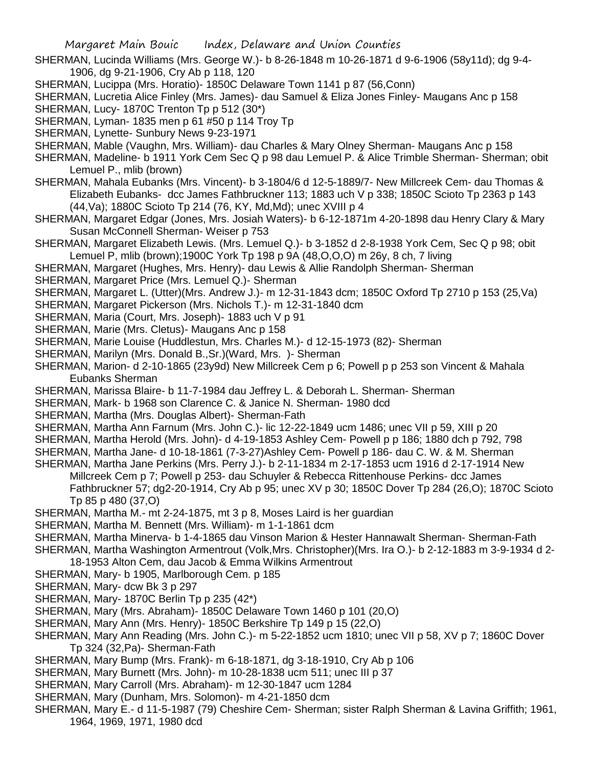- SHERMAN, Lucinda Williams (Mrs. George W.)- b 8-26-1848 m 10-26-1871 d 9-6-1906 (58y11d); dg 9-4- 1906, dg 9-21-1906, Cry Ab p 118, 120
- SHERMAN, Lucippa (Mrs. Horatio)- 1850C Delaware Town 1141 p 87 (56,Conn)
- SHERMAN, Lucretia Alice Finley (Mrs. James)- dau Samuel & Eliza Jones Finley- Maugans Anc p 158
- SHERMAN, Lucy- 1870C Trenton Tp p 512 (30\*)
- SHERMAN, Lyman- 1835 men p 61 #50 p 114 Troy Tp
- SHERMAN, Lynette- Sunbury News 9-23-1971
- SHERMAN, Mable (Vaughn, Mrs. William)- dau Charles & Mary Olney Sherman- Maugans Anc p 158
- SHERMAN, Madeline- b 1911 York Cem Sec Q p 98 dau Lemuel P. & Alice Trimble Sherman- Sherman; obit Lemuel P., mlib (brown)
- SHERMAN, Mahala Eubanks (Mrs. Vincent)- b 3-1804/6 d 12-5-1889/7- New Millcreek Cem- dau Thomas & Elizabeth Eubanks- dcc James Fathbruckner 113; 1883 uch V p 338; 1850C Scioto Tp 2363 p 143 (44,Va); 1880C Scioto Tp 214 (76, KY, Md,Md); unec XVIII p 4
- SHERMAN, Margaret Edgar (Jones, Mrs. Josiah Waters)- b 6-12-1871m 4-20-1898 dau Henry Clary & Mary Susan McConnell Sherman- Weiser p 753
- SHERMAN, Margaret Elizabeth Lewis. (Mrs. Lemuel Q.)- b 3-1852 d 2-8-1938 York Cem, Sec Q p 98; obit Lemuel P, mlib (brown);1900C York Tp 198 p 9A (48,O,O,O) m 26y, 8 ch, 7 living
- SHERMAN, Margaret (Hughes, Mrs. Henry)- dau Lewis & Allie Randolph Sherman- Sherman
- SHERMAN, Margaret Price (Mrs. Lemuel Q.)- Sherman
- SHERMAN, Margaret L. (Utter)(Mrs. Andrew J.)- m 12-31-1843 dcm; 1850C Oxford Tp 2710 p 153 (25,Va)
- SHERMAN, Margaret Pickerson (Mrs. Nichols T.)- m 12-31-1840 dcm
- SHERMAN, Maria (Court, Mrs. Joseph)- 1883 uch V p 91
- SHERMAN, Marie (Mrs. Cletus)- Maugans Anc p 158
- SHERMAN, Marie Louise (Huddlestun, Mrs. Charles M.)- d 12-15-1973 (82)- Sherman
- SHERMAN, Marilyn (Mrs. Donald B.,Sr.)(Ward, Mrs. )- Sherman
- SHERMAN, Marion- d 2-10-1865 (23y9d) New Millcreek Cem p 6; Powell p p 253 son Vincent & Mahala Eubanks Sherman
- SHERMAN, Marissa Blaire- b 11-7-1984 dau Jeffrey L. & Deborah L. Sherman- Sherman
- SHERMAN, Mark- b 1968 son Clarence C. & Janice N. Sherman- 1980 dcd
- SHERMAN, Martha (Mrs. Douglas Albert)- Sherman-Fath
- SHERMAN, Martha Ann Farnum (Mrs. John C.)- lic 12-22-1849 ucm 1486; unec VII p 59, XIII p 20
- SHERMAN, Martha Herold (Mrs. John)- d 4-19-1853 Ashley Cem- Powell p p 186; 1880 dch p 792, 798
- SHERMAN, Martha Jane- d 10-18-1861 (7-3-27)Ashley Cem- Powell p 186- dau C. W. & M. Sherman
- SHERMAN, Martha Jane Perkins (Mrs. Perry J.)- b 2-11-1834 m 2-17-1853 ucm 1916 d 2-17-1914 New Millcreek Cem p 7; Powell p 253- dau Schuyler & Rebecca Rittenhouse Perkins- dcc James Fathbruckner 57; dg2-20-1914, Cry Ab p 95; unec XV p 30; 1850C Dover Tp 284 (26,O); 1870C Scioto Tp 85 p 480 (37,O)
- SHERMAN, Martha M.- mt 2-24-1875, mt 3 p 8, Moses Laird is her guardian
- SHERMAN, Martha M. Bennett (Mrs. William)- m 1-1-1861 dcm
- SHERMAN, Martha Minerva- b 1-4-1865 dau Vinson Marion & Hester Hannawalt Sherman- Sherman-Fath
- SHERMAN, Martha Washington Armentrout (Volk,Mrs. Christopher)(Mrs. Ira O.)- b 2-12-1883 m 3-9-1934 d 2- 18-1953 Alton Cem, dau Jacob & Emma Wilkins Armentrout
- SHERMAN, Mary- b 1905, Marlborough Cem. p 185
- SHERMAN, Mary- dcw Bk 3 p 297
- SHERMAN, Mary- 1870C Berlin Tp p 235 (42\*)
- SHERMAN, Mary (Mrs. Abraham)- 1850C Delaware Town 1460 p 101 (20,O)
- SHERMAN, Mary Ann (Mrs. Henry)- 1850C Berkshire Tp 149 p 15 (22,O)
- SHERMAN, Mary Ann Reading (Mrs. John C.)- m 5-22-1852 ucm 1810; unec VII p 58, XV p 7; 1860C Dover Tp 324 (32,Pa)- Sherman-Fath
- SHERMAN, Mary Bump (Mrs. Frank)- m 6-18-1871, dg 3-18-1910, Cry Ab p 106
- SHERMAN, Mary Burnett (Mrs. John)- m 10-28-1838 ucm 511; unec III p 37
- SHERMAN, Mary Carroll (Mrs. Abraham)- m 12-30-1847 ucm 1284
- SHERMAN, Mary (Dunham, Mrs. Solomon)- m 4-21-1850 dcm
- SHERMAN, Mary E.- d 11-5-1987 (79) Cheshire Cem- Sherman; sister Ralph Sherman & Lavina Griffith; 1961, 1964, 1969, 1971, 1980 dcd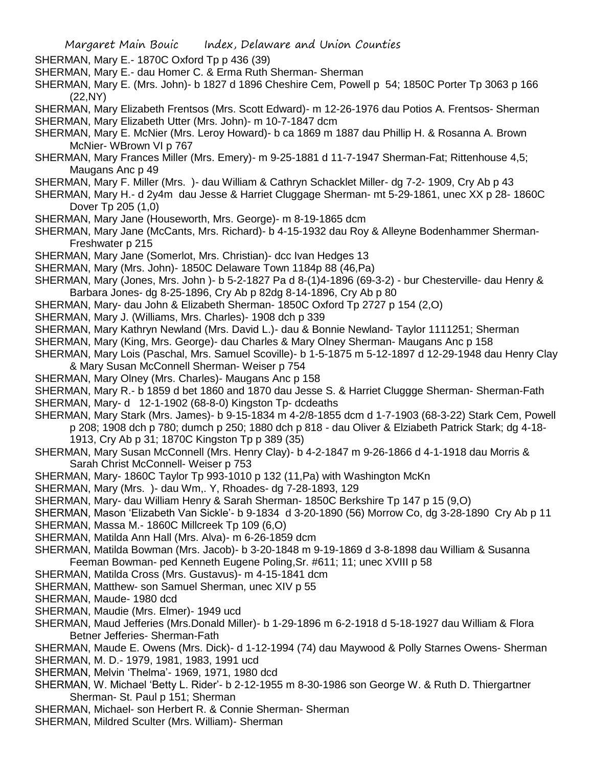SHERMAN, Mary E.- 1870C Oxford Tp p 436 (39)

- SHERMAN, Mary E.- dau Homer C. & Erma Ruth Sherman- Sherman
- SHERMAN, Mary E. (Mrs. John)- b 1827 d 1896 Cheshire Cem, Powell p 54; 1850C Porter Tp 3063 p 166 (22,NY)
- SHERMAN, Mary Elizabeth Frentsos (Mrs. Scott Edward)- m 12-26-1976 dau Potios A. Frentsos- Sherman SHERMAN, Mary Elizabeth Utter (Mrs. John)- m 10-7-1847 dcm
- SHERMAN, Mary E. McNier (Mrs. Leroy Howard)- b ca 1869 m 1887 dau Phillip H. & Rosanna A. Brown McNier- WBrown VI p 767
- SHERMAN, Mary Frances Miller (Mrs. Emery)- m 9-25-1881 d 11-7-1947 Sherman-Fat; Rittenhouse 4,5; Maugans Anc p 49
- SHERMAN, Mary F. Miller (Mrs. )- dau William & Cathryn Schacklet Miller- dg 7-2- 1909, Cry Ab p 43
- SHERMAN, Mary H.- d 2y4m dau Jesse & Harriet Cluggage Sherman- mt 5-29-1861, unec XX p 28- 1860C Dover Tp 205 (1,0)
- SHERMAN, Mary Jane (Houseworth, Mrs. George)- m 8-19-1865 dcm
- SHERMAN, Mary Jane (McCants, Mrs. Richard)- b 4-15-1932 dau Roy & Alleyne Bodenhammer Sherman-Freshwater p 215
- SHERMAN, Mary Jane (Somerlot, Mrs. Christian)- dcc Ivan Hedges 13
- SHERMAN, Mary (Mrs. John)- 1850C Delaware Town 1184p 88 (46,Pa)
- SHERMAN, Mary (Jones, Mrs. John )- b 5-2-1827 Pa d 8-(1)4-1896 (69-3-2) bur Chesterville- dau Henry & Barbara Jones- dg 8-25-1896, Cry Ab p 82dg 8-14-1896, Cry Ab p 80
- SHERMAN, Mary- dau John & Elizabeth Sherman- 1850C Oxford Tp 2727 p 154 (2,O)
- SHERMAN, Mary J. (Williams, Mrs. Charles)- 1908 dch p 339
- SHERMAN, Mary Kathryn Newland (Mrs. David L.)- dau & Bonnie Newland- Taylor 1111251; Sherman
- SHERMAN, Mary (King, Mrs. George)- dau Charles & Mary Olney Sherman- Maugans Anc p 158
- SHERMAN, Mary Lois (Paschal, Mrs. Samuel Scoville)- b 1-5-1875 m 5-12-1897 d 12-29-1948 dau Henry Clay & Mary Susan McConnell Sherman- Weiser p 754
- SHERMAN, Mary Olney (Mrs. Charles)- Maugans Anc p 158
- SHERMAN, Mary R.- b 1859 d bet 1860 and 1870 dau Jesse S. & Harriet Cluggge Sherman- Sherman-Fath SHERMAN, Mary- d 12-1-1902 (68-8-0) Kingston Tp- dcdeaths
- SHERMAN, Mary Stark (Mrs. James)- b 9-15-1834 m 4-2/8-1855 dcm d 1-7-1903 (68-3-22) Stark Cem, Powell p 208; 1908 dch p 780; dumch p 250; 1880 dch p 818 - dau Oliver & Elziabeth Patrick Stark; dg 4-18- 1913, Cry Ab p 31; 1870C Kingston Tp p 389 (35)
- SHERMAN, Mary Susan McConnell (Mrs. Henry Clay)- b 4-2-1847 m 9-26-1866 d 4-1-1918 dau Morris & Sarah Christ McConnell- Weiser p 753
- SHERMAN, Mary- 1860C Taylor Tp 993-1010 p 132 (11,Pa) with Washington McKn
- SHERMAN, Mary (Mrs. )- dau Wm,. Y, Rhoades- dg 7-28-1893, 129
- SHERMAN, Mary- dau William Henry & Sarah Sherman- 1850C Berkshire Tp 147 p 15 (9,O)
- SHERMAN, Mason 'Elizabeth Van Sickle'- b 9-1834 d 3-20-1890 (56) Morrow Co, dg 3-28-1890 Cry Ab p 11
- SHERMAN, Massa M.- 1860C Millcreek Tp 109 (6,O)
- SHERMAN, Matilda Ann Hall (Mrs. Alva)- m 6-26-1859 dcm
- SHERMAN, Matilda Bowman (Mrs. Jacob)- b 3-20-1848 m 9-19-1869 d 3-8-1898 dau William & Susanna Feeman Bowman- ped Kenneth Eugene Poling,Sr. #611; 11; unec XVIII p 58
- SHERMAN, Matilda Cross (Mrs. Gustavus)- m 4-15-1841 dcm
- SHERMAN, Matthew- son Samuel Sherman, unec XIV p 55
- SHERMAN, Maude- 1980 dcd
- SHERMAN, Maudie (Mrs. Elmer)- 1949 ucd
- SHERMAN, Maud Jefferies (Mrs.Donald Miller)- b 1-29-1896 m 6-2-1918 d 5-18-1927 dau William & Flora Betner Jefferies- Sherman-Fath
- SHERMAN, Maude E. Owens (Mrs. Dick)- d 1-12-1994 (74) dau Maywood & Polly Starnes Owens- Sherman SHERMAN, M. D.- 1979, 1981, 1983, 1991 ucd
- SHERMAN, Melvin 'Thelma'- 1969, 1971, 1980 dcd
- SHERMAN, W. Michael 'Betty L. Rider'- b 2-12-1955 m 8-30-1986 son George W. & Ruth D. Thiergartner Sherman- St. Paul p 151; Sherman
- SHERMAN, Michael- son Herbert R. & Connie Sherman- Sherman
- SHERMAN, Mildred Sculter (Mrs. William)- Sherman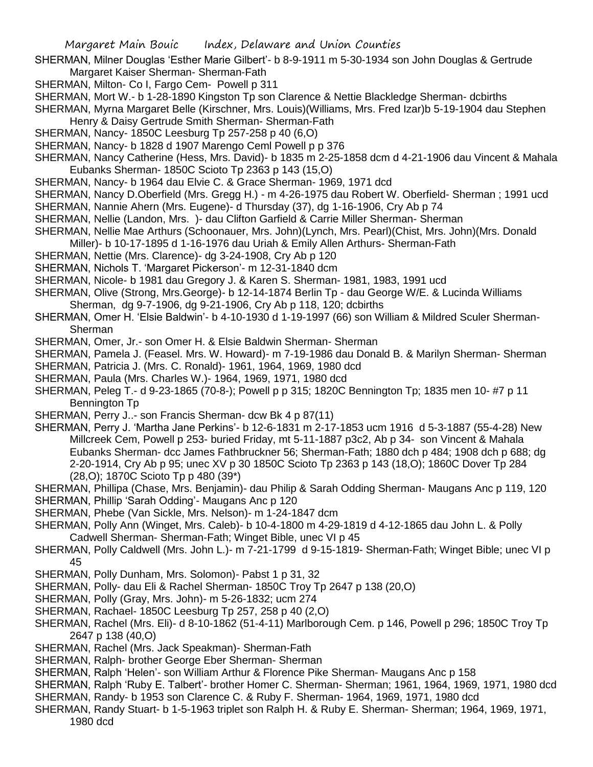- SHERMAN, Milner Douglas 'Esther Marie Gilbert'- b 8-9-1911 m 5-30-1934 son John Douglas & Gertrude Margaret Kaiser Sherman- Sherman-Fath
- SHERMAN, Milton- Co I, Fargo Cem- Powell p 311
- SHERMAN, Mort W.- b 1-28-1890 Kingston Tp son Clarence & Nettie Blackledge Sherman- dcbirths

SHERMAN, Myrna Margaret Belle (Kirschner, Mrs. Louis)(Williams, Mrs. Fred Izar)b 5-19-1904 dau Stephen Henry & Daisy Gertrude Smith Sherman- Sherman-Fath

- SHERMAN, Nancy- 1850C Leesburg Tp 257-258 p 40 (6,O)
- SHERMAN, Nancy- b 1828 d 1907 Marengo Ceml Powell p p 376
- SHERMAN, Nancy Catherine (Hess, Mrs. David)- b 1835 m 2-25-1858 dcm d 4-21-1906 dau Vincent & Mahala Eubanks Sherman- 1850C Scioto Tp 2363 p 143 (15,O)
- SHERMAN, Nancy- b 1964 dau Elvie C. & Grace Sherman- 1969, 1971 dcd
- SHERMAN, Nancy D.Oberfield (Mrs. Gregg H.) m 4-26-1975 dau Robert W. Oberfield- Sherman ; 1991 ucd
- SHERMAN, Nannie Ahern (Mrs. Eugene)- d Thursday (37), dg 1-16-1906, Cry Ab p 74
- SHERMAN, Nellie (Landon, Mrs. )- dau Clifton Garfield & Carrie Miller Sherman- Sherman
- SHERMAN, Nellie Mae Arthurs (Schoonauer, Mrs. John)(Lynch, Mrs. Pearl)(Chist, Mrs. John)(Mrs. Donald Miller)- b 10-17-1895 d 1-16-1976 dau Uriah & Emily Allen Arthurs- Sherman-Fath
- SHERMAN, Nettie (Mrs. Clarence)- dg 3-24-1908, Cry Ab p 120
- SHERMAN, Nichols T. 'Margaret Pickerson'- m 12-31-1840 dcm
- SHERMAN, Nicole- b 1981 dau Gregory J. & Karen S. Sherman- 1981, 1983, 1991 ucd
- SHERMAN, Olive (Strong, Mrs.George)- b 12-14-1874 Berlin Tp dau George W/E. & Lucinda Williams Sherman, dg 9-7-1906, dg 9-21-1906, Cry Ab p 118, 120; dcbirths
- SHERMAN, Omer H. 'Elsie Baldwin'- b 4-10-1930 d 1-19-1997 (66) son William & Mildred Sculer Sherman-**Sherman**
- SHERMAN, Omer, Jr.- son Omer H. & Elsie Baldwin Sherman- Sherman
- SHERMAN, Pamela J. (Feasel. Mrs. W. Howard)- m 7-19-1986 dau Donald B. & Marilyn Sherman- Sherman
- SHERMAN, Patricia J. (Mrs. C. Ronald)- 1961, 1964, 1969, 1980 dcd
- SHERMAN, Paula (Mrs. Charles W.)- 1964, 1969, 1971, 1980 dcd
- SHERMAN, Peleg T.- d 9-23-1865 (70-8-); Powell p p 315; 1820C Bennington Tp; 1835 men 10- #7 p 11 Bennington Tp
- SHERMAN, Perry J..- son Francis Sherman- dcw Bk 4 p 87(11)
- SHERMAN, Perry J. 'Martha Jane Perkins'- b 12-6-1831 m 2-17-1853 ucm 1916 d 5-3-1887 (55-4-28) New Millcreek Cem, Powell p 253- buried Friday, mt 5-11-1887 p3c2, Ab p 34- son Vincent & Mahala Eubanks Sherman- dcc James Fathbruckner 56; Sherman-Fath; 1880 dch p 484; 1908 dch p 688; dg 2-20-1914, Cry Ab p 95; unec XV p 30 1850C Scioto Tp 2363 p 143 (18,O); 1860C Dover Tp 284 (28,O); 1870C Scioto Tp p 480 (39\*)
- SHERMAN, Phillipa (Chase, Mrs. Benjamin)- dau Philip & Sarah Odding Sherman- Maugans Anc p 119, 120
- SHERMAN, Phillip 'Sarah Odding'- Maugans Anc p 120
- SHERMAN, Phebe (Van Sickle, Mrs. Nelson)- m 1-24-1847 dcm
- SHERMAN, Polly Ann (Winget, Mrs. Caleb)- b 10-4-1800 m 4-29-1819 d 4-12-1865 dau John L. & Polly Cadwell Sherman- Sherman-Fath; Winget Bible, unec VI p 45
- SHERMAN, Polly Caldwell (Mrs. John L.)- m 7-21-1799 d 9-15-1819- Sherman-Fath; Winget Bible; unec VI p 45
- SHERMAN, Polly Dunham, Mrs. Solomon)- Pabst 1 p 31, 32
- SHERMAN, Polly- dau Eli & Rachel Sherman- 1850C Troy Tp 2647 p 138 (20,O)
- SHERMAN, Polly (Gray, Mrs. John)- m 5-26-1832; ucm 274
- SHERMAN, Rachael- 1850C Leesburg Tp 257, 258 p 40 (2,O)
- SHERMAN, Rachel (Mrs. Eli)- d 8-10-1862 (51-4-11) Marlborough Cem. p 146, Powell p 296; 1850C Troy Tp 2647 p 138 (40,O)
- SHERMAN, Rachel (Mrs. Jack Speakman)- Sherman-Fath
- SHERMAN, Ralph- brother George Eber Sherman- Sherman
- SHERMAN, Ralph 'Helen'- son William Arthur & Florence Pike Sherman- Maugans Anc p 158
- SHERMAN, Ralph 'Ruby E. Talbert'- brother Homer C. Sherman- Sherman; 1961, 1964, 1969, 1971, 1980 dcd
- SHERMAN, Randy- b 1953 son Clarence C. & Ruby F. Sherman- 1964, 1969, 1971, 1980 dcd
- SHERMAN, Randy Stuart- b 1-5-1963 triplet son Ralph H. & Ruby E. Sherman- Sherman; 1964, 1969, 1971, 1980 dcd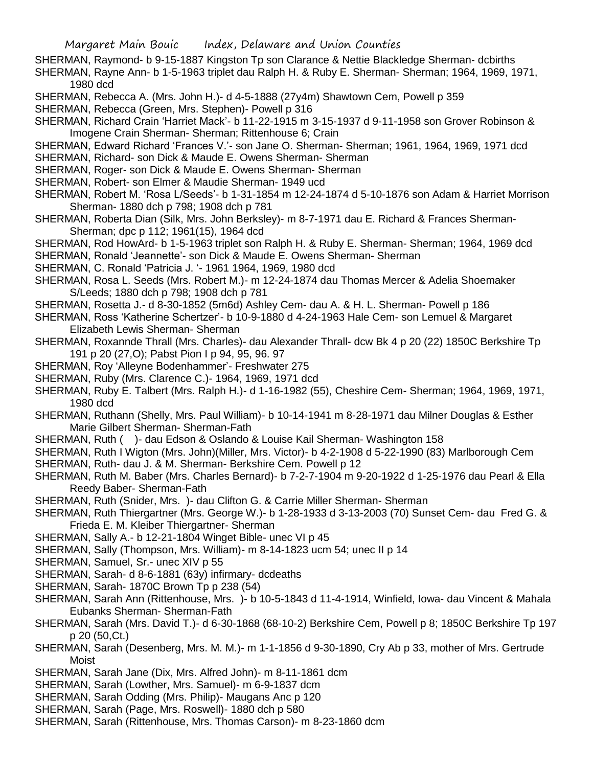- SHERMAN, Raymond- b 9-15-1887 Kingston Tp son Clarance & Nettie Blackledge Sherman- dcbirths
- SHERMAN, Rayne Ann- b 1-5-1963 triplet dau Ralph H. & Ruby E. Sherman- Sherman; 1964, 1969, 1971, 1980 dcd
- SHERMAN, Rebecca A. (Mrs. John H.)- d 4-5-1888 (27y4m) Shawtown Cem, Powell p 359
- SHERMAN, Rebecca (Green, Mrs. Stephen)- Powell p 316
- SHERMAN, Richard Crain 'Harriet Mack'- b 11-22-1915 m 3-15-1937 d 9-11-1958 son Grover Robinson & Imogene Crain Sherman- Sherman; Rittenhouse 6; Crain
- SHERMAN, Edward Richard 'Frances V.'- son Jane O. Sherman- Sherman; 1961, 1964, 1969, 1971 dcd
- SHERMAN, Richard- son Dick & Maude E. Owens Sherman- Sherman
- SHERMAN, Roger- son Dick & Maude E. Owens Sherman- Sherman
- SHERMAN, Robert- son Elmer & Maudie Sherman- 1949 ucd
- SHERMAN, Robert M. 'Rosa L/Seeds'- b 1-31-1854 m 12-24-1874 d 5-10-1876 son Adam & Harriet Morrison Sherman- 1880 dch p 798; 1908 dch p 781
- SHERMAN, Roberta Dian (Silk, Mrs. John Berksley)- m 8-7-1971 dau E. Richard & Frances Sherman-Sherman; dpc p 112; 1961(15), 1964 dcd
- SHERMAN, Rod HowArd- b 1-5-1963 triplet son Ralph H. & Ruby E. Sherman- Sherman; 1964, 1969 dcd
- SHERMAN, Ronald 'Jeannette'- son Dick & Maude E. Owens Sherman- Sherman
- SHERMAN, C. Ronald 'Patricia J. '- 1961 1964, 1969, 1980 dcd
- SHERMAN, Rosa L. Seeds (Mrs. Robert M.)- m 12-24-1874 dau Thomas Mercer & Adelia Shoemaker S/Leeds; 1880 dch p 798; 1908 dch p 781
- SHERMAN, Rosetta J.- d 8-30-1852 (5m6d) Ashley Cem- dau A. & H. L. Sherman- Powell p 186
- SHERMAN, Ross 'Katherine Schertzer'- b 10-9-1880 d 4-24-1963 Hale Cem- son Lemuel & Margaret Elizabeth Lewis Sherman- Sherman
- SHERMAN, Roxannde Thrall (Mrs. Charles)- dau Alexander Thrall- dcw Bk 4 p 20 (22) 1850C Berkshire Tp 191 p 20 (27,O); Pabst Pion I p 94, 95, 96. 97
- SHERMAN, Roy 'Alleyne Bodenhammer'- Freshwater 275
- SHERMAN, Ruby (Mrs. Clarence C.)- 1964, 1969, 1971 dcd
- SHERMAN, Ruby E. Talbert (Mrs. Ralph H.)- d 1-16-1982 (55), Cheshire Cem- Sherman; 1964, 1969, 1971, 1980 dcd
- SHERMAN, Ruthann (Shelly, Mrs. Paul William)- b 10-14-1941 m 8-28-1971 dau Milner Douglas & Esther Marie Gilbert Sherman- Sherman-Fath
- SHERMAN, Ruth ( )- dau Edson & Oslando & Louise Kail Sherman- Washington 158
- SHERMAN, Ruth I Wigton (Mrs. John)(Miller, Mrs. Victor)- b 4-2-1908 d 5-22-1990 (83) Marlborough Cem
- SHERMAN, Ruth- dau J. & M. Sherman- Berkshire Cem. Powell p 12
- SHERMAN, Ruth M. Baber (Mrs. Charles Bernard)- b 7-2-7-1904 m 9-20-1922 d 1-25-1976 dau Pearl & Ella Reedy Baber- Sherman-Fath
- SHERMAN, Ruth (Snider, Mrs. )- dau Clifton G. & Carrie Miller Sherman- Sherman
- SHERMAN, Ruth Thiergartner (Mrs. George W.)- b 1-28-1933 d 3-13-2003 (70) Sunset Cem- dau Fred G. & Frieda E. M. Kleiber Thiergartner- Sherman
- SHERMAN, Sally A.- b 12-21-1804 Winget Bible- unec VI p 45
- SHERMAN, Sally (Thompson, Mrs. William)- m 8-14-1823 ucm 54; unec II p 14
- SHERMAN, Samuel, Sr.- unec XIV p 55
- SHERMAN, Sarah- d 8-6-1881 (63y) infirmary- dcdeaths
- SHERMAN, Sarah- 1870C Brown Tp p 238 (54)
- SHERMAN, Sarah Ann (Rittenhouse, Mrs. )- b 10-5-1843 d 11-4-1914, Winfield, Iowa- dau Vincent & Mahala Eubanks Sherman- Sherman-Fath
- SHERMAN, Sarah (Mrs. David T.)- d 6-30-1868 (68-10-2) Berkshire Cem, Powell p 8; 1850C Berkshire Tp 197 p 20 (50,Ct.)
- SHERMAN, Sarah (Desenberg, Mrs. M. M.)- m 1-1-1856 d 9-30-1890, Cry Ab p 33, mother of Mrs. Gertrude Moist
- SHERMAN, Sarah Jane (Dix, Mrs. Alfred John)- m 8-11-1861 dcm
- SHERMAN, Sarah (Lowther, Mrs. Samuel)- m 6-9-1837 dcm
- SHERMAN, Sarah Odding (Mrs. Philip)- Maugans Anc p 120
- SHERMAN, Sarah (Page, Mrs. Roswell)- 1880 dch p 580
- SHERMAN, Sarah (Rittenhouse, Mrs. Thomas Carson)- m 8-23-1860 dcm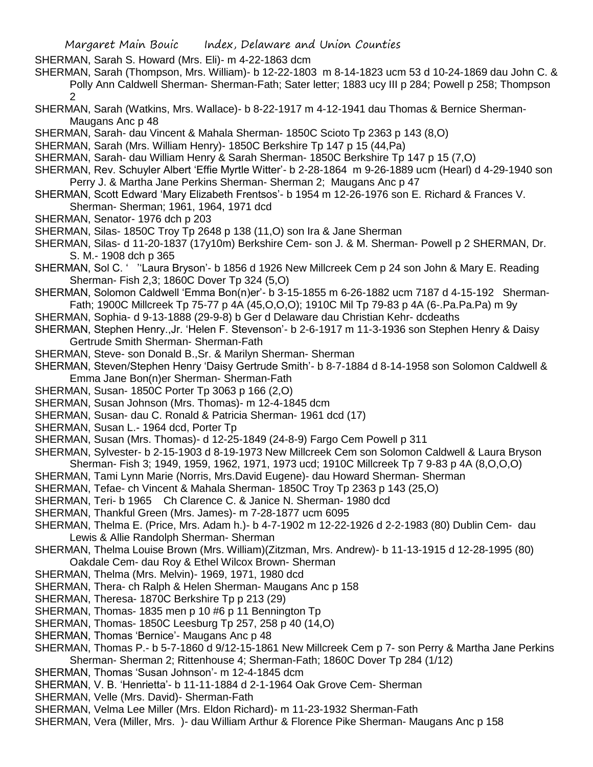SHERMAN, Sarah S. Howard (Mrs. Eli)- m 4-22-1863 dcm

- SHERMAN, Sarah (Thompson, Mrs. William)- b 12-22-1803 m 8-14-1823 ucm 53 d 10-24-1869 dau John C. & Polly Ann Caldwell Sherman- Sherman-Fath; Sater letter; 1883 ucy III p 284; Powell p 258; Thompson 2
- SHERMAN, Sarah (Watkins, Mrs. Wallace)- b 8-22-1917 m 4-12-1941 dau Thomas & Bernice Sherman-Maugans Anc p 48
- SHERMAN, Sarah- dau Vincent & Mahala Sherman- 1850C Scioto Tp 2363 p 143 (8,O)
- SHERMAN, Sarah (Mrs. William Henry)- 1850C Berkshire Tp 147 p 15 (44,Pa)
- SHERMAN, Sarah- dau William Henry & Sarah Sherman- 1850C Berkshire Tp 147 p 15 (7,O)
- SHERMAN, Rev. Schuyler Albert 'Effie Myrtle Witter'- b 2-28-1864 m 9-26-1889 ucm (Hearl) d 4-29-1940 son Perry J. & Martha Jane Perkins Sherman- Sherman 2; Maugans Anc p 47
- SHERMAN, Scott Edward 'Mary Elizabeth Frentsos'- b 1954 m 12-26-1976 son E. Richard & Frances V. Sherman- Sherman; 1961, 1964, 1971 dcd
- SHERMAN, Senator- 1976 dch p 203
- SHERMAN, Silas- 1850C Troy Tp 2648 p 138 (11,O) son Ira & Jane Sherman
- SHERMAN, Silas- d 11-20-1837 (17y10m) Berkshire Cem- son J. & M. Sherman- Powell p 2 SHERMAN, Dr. S. M.- 1908 dch p 365
- SHERMAN, Sol C. ' ''Laura Bryson'- b 1856 d 1926 New Millcreek Cem p 24 son John & Mary E. Reading Sherman- Fish 2,3; 1860C Dover Tp 324 (5,O)
- SHERMAN, Solomon Caldwell 'Emma Bon(n)er'- b 3-15-1855 m 6-26-1882 ucm 7187 d 4-15-192 Sherman-Fath; 1900C Millcreek Tp 75-77 p 4A (45,O,O,O); 1910C Mil Tp 79-83 p 4A (6-.Pa.Pa.Pa) m 9y
- SHERMAN, Sophia- d 9-13-1888 (29-9-8) b Ger d Delaware dau Christian Kehr- dcdeaths
- SHERMAN, Stephen Henry.,Jr. 'Helen F. Stevenson'- b 2-6-1917 m 11-3-1936 son Stephen Henry & Daisy Gertrude Smith Sherman- Sherman-Fath
- SHERMAN, Steve- son Donald B.,Sr. & Marilyn Sherman- Sherman
- SHERMAN, Steven/Stephen Henry 'Daisy Gertrude Smith'- b 8-7-1884 d 8-14-1958 son Solomon Caldwell & Emma Jane Bon(n)er Sherman- Sherman-Fath
- SHERMAN, Susan- 1850C Porter Tp 3063 p 166 (2,O)
- SHERMAN, Susan Johnson (Mrs. Thomas)- m 12-4-1845 dcm
- SHERMAN, Susan- dau C. Ronald & Patricia Sherman- 1961 dcd (17)
- SHERMAN, Susan L.- 1964 dcd, Porter Tp
- SHERMAN, Susan (Mrs. Thomas)- d 12-25-1849 (24-8-9) Fargo Cem Powell p 311
- SHERMAN, Sylvester- b 2-15-1903 d 8-19-1973 New Millcreek Cem son Solomon Caldwell & Laura Bryson Sherman- Fish 3; 1949, 1959, 1962, 1971, 1973 ucd; 1910C Millcreek Tp 7 9-83 p 4A (8,O,O,O)
- SHERMAN, Tami Lynn Marie (Norris, Mrs.David Eugene)- dau Howard Sherman- Sherman
- SHERMAN, Tefae- ch Vincent & Mahala Sherman- 1850C Troy Tp 2363 p 143 (25,O)
- SHERMAN, Teri- b 1965 Ch Clarence C. & Janice N. Sherman- 1980 dcd
- SHERMAN, Thankful Green (Mrs. James)- m 7-28-1877 ucm 6095
- SHERMAN, Thelma E. (Price, Mrs. Adam h.)- b 4-7-1902 m 12-22-1926 d 2-2-1983 (80) Dublin Cem- dau Lewis & Allie Randolph Sherman- Sherman
- SHERMAN, Thelma Louise Brown (Mrs. William)(Zitzman, Mrs. Andrew)- b 11-13-1915 d 12-28-1995 (80) Oakdale Cem- dau Roy & Ethel Wilcox Brown- Sherman
- SHERMAN, Thelma (Mrs. Melvin)- 1969, 1971, 1980 dcd
- SHERMAN, Thera- ch Ralph & Helen Sherman- Maugans Anc p 158
- SHERMAN, Theresa- 1870C Berkshire Tp p 213 (29)
- SHERMAN, Thomas- 1835 men p 10 #6 p 11 Bennington Tp
- SHERMAN, Thomas- 1850C Leesburg Tp 257, 258 p 40 (14,O)
- SHERMAN, Thomas 'Bernice'- Maugans Anc p 48
- SHERMAN, Thomas P.- b 5-7-1860 d 9/12-15-1861 New Millcreek Cem p 7- son Perry & Martha Jane Perkins Sherman- Sherman 2; Rittenhouse 4; Sherman-Fath; 1860C Dover Tp 284 (1/12)
- SHERMAN, Thomas 'Susan Johnson'- m 12-4-1845 dcm
- SHERMAN, V. B. 'Henrietta'- b 11-11-1884 d 2-1-1964 Oak Grove Cem- Sherman
- SHERMAN, Velle (Mrs. David)- Sherman-Fath
- SHERMAN, Velma Lee Miller (Mrs. Eldon Richard)- m 11-23-1932 Sherman-Fath
- SHERMAN, Vera (Miller, Mrs. )- dau William Arthur & Florence Pike Sherman- Maugans Anc p 158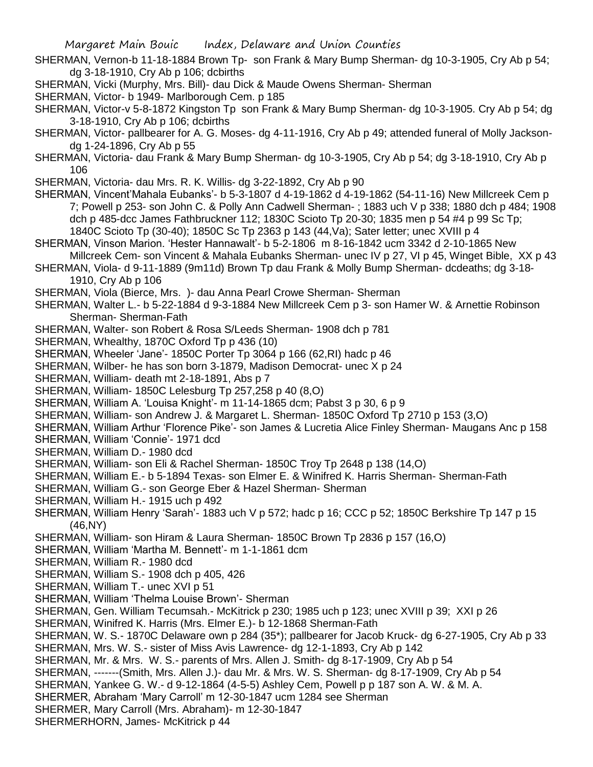SHERMAN, Vernon-b 11-18-1884 Brown Tp- son Frank & Mary Bump Sherman- dg 10-3-1905, Cry Ab p 54; dg 3-18-1910, Cry Ab p 106; dcbirths

SHERMAN, Vicki (Murphy, Mrs. Bill)- dau Dick & Maude Owens Sherman- Sherman

SHERMAN, Victor- b 1949- Marlborough Cem. p 185

- SHERMAN, Victor-v 5-8-1872 Kingston Tp son Frank & Mary Bump Sherman- dg 10-3-1905. Cry Ab p 54; dg 3-18-1910, Cry Ab p 106; dcbirths
- SHERMAN, Victor- pallbearer for A. G. Moses- dg 4-11-1916, Cry Ab p 49; attended funeral of Molly Jacksondg 1-24-1896, Cry Ab p 55
- SHERMAN, Victoria- dau Frank & Mary Bump Sherman- dg 10-3-1905, Cry Ab p 54; dg 3-18-1910, Cry Ab p 106
- SHERMAN, Victoria- dau Mrs. R. K. Willis- dg 3-22-1892, Cry Ab p 90
- SHERMAN, Vincent'Mahala Eubanks'- b 5-3-1807 d 4-19-1862 d 4-19-1862 (54-11-16) New Millcreek Cem p 7; Powell p 253- son John C. & Polly Ann Cadwell Sherman- ; 1883 uch V p 338; 1880 dch p 484; 1908 dch p 485-dcc James Fathbruckner 112; 1830C Scioto Tp 20-30; 1835 men p 54 #4 p 99 Sc Tp; 1840C Scioto Tp (30-40); 1850C Sc Tp 2363 p 143 (44,Va); Sater letter; unec XVIII p 4
- SHERMAN, Vinson Marion. 'Hester Hannawalt'- b 5-2-1806 m 8-16-1842 ucm 3342 d 2-10-1865 New Millcreek Cem- son Vincent & Mahala Eubanks Sherman- unec IV p 27, VI p 45, Winget Bible, XX p 43
- SHERMAN, Viola- d 9-11-1889 (9m11d) Brown Tp dau Frank & Molly Bump Sherman- dcdeaths; dg 3-18- 1910, Cry Ab p 106

SHERMAN, Viola (Bierce, Mrs. )- dau Anna Pearl Crowe Sherman- Sherman

- SHERMAN, Walter L.- b 5-22-1884 d 9-3-1884 New Millcreek Cem p 3- son Hamer W. & Arnettie Robinson Sherman- Sherman-Fath
- SHERMAN, Walter- son Robert & Rosa S/Leeds Sherman- 1908 dch p 781
- SHERMAN, Whealthy, 1870C Oxford Tp p 436 (10)
- SHERMAN, Wheeler 'Jane'- 1850C Porter Tp 3064 p 166 (62,RI) hadc p 46
- SHERMAN, Wilber- he has son born 3-1879, Madison Democrat- unec X p 24
- SHERMAN, William- death mt 2-18-1891, Abs p 7
- SHERMAN, William- 1850C Lelesburg Tp 257,258 p 40 (8,O)
- SHERMAN, William A. 'Louisa Knight'- m 11-14-1865 dcm; Pabst 3 p 30, 6 p 9
- SHERMAN, William- son Andrew J. & Margaret L. Sherman- 1850C Oxford Tp 2710 p 153 (3,O)
- SHERMAN, William Arthur 'Florence Pike'- son James & Lucretia Alice Finley Sherman- Maugans Anc p 158
- SHERMAN, William 'Connie'- 1971 dcd
- SHERMAN, William D.- 1980 dcd
- SHERMAN, William- son Eli & Rachel Sherman- 1850C Troy Tp 2648 p 138 (14,O)
- SHERMAN, William E.- b 5-1894 Texas- son Elmer E. & Winifred K. Harris Sherman- Sherman-Fath
- SHERMAN, William G.- son George Eber & Hazel Sherman- Sherman
- SHERMAN, William H.- 1915 uch p 492
- SHERMAN, William Henry 'Sarah'- 1883 uch V p 572; hadc p 16; CCC p 52; 1850C Berkshire Tp 147 p 15 (46,NY)
- SHERMAN, William- son Hiram & Laura Sherman- 1850C Brown Tp 2836 p 157 (16,O)
- SHERMAN, William 'Martha M. Bennett'- m 1-1-1861 dcm
- SHERMAN, William R.- 1980 dcd
- SHERMAN, William S.- 1908 dch p 405, 426
- SHERMAN, William T.- unec XVI p 51
- SHERMAN, William 'Thelma Louise Brown'- Sherman
- SHERMAN, Gen. William Tecumsah.- McKitrick p 230; 1985 uch p 123; unec XVIII p 39; XXI p 26
- SHERMAN, Winifred K. Harris (Mrs. Elmer E.)- b 12-1868 Sherman-Fath
- SHERMAN, W. S.- 1870C Delaware own p 284 (35\*); pallbearer for Jacob Kruck- dg 6-27-1905, Cry Ab p 33
- SHERMAN, Mrs. W. S.- sister of Miss Avis Lawrence- dg 12-1-1893, Cry Ab p 142
- SHERMAN, Mr. & Mrs. W. S.- parents of Mrs. Allen J. Smith- dg 8-17-1909, Cry Ab p 54
- SHERMAN, -------(Smith, Mrs. Allen J.)- dau Mr. & Mrs. W. S. Sherman- dg 8-17-1909, Cry Ab p 54
- SHERMAN, Yankee G. W.- d 9-12-1864 (4-5-5) Ashley Cem, Powell p p 187 son A. W. & M. A.
- SHERMER, Abraham 'Mary Carroll' m 12-30-1847 ucm 1284 see Sherman
- SHERMER, Mary Carroll (Mrs. Abraham)- m 12-30-1847
- SHERMERHORN, James- McKitrick p 44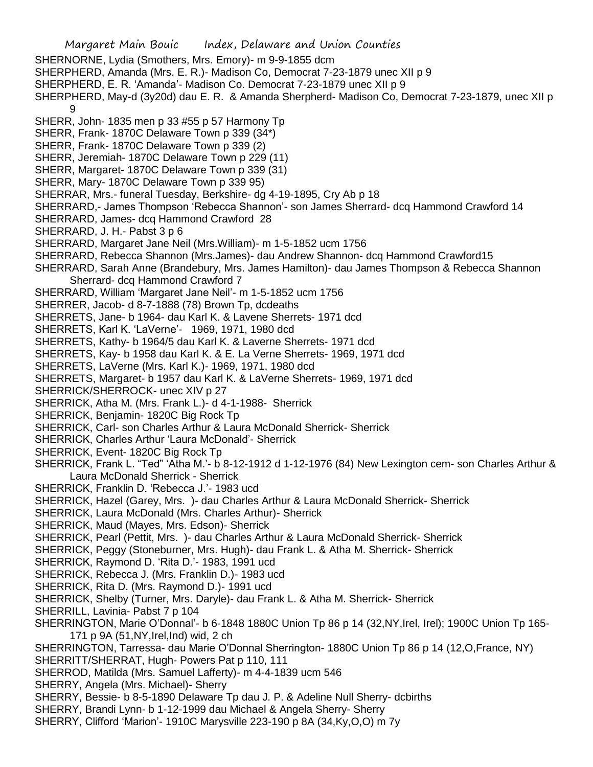- Margaret Main Bouic Index, Delaware and Union Counties SHERNORNE, Lydia (Smothers, Mrs. Emory)- m 9-9-1855 dcm SHERPHERD, Amanda (Mrs. E. R.)- Madison Co, Democrat 7-23-1879 unec XII p 9 SHERPHERD, E. R. 'Amanda'- Madison Co. Democrat 7-23-1879 unec XII p 9 SHERPHERD, May-d (3y20d) dau E. R. & Amanda Sherpherd- Madison Co, Democrat 7-23-1879, unec XII p 9 SHERR, John- 1835 men p 33 #55 p 57 Harmony Tp SHERR, Frank- 1870C Delaware Town p 339 (34\*) SHERR, Frank- 1870C Delaware Town p 339 (2) SHERR, Jeremiah- 1870C Delaware Town p 229 (11) SHERR, Margaret- 1870C Delaware Town p 339 (31) SHERR, Mary- 1870C Delaware Town p 339 95) SHERRAR, Mrs.- funeral Tuesday, Berkshire- dg 4-19-1895, Cry Ab p 18 SHERRARD,- James Thompson 'Rebecca Shannon'- son James Sherrard- dcq Hammond Crawford 14 SHERRARD, James- dcq Hammond Crawford 28 SHERRARD, J. H.- Pabst 3 p 6 SHERRARD, Margaret Jane Neil (Mrs.William)- m 1-5-1852 ucm 1756 SHERRARD, Rebecca Shannon (Mrs.James)- dau Andrew Shannon- dcq Hammond Crawford15 SHERRARD, Sarah Anne (Brandebury, Mrs. James Hamilton)- dau James Thompson & Rebecca Shannon Sherrard- dcq Hammond Crawford 7 SHERRARD, William 'Margaret Jane Neil'- m 1-5-1852 ucm 1756 SHERRER, Jacob- d 8-7-1888 (78) Brown Tp, dcdeaths SHERRETS, Jane- b 1964- dau Karl K. & Lavene Sherrets- 1971 dcd SHERRETS, Karl K. 'LaVerne'- 1969, 1971, 1980 dcd SHERRETS, Kathy- b 1964/5 dau Karl K. & Laverne Sherrets- 1971 dcd SHERRETS, Kay- b 1958 dau Karl K. & E. La Verne Sherrets- 1969, 1971 dcd SHERRETS, LaVerne (Mrs. Karl K.)- 1969, 1971, 1980 dcd SHERRETS, Margaret- b 1957 dau Karl K. & LaVerne Sherrets- 1969, 1971 dcd SHERRICK/SHERROCK- unec XIV p 27 SHERRICK, Atha M. (Mrs. Frank L.)- d 4-1-1988- Sherrick SHERRICK, Benjamin- 1820C Big Rock Tp SHERRICK, Carl- son Charles Arthur & Laura McDonald Sherrick- Sherrick SHERRICK, Charles Arthur 'Laura McDonald'- Sherrick SHERRICK, Event- 1820C Big Rock Tp SHERRICK, Frank L. "Ted" 'Atha M.'- b 8-12-1912 d 1-12-1976 (84) New Lexington cem- son Charles Arthur & Laura McDonald Sherrick - Sherrick SHERRICK, Franklin D. 'Rebecca J.'- 1983 ucd SHERRICK, Hazel (Garey, Mrs. )- dau Charles Arthur & Laura McDonald Sherrick- Sherrick SHERRICK, Laura McDonald (Mrs. Charles Arthur)- Sherrick SHERRICK, Maud (Mayes, Mrs. Edson)- Sherrick SHERRICK, Pearl (Pettit, Mrs. )- dau Charles Arthur & Laura McDonald Sherrick- Sherrick SHERRICK, Peggy (Stoneburner, Mrs. Hugh)- dau Frank L. & Atha M. Sherrick- Sherrick SHERRICK, Raymond D. 'Rita D.'- 1983, 1991 ucd SHERRICK, Rebecca J. (Mrs. Franklin D.)- 1983 ucd SHERRICK, Rita D. (Mrs. Raymond D.)- 1991 ucd SHERRICK, Shelby (Turner, Mrs. Daryle)- dau Frank L. & Atha M. Sherrick- Sherrick SHERRILL, Lavinia- Pabst 7 p 104 SHERRINGTON, Marie O'Donnal'- b 6-1848 1880C Union Tp 86 p 14 (32,NY,Irel, Irel); 1900C Union Tp 165- 171 p 9A (51,NY,Irel,Ind) wid, 2 ch SHERRINGTON, Tarressa- dau Marie O'Donnal Sherrington- 1880C Union Tp 86 p 14 (12,O,France, NY) SHERRITT/SHERRAT, Hugh- Powers Pat p 110, 111 SHERROD, Matilda (Mrs. Samuel Lafferty)- m 4-4-1839 ucm 546 SHERRY, Angela (Mrs. Michael)- Sherry SHERRY, Bessie- b 8-5-1890 Delaware Tp dau J. P. & Adeline Null Sherry- dcbirths SHERRY, Brandi Lynn- b 1-12-1999 dau Michael & Angela Sherry- Sherry
- SHERRY, Clifford 'Marion'- 1910C Marysville 223-190 p 8A (34,Ky,O,O) m 7y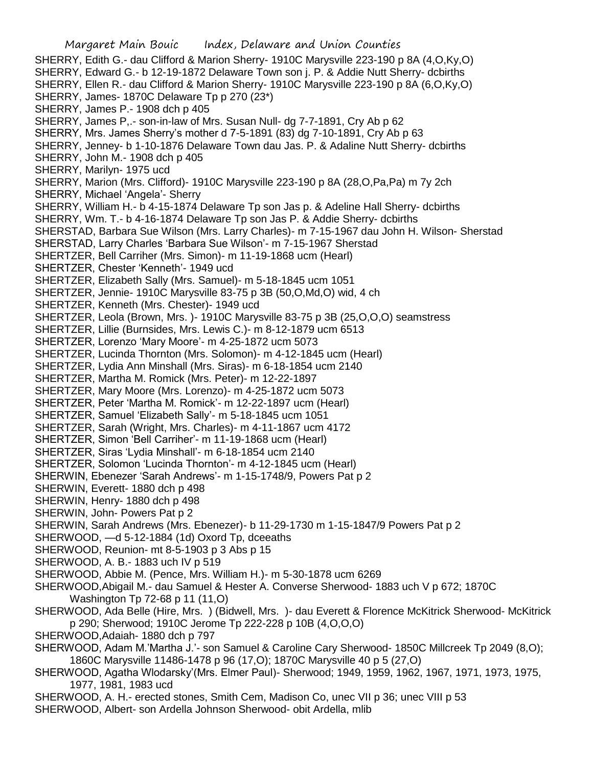Margaret Main Bouic Index, Delaware and Union Counties SHERRY, Edith G.- dau Clifford & Marion Sherry- 1910C Marysville 223-190 p 8A (4,O,Ky,O) SHERRY, Edward G.- b 12-19-1872 Delaware Town son j. P. & Addie Nutt Sherry- dcbirths SHERRY, Ellen R.- dau Clifford & Marion Sherry- 1910C Marysville 223-190 p 8A (6,O,Ky,O) SHERRY, James- 1870C Delaware Tp p 270 (23\*) SHERRY, James P.- 1908 dch p 405 SHERRY, James P,.- son-in-law of Mrs. Susan Null- dg 7-7-1891, Cry Ab p 62 SHERRY, Mrs. James Sherry's mother d 7-5-1891 (83) dg 7-10-1891, Cry Ab p 63 SHERRY, Jenney- b 1-10-1876 Delaware Town dau Jas. P. & Adaline Nutt Sherry- dcbirths SHERRY, John M.- 1908 dch p 405 SHERRY, Marilyn- 1975 ucd SHERRY, Marion (Mrs. Clifford)- 1910C Marysville 223-190 p 8A (28,O,Pa,Pa) m 7y 2ch SHERRY, Michael 'Angela'- Sherry SHERRY, William H.- b 4-15-1874 Delaware Tp son Jas p. & Adeline Hall Sherry- dcbirths SHERRY, Wm. T.- b 4-16-1874 Delaware Tp son Jas P. & Addie Sherry- dcbirths SHERSTAD, Barbara Sue Wilson (Mrs. Larry Charles)- m 7-15-1967 dau John H. Wilson- Sherstad SHERSTAD, Larry Charles 'Barbara Sue Wilson'- m 7-15-1967 Sherstad SHERTZER, Bell Carriher (Mrs. Simon)- m 11-19-1868 ucm (Hearl) SHERTZER, Chester 'Kenneth'- 1949 ucd SHERTZER, Elizabeth Sally (Mrs. Samuel)- m 5-18-1845 ucm 1051 SHERTZER, Jennie- 1910C Marysville 83-75 p 3B (50,O,Md,O) wid, 4 ch SHERTZER, Kenneth (Mrs. Chester)- 1949 ucd SHERTZER, Leola (Brown, Mrs. )- 1910C Marysville 83-75 p 3B (25,O,O,O) seamstress SHERTZER, Lillie (Burnsides, Mrs. Lewis C.)- m 8-12-1879 ucm 6513 SHERTZER, Lorenzo 'Mary Moore'- m 4-25-1872 ucm 5073 SHERTZER, Lucinda Thornton (Mrs. Solomon)- m 4-12-1845 ucm (Hearl) SHERTZER, Lydia Ann Minshall (Mrs. Siras)- m 6-18-1854 ucm 2140 SHERTZER, Martha M. Romick (Mrs. Peter)- m 12-22-1897 SHERTZER, Mary Moore (Mrs. Lorenzo)- m 4-25-1872 ucm 5073 SHERTZER, Peter 'Martha M. Romick'- m 12-22-1897 ucm (Hearl) SHERTZER, Samuel 'Elizabeth Sally'- m 5-18-1845 ucm 1051 SHERTZER, Sarah (Wright, Mrs. Charles)- m 4-11-1867 ucm 4172 SHERTZER, Simon 'Bell Carriher'- m 11-19-1868 ucm (Hearl) SHERTZER, Siras 'Lydia Minshall'- m 6-18-1854 ucm 2140 SHERTZER, Solomon 'Lucinda Thornton'- m 4-12-1845 ucm (Hearl) SHERWIN, Ebenezer 'Sarah Andrews'- m 1-15-1748/9, Powers Pat p 2 SHERWIN, Everett- 1880 dch p 498 SHERWIN, Henry- 1880 dch p 498 SHERWIN, John- Powers Pat p 2 SHERWIN, Sarah Andrews (Mrs. Ebenezer)- b 11-29-1730 m 1-15-1847/9 Powers Pat p 2 SHERWOOD, —d 5-12-1884 (1d) Oxord Tp, dceeaths SHERWOOD, Reunion- mt 8-5-1903 p 3 Abs p 15 SHERWOOD, A. B.- 1883 uch IV p 519 SHERWOOD, Abbie M. (Pence, Mrs. William H.)- m 5-30-1878 ucm 6269 SHERWOOD,Abigail M.- dau Samuel & Hester A. Converse Sherwood- 1883 uch V p 672; 1870C Washington Tp 72-68 p 11 (11,O) SHERWOOD, Ada Belle (Hire, Mrs. ) (Bidwell, Mrs. )- dau Everett & Florence McKitrick Sherwood- McKitrick p 290; Sherwood; 1910C Jerome Tp 222-228 p 10B (4,O,O,O) SHERWOOD,Adaiah- 1880 dch p 797 SHERWOOD, Adam M.'Martha J.'- son Samuel & Caroline Cary Sherwood- 1850C Millcreek Tp 2049 (8,O); 1860C Marysville 11486-1478 p 96 (17,O); 1870C Marysville 40 p 5 (27,O) SHERWOOD, Agatha Wlodarsky'(Mrs. Elmer Paul)- Sherwood; 1949, 1959, 1962, 1967, 1971, 1973, 1975, 1977, 1981, 1983 ucd

- SHERWOOD, A. H.- erected stones, Smith Cem, Madison Co, unec VII p 36; unec VIII p 53
- SHERWOOD, Albert- son Ardella Johnson Sherwood- obit Ardella, mlib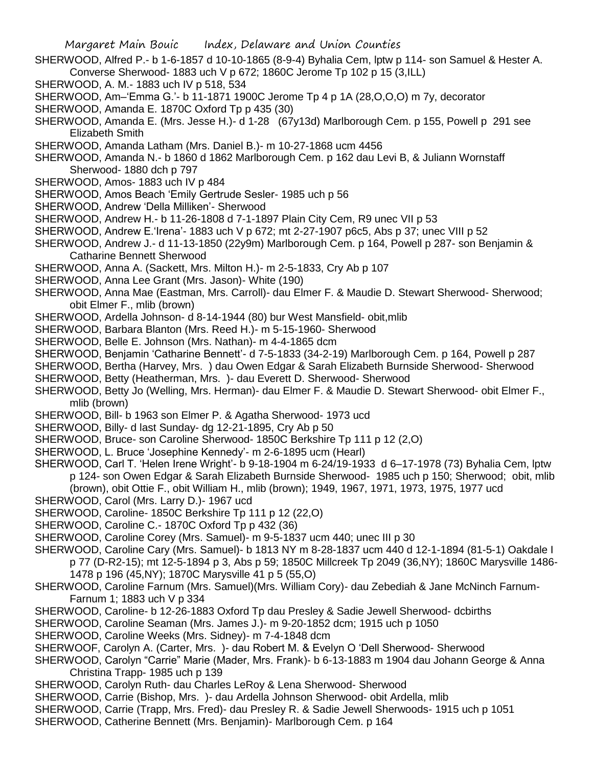- SHERWOOD, Alfred P.- b 1-6-1857 d 10-10-1865 (8-9-4) Byhalia Cem, lptw p 114- son Samuel & Hester A. Converse Sherwood- 1883 uch V p 672; 1860C Jerome Tp 102 p 15 (3,ILL)
- SHERWOOD, A. M.- 1883 uch IV p 518, 534
- SHERWOOD, Am–'Emma G.'- b 11-1871 1900C Jerome Tp 4 p 1A (28,O,O,O) m 7y, decorator
- SHERWOOD, Amanda E. 1870C Oxford Tp p 435 (30)
- SHERWOOD, Amanda E. (Mrs. Jesse H.)- d 1-28 (67y13d) Marlborough Cem. p 155, Powell p 291 see Elizabeth Smith
- SHERWOOD, Amanda Latham (Mrs. Daniel B.)- m 10-27-1868 ucm 4456
- SHERWOOD, Amanda N.- b 1860 d 1862 Marlborough Cem. p 162 dau Levi B, & Juliann Wornstaff Sherwood- 1880 dch p 797
- SHERWOOD, Amos- 1883 uch IV p 484
- SHERWOOD, Amos Beach 'Emily Gertrude Sesler- 1985 uch p 56
- SHERWOOD, Andrew 'Della Milliken'- Sherwood
- SHERWOOD, Andrew H.- b 11-26-1808 d 7-1-1897 Plain City Cem, R9 unec VII p 53
- SHERWOOD, Andrew E.'Irena'- 1883 uch V p 672; mt 2-27-1907 p6c5, Abs p 37; unec VIII p 52
- SHERWOOD, Andrew J.- d 11-13-1850 (22y9m) Marlborough Cem. p 164, Powell p 287- son Benjamin & Catharine Bennett Sherwood
- SHERWOOD, Anna A. (Sackett, Mrs. Milton H.)- m 2-5-1833, Cry Ab p 107
- SHERWOOD, Anna Lee Grant (Mrs. Jason)- White (190)
- SHERWOOD, Anna Mae (Eastman, Mrs. Carroll)- dau Elmer F. & Maudie D. Stewart Sherwood- Sherwood; obit Elmer F., mlib (brown)
- SHERWOOD, Ardella Johnson- d 8-14-1944 (80) bur West Mansfield- obit,mlib
- SHERWOOD, Barbara Blanton (Mrs. Reed H.)- m 5-15-1960- Sherwood
- SHERWOOD, Belle E. Johnson (Mrs. Nathan)- m 4-4-1865 dcm
- SHERWOOD, Benjamin 'Catharine Bennett'- d 7-5-1833 (34-2-19) Marlborough Cem. p 164, Powell p 287
- SHERWOOD, Bertha (Harvey, Mrs. ) dau Owen Edgar & Sarah Elizabeth Burnside Sherwood- Sherwood
- SHERWOOD, Betty (Heatherman, Mrs. )- dau Everett D. Sherwood- Sherwood
- SHERWOOD, Betty Jo (Welling, Mrs. Herman)- dau Elmer F. & Maudie D. Stewart Sherwood- obit Elmer F., mlib (brown)
- SHERWOOD, Bill- b 1963 son Elmer P. & Agatha Sherwood- 1973 ucd
- SHERWOOD, Billy- d last Sunday- dg 12-21-1895, Cry Ab p 50
- SHERWOOD, Bruce- son Caroline Sherwood- 1850C Berkshire Tp 111 p 12 (2,O)
- SHERWOOD, L. Bruce 'Josephine Kennedy'- m 2-6-1895 ucm (Hearl)
- SHERWOOD, Carl T. 'Helen Irene Wright'- b 9-18-1904 m 6-24/19-1933 d 6–17-1978 (73) Byhalia Cem, lptw p 124- son Owen Edgar & Sarah Elizabeth Burnside Sherwood- 1985 uch p 150; Sherwood; obit, mlib (brown), obit Ottie F., obit William H., mlib (brown); 1949, 1967, 1971, 1973, 1975, 1977 ucd
- SHERWOOD, Carol (Mrs. Larry D.)- 1967 ucd
- SHERWOOD, Caroline- 1850C Berkshire Tp 111 p 12 (22,O)
- SHERWOOD, Caroline C.- 1870C Oxford Tp p 432 (36)
- SHERWOOD, Caroline Corey (Mrs. Samuel)- m 9-5-1837 ucm 440; unec III p 30
- SHERWOOD, Caroline Cary (Mrs. Samuel)- b 1813 NY m 8-28-1837 ucm 440 d 12-1-1894 (81-5-1) Oakdale I p 77 (D-R2-15); mt 12-5-1894 p 3, Abs p 59; 1850C Millcreek Tp 2049 (36,NY); 1860C Marysville 1486- 1478 p 196 (45,NY); 1870C Marysville 41 p 5 (55,O)
- SHERWOOD, Caroline Farnum (Mrs. Samuel)(Mrs. William Cory)- dau Zebediah & Jane McNinch Farnum-Farnum 1; 1883 uch V p 334
- SHERWOOD, Caroline- b 12-26-1883 Oxford Tp dau Presley & Sadie Jewell Sherwood- dcbirths
- SHERWOOD, Caroline Seaman (Mrs. James J.)- m 9-20-1852 dcm; 1915 uch p 1050
- SHERWOOD, Caroline Weeks (Mrs. Sidney)- m 7-4-1848 dcm
- SHERWOOF, Carolyn A. (Carter, Mrs. )- dau Robert M. & Evelyn O 'Dell Sherwood- Sherwood
- SHERWOOD, Carolyn "Carrie" Marie (Mader, Mrs. Frank)- b 6-13-1883 m 1904 dau Johann George & Anna Christina Trapp- 1985 uch p 139
- SHERWOOD, Carolyn Ruth- dau Charles LeRoy & Lena Sherwood- Sherwood
- SHERWOOD, Carrie (Bishop, Mrs. )- dau Ardella Johnson Sherwood- obit Ardella, mlib
- SHERWOOD, Carrie (Trapp, Mrs. Fred)- dau Presley R. & Sadie Jewell Sherwoods- 1915 uch p 1051
- SHERWOOD, Catherine Bennett (Mrs. Benjamin)- Marlborough Cem. p 164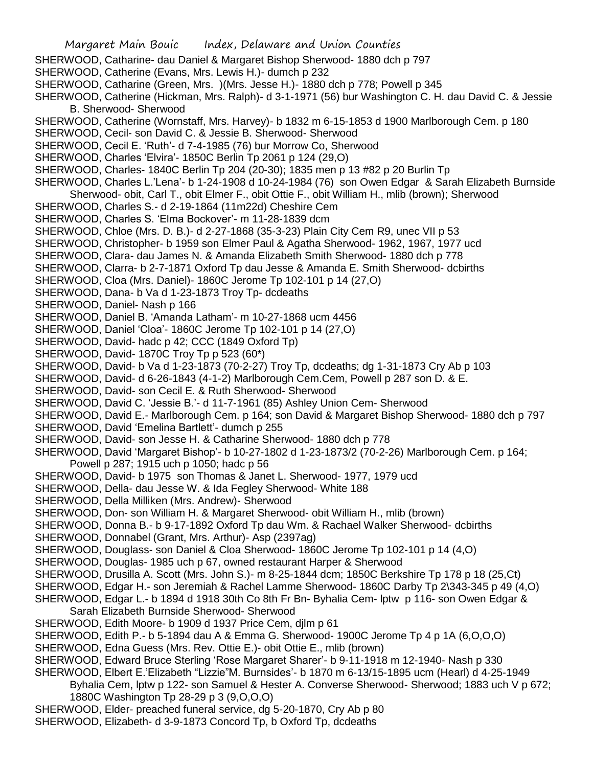- Margaret Main Bouic Index, Delaware and Union Counties SHERWOOD, Catharine- dau Daniel & Margaret Bishop Sherwood- 1880 dch p 797 SHERWOOD, Catherine (Evans, Mrs. Lewis H.)- dumch p 232 SHERWOOD, Catharine (Green, Mrs. )(Mrs. Jesse H.)- 1880 dch p 778; Powell p 345 SHERWOOD, Catherine (Hickman, Mrs. Ralph)- d 3-1-1971 (56) bur Washington C. H. dau David C. & Jessie B. Sherwood- Sherwood SHERWOOD, Catherine (Wornstaff, Mrs. Harvey)- b 1832 m 6-15-1853 d 1900 Marlborough Cem. p 180 SHERWOOD, Cecil- son David C. & Jessie B. Sherwood- Sherwood SHERWOOD, Cecil E. 'Ruth'- d 7-4-1985 (76) bur Morrow Co, Sherwood SHERWOOD, Charles 'Elvira'- 1850C Berlin Tp 2061 p 124 (29,O) SHERWOOD, Charles- 1840C Berlin Tp 204 (20-30); 1835 men p 13 #82 p 20 Burlin Tp SHERWOOD, Charles L.'Lena'- b 1-24-1908 d 10-24-1984 (76) son Owen Edgar & Sarah Elizabeth Burnside Sherwood- obit, Carl T., obit Elmer F., obit Ottie F., obit William H., mlib (brown); Sherwood SHERWOOD, Charles S.- d 2-19-1864 (11m22d) Cheshire Cem SHERWOOD, Charles S. 'Elma Bockover'- m 11-28-1839 dcm SHERWOOD, Chloe (Mrs. D. B.)- d 2-27-1868 (35-3-23) Plain City Cem R9, unec VII p 53 SHERWOOD, Christopher- b 1959 son Elmer Paul & Agatha Sherwood- 1962, 1967, 1977 ucd SHERWOOD, Clara- dau James N. & Amanda Elizabeth Smith Sherwood- 1880 dch p 778 SHERWOOD, Clarra- b 2-7-1871 Oxford Tp dau Jesse & Amanda E. Smith Sherwood- dcbirths SHERWOOD, Cloa (Mrs. Daniel)- 1860C Jerome Tp 102-101 p 14 (27,O) SHERWOOD, Dana- b Va d 1-23-1873 Troy Tp- dcdeaths SHERWOOD, Daniel- Nash p 166 SHERWOOD, Daniel B. 'Amanda Latham'- m 10-27-1868 ucm 4456 SHERWOOD, Daniel 'Cloa'- 1860C Jerome Tp 102-101 p 14 (27,O) SHERWOOD, David- hadc p 42; CCC (1849 Oxford Tp) SHERWOOD, David- 1870C Troy Tp p 523 (60\*) SHERWOOD, David- b Va d 1-23-1873 (70-2-27) Troy Tp, dcdeaths; dg 1-31-1873 Cry Ab p 103 SHERWOOD, David- d 6-26-1843 (4-1-2) Marlborough Cem.Cem, Powell p 287 son D. & E. SHERWOOD, David- son Cecil E. & Ruth Sherwood- Sherwood SHERWOOD, David C. 'Jessie B.'- d 11-7-1961 (85) Ashley Union Cem- Sherwood SHERWOOD, David E.- Marlborough Cem. p 164; son David & Margaret Bishop Sherwood- 1880 dch p 797 SHERWOOD, David 'Emelina Bartlett'- dumch p 255 SHERWOOD, David- son Jesse H. & Catharine Sherwood- 1880 dch p 778 SHERWOOD, David 'Margaret Bishop'- b 10-27-1802 d 1-23-1873/2 (70-2-26) Marlborough Cem. p 164; Powell p 287; 1915 uch p 1050; hadc p 56 SHERWOOD, David- b 1975 son Thomas & Janet L. Sherwood- 1977, 1979 ucd SHERWOOD, Della- dau Jesse W. & Ida Fegley Sherwood- White 188 SHERWOOD, Della Milliken (Mrs. Andrew)- Sherwood SHERWOOD, Don- son William H. & Margaret Sherwood- obit William H., mlib (brown) SHERWOOD, Donna B.- b 9-17-1892 Oxford Tp dau Wm. & Rachael Walker Sherwood- dcbirths SHERWOOD, Donnabel (Grant, Mrs. Arthur)- Asp (2397ag) SHERWOOD, Douglass- son Daniel & Cloa Sherwood- 1860C Jerome Tp 102-101 p 14 (4,O) SHERWOOD, Douglas- 1985 uch p 67, owned restaurant Harper & Sherwood SHERWOOD, Drusilla A. Scott (Mrs. John S.)- m 8-25-1844 dcm; 1850C Berkshire Tp 178 p 18 (25,Ct) SHERWOOD, Edgar H.- son Jeremiah & Rachel Lamme Sherwood- 1860C Darby Tp 2\343-345 p 49 (4,O) SHERWOOD, Edgar L.- b 1894 d 1918 30th Co 8th Fr Bn- Byhalia Cem- lptw p 116- son Owen Edgar & Sarah Elizabeth Burnside Sherwood- Sherwood SHERWOOD, Edith Moore- b 1909 d 1937 Price Cem, djlm p 61 SHERWOOD, Edith P.- b 5-1894 dau A & Emma G. Sherwood- 1900C Jerome Tp 4 p 1A (6,O,O,O) SHERWOOD, Edna Guess (Mrs. Rev. Ottie E.)- obit Ottie E., mlib (brown) SHERWOOD, Edward Bruce Sterling 'Rose Margaret Sharer'- b 9-11-1918 m 12-1940- Nash p 330 SHERWOOD, Elbert E.'Elizabeth "Lizzie"M. Burnsides'- b 1870 m 6-13/15-1895 ucm (Hearl) d 4-25-1949 Byhalia Cem, lptw p 122- son Samuel & Hester A. Converse Sherwood- Sherwood; 1883 uch V p 672; 1880C Washington Tp 28-29 p 3 (9,O,O,O)
- SHERWOOD, Elder- preached funeral service, dg 5-20-1870, Cry Ab p 80
- SHERWOOD, Elizabeth- d 3-9-1873 Concord Tp, b Oxford Tp, dcdeaths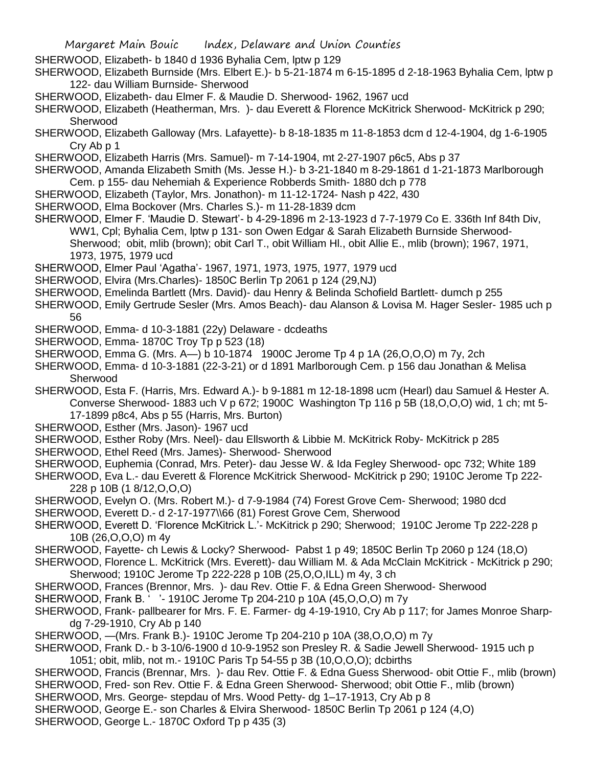- SHERWOOD, Elizabeth- b 1840 d 1936 Byhalia Cem, lptw p 129
- SHERWOOD, Elizabeth Burnside (Mrs. Elbert E.)- b 5-21-1874 m 6-15-1895 d 2-18-1963 Byhalia Cem, lptw p 122- dau William Burnside- Sherwood
- SHERWOOD, Elizabeth- dau Elmer F. & Maudie D. Sherwood- 1962, 1967 ucd
- SHERWOOD, Elizabeth (Heatherman, Mrs. )- dau Everett & Florence McKitrick Sherwood- McKitrick p 290; **Sherwood**
- SHERWOOD, Elizabeth Galloway (Mrs. Lafayette)- b 8-18-1835 m 11-8-1853 dcm d 12-4-1904, dg 1-6-1905 Cry Ab p 1
- SHERWOOD, Elizabeth Harris (Mrs. Samuel)- m 7-14-1904, mt 2-27-1907 p6c5, Abs p 37
- SHERWOOD, Amanda Elizabeth Smith (Ms. Jesse H.)- b 3-21-1840 m 8-29-1861 d 1-21-1873 Marlborough Cem. p 155- dau Nehemiah & Experience Robberds Smith- 1880 dch p 778
- SHERWOOD, Elizabeth (Taylor, Mrs. Jonathon)- m 11-12-1724- Nash p 422, 430
- SHERWOOD, Elma Bockover (Mrs. Charles S.)- m 11-28-1839 dcm
- SHERWOOD, Elmer F. 'Maudie D. Stewart'- b 4-29-1896 m 2-13-1923 d 7-7-1979 Co E. 336th Inf 84th Div, WW1, Cpl; Byhalia Cem, lptw p 131- son Owen Edgar & Sarah Elizabeth Burnside Sherwood-Sherwood; obit, mlib (brown); obit Carl T., obit William Hl., obit Allie E., mlib (brown); 1967, 1971, 1973, 1975, 1979 ucd
- SHERWOOD, Elmer Paul 'Agatha'- 1967, 1971, 1973, 1975, 1977, 1979 ucd
- SHERWOOD, Elvira (Mrs.Charles)- 1850C Berlin Tp 2061 p 124 (29,NJ)
- SHERWOOD, Emelinda Bartlett (Mrs. David)- dau Henry & Belinda Schofield Bartlett- dumch p 255
- SHERWOOD, Emily Gertrude Sesler (Mrs. Amos Beach)- dau Alanson & Lovisa M. Hager Sesler- 1985 uch p 56
- SHERWOOD, Emma- d 10-3-1881 (22y) Delaware dcdeaths
- SHERWOOD, Emma- 1870C Troy Tp p 523 (18)
- SHERWOOD, Emma G. (Mrs. A—) b 10-1874 1900C Jerome Tp 4 p 1A (26,O,O,O) m 7y, 2ch
- SHERWOOD, Emma- d 10-3-1881 (22-3-21) or d 1891 Marlborough Cem. p 156 dau Jonathan & Melisa Sherwood
- SHERWOOD, Esta F. (Harris, Mrs. Edward A.)- b 9-1881 m 12-18-1898 ucm (Hearl) dau Samuel & Hester A. Converse Sherwood- 1883 uch V p 672; 1900C Washington Tp 116 p 5B (18,O,O,O) wid, 1 ch; mt 5- 17-1899 p8c4, Abs p 55 (Harris, Mrs. Burton)
- SHERWOOD, Esther (Mrs. Jason)- 1967 ucd
- SHERWOOD, Esther Roby (Mrs. Neel)- dau Ellsworth & Libbie M. McKitrick Roby- McKitrick p 285
- SHERWOOD, Ethel Reed (Mrs. James)- Sherwood- Sherwood
- SHERWOOD, Euphemia (Conrad, Mrs. Peter)- dau Jesse W. & Ida Fegley Sherwood- opc 732; White 189
- SHERWOOD, Eva L.- dau Everett & Florence McKitrick Sherwood- McKitrick p 290; 1910C Jerome Tp 222- 228 p 10B (1 8/12,O,O,O)
- SHERWOOD, Evelyn O. (Mrs. Robert M.)- d 7-9-1984 (74) Forest Grove Cem- Sherwood; 1980 dcd
- SHERWOOD, Everett D.- d 2-17-1977\\66 (81) Forest Grove Cem, Sherwood
- SHERWOOD, Everett D. 'Florence McKitrick L.'- McKitrick p 290; Sherwood; 1910C Jerome Tp 222-228 p 10B (26,O,O,O) m 4y
- SHERWOOD, Fayette- ch Lewis & Locky? Sherwood- Pabst 1 p 49; 1850C Berlin Tp 2060 p 124 (18,O)
- SHERWOOD, Florence L. McKitrick (Mrs. Everett)- dau William M. & Ada McClain McKitrick McKitrick p 290; Sherwood; 1910C Jerome Tp 222-228 p 10B (25,O,O,ILL) m 4y, 3 ch
- SHERWOOD, Frances (Brennor, Mrs. )- dau Rev. Ottie F. & Edna Green Sherwood- Sherwood
- SHERWOOD, Frank B. ' '- 1910C Jerome Tp 204-210 p 10A (45,O,O,O) m 7y
- SHERWOOD, Frank- pallbearer for Mrs. F. E. Farmer- dg 4-19-1910, Cry Ab p 117; for James Monroe Sharpdg 7-29-1910, Cry Ab p 140
- SHERWOOD, —(Mrs. Frank B.)- 1910C Jerome Tp 204-210 p 10A (38,O,O,O) m 7y
- SHERWOOD, Frank D.- b 3-10/6-1900 d 10-9-1952 son Presley R. & Sadie Jewell Sherwood- 1915 uch p 1051; obit, mlib, not m.- 1910C Paris Tp 54-55 p 3B (10,O,O,O); dcbirths
- SHERWOOD, Francis (Brennar, Mrs. )- dau Rev. Ottie F. & Edna Guess Sherwood- obit Ottie F., mlib (brown) SHERWOOD, Fred- son Rev. Ottie F. & Edna Green Sherwood- Sherwood; obit Ottie F., mlib (brown)
- SHERWOOD, Mrs. George- stepdau of Mrs. Wood Petty- dg 1–17-1913, Cry Ab p 8
- SHERWOOD, George E.- son Charles & Elvira Sherwood- 1850C Berlin Tp 2061 p 124 (4,O)
- SHERWOOD, George L.- 1870C Oxford Tp p 435 (3)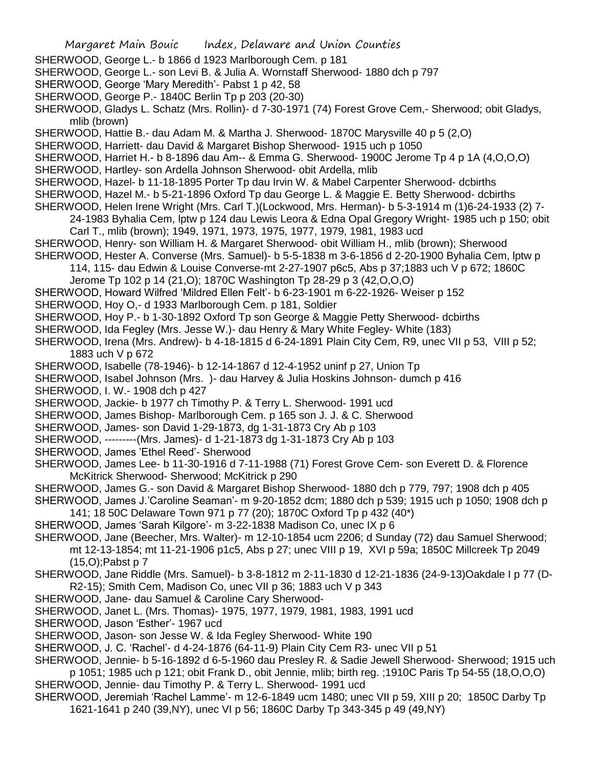- SHERWOOD, George L.- b 1866 d 1923 Marlborough Cem. p 181
- SHERWOOD, George L.- son Levi B. & Julia A. Wornstaff Sherwood- 1880 dch p 797
- SHERWOOD, George 'Mary Meredith'- Pabst 1 p 42, 58
- SHERWOOD, George P.- 1840C Berlin Tp p 203 (20-30)
- SHERWOOD, Gladys L. Schatz (Mrs. Rollin)- d 7-30-1971 (74) Forest Grove Cem,- Sherwood; obit Gladys, mlib (brown)
- SHERWOOD, Hattie B.- dau Adam M. & Martha J. Sherwood- 1870C Marysville 40 p 5 (2,O)
- SHERWOOD, Harriett- dau David & Margaret Bishop Sherwood- 1915 uch p 1050
- SHERWOOD, Harriet H.- b 8-1896 dau Am-- & Emma G. Sherwood- 1900C Jerome Tp 4 p 1A (4,O,O,O)
- SHERWOOD, Hartley- son Ardella Johnson Sherwood- obit Ardella, mlib
- SHERWOOD, Hazel- b 11-18-1895 Porter Tp dau Irvin W. & Mabel Carpenter Sherwood- dcbirths
- SHERWOOD, Hazel M.- b 5-21-1896 Oxford Tp dau George L. & Maggie E. Betty Sherwood- dcbirths
- SHERWOOD, Helen Irene Wright (Mrs. Carl T.)(Lockwood, Mrs. Herman)- b 5-3-1914 m (1)6-24-1933 (2) 7-
- 24-1983 Byhalia Cem, lptw p 124 dau Lewis Leora & Edna Opal Gregory Wright- 1985 uch p 150; obit Carl T., mlib (brown); 1949, 1971, 1973, 1975, 1977, 1979, 1981, 1983 ucd
- SHERWOOD, Henry- son William H. & Margaret Sherwood- obit William H., mlib (brown); Sherwood
- SHERWOOD, Hester A. Converse (Mrs. Samuel)- b 5-5-1838 m 3-6-1856 d 2-20-1900 Byhalia Cem, lptw p 114, 115- dau Edwin & Louise Converse-mt 2-27-1907 p6c5, Abs p 37;1883 uch V p 672; 1860C
	- Jerome Tp 102 p 14 (21,O); 1870C Washington Tp 28-29 p 3 (42,O,O,O)
- SHERWOOD, Howard Wilfred 'Mildred Ellen Felt'- b 6-23-1901 m 6-22-1926- Weiser p 152
- SHERWOOD, Hoy O,- d 1933 Marlborough Cem. p 181, Soldier
- SHERWOOD, Hoy P.- b 1-30-1892 Oxford Tp son George & Maggie Petty Sherwood- dcbirths
- SHERWOOD, Ida Fegley (Mrs. Jesse W.)- dau Henry & Mary White Fegley- White (183)
- SHERWOOD, Irena (Mrs. Andrew)- b 4-18-1815 d 6-24-1891 Plain City Cem, R9, unec VII p 53, VIII p 52; 1883 uch V p 672
- SHERWOOD, Isabelle (78-1946)- b 12-14-1867 d 12-4-1952 uninf p 27, Union Tp
- SHERWOOD, Isabel Johnson (Mrs. )- dau Harvey & Julia Hoskins Johnson- dumch p 416
- SHERWOOD, I. W.- 1908 dch p 427
- SHERWOOD, Jackie- b 1977 ch Timothy P. & Terry L. Sherwood- 1991 ucd
- SHERWOOD, James Bishop- Marlborough Cem. p 165 son J. J. & C. Sherwood
- SHERWOOD, James- son David 1-29-1873, dg 1-31-1873 Cry Ab p 103
- SHERWOOD, ---------(Mrs. James)- d 1-21-1873 dg 1-31-1873 Cry Ab p 103
- SHERWOOD, James 'Ethel Reed'- Sherwood
- SHERWOOD, James Lee- b 11-30-1916 d 7-11-1988 (71) Forest Grove Cem- son Everett D. & Florence McKitrick Sherwood- Sherwood; McKitrick p 290
- SHERWOOD, James G.- son David & Margaret Bishop Sherwood- 1880 dch p 779, 797; 1908 dch p 405
- SHERWOOD, James J.'Caroline Seaman'- m 9-20-1852 dcm; 1880 dch p 539; 1915 uch p 1050; 1908 dch p 141; 18 50C Delaware Town 971 p 77 (20); 1870C Oxford Tp p 432 (40\*)
- SHERWOOD, James 'Sarah Kilgore'- m 3-22-1838 Madison Co, unec IX p 6
- SHERWOOD, Jane (Beecher, Mrs. Walter)- m 12-10-1854 ucm 2206; d Sunday (72) dau Samuel Sherwood; mt 12-13-1854; mt 11-21-1906 p1c5, Abs p 27; unec VIII p 19, XVI p 59a; 1850C Millcreek Tp 2049 (15,O);Pabst p 7
- SHERWOOD, Jane Riddle (Mrs. Samuel)- b 3-8-1812 m 2-11-1830 d 12-21-1836 (24-9-13)Oakdale I p 77 (D-R2-15); Smith Cem, Madison Co, unec VII p 36; 1883 uch V p 343
- SHERWOOD, Jane- dau Samuel & Caroline Cary Sherwood-
- SHERWOOD, Janet L. (Mrs. Thomas)- 1975, 1977, 1979, 1981, 1983, 1991 ucd
- SHERWOOD, Jason 'Esther'- 1967 ucd
- SHERWOOD, Jason- son Jesse W. & Ida Fegley Sherwood- White 190
- SHERWOOD, J. C. 'Rachel'- d 4-24-1876 (64-11-9) Plain City Cem R3- unec VII p 51
- SHERWOOD, Jennie- b 5-16-1892 d 6-5-1960 dau Presley R. & Sadie Jewell Sherwood- Sherwood; 1915 uch p 1051; 1985 uch p 121; obit Frank D., obit Jennie, mlib; birth reg. ;1910C Paris Tp 54-55 (18,O,O,O)
- SHERWOOD, Jennie- dau Timothy P. & Terry L. Sherwood- 1991 ucd
- SHERWOOD, Jeremiah 'Rachel Lamme'- m 12-6-1849 ucm 1480; unec VII p 59, XIII p 20; 1850C Darby Tp 1621-1641 p 240 (39,NY), unec VI p 56; 1860C Darby Tp 343-345 p 49 (49,NY)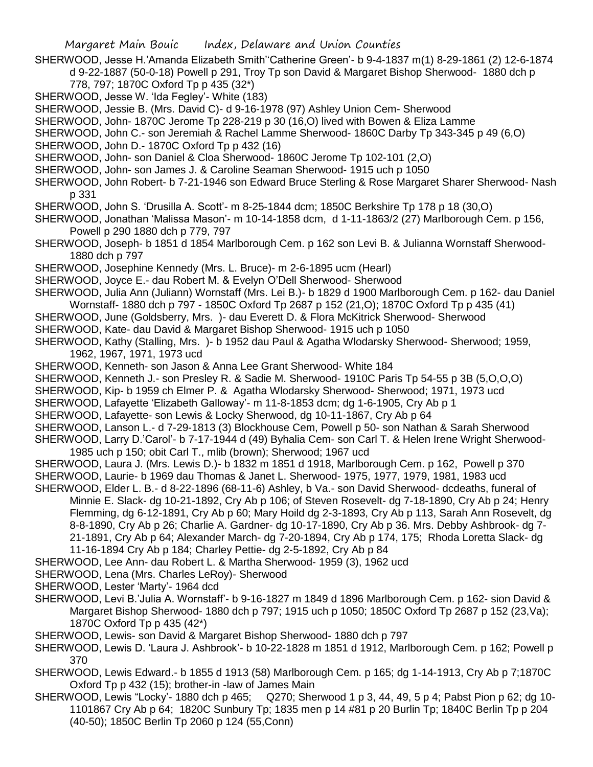- SHERWOOD, Jesse H.'Amanda Elizabeth Smith''Catherine Green'- b 9-4-1837 m(1) 8-29-1861 (2) 12-6-1874 d 9-22-1887 (50-0-18) Powell p 291, Troy Tp son David & Margaret Bishop Sherwood- 1880 dch p 778, 797; 1870C Oxford Tp p 435 (32\*)
- SHERWOOD, Jesse W. 'Ida Fegley'- White (183)
- SHERWOOD, Jessie B. (Mrs. David C)- d 9-16-1978 (97) Ashley Union Cem- Sherwood
- SHERWOOD, John- 1870C Jerome Tp 228-219 p 30 (16,O) lived with Bowen & Eliza Lamme
- SHERWOOD, John C.- son Jeremiah & Rachel Lamme Sherwood- 1860C Darby Tp 343-345 p 49 (6,O)
- SHERWOOD, John D.- 1870C Oxford Tp p 432 (16)
- SHERWOOD, John- son Daniel & Cloa Sherwood- 1860C Jerome Tp 102-101 (2,O)
- SHERWOOD, John- son James J. & Caroline Seaman Sherwood- 1915 uch p 1050
- SHERWOOD, John Robert- b 7-21-1946 son Edward Bruce Sterling & Rose Margaret Sharer Sherwood- Nash p 331
- SHERWOOD, John S. 'Drusilla A. Scott'- m 8-25-1844 dcm; 1850C Berkshire Tp 178 p 18 (30,O)
- SHERWOOD, Jonathan 'Malissa Mason'- m 10-14-1858 dcm, d 1-11-1863/2 (27) Marlborough Cem. p 156, Powell p 290 1880 dch p 779, 797
- SHERWOOD, Joseph- b 1851 d 1854 Marlborough Cem. p 162 son Levi B. & Julianna Wornstaff Sherwood-1880 dch p 797
- SHERWOOD, Josephine Kennedy (Mrs. L. Bruce)- m 2-6-1895 ucm (Hearl)
- SHERWOOD, Joyce E.- dau Robert M. & Evelyn O'Dell Sherwood- Sherwood
- SHERWOOD, Julia Ann (Juliann) Wornstaff (Mrs. Lei B.)- b 1829 d 1900 Marlborough Cem. p 162- dau Daniel Wornstaff- 1880 dch p 797 - 1850C Oxford Tp 2687 p 152 (21,O); 1870C Oxford Tp p 435 (41)
- SHERWOOD, June (Goldsberry, Mrs. )- dau Everett D. & Flora McKitrick Sherwood- Sherwood
- SHERWOOD, Kate- dau David & Margaret Bishop Sherwood- 1915 uch p 1050
- SHERWOOD, Kathy (Stalling, Mrs. )- b 1952 dau Paul & Agatha Wlodarsky Sherwood- Sherwood; 1959, 1962, 1967, 1971, 1973 ucd
- SHERWOOD, Kenneth- son Jason & Anna Lee Grant Sherwood- White 184
- SHERWOOD, Kenneth J.- son Presley R. & Sadie M. Sherwood- 1910C Paris Tp 54-55 p 3B (5,O,O,O)
- SHERWOOD, Kip- b 1959 ch Elmer P. & Agatha Wlodarsky Sherwood- Sherwood; 1971, 1973 ucd
- SHERWOOD, Lafayette 'Elizabeth Galloway'- m 11-8-1853 dcm; dg 1-6-1905, Cry Ab p 1
- SHERWOOD, Lafayette- son Lewis & Locky Sherwood, dg 10-11-1867, Cry Ab p 64
- SHERWOOD, Lanson L.- d 7-29-1813 (3) Blockhouse Cem, Powell p 50- son Nathan & Sarah Sherwood
- SHERWOOD, Larry D.'Carol'- b 7-17-1944 d (49) Byhalia Cem- son Carl T. & Helen Irene Wright Sherwood-1985 uch p 150; obit Carl T., mlib (brown); Sherwood; 1967 ucd
- SHERWOOD, Laura J. (Mrs. Lewis D.)- b 1832 m 1851 d 1918, Marlborough Cem. p 162, Powell p 370
- SHERWOOD, Laurie- b 1969 dau Thomas & Janet L. Sherwood- 1975, 1977, 1979, 1981, 1983 ucd
- SHERWOOD, Elder L. B.- d 8-22-1896 (68-11-6) Ashley, b Va.- son David Sherwood- dcdeaths, funeral of Minnie E. Slack- dg 10-21-1892, Cry Ab p 106; of Steven Rosevelt- dg 7-18-1890, Cry Ab p 24; Henry Flemming, dg 6-12-1891, Cry Ab p 60; Mary Hoild dg 2-3-1893, Cry Ab p 113, Sarah Ann Rosevelt, dg 8-8-1890, Cry Ab p 26; Charlie A. Gardner- dg 10-17-1890, Cry Ab p 36. Mrs. Debby Ashbrook- dg 7- 21-1891, Cry Ab p 64; Alexander March- dg 7-20-1894, Cry Ab p 174, 175; Rhoda Loretta Slack- dg 11-16-1894 Cry Ab p 184; Charley Pettie- dg 2-5-1892, Cry Ab p 84
- SHERWOOD, Lee Ann- dau Robert L. & Martha Sherwood- 1959 (3), 1962 ucd
- SHERWOOD, Lena (Mrs. Charles LeRoy)- Sherwood
- SHERWOOD, Lester 'Marty'- 1964 dcd
- SHERWOOD, Levi B.'Julia A. Wornstaff'- b 9-16-1827 m 1849 d 1896 Marlborough Cem. p 162- sion David & Margaret Bishop Sherwood- 1880 dch p 797; 1915 uch p 1050; 1850C Oxford Tp 2687 p 152 (23,Va); 1870C Oxford Tp p 435 (42\*)
- SHERWOOD, Lewis- son David & Margaret Bishop Sherwood- 1880 dch p 797
- SHERWOOD, Lewis D. 'Laura J. Ashbrook'- b 10-22-1828 m 1851 d 1912, Marlborough Cem. p 162; Powell p 370
- SHERWOOD, Lewis Edward.- b 1855 d 1913 (58) Marlborough Cem. p 165; dg 1-14-1913, Cry Ab p 7;1870C Oxford Tp p 432 (15); brother-in -law of James Main
- SHERWOOD, Lewis "Locky'- 1880 dch p 465; Q270; Sherwood 1 p 3, 44, 49, 5 p 4; Pabst Pion p 62; dg 10- 1101867 Cry Ab p 64; 1820C Sunbury Tp; 1835 men p 14 #81 p 20 Burlin Tp; 1840C Berlin Tp p 204 (40-50); 1850C Berlin Tp 2060 p 124 (55,Conn)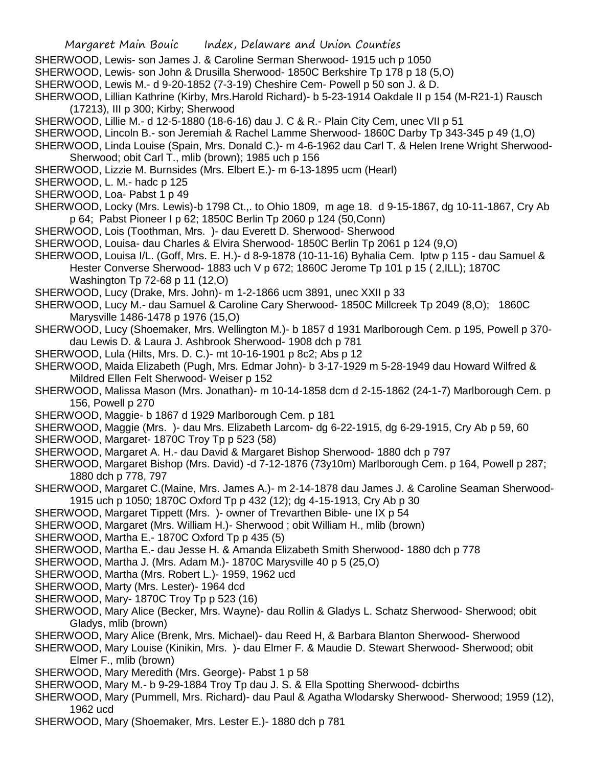- SHERWOOD, Lewis- son James J. & Caroline Serman Sherwood- 1915 uch p 1050
- SHERWOOD, Lewis- son John & Drusilla Sherwood- 1850C Berkshire Tp 178 p 18 (5,O)
- SHERWOOD, Lewis M.- d 9-20-1852 (7-3-19) Cheshire Cem- Powell p 50 son J. & D.
- SHERWOOD, Lillian Kathrine (Kirby, Mrs.Harold Richard)- b 5-23-1914 Oakdale II p 154 (M-R21-1) Rausch (17213), III p 300; Kirby; Sherwood
- SHERWOOD, Lillie M.- d 12-5-1880 (18-6-16) dau J. C & R.- Plain City Cem, unec VII p 51
- SHERWOOD, Lincoln B.- son Jeremiah & Rachel Lamme Sherwood- 1860C Darby Tp 343-345 p 49 (1,O)
- SHERWOOD, Linda Louise (Spain, Mrs. Donald C.)- m 4-6-1962 dau Carl T. & Helen Irene Wright Sherwood-Sherwood; obit Carl T., mlib (brown); 1985 uch p 156
- SHERWOOD, Lizzie M. Burnsides (Mrs. Elbert E.)- m 6-13-1895 ucm (Hearl)
- SHERWOOD, L. M.- hadc p 125
- SHERWOOD, Loa- Pabst 1 p 49
- SHERWOOD, Locky (Mrs. Lewis)-b 1798 Ct.,. to Ohio 1809, m age 18. d 9-15-1867, dg 10-11-1867, Cry Ab p 64; Pabst Pioneer I p 62; 1850C Berlin Tp 2060 p 124 (50,Conn)
- SHERWOOD, Lois (Toothman, Mrs. )- dau Everett D. Sherwood- Sherwood
- SHERWOOD, Louisa- dau Charles & Elvira Sherwood- 1850C Berlin Tp 2061 p 124 (9,O)
- SHERWOOD, Louisa I/L. (Goff, Mrs. E. H.)- d 8-9-1878 (10-11-16) Byhalia Cem. lptw p 115 dau Samuel & Hester Converse Sherwood- 1883 uch V p 672; 1860C Jerome Tp 101 p 15 ( 2,ILL); 1870C Washington Tp 72-68 p 11 (12,O)
- SHERWOOD, Lucy (Drake, Mrs. John)- m 1-2-1866 ucm 3891, unec XXII p 33
- SHERWOOD, Lucy M.- dau Samuel & Caroline Cary Sherwood- 1850C Millcreek Tp 2049 (8,O); 1860C Marysville 1486-1478 p 1976 (15,O)
- SHERWOOD, Lucy (Shoemaker, Mrs. Wellington M.)- b 1857 d 1931 Marlborough Cem. p 195, Powell p 370 dau Lewis D. & Laura J. Ashbrook Sherwood- 1908 dch p 781
- SHERWOOD, Lula (Hilts, Mrs. D. C.)- mt 10-16-1901 p 8c2; Abs p 12
- SHERWOOD, Maida Elizabeth (Pugh, Mrs. Edmar John)- b 3-17-1929 m 5-28-1949 dau Howard Wilfred & Mildred Ellen Felt Sherwood- Weiser p 152
- SHERWOOD, Malissa Mason (Mrs. Jonathan)- m 10-14-1858 dcm d 2-15-1862 (24-1-7) Marlborough Cem. p 156, Powell p 270
- SHERWOOD, Maggie- b 1867 d 1929 Marlborough Cem. p 181
- SHERWOOD, Maggie (Mrs. )- dau Mrs. Elizabeth Larcom- dg 6-22-1915, dg 6-29-1915, Cry Ab p 59, 60
- SHERWOOD, Margaret- 1870C Troy Tp p 523 (58)
- SHERWOOD, Margaret A. H.- dau David & Margaret Bishop Sherwood- 1880 dch p 797
- SHERWOOD, Margaret Bishop (Mrs. David) -d 7-12-1876 (73y10m) Marlborough Cem. p 164, Powell p 287; 1880 dch p 778, 797
- SHERWOOD, Margaret C.(Maine, Mrs. James A.)- m 2-14-1878 dau James J. & Caroline Seaman Sherwood-1915 uch p 1050; 1870C Oxford Tp p 432 (12); dg 4-15-1913, Cry Ab p 30
- SHERWOOD, Margaret Tippett (Mrs. )- owner of Trevarthen Bible- une IX p 54
- SHERWOOD, Margaret (Mrs. William H.)- Sherwood ; obit William H., mlib (brown)
- SHERWOOD, Martha E.- 1870C Oxford Tp p 435 (5)
- SHERWOOD, Martha E.- dau Jesse H. & Amanda Elizabeth Smith Sherwood- 1880 dch p 778
- SHERWOOD, Martha J. (Mrs. Adam M.)- 1870C Marysville 40 p 5 (25,O)
- SHERWOOD, Martha (Mrs. Robert L.)- 1959, 1962 ucd
- SHERWOOD, Marty (Mrs. Lester)- 1964 dcd
- SHERWOOD, Mary- 1870C Troy Tp p 523 (16)
- SHERWOOD, Mary Alice (Becker, Mrs. Wayne)- dau Rollin & Gladys L. Schatz Sherwood- Sherwood; obit Gladys, mlib (brown)
- SHERWOOD, Mary Alice (Brenk, Mrs. Michael)- dau Reed H, & Barbara Blanton Sherwood- Sherwood
- SHERWOOD, Mary Louise (Kinikin, Mrs. )- dau Elmer F. & Maudie D. Stewart Sherwood- Sherwood; obit Elmer F., mlib (brown)
- SHERWOOD, Mary Meredith (Mrs. George)- Pabst 1 p 58
- SHERWOOD, Mary M.- b 9-29-1884 Troy Tp dau J. S. & Ella Spotting Sherwood- dcbirths
- SHERWOOD, Mary (Pummell, Mrs. Richard)- dau Paul & Agatha Wlodarsky Sherwood- Sherwood; 1959 (12), 1962 ucd
- SHERWOOD, Mary (Shoemaker, Mrs. Lester E.)- 1880 dch p 781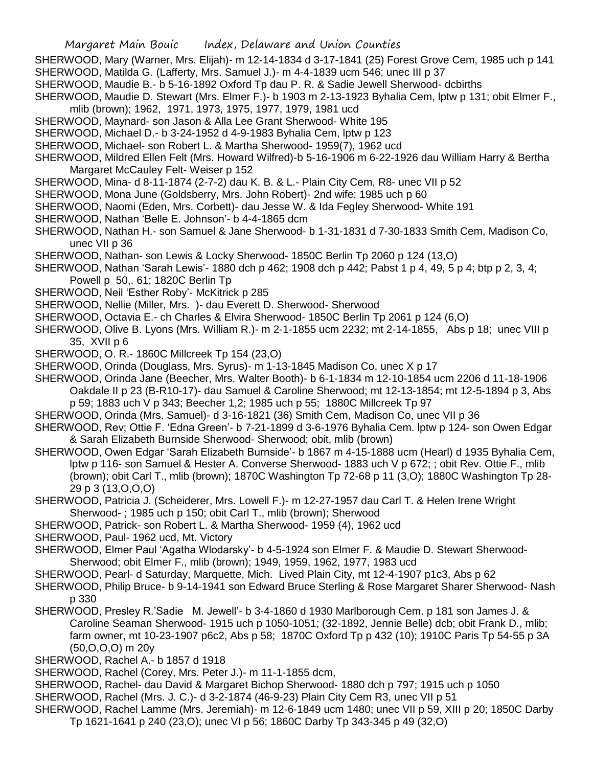- SHERWOOD, Mary (Warner, Mrs. Elijah)- m 12-14-1834 d 3-17-1841 (25) Forest Grove Cem, 1985 uch p 141
- SHERWOOD, Matilda G. (Lafferty, Mrs. Samuel J.)- m 4-4-1839 ucm 546; unec III p 37
- SHERWOOD, Maudie B.- b 5-16-1892 Oxford Tp dau P. R. & Sadie Jewell Sherwood- dcbirths
- SHERWOOD, Maudie D. Stewart (Mrs. Elmer F.)- b 1903 m 2-13-1923 Byhalia Cem, lptw p 131; obit Elmer F., mlib (brown); 1962, 1971, 1973, 1975, 1977, 1979, 1981 ucd
- SHERWOOD, Maynard- son Jason & Alla Lee Grant Sherwood- White 195
- SHERWOOD, Michael D.- b 3-24-1952 d 4-9-1983 Byhalia Cem, lptw p 123
- SHERWOOD, Michael- son Robert L. & Martha Sherwood- 1959(7), 1962 ucd
- SHERWOOD, Mildred Ellen Felt (Mrs. Howard Wilfred)-b 5-16-1906 m 6-22-1926 dau William Harry & Bertha Margaret McCauley Felt- Weiser p 152
- SHERWOOD, Mina- d 8-11-1874 (2-7-2) dau K. B. & L.- Plain City Cem, R8- unec VII p 52
- SHERWOOD, Mona June (Goldsberry, Mrs. John Robert)- 2nd wife; 1985 uch p 60
- SHERWOOD, Naomi (Eden, Mrs. Corbett)- dau Jesse W. & Ida Fegley Sherwood- White 191
- SHERWOOD, Nathan 'Belle E. Johnson'- b 4-4-1865 dcm
- SHERWOOD, Nathan H.- son Samuel & Jane Sherwood- b 1-31-1831 d 7-30-1833 Smith Cem, Madison Co, unec VII p 36
- SHERWOOD, Nathan- son Lewis & Locky Sherwood- 1850C Berlin Tp 2060 p 124 (13,O)
- SHERWOOD, Nathan 'Sarah Lewis'- 1880 dch p 462; 1908 dch p 442; Pabst 1 p 4, 49, 5 p 4; btp p 2, 3, 4; Powell p 50,. 61; 1820C Berlin Tp
- SHERWOOD, Neil 'Esther Roby'- McKitrick p 285
- SHERWOOD, Nellie (Miller, Mrs. )- dau Everett D. Sherwood- Sherwood
- SHERWOOD, Octavia E.- ch Charles & Elvira Sherwood- 1850C Berlin Tp 2061 p 124 (6,O)
- SHERWOOD, Olive B. Lyons (Mrs. William R.)- m 2-1-1855 ucm 2232; mt 2-14-1855, Abs p 18; unec VIII p 35, XVII p 6
- SHERWOOD, O. R.- 1860C Millcreek Tp 154 (23,O)
- SHERWOOD, Orinda (Douglass, Mrs. Syrus)- m 1-13-1845 Madison Co, unec X p 17
- SHERWOOD, Orinda Jane (Beecher, Mrs. Walter Booth)- b 6-1-1834 m 12-10-1854 ucm 2206 d 11-18-1906 Oakdale II p 23 (B-R10-17)- dau Samuel & Caroline Sherwood; mt 12-13-1854; mt 12-5-1894 p 3, Abs p 59; 1883 uch V p 343; Beecher 1,2; 1985 uch p 55; 1880C Millcreek Tp 97
- SHERWOOD, Orinda (Mrs. Samuel)- d 3-16-1821 (36) Smith Cem, Madison Co, unec VII p 36
- SHERWOOD, Rev; Ottie F. 'Edna Green'- b 7-21-1899 d 3-6-1976 Byhalia Cem. lptw p 124- son Owen Edgar & Sarah Elizabeth Burnside Sherwood- Sherwood; obit, mlib (brown)
- SHERWOOD, Owen Edgar 'Sarah Elizabeth Burnside'- b 1867 m 4-15-1888 ucm (Hearl) d 1935 Byhalia Cem, lptw p 116- son Samuel & Hester A. Converse Sherwood- 1883 uch V p 672; ; obit Rev. Ottie F., mlib (brown); obit Carl T., mlib (brown); 1870C Washington Tp 72-68 p 11 (3,O); 1880C Washington Tp 28- 29 p 3 (13,O,O,O)
- SHERWOOD, Patricia J. (Scheiderer, Mrs. Lowell F.)- m 12-27-1957 dau Carl T. & Helen Irene Wright Sherwood- ; 1985 uch p 150; obit Carl T., mlib (brown); Sherwood
- SHERWOOD, Patrick- son Robert L. & Martha Sherwood- 1959 (4), 1962 ucd
- SHERWOOD, Paul- 1962 ucd, Mt. Victory
- SHERWOOD, Elmer Paul 'Agatha Wlodarsky'- b 4-5-1924 son Elmer F. & Maudie D. Stewart Sherwood-Sherwood; obit Elmer F., mlib (brown); 1949, 1959, 1962, 1977, 1983 ucd
- SHERWOOD, Pearl- d Saturday, Marquette, Mich. Lived Plain City, mt 12-4-1907 p1c3, Abs p 62
- SHERWOOD, Philip Bruce- b 9-14-1941 son Edward Bruce Sterling & Rose Margaret Sharer Sherwood- Nash p 330
- SHERWOOD, Presley R.'Sadie M. Jewell'- b 3-4-1860 d 1930 Marlborough Cem. p 181 son James J. & Caroline Seaman Sherwood- 1915 uch p 1050-1051; (32-1892, Jennie Belle) dcb; obit Frank D., mlib; farm owner, mt 10-23-1907 p6c2, Abs p 58; 1870C Oxford Tp p 432 (10); 1910C Paris Tp 54-55 p 3A (50,O,O,O) m 20y
- SHERWOOD, Rachel A.- b 1857 d 1918
- SHERWOOD, Rachel (Corey, Mrs. Peter J.)- m 11-1-1855 dcm,
- SHERWOOD, Rachel- dau David & Margaret Bichop Sherwood- 1880 dch p 797; 1915 uch p 1050
- SHERWOOD, Rachel (Mrs. J. C.)- d 3-2-1874 (46-9-23) Plain City Cem R3, unec VII p 51
- SHERWOOD, Rachel Lamme (Mrs. Jeremiah)- m 12-6-1849 ucm 1480; unec VII p 59, XIII p 20; 1850C Darby Tp 1621-1641 p 240 (23,O); unec VI p 56; 1860C Darby Tp 343-345 p 49 (32,O)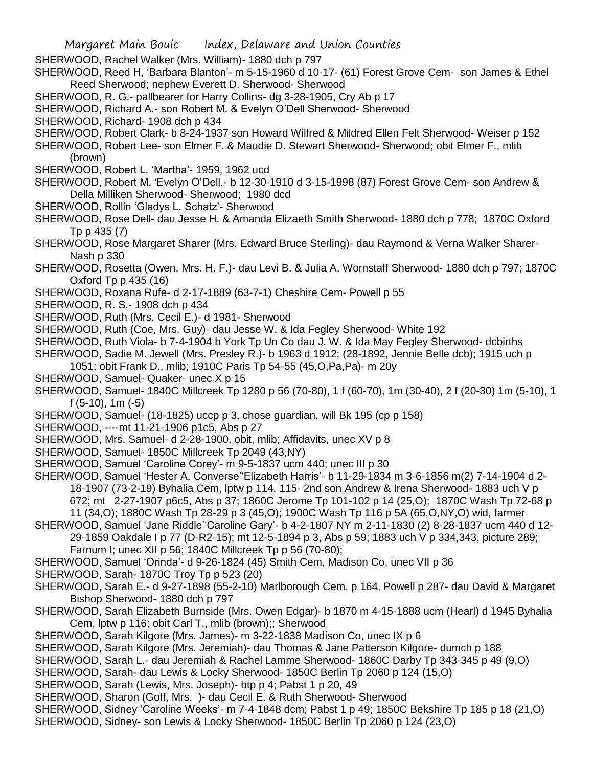SHERWOOD, Rachel Walker (Mrs. William)- 1880 dch p 797

SHERWOOD, Reed H, 'Barbara Blanton'- m 5-15-1960 d 10-17- (61) Forest Grove Cem- son James & Ethel Reed Sherwood; nephew Everett D. Sherwood- Sherwood

SHERWOOD, R. G.- pallbearer for Harry Collins- dg 3-28-1905, Cry Ab p 17

SHERWOOD, Richard A.- son Robert M. & Evelyn O'Dell Sherwood- Sherwood

SHERWOOD, Richard- 1908 dch p 434

SHERWOOD, Robert Clark- b 8-24-1937 son Howard Wilfred & Mildred Ellen Felt Sherwood- Weiser p 152

- SHERWOOD, Robert Lee- son Elmer F. & Maudie D. Stewart Sherwood- Sherwood; obit Elmer F., mlib (brown)
- SHERWOOD, Robert L. 'Martha'- 1959, 1962 ucd
- SHERWOOD, Robert M. 'Evelyn O'Dell.- b 12-30-1910 d 3-15-1998 (87) Forest Grove Cem- son Andrew & Della Milliken Sherwood- Sherwood; 1980 dcd
- SHERWOOD, Rollin 'Gladys L. Schatz'- Sherwood

SHERWOOD, Rose Dell- dau Jesse H. & Amanda Elizaeth Smith Sherwood- 1880 dch p 778; 1870C Oxford Tp p 435 (7)

SHERWOOD, Rose Margaret Sharer (Mrs. Edward Bruce Sterling)- dau Raymond & Verna Walker Sharer-Nash p 330

SHERWOOD, Rosetta (Owen, Mrs. H. F.)- dau Levi B. & Julia A. Wornstaff Sherwood- 1880 dch p 797; 1870C Oxford Tp p 435 (16)

- SHERWOOD, Roxana Rufe- d 2-17-1889 (63-7-1) Cheshire Cem- Powell p 55
- SHERWOOD, R. S.- 1908 dch p 434
- SHERWOOD, Ruth (Mrs. Cecil E.)- d 1981- Sherwood
- SHERWOOD, Ruth (Coe, Mrs. Guy)- dau Jesse W. & Ida Fegley Sherwood- White 192
- SHERWOOD, Ruth Viola- b 7-4-1904 b York Tp Un Co dau J. W. & Ida May Fegley Sherwood- dcbirths
- SHERWOOD, Sadie M. Jewell (Mrs. Presley R.)- b 1963 d 1912; (28-1892, Jennie Belle dcb); 1915 uch p 1051; obit Frank D., mlib; 1910C Paris Tp 54-55 (45,O,Pa,Pa)- m 20y
- SHERWOOD, Samuel- Quaker- unec X p 15
- SHERWOOD, Samuel- 1840C Millcreek Tp 1280 p 56 (70-80), 1 f (60-70), 1m (30-40), 2 f (20-30) 1m (5-10), 1 f (5-10), 1m (-5)
- SHERWOOD, Samuel- (18-1825) uccp p 3, chose guardian, will Bk 195 (cp p 158)
- SHERWOOD, ----mt 11-21-1906 p1c5, Abs p 27
- SHERWOOD, Mrs. Samuel- d 2-28-1900, obit, mlib; Affidavits, unec XV p 8
- SHERWOOD, Samuel- 1850C Millcreek Tp 2049 (43,NY)
- SHERWOOD, Samuel 'Caroline Corey'- m 9-5-1837 ucm 440; unec III p 30
- SHERWOOD, Samuel 'Hester A. Converse''Elizabeth Harris'- b 11-29-1834 m 3-6-1856 m(2) 7-14-1904 d 2- 18-1907 (73-2-19) Byhalia Cem, lptw p 114, 115- 2nd son Andrew & Irena Sherwood- 1883 uch V p 672; mt 2-27-1907 p6c5, Abs p 37; 1860C Jerome Tp 101-102 p 14 (25,O); 1870C Wash Tp 72-68 p 11 (34,O); 1880C Wash Tp 28-29 p 3 (45,O); 1900C Wash Tp 116 p 5A (65,O,NY,O) wid, farmer
- SHERWOOD, Samuel 'Jane Riddle''Caroline Gary'- b 4-2-1807 NY m 2-11-1830 (2) 8-28-1837 ucm 440 d 12- 29-1859 Oakdale I p 77 (D-R2-15); mt 12-5-1894 p 3, Abs p 59; 1883 uch V p 334,343, picture 289; Farnum I; unec XII p 56; 1840C Millcreek Tp p 56 (70-80);
- SHERWOOD, Samuel 'Orinda'- d 9-26-1824 (45) Smith Cem, Madison Co, unec VII p 36
- SHERWOOD, Sarah- 1870C Troy Tp p 523 (20)
- SHERWOOD, Sarah E.- d 9-27-1898 (55-2-10) Marlborough Cem. p 164, Powell p 287- dau David & Margaret Bishop Sherwood- 1880 dch p 797
- SHERWOOD, Sarah Elizabeth Burnside (Mrs. Owen Edgar)- b 1870 m 4-15-1888 ucm (Hearl) d 1945 Byhalia Cem, lptw p 116; obit Carl T., mlib (brown);; Sherwood
- SHERWOOD, Sarah Kilgore (Mrs. James)- m 3-22-1838 Madison Co, unec IX p 6
- SHERWOOD, Sarah Kilgore (Mrs. Jeremiah)- dau Thomas & Jane Patterson Kilgore- dumch p 188
- SHERWOOD, Sarah L.- dau Jeremiah & Rachel Lamme Sherwood- 1860C Darby Tp 343-345 p 49 (9,O)
- SHERWOOD, Sarah- dau Lewis & Locky Sherwood- 1850C Berlin Tp 2060 p 124 (15,O)
- SHERWOOD, Sarah (Lewis, Mrs. Joseph)- btp p 4; Pabst 1 p 20, 49
- SHERWOOD, Sharon (Goff, Mrs. )- dau Cecil E. & Ruth Sherwood- Sherwood
- SHERWOOD, Sidney 'Caroline Weeks'- m 7-4-1848 dcm; Pabst 1 p 49; 1850C Bekshire Tp 185 p 18 (21,O)
- SHERWOOD, Sidney- son Lewis & Locky Sherwood- 1850C Berlin Tp 2060 p 124 (23,O)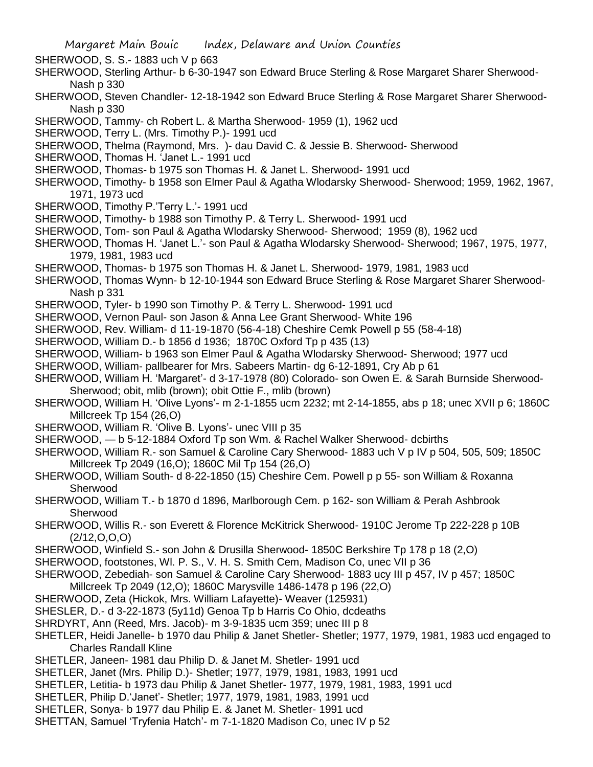SHERWOOD, S. S.- 1883 uch V p 663

- SHERWOOD, Sterling Arthur- b 6-30-1947 son Edward Bruce Sterling & Rose Margaret Sharer Sherwood-Nash p 330
- SHERWOOD, Steven Chandler- 12-18-1942 son Edward Bruce Sterling & Rose Margaret Sharer Sherwood-Nash p 330
- SHERWOOD, Tammy- ch Robert L. & Martha Sherwood- 1959 (1), 1962 ucd
- SHERWOOD, Terry L. (Mrs. Timothy P.)- 1991 ucd
- SHERWOOD, Thelma (Raymond, Mrs. )- dau David C. & Jessie B. Sherwood- Sherwood
- SHERWOOD, Thomas H. 'Janet L.- 1991 ucd
- SHERWOOD, Thomas- b 1975 son Thomas H. & Janet L. Sherwood- 1991 ucd
- SHERWOOD, Timothy- b 1958 son Elmer Paul & Agatha Wlodarsky Sherwood- Sherwood; 1959, 1962, 1967, 1971, 1973 ucd
- SHERWOOD, Timothy P.'Terry L.'- 1991 ucd
- SHERWOOD, Timothy- b 1988 son Timothy P. & Terry L. Sherwood- 1991 ucd
- SHERWOOD, Tom- son Paul & Agatha Wlodarsky Sherwood- Sherwood; 1959 (8), 1962 ucd
- SHERWOOD, Thomas H. 'Janet L.'- son Paul & Agatha Wlodarsky Sherwood- Sherwood; 1967, 1975, 1977, 1979, 1981, 1983 ucd
- SHERWOOD, Thomas- b 1975 son Thomas H. & Janet L. Sherwood- 1979, 1981, 1983 ucd
- SHERWOOD, Thomas Wynn- b 12-10-1944 son Edward Bruce Sterling & Rose Margaret Sharer Sherwood-Nash p 331
- SHERWOOD, Tyler- b 1990 son Timothy P. & Terry L. Sherwood- 1991 ucd
- SHERWOOD, Vernon Paul- son Jason & Anna Lee Grant Sherwood- White 196
- SHERWOOD, Rev. William- d 11-19-1870 (56-4-18) Cheshire Cemk Powell p 55 (58-4-18)
- SHERWOOD, William D.- b 1856 d 1936; 1870C Oxford Tp p 435 (13)
- SHERWOOD, William- b 1963 son Elmer Paul & Agatha Wlodarsky Sherwood- Sherwood; 1977 ucd
- SHERWOOD, William- pallbearer for Mrs. Sabeers Martin- dg 6-12-1891, Cry Ab p 61
- SHERWOOD, William H. 'Margaret'- d 3-17-1978 (80) Colorado- son Owen E. & Sarah Burnside Sherwood-Sherwood; obit, mlib (brown); obit Ottie F., mlib (brown)
- SHERWOOD, William H. 'Olive Lyons'- m 2-1-1855 ucm 2232; mt 2-14-1855, abs p 18; unec XVII p 6; 1860C Millcreek Tp 154 (26,O)
- SHERWOOD, William R. 'Olive B. Lyons'- unec VIII p 35
- SHERWOOD, b 5-12-1884 Oxford Tp son Wm. & Rachel Walker Sherwood- dcbirths
- SHERWOOD, William R.- son Samuel & Caroline Cary Sherwood- 1883 uch V p IV p 504, 505, 509; 1850C Millcreek Tp 2049 (16,O); 1860C Mil Tp 154 (26,O)
- SHERWOOD, William South- d 8-22-1850 (15) Cheshire Cem. Powell p p 55- son William & Roxanna Sherwood
- SHERWOOD, William T.- b 1870 d 1896, Marlborough Cem. p 162- son William & Perah Ashbrook Sherwood
- SHERWOOD, Willis R.- son Everett & Florence McKitrick Sherwood- 1910C Jerome Tp 222-228 p 10B (2/12,O,O,O)
- SHERWOOD, Winfield S.- son John & Drusilla Sherwood- 1850C Berkshire Tp 178 p 18 (2,O)
- SHERWOOD, footstones, Wl. P. S., V. H. S. Smith Cem, Madison Co, unec VII p 36
- SHERWOOD, Zebediah- son Samuel & Caroline Cary Sherwood- 1883 ucy III p 457, IV p 457; 1850C
- Millcreek Tp 2049 (12,O); 1860C Marysville 1486-1478 p 196 (22,O)
- SHERWOOD, Zeta (Hickok, Mrs. William Lafayette)- Weaver (125931)
- SHESLER, D.- d 3-22-1873 (5y11d) Genoa Tp b Harris Co Ohio, dcdeaths
- SHRDYRT, Ann (Reed, Mrs. Jacob)- m 3-9-1835 ucm 359; unec III p 8
- SHETLER, Heidi Janelle- b 1970 dau Philip & Janet Shetler- Shetler; 1977, 1979, 1981, 1983 ucd engaged to Charles Randall Kline
- SHETLER, Janeen- 1981 dau Philip D. & Janet M. Shetler- 1991 ucd
- SHETLER, Janet (Mrs. Philip D.)- Shetler; 1977, 1979, 1981, 1983, 1991 ucd
- SHETLER, Letitia- b 1973 dau Philip & Janet Shetler- 1977, 1979, 1981, 1983, 1991 ucd
- SHETLER, Philip D.'Janet'- Shetler; 1977, 1979, 1981, 1983, 1991 ucd
- SHETLER, Sonya- b 1977 dau Philip E. & Janet M. Shetler- 1991 ucd
- SHETTAN, Samuel 'Tryfenia Hatch'- m 7-1-1820 Madison Co, unec IV p 52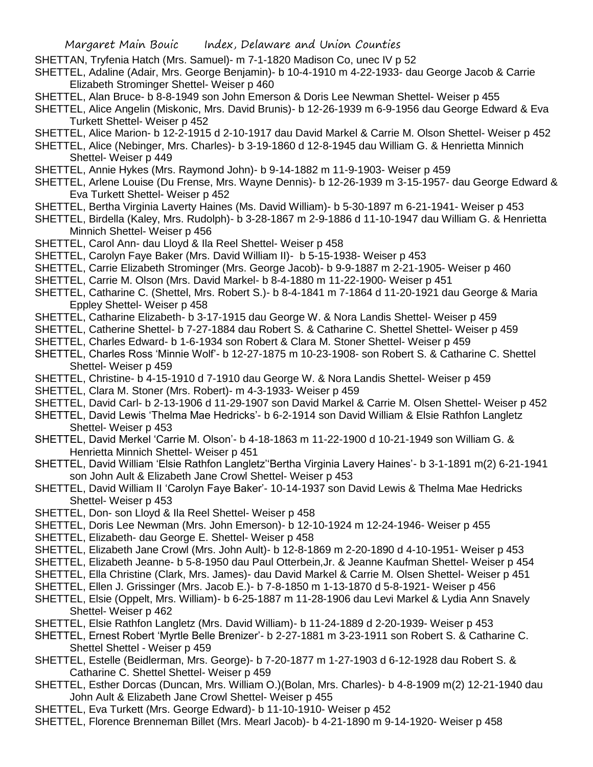- SHETTAN, Tryfenia Hatch (Mrs. Samuel)- m 7-1-1820 Madison Co, unec IV p 52
- SHETTEL, Adaline (Adair, Mrs. George Benjamin)- b 10-4-1910 m 4-22-1933- dau George Jacob & Carrie Elizabeth Strominger Shettel- Weiser p 460
- SHETTEL, Alan Bruce- b 8-8-1949 son John Emerson & Doris Lee Newman Shettel- Weiser p 455
- SHETTEL, Alice Angelin (Miskonic, Mrs. David Brunis)- b 12-26-1939 m 6-9-1956 dau George Edward & Eva Turkett Shettel- Weiser p 452
- SHETTEL, Alice Marion- b 12-2-1915 d 2-10-1917 dau David Markel & Carrie M. Olson Shettel- Weiser p 452
- SHETTEL, Alice (Nebinger, Mrs. Charles)- b 3-19-1860 d 12-8-1945 dau William G. & Henrietta Minnich Shettel- Weiser p 449
- SHETTEL, Annie Hykes (Mrs. Raymond John)- b 9-14-1882 m 11-9-1903- Weiser p 459
- SHETTEL, Arlene Louise (Du Frense, Mrs. Wayne Dennis)- b 12-26-1939 m 3-15-1957- dau George Edward & Eva Turkett Shettel- Weiser p 452
- SHETTEL, Bertha Virginia Laverty Haines (Ms. David William)- b 5-30-1897 m 6-21-1941- Weiser p 453
- SHETTEL, Birdella (Kaley, Mrs. Rudolph)- b 3-28-1867 m 2-9-1886 d 11-10-1947 dau William G. & Henrietta Minnich Shettel- Weiser p 456
- SHETTEL, Carol Ann- dau Lloyd & Ila Reel Shettel- Weiser p 458
- SHETTEL, Carolyn Faye Baker (Mrs. David William II)- b 5-15-1938- Weiser p 453
- SHETTEL, Carrie Elizabeth Strominger (Mrs. George Jacob)- b 9-9-1887 m 2-21-1905- Weiser p 460
- SHETTEL, Carrie M. Olson (Mrs. David Markel- b 8-4-1880 m 11-22-1900- Weiser p 451
- SHETTEL, Catharine C. (Shettel, Mrs. Robert S.)- b 8-4-1841 m 7-1864 d 11-20-1921 dau George & Maria Eppley Shettel- Weiser p 458
- SHETTEL, Catharine Elizabeth- b 3-17-1915 dau George W. & Nora Landis Shettel- Weiser p 459
- SHETTEL, Catherine Shettel- b 7-27-1884 dau Robert S. & Catharine C. Shettel Shettel- Weiser p 459
- SHETTEL, Charles Edward- b 1-6-1934 son Robert & Clara M. Stoner Shettel- Weiser p 459
- SHETTEL, Charles Ross 'Minnie Wolf'- b 12-27-1875 m 10-23-1908- son Robert S. & Catharine C. Shettel Shettel- Weiser p 459
- SHETTEL, Christine- b 4-15-1910 d 7-1910 dau George W. & Nora Landis Shettel- Weiser p 459
- SHETTEL, Clara M. Stoner (Mrs. Robert)- m 4-3-1933- Weiser p 459
- SHETTEL, David Carl- b 2-13-1906 d 11-29-1907 son David Markel & Carrie M. Olsen Shettel- Weiser p 452
- SHETTEL, David Lewis 'Thelma Mae Hedricks'- b 6-2-1914 son David William & Elsie Rathfon Langletz Shettel- Weiser p 453
- SHETTEL, David Merkel 'Carrie M. Olson'- b 4-18-1863 m 11-22-1900 d 10-21-1949 son William G. & Henrietta Minnich Shettel- Weiser p 451
- SHETTEL, David William 'Elsie Rathfon Langletz''Bertha Virginia Lavery Haines'- b 3-1-1891 m(2) 6-21-1941 son John Ault & Elizabeth Jane Crowl Shettel- Weiser p 453
- SHETTEL, David William II 'Carolyn Faye Baker'- 10-14-1937 son David Lewis & Thelma Mae Hedricks Shettel- Weiser p 453
- SHETTEL, Don- son Lloyd & Ila Reel Shettel- Weiser p 458
- SHETTEL, Doris Lee Newman (Mrs. John Emerson)- b 12-10-1924 m 12-24-1946- Weiser p 455
- SHETTEL, Elizabeth- dau George E. Shettel- Weiser p 458
- SHETTEL, Elizabeth Jane Crowl (Mrs. John Ault)- b 12-8-1869 m 2-20-1890 d 4-10-1951- Weiser p 453
- SHETTEL, Elizabeth Jeanne- b 5-8-1950 dau Paul Otterbein,Jr. & Jeanne Kaufman Shettel- Weiser p 454
- SHETTEL, Ella Christine (Clark, Mrs. James)- dau David Markel & Carrie M. Olsen Shettel- Weiser p 451
- SHETTEL, Ellen J. Grissinger (Mrs. Jacob E.)- b 7-8-1850 m 1-13-1870 d 5-8-1921- Weiser p 456
- SHETTEL, Elsie (Oppelt, Mrs. William)- b 6-25-1887 m 11-28-1906 dau Levi Markel & Lydia Ann Snavely Shettel- Weiser p 462
- SHETTEL, Elsie Rathfon Langletz (Mrs. David William)- b 11-24-1889 d 2-20-1939- Weiser p 453
- SHETTEL, Ernest Robert 'Myrtle Belle Brenizer'- b 2-27-1881 m 3-23-1911 son Robert S. & Catharine C. Shettel Shettel - Weiser p 459
- SHETTEL, Estelle (Beidlerman, Mrs. George)- b 7-20-1877 m 1-27-1903 d 6-12-1928 dau Robert S. & Catharine C. Shettel Shettel- Weiser p 459
- SHETTEL, Esther Dorcas (Duncan, Mrs. William O.)(Bolan, Mrs. Charles)- b 4-8-1909 m(2) 12-21-1940 dau John Ault & Elizabeth Jane Crowl Shettel- Weiser p 455
- SHETTEL, Eva Turkett (Mrs. George Edward)- b 11-10-1910- Weiser p 452
- SHETTEL, Florence Brenneman Billet (Mrs. Mearl Jacob)- b 4-21-1890 m 9-14-1920- Weiser p 458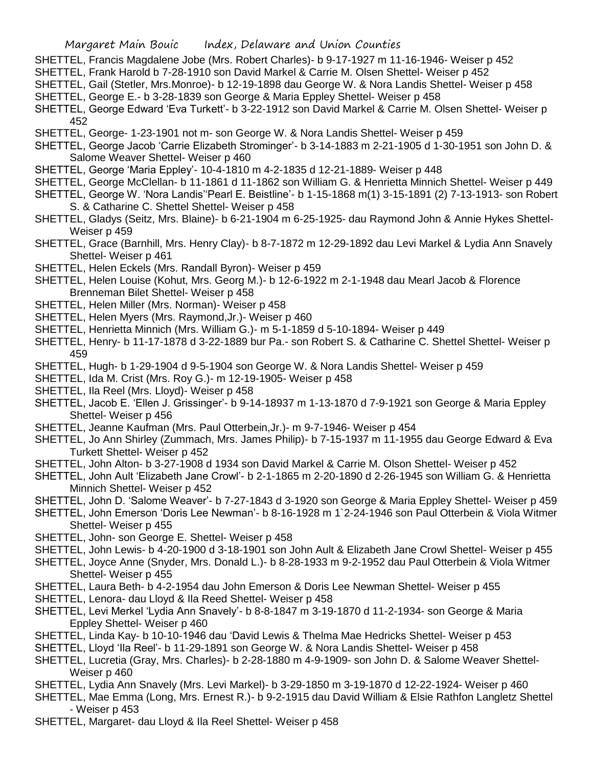- SHETTEL, Francis Magdalene Jobe (Mrs. Robert Charles)- b 9-17-1927 m 11-16-1946- Weiser p 452
- SHETTEL, Frank Harold b 7-28-1910 son David Markel & Carrie M. Olsen Shettel- Weiser p 452
- SHETTEL, Gail (Stetler, Mrs.Monroe)- b 12-19-1898 dau George W. & Nora Landis Shettel- Weiser p 458 SHETTEL, George E.- b 3-28-1839 son George & Maria Eppley Shettel- Weiser p 458
- SHETTEL, George Edward 'Eva Turkett'- b 3-22-1912 son David Markel & Carrie M. Olsen Shettel- Weiser p 452
- SHETTEL, George- 1-23-1901 not m- son George W. & Nora Landis Shettel- Weiser p 459
- SHETTEL, George Jacob 'Carrie Elizabeth Strominger'- b 3-14-1883 m 2-21-1905 d 1-30-1951 son John D. & Salome Weaver Shettel- Weiser p 460
- SHETTEL, George 'Maria Eppley'- 10-4-1810 m 4-2-1835 d 12-21-1889- Weiser p 448
- SHETTEL, George McClellan- b 11-1861 d 11-1862 son William G. & Henrietta Minnich Shettel- Weiser p 449
- SHETTEL, George W. 'Nora Landis''Pearl E. Beistline'- b 1-15-1868 m(1) 3-15-1891 (2) 7-13-1913- son Robert S. & Catharine C. Shettel Shettel- Weiser p 458
- SHETTEL, Gladys (Seitz, Mrs. Blaine)- b 6-21-1904 m 6-25-1925- dau Raymond John & Annie Hykes Shettel-Weiser p 459
- SHETTEL, Grace (Barnhill, Mrs. Henry Clay)- b 8-7-1872 m 12-29-1892 dau Levi Markel & Lydia Ann Snavely Shettel- Weiser p 461
- SHETTEL, Helen Eckels (Mrs. Randall Byron)- Weiser p 459
- SHETTEL, Helen Louise (Kohut, Mrs. Georg M.)- b 12-6-1922 m 2-1-1948 dau Mearl Jacob & Florence Brenneman Bilet Shettel- Weiser p 458
- SHETTEL, Helen Miller (Mrs. Norman)- Weiser p 458
- SHETTEL, Helen Myers (Mrs. Raymond,Jr.)- Weiser p 460
- SHETTEL, Henrietta Minnich (Mrs. William G.)- m 5-1-1859 d 5-10-1894- Weiser p 449
- SHETTEL, Henry- b 11-17-1878 d 3-22-1889 bur Pa.- son Robert S. & Catharine C. Shettel Shettel- Weiser p 459
- SHETTEL, Hugh- b 1-29-1904 d 9-5-1904 son George W. & Nora Landis Shettel- Weiser p 459
- SHETTEL, Ida M. Crist (Mrs. Roy G.)- m 12-19-1905- Weiser p 458
- SHETTEL, Ila Reel (Mrs. Lloyd)- Weiser p 458
- SHETTEL, Jacob E. 'Ellen J. Grissinger'- b 9-14-18937 m 1-13-1870 d 7-9-1921 son George & Maria Eppley Shettel- Weiser p 456
- SHETTEL, Jeanne Kaufman (Mrs. Paul Otterbein,Jr.)- m 9-7-1946- Weiser p 454
- SHETTEL, Jo Ann Shirley (Zummach, Mrs. James Philip)- b 7-15-1937 m 11-1955 dau George Edward & Eva Turkett Shettel- Weiser p 452
- SHETTEL, John Alton- b 3-27-1908 d 1934 son David Markel & Carrie M. Olson Shettel- Weiser p 452
- SHETTEL, John Ault 'Elizabeth Jane Crowl'- b 2-1-1865 m 2-20-1890 d 2-26-1945 son William G. & Henrietta Minnich Shettel- Weiser p 452
- SHETTEL, John D. 'Salome Weaver'- b 7-27-1843 d 3-1920 son George & Maria Eppley Shettel- Weiser p 459
- SHETTEL, John Emerson 'Doris Lee Newman'- b 8-16-1928 m 1`2-24-1946 son Paul Otterbein & Viola Witmer Shettel- Weiser p 455
- SHETTEL, John- son George E. Shettel- Weiser p 458
- SHETTEL, John Lewis- b 4-20-1900 d 3-18-1901 son John Ault & Elizabeth Jane Crowl Shettel- Weiser p 455
- SHETTEL, Joyce Anne (Snyder, Mrs. Donald L.)- b 8-28-1933 m 9-2-1952 dau Paul Otterbein & Viola Witmer Shettel- Weiser p 455
- SHETTEL, Laura Beth- b 4-2-1954 dau John Emerson & Doris Lee Newman Shettel- Weiser p 455
- SHETTEL, Lenora- dau Lloyd & Ila Reed Shettel- Weiser p 458
- SHETTEL, Levi Merkel 'Lydia Ann Snavely'- b 8-8-1847 m 3-19-1870 d 11-2-1934- son George & Maria Eppley Shettel- Weiser p 460
- SHETTEL, Linda Kay- b 10-10-1946 dau 'David Lewis & Thelma Mae Hedricks Shettel- Weiser p 453
- SHETTEL, Lloyd 'Ila Reel'- b 11-29-1891 son George W. & Nora Landis Shettel- Weiser p 458
- SHETTEL, Lucretia (Gray, Mrs. Charles)- b 2-28-1880 m 4-9-1909- son John D. & Salome Weaver Shettel-Weiser p 460
- SHETTEL, Lydia Ann Snavely (Mrs. Levi Markel)- b 3-29-1850 m 3-19-1870 d 12-22-1924- Weiser p 460
- SHETTEL, Mae Emma (Long, Mrs. Ernest R.)- b 9-2-1915 dau David William & Elsie Rathfon Langletz Shettel - Weiser p 453
- SHETTEL, Margaret- dau Lloyd & Ila Reel Shettel- Weiser p 458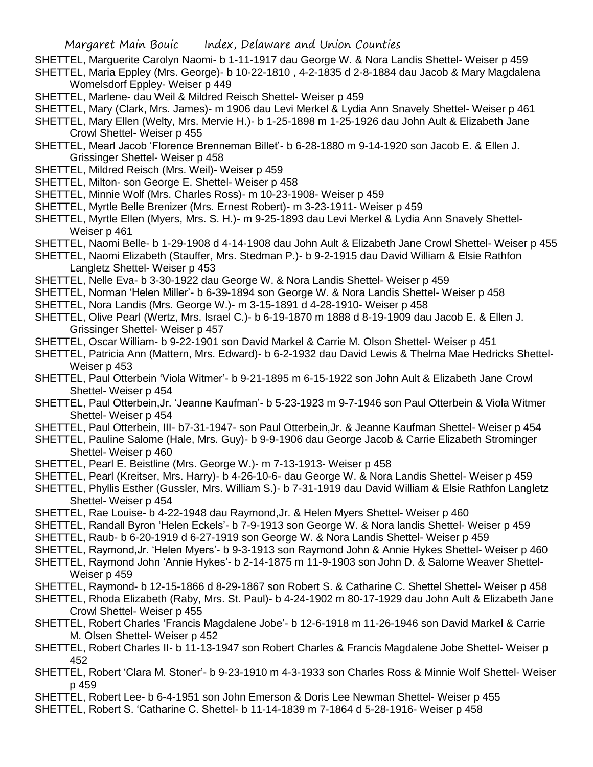- SHETTEL, Marguerite Carolyn Naomi- b 1-11-1917 dau George W. & Nora Landis Shettel- Weiser p 459 SHETTEL, Maria Eppley (Mrs. George)- b 10-22-1810 , 4-2-1835 d 2-8-1884 dau Jacob & Mary Magdalena Womelsdorf Eppley- Weiser p 449
- SHETTEL, Marlene- dau Weil & Mildred Reisch Shettel- Weiser p 459
- SHETTEL, Mary (Clark, Mrs. James)- m 1906 dau Levi Merkel & Lydia Ann Snavely Shettel- Weiser p 461
- SHETTEL, Mary Ellen (Welty, Mrs. Mervie H.)- b 1-25-1898 m 1-25-1926 dau John Ault & Elizabeth Jane Crowl Shettel- Weiser p 455
- SHETTEL, Mearl Jacob 'Florence Brenneman Billet'- b 6-28-1880 m 9-14-1920 son Jacob E. & Ellen J. Grissinger Shettel- Weiser p 458
- SHETTEL, Mildred Reisch (Mrs. Weil)- Weiser p 459
- SHETTEL, Milton- son George E. Shettel- Weiser p 458
- SHETTEL, Minnie Wolf (Mrs. Charles Ross)- m 10-23-1908- Weiser p 459
- SHETTEL, Myrtle Belle Brenizer (Mrs. Ernest Robert)- m 3-23-1911- Weiser p 459
- SHETTEL, Myrtle Ellen (Myers, Mrs. S. H.)- m 9-25-1893 dau Levi Merkel & Lydia Ann Snavely Shettel-Weiser p 461
- SHETTEL, Naomi Belle- b 1-29-1908 d 4-14-1908 dau John Ault & Elizabeth Jane Crowl Shettel- Weiser p 455
- SHETTEL, Naomi Elizabeth (Stauffer, Mrs. Stedman P.)- b 9-2-1915 dau David William & Elsie Rathfon Langletz Shettel- Weiser p 453
- SHETTEL, Nelle Eva- b 3-30-1922 dau George W. & Nora Landis Shettel- Weiser p 459
- SHETTEL, Norman 'Helen Miller'- b 6-39-1894 son George W. & Nora Landis Shettel- Weiser p 458
- SHETTEL, Nora Landis (Mrs. George W.)- m 3-15-1891 d 4-28-1910- Weiser p 458
- SHETTEL, Olive Pearl (Wertz, Mrs. Israel C.)- b 6-19-1870 m 1888 d 8-19-1909 dau Jacob E. & Ellen J. Grissinger Shettel- Weiser p 457
- SHETTEL, Oscar William- b 9-22-1901 son David Markel & Carrie M. Olson Shettel- Weiser p 451
- SHETTEL, Patricia Ann (Mattern, Mrs. Edward)- b 6-2-1932 dau David Lewis & Thelma Mae Hedricks Shettel-Weiser p 453
- SHETTEL, Paul Otterbein 'Viola Witmer'- b 9-21-1895 m 6-15-1922 son John Ault & Elizabeth Jane Crowl Shettel- Weiser p 454
- SHETTEL, Paul Otterbein,Jr. 'Jeanne Kaufman'- b 5-23-1923 m 9-7-1946 son Paul Otterbein & Viola Witmer Shettel- Weiser p 454
- SHETTEL, Paul Otterbein, III- b7-31-1947- son Paul Otterbein,Jr. & Jeanne Kaufman Shettel- Weiser p 454
- SHETTEL, Pauline Salome (Hale, Mrs. Guy)- b 9-9-1906 dau George Jacob & Carrie Elizabeth Strominger Shettel- Weiser p 460
- SHETTEL, Pearl E. Beistline (Mrs. George W.)- m 7-13-1913- Weiser p 458
- SHETTEL, Pearl (Kreitser, Mrs. Harry)- b 4-26-10-6- dau George W. & Nora Landis Shettel- Weiser p 459
- SHETTEL, Phyllis Esther (Gussler, Mrs. William S.)- b 7-31-1919 dau David William & Elsie Rathfon Langletz Shettel- Weiser p 454
- SHETTEL, Rae Louise- b 4-22-1948 dau Raymond,Jr. & Helen Myers Shettel- Weiser p 460
- SHETTEL, Randall Byron 'Helen Eckels'- b 7-9-1913 son George W. & Nora landis Shettel- Weiser p 459
- SHETTEL, Raub- b 6-20-1919 d 6-27-1919 son George W. & Nora Landis Shettel- Weiser p 459
- SHETTEL, Raymond,Jr. 'Helen Myers'- b 9-3-1913 son Raymond John & Annie Hykes Shettel- Weiser p 460
- SHETTEL, Raymond John 'Annie Hykes'- b 2-14-1875 m 11-9-1903 son John D. & Salome Weaver Shettel-Weiser p 459
- SHETTEL, Raymond- b 12-15-1866 d 8-29-1867 son Robert S. & Catharine C. Shettel Shettel- Weiser p 458
- SHETTEL, Rhoda Elizabeth (Raby, Mrs. St. Paul)- b 4-24-1902 m 80-17-1929 dau John Ault & Elizabeth Jane Crowl Shettel- Weiser p 455
- SHETTEL, Robert Charles 'Francis Magdalene Jobe'- b 12-6-1918 m 11-26-1946 son David Markel & Carrie M. Olsen Shettel- Weiser p 452
- SHETTEL, Robert Charles II- b 11-13-1947 son Robert Charles & Francis Magdalene Jobe Shettel- Weiser p 452
- SHETTEL, Robert 'Clara M. Stoner'- b 9-23-1910 m 4-3-1933 son Charles Ross & Minnie Wolf Shettel- Weiser p 459
- SHETTEL, Robert Lee- b 6-4-1951 son John Emerson & Doris Lee Newman Shettel- Weiser p 455
- SHETTEL, Robert S. 'Catharine C. Shettel- b 11-14-1839 m 7-1864 d 5-28-1916- Weiser p 458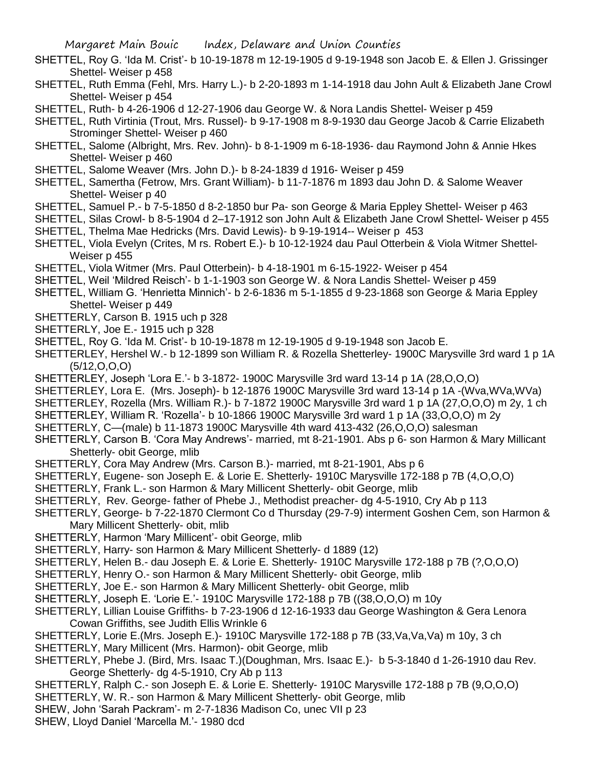- SHETTEL, Roy G. 'Ida M. Crist'- b 10-19-1878 m 12-19-1905 d 9-19-1948 son Jacob E. & Ellen J. Grissinger Shettel- Weiser p 458
- SHETTEL, Ruth Emma (Fehl, Mrs. Harry L.)- b 2-20-1893 m 1-14-1918 dau John Ault & Elizabeth Jane Crowl Shettel- Weiser p 454
- SHETTEL, Ruth- b 4-26-1906 d 12-27-1906 dau George W. & Nora Landis Shettel- Weiser p 459
- SHETTEL, Ruth Virtinia (Trout, Mrs. Russel)- b 9-17-1908 m 8-9-1930 dau George Jacob & Carrie Elizabeth Strominger Shettel- Weiser p 460
- SHETTEL, Salome (Albright, Mrs. Rev. John)- b 8-1-1909 m 6-18-1936- dau Raymond John & Annie Hkes Shettel- Weiser p 460
- SHETTEL, Salome Weaver (Mrs. John D.)- b 8-24-1839 d 1916- Weiser p 459
- SHETTEL, Samertha (Fetrow, Mrs. Grant William)- b 11-7-1876 m 1893 dau John D. & Salome Weaver Shettel- Weiser p 40
- SHETTEL, Samuel P.- b 7-5-1850 d 8-2-1850 bur Pa- son George & Maria Eppley Shettel- Weiser p 463
- SHETTEL, Silas Crowl- b 8-5-1904 d 2–17-1912 son John Ault & Elizabeth Jane Crowl Shettel- Weiser p 455 SHETTEL, Thelma Mae Hedricks (Mrs. David Lewis)- b 9-19-1914-- Weiser p 453
- SHETTEL, Viola Evelyn (Crites, M rs. Robert E.)- b 10-12-1924 dau Paul Otterbein & Viola Witmer Shettel-Weiser p 455
- SHETTEL, Viola Witmer (Mrs. Paul Otterbein)- b 4-18-1901 m 6-15-1922- Weiser p 454
- SHETTEL, Weil 'Mildred Reisch'- b 1-1-1903 son George W. & Nora Landis Shettel- Weiser p 459
- SHETTEL, William G. 'Henrietta Minnich'- b 2-6-1836 m 5-1-1855 d 9-23-1868 son George & Maria Eppley Shettel- Weiser p 449
- SHETTERLY, Carson B. 1915 uch p 328
- SHETTERLY, Joe E.- 1915 uch p 328
- SHETTEL, Roy G. 'Ida M. Crist'- b 10-19-1878 m 12-19-1905 d 9-19-1948 son Jacob E.
- SHETTERLEY, Hershel W.- b 12-1899 son William R. & Rozella Shetterley- 1900C Marysville 3rd ward 1 p 1A (5/12,O,O,O)
- SHETTERLEY, Joseph 'Lora E.'- b 3-1872- 1900C Marysville 3rd ward 13-14 p 1A (28,O,O,O)
- SHETTERLEY, Lora E. (Mrs. Joseph)- b 12-1876 1900C Marysville 3rd ward 13-14 p 1A -(Wva,WVa,WVa)
- SHETTERLEY, Rozella (Mrs. William R.)- b 7-1872 1900C Marysville 3rd ward 1 p 1A (27,O,O,O) m 2y, 1 ch
- SHETTERLEY, William R. 'Rozella'- b 10-1866 1900C Marysville 3rd ward 1 p 1A (33,O,O,O) m 2y
- SHETTERLY, C—(male) b 11-1873 1900C Marysville 4th ward 413-432 (26,O,O,O) salesman
- SHETTERLY, Carson B. 'Cora May Andrews'- married, mt 8-21-1901. Abs p 6- son Harmon & Mary Millicant Shetterly- obit George, mlib
- SHETTERLY, Cora May Andrew (Mrs. Carson B.)- married, mt 8-21-1901, Abs p 6
- SHETTERLY, Eugene- son Joseph E. & Lorie E. Shetterly- 1910C Marysville 172-188 p 7B (4,O,O,O)
- SHETTERLY, Frank L.- son Harmon & Mary Millicent Shetterly- obit George, mlib
- SHETTERLY, Rev. George- father of Phebe J., Methodist preacher- dg 4-5-1910, Cry Ab p 113
- SHETTERLY, George- b 7-22-1870 Clermont Co d Thursday (29-7-9) interment Goshen Cem, son Harmon & Mary Millicent Shetterly- obit, mlib
- SHETTERLY, Harmon 'Mary Millicent'- obit George, mlib
- SHETTERLY, Harry- son Harmon & Mary Millicent Shetterly- d 1889 (12)
- SHETTERLY, Helen B.- dau Joseph E. & Lorie E. Shetterly- 1910C Marysville 172-188 p 7B (?,O,O,O)
- SHETTERLY, Henry O.- son Harmon & Mary Millicent Shetterly- obit George, mlib
- SHETTERLY, Joe E.- son Harmon & Mary Millicent Shetterly- obit George, mlib
- SHETTERLY, Joseph E. 'Lorie E.'- 1910C Marysville 172-188 p 7B ((38,O,O,O) m 10y
- SHETTERLY, Lillian Louise Griffiths- b 7-23-1906 d 12-16-1933 dau George Washington & Gera Lenora Cowan Griffiths, see Judith Ellis Wrinkle 6
- SHETTERLY, Lorie E.(Mrs. Joseph E.)- 1910C Marysville 172-188 p 7B (33,Va,Va,Va) m 10y, 3 ch
- SHETTERLY, Mary Millicent (Mrs. Harmon)- obit George, mlib
- SHETTERLY, Phebe J. (Bird, Mrs. Isaac T.)(Doughman, Mrs. Isaac E.)- b 5-3-1840 d 1-26-1910 dau Rev. George Shetterly- dg 4-5-1910, Cry Ab p 113
- SHETTERLY, Ralph C.- son Joseph E. & Lorie E. Shetterly- 1910C Marysville 172-188 p 7B (9,O,O,O)
- SHETTERLY, W. R.- son Harmon & Mary Millicent Shetterly- obit George, mlib
- SHEW, John 'Sarah Packram'- m 2-7-1836 Madison Co, unec VII p 23
- SHEW, Lloyd Daniel 'Marcella M.'- 1980 dcd